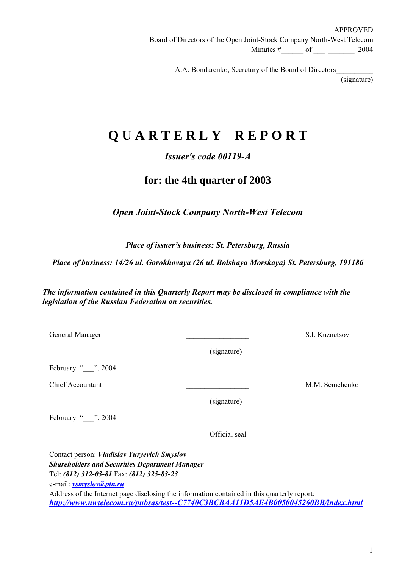A.A. Bondarenko, Secretary of the Board of Directors\_\_\_\_\_\_\_\_\_\_

(signature)

# **Q U A R T E R L Y R E P O R T**

## *Issuer's code 00119-A*

## **for: the 4th quarter of 2003**

*Open Joint-Stock Company North-West Telecom* 

*Place of issuer's business: St. Petersburg, Russia*

*Place of business: 14/26 ul. Gorokhovaya (26 ul. Bolshaya Morskaya) St. Petersburg, 191186*

*The information contained in this Quarterly Report may be disclosed in compliance with the legislation of the Russian Federation on securities.* 

General Manager **S.I. Kuznetsov** S.I. Kuznetsov

February " ", 2004

Chief Accountant **M.M. Semchenko** 

(signature)

(signature)

February "\_\_\_", 2004

Official seal

Contact person: *Vladislav Yuryevich Smyslov Shareholders and Securities Department Manager* Tel: *(812) 312-03-81* Fax: *(812) 325-83-23* e-mail: *vsmyslov@ptn.ru* Address of the Internet page disclosing the information contained in this quarterly report: *http://www.nwtelecom.ru/pubsas/test--C7740C3BCBAA11D5AE4B0050045260BB/index.html*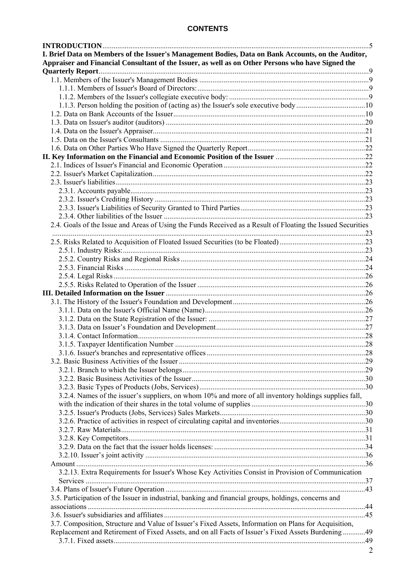## **CONTENTS**

| I. Brief Data on Members of the Issuer's Management Bodies, Data on Bank Accounts, on the Auditor,          |                |
|-------------------------------------------------------------------------------------------------------------|----------------|
| Appraiser and Financial Consultant of the Issuer, as well as on Other Persons who have Signed the           |                |
|                                                                                                             |                |
|                                                                                                             |                |
|                                                                                                             |                |
|                                                                                                             |                |
| 1.1.3. Person holding the position of (acting as) the Issuer's sole executive body10                        |                |
|                                                                                                             |                |
|                                                                                                             |                |
|                                                                                                             |                |
|                                                                                                             |                |
|                                                                                                             |                |
|                                                                                                             |                |
|                                                                                                             |                |
|                                                                                                             |                |
|                                                                                                             |                |
|                                                                                                             |                |
|                                                                                                             |                |
|                                                                                                             |                |
|                                                                                                             |                |
| 2.4. Goals of the Issue and Areas of Using the Funds Received as a Result of Floating the Issued Securities |                |
|                                                                                                             |                |
|                                                                                                             |                |
|                                                                                                             |                |
|                                                                                                             |                |
|                                                                                                             |                |
|                                                                                                             |                |
|                                                                                                             |                |
|                                                                                                             |                |
|                                                                                                             |                |
|                                                                                                             |                |
|                                                                                                             |                |
|                                                                                                             |                |
|                                                                                                             |                |
|                                                                                                             |                |
|                                                                                                             |                |
|                                                                                                             |                |
|                                                                                                             |                |
|                                                                                                             |                |
|                                                                                                             |                |
|                                                                                                             |                |
| 3.2.4. Names of the issuer's suppliers, on whom 10% and more of all inventory holdings supplies fall,       |                |
|                                                                                                             |                |
|                                                                                                             |                |
|                                                                                                             |                |
|                                                                                                             |                |
|                                                                                                             |                |
|                                                                                                             |                |
|                                                                                                             |                |
|                                                                                                             |                |
| 3.2.13. Extra Requirements for Issuer's Whose Key Activities Consist in Provision of Communication          |                |
|                                                                                                             |                |
|                                                                                                             |                |
| 3.5. Participation of the Issuer in industrial, banking and financial groups, holdings, concerns and        |                |
|                                                                                                             |                |
|                                                                                                             |                |
| 3.7. Composition, Structure and Value of Issuer's Fixed Assets, Information on Plans for Acquisition,       |                |
| Replacement and Retirement of Fixed Assets, and on all Facts of Issuer's Fixed Assets Burdening 49          |                |
|                                                                                                             |                |
|                                                                                                             | $\overline{2}$ |
|                                                                                                             |                |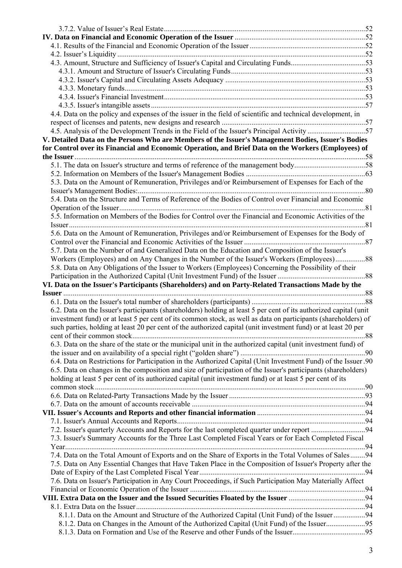| 4.4. Data on the policy and expenses of the issuer in the field of scientific and technical development, in       |  |
|-------------------------------------------------------------------------------------------------------------------|--|
|                                                                                                                   |  |
| 4.5. Analysis of the Development Trends in the Field of the Issuer's Principal Activity 57                        |  |
| V. Detailed Data on the Persons Who are Members of the Issuer's Management Bodies, Issuer's Bodies                |  |
| for Control over its Financial and Economic Operation, and Brief Data on the Workers (Employees) of               |  |
|                                                                                                                   |  |
|                                                                                                                   |  |
|                                                                                                                   |  |
| 5.3. Data on the Amount of Remuneration, Privileges and/or Reimbursement of Expenses for Each of the              |  |
|                                                                                                                   |  |
| 5.4. Data on the Structure and Terms of Reference of the Bodies of Control over Financial and Economic            |  |
| 5.5. Information on Members of the Bodies for Control over the Financial and Economic Activities of the           |  |
|                                                                                                                   |  |
|                                                                                                                   |  |
| 5.6. Data on the Amount of Remuneration, Privileges and/or Reimbursement of Expenses for the Body of              |  |
| 5.7. Data on the Number of and Generalized Data on the Education and Composition of the Issuer's                  |  |
| Workers (Employees) and on Any Changes in the Number of the Issuer's Workers (Employees)88                        |  |
| 5.8. Data on Any Obligations of the Issuer to Workers (Employees) Concerning the Possibility of their             |  |
|                                                                                                                   |  |
| VI. Data on the Issuer's Participants (Shareholders) and on Party-Related Transactions Made by the                |  |
|                                                                                                                   |  |
|                                                                                                                   |  |
| 6.2. Data on the Issuer's participants (shareholders) holding at least 5 per cent of its authorized capital (unit |  |
| investment fund) or at least 5 per cent of its common stock, as well as data on participants (shareholders) of    |  |
| such parties, holding at least 20 per cent of the authorized capital (unit investment fund) or at least 20 per    |  |
|                                                                                                                   |  |
| 6.3. Data on the share of the state or the municipal unit in the authorized capital (unit investment fund) of     |  |
|                                                                                                                   |  |
| 6.4. Data on Restrictions for Participation in the Authorized Capital (Unit Investment Fund) of the Issuer .90    |  |
| 6.5. Data on changes in the composition and size of participation of the Issuer's participants (shareholders)     |  |
| holding at least 5 per cent of its authorized capital (unit investment fund) or at least 5 per cent of its        |  |
|                                                                                                                   |  |
|                                                                                                                   |  |
|                                                                                                                   |  |
|                                                                                                                   |  |
|                                                                                                                   |  |
|                                                                                                                   |  |
| 7.3. Issuer's Summary Accounts for the Three Last Completed Fiscal Years or for Each Completed Fiscal             |  |
|                                                                                                                   |  |
|                                                                                                                   |  |
| 7.4. Data on the Total Amount of Exports and on the Share of Exports in the Total Volumes of Sales94              |  |
| 7.5. Data on Any Essential Changes that Have Taken Place in the Composition of Issuer's Property after the        |  |
|                                                                                                                   |  |
| 7.6. Data on Issuer's Participation in Any Court Proceedings, if Such Participation May Materially Affect         |  |
|                                                                                                                   |  |
|                                                                                                                   |  |
|                                                                                                                   |  |
| 8.1.1. Data on the Amount and Structure of the Authorized Capital (Unit Fund) of the Issuer 94                    |  |
|                                                                                                                   |  |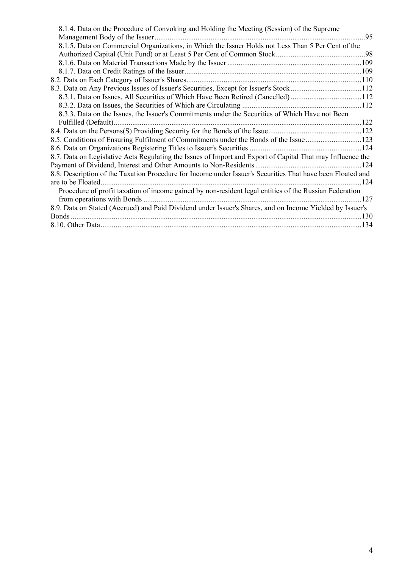| 8.1.4. Data on the Procedure of Convoking and Holding the Meeting (Session) of the Supreme                 |       |
|------------------------------------------------------------------------------------------------------------|-------|
| Management Body of the Issuer                                                                              | 95    |
| 8.1.5. Data on Commercial Organizations, in Which the Issuer Holds not Less Than 5 Per Cent of the         |       |
|                                                                                                            |       |
|                                                                                                            |       |
|                                                                                                            |       |
|                                                                                                            |       |
| 8.3. Data on Any Previous Issues of Issuer's Securities, Except for Issuer's Stock112                      |       |
| 8.3.1. Data on Issues, All Securities of Which Have Been Retired (Cancelled) 112                           |       |
|                                                                                                            |       |
| 8.3.3. Data on the Issues, the Issuer's Commitments under the Securities of Which Have not Been            |       |
|                                                                                                            |       |
|                                                                                                            |       |
|                                                                                                            |       |
|                                                                                                            |       |
| 8.7. Data on Legislative Acts Regulating the Issues of Import and Export of Capital That may Influence the |       |
|                                                                                                            |       |
| 8.8. Description of the Taxation Procedure for Income under Issuer's Securities That have been Floated and |       |
| are to be Floated.                                                                                         | 124   |
| Procedure of profit taxation of income gained by non-resident legal entities of the Russian Federation     |       |
|                                                                                                            | - 127 |
| 8.9. Data on Stated (Accrued) and Paid Dividend under Issuer's Shares, and on Income Yielded by Issuer's   |       |
|                                                                                                            |       |
|                                                                                                            | .134  |
|                                                                                                            |       |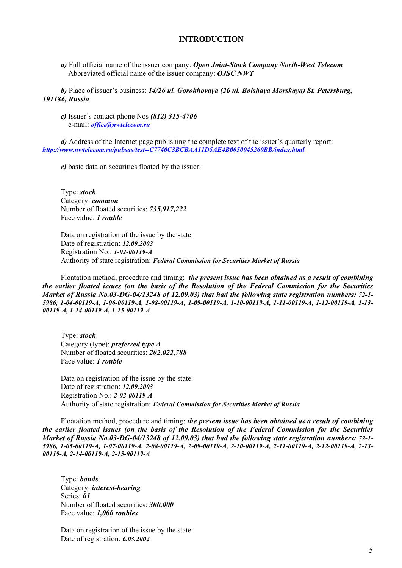## **INTRODUCTION**

*a)* Full official name of the issuer company: *Open Joint-Stock Company North-West Telecom* Abbreviated official name of the issuer company: *OJSC NWT* 

*b)* Place of issuer's business: *14/26 ul. Gorokhovaya (26 ul. Bolshaya Morskaya) St. Petersburg, 191186, Russia*

*c)* Issuer's contact phone Nos *(812) 315-4706* e-mail: *office@nwtelecom.ru*

*d*) Address of the Internet page publishing the complete text of the issuer's quarterly report: *http://www.nwtelecom.ru/pubsas/test--C7740C3BCBAA11D5AE4B0050045260BB/index.html*

*e)* basic data on securities floated by the issuer:

Type: *stock* Category: *common* Number of floated securities: *735,917,222*  Face value: *1 rouble*

Data on registration of the issue by the state: Date of registration: *12.09.2003* Registration No.: *1-02-00119-А* Authority of state registration: *Federal Commission for Securities Market of Russia*

Floatation method, procedure and timing: *the present issue has been obtained as a result of combining the earlier floated issues (on the basis of the Resolution of the Federal Commission for the Securities Market of Russia No.03-DG-04/13248 of 12.09.03) that had the following state registration numbers: 72-1- 5986, 1-04-00119-A, 1-06-00119-A, 1-08-00119-A, 1-09-00119-A, 1-10-00119-A, 1-11-00119-A, 1-12-00119-A, 1-13- 00119-A, 1-14-00119-A, 1-15-00119-A*

Type: *stock* Category (type): *preferred type A* Number of floated securities: *202,022,788* Face value: *1 rouble*

Data on registration of the issue by the state: Date of registration: *12.09.2003* Registration No.: *2-02-00119-А* Authority of state registration: *Federal Commission for Securities Market of Russia*

Floatation method, procedure and timing: *the present issue has been obtained as a result of combining the earlier floated issues (on the basis of the Resolution of the Federal Commission for the Securities Market of Russia No.03-DG-04/13248 of 12.09.03) that had the following state registration numbers: 72-1- 5986, 1-05-00119-A, 1-07-00119-A, 2-08-00119-A, 2-09-00119-A, 2-10-00119-A, 2-11-00119-A, 2-12-00119-A, 2-13- 00119-A, 2-14-00119-A, 2-15-00119-A*

Type: *bonds* Category: *interest-bearing* Series: *01* Number of floated securities: *300,000* Face value: *1,000 roubles*

Data on registration of the issue by the state: Date of registration: *6.03.2002*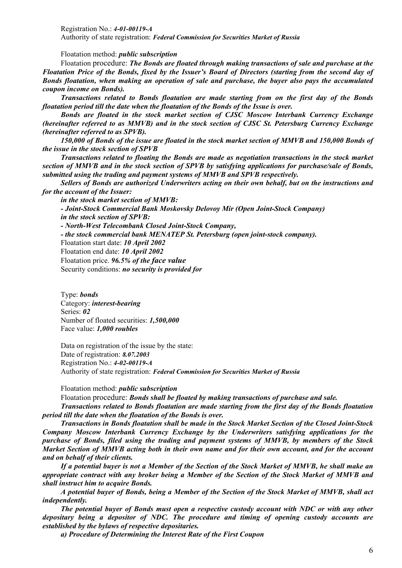Registration No.: *4-01-00119-A* Authority of state registration: *Federal Commission for Securities Market of Russia* 

Floatation method: *public subscription* 

Floatation procedure: *The Bonds are floated through making transactions of sale and purchase at the Floatation Price of the Bonds, fixed by the Issuer's Board of Directors (starting from the second day of Bonds floatation, when making an operation of sale and purchase, the buyer also pays the accumulated coupon income on Bonds).* 

*Transactions related to Bonds floatation are made starting from on the first day of the Bonds floatation period till the date when the floatation of the Bonds of the Issue is over.* 

*Bonds are floated in the stock market section of CJSC Moscow Interbank Currency Exchange (hereinafter referred to as MMVB) and in the stock section of CJSC St. Petersburg Currency Exchange (hereinafter referred to as SPVB).* 

*150,000 of Bonds of the issue are floated in the stock market section of MMVB and 150,000 Bonds of the issue in the stock section of SPVB* 

*Transactions related to floating the Bonds are made as negotiation transactions in the stock market section of MMVB and in the stock section of SPVB by satisfying applications for purchase/sale of Bonds, submitted using the trading and payment systems of MMVB and SPVB respectively.* 

*Sellers of Bonds are authorized Underwriters acting on their own behalf, but on the instructions and for the account of the Issuer:* 

*in the stock market section of MMVB: - Joint-Stock Commercial Bank Moskovsky Delovoy Mir (Open Joint-Stock Company) in the stock section of SPVB: - North-West Telecombank Closed Joint-Stock Company, - the stock commercial bank MENATEP St. Petersburg (open joint-stock company).*  Floatation start date: *10 April 2002*  Floatation end date: *10 April 2002* Floatation price. *96.5% of the face value* Security conditions: *no security is provided for*

Type: *bonds* Category: *interest-bearing* Series: *02* Number of floated securities: *1,500,000* Face value: *1,000 roubles*

Data on registration of the issue by the state: Date of registration: *8.07.2003* Registration No.: *4-02-00119-А* Authority of state registration: *Federal Commission for Securities Market of Russia* 

Floatation method: *public subscription*

Floatation procedure: *Bonds shall be floated by making transactions of purchase and sale.*

*Transactions related to Bonds floatation are made starting from the first day of the Bonds floatation period till the date when the floatation of the Bonds is over.* 

*Transactions in Bonds floatation shall be made in the Stock Market Section of the Closed Joint-Stock Company Moscow Interbank Currency Exchange by the Underwriters satisfying applications for the purchase of Bonds, filed using the trading and payment systems of MMVB, by members of the Stock Market Section of MMVB acting both in their own name and for their own account, and for the account and on behalf of their clients.* 

*If a potential buyer is not a Member of the Section of the Stock Market of MMVB, he shall make an appropriate contract with any broker being a Member of the Section of the Stock Market of MMVB and shall instruct him to acquire Bonds.* 

*A potential buyer of Bonds, being a Member of the Section of the Stock Market of MMVB, shall act independently.* 

*The potential buyer of Bonds must open a respective custody account with NDC or with any other depositary being a depositor of NDC. The procedure and timing of opening custody accounts are established by the bylaws of respective depositaries.*

*a) Procedure of Determining the Interest Rate of the First Coupon*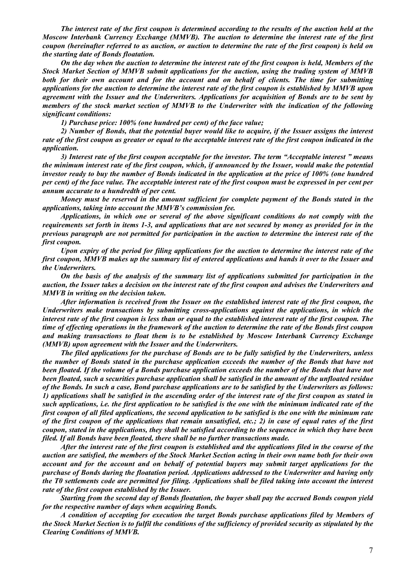*The interest rate of the first coupon is determined according to the results of the auction held at the Moscow Interbank Currency Exchange (MMVB). The auction to determine the interest rate of the first coupon (hereinafter referred to as auction, or auction to determine the rate of the first coupon) is held on the starting date of Bonds floatation.*

*On the day when the auction to determine the interest rate of the first coupon is held, Members of the Stock Market Section of MMVB submit applications for the auction, using the trading system of MMVB both for their own account and for the account and on behalf of clients. The time for submitting applications for the auction to determine the interest rate of the first coupon is established by MMVB upon agreement with the Issuer and the Underwriters. Applications for acquisition of Bonds are to be sent by members of the stock market section of MMVB to the Underwriter with the indication of the following significant conditions:* 

*1) Purchase price: 100% (one hundred per cent) of the face value;* 

*2) Number of Bonds, that the potential buyer would like to acquire, if the Issuer assigns the interest rate of the first coupon as greater or equal to the acceptable interest rate of the first coupon indicated in the application.* 

*3) Interest rate of the first coupon acceptable for the investor. The term "Acceptable interest " means the minimum interest rate of the first coupon, which, if announced by the Issuer, would make the potential investor ready to buy the number of Bonds indicated in the application at the price of 100% (one hundred per cent) of the face value. The acceptable interest rate of the first coupon must be expressed in per cent per annum accurate to a hundredth of per cent.*

*Money must be reserved in the amount sufficient for complete payment of the Bonds stated in the applications, taking into account the MMVB's commission fee.* 

*Applications, in which one or several of the above significant conditions do not comply with the requirements set forth in items 1-3, and applications that are not secured by money as provided for in the previous paragraph are not permitted for participation in the auction to determine the interest rate of the first coupon.* 

*Upon expiry of the period for filing applications for the auction to determine the interest rate of the first coupon, MMVB makes up the summary list of entered applications and hands it over to the Issuer and the Underwriters.* 

*On the basis of the analysis of the summary list of applications submitted for participation in the auction, the Issuer takes a decision on the interest rate of the first coupon and advises the Underwriters and MMVB in writing on the decision taken.* 

*After information is received from the Issuer on the established interest rate of the first coupon, the Underwriters make transactions by submitting cross-applications against the applications, in which the interest rate of the first coupon is less than or equal to the established interest rate of the first coupon. The time of effecting operations in the framework of the auction to determine the rate of the Bonds first coupon and making transactions to float them is to be established by Moscow Interbank Currency Exchange (MMVB) upon agreement with the Issuer and the Underwriters.*

*The filed applications for the purchase of Bonds are to be fully satisfied by the Underwriters, unless the number of Bonds stated in the purchase application exceeds the number of the Bonds that have not been floated. If the volume of a Bonds purchase application exceeds the number of the Bonds that have not been floated, such a securities purchase application shall be satisfied in the amount of the unfloated residue of the Bonds. In such a case, Bond purchase applications are to be satisfied by the Underwriters as follows: 1) applications shall be satisfied in the ascending order of the interest rate of the first coupon as stated in such applications, i.e. the first application to be satisfied is the one with the minimum indicated rate of the first coupon of all filed applications, the second application to be satisfied is the one with the minimum rate of the first coupon of the applications that remain unsatisfied, etc.; 2) in case of equal rates of the first coupon, stated in the applications, they shall be satisfied according to the sequence in which they have been filed. If all Bonds have been floated, there shall be no further transactions made.*

*After the interest rate of the first coupon is established and the applications filed in the course of the auction are satisfied, the members of the Stock Market Section acting in their own name both for their own account and for the account and on behalf of potential buyers may submit target applications for the purchase of Bonds during the floatation period. Applications addressed to the Underwriter and having only the T0 settlements code are permitted for filing. Applications shall be filed taking into account the interest rate of the first coupon established by the Issuer.* 

*Starting from the second day of Bonds floatation, the buyer shall pay the accrued Bonds coupon yield for the respective number of days when acquiring Bonds.* 

*A condition of accepting for execution the target Bonds purchase applications filed by Members of the Stock Market Section is to fulfil the conditions of the sufficiency of provided security as stipulated by the Clearing Conditions of MMVB.*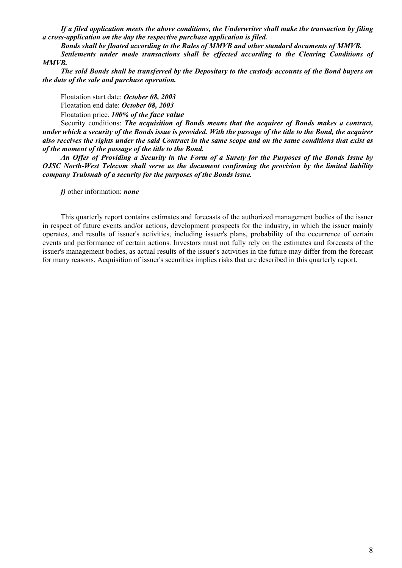*If a filed application meets the above conditions, the Underwriter shall make the transaction by filing a cross-application on the day the respective purchase application is filed.* 

*Bonds shall be floated according to the Rules of MMVB and other standard documents of MMVB.* 

*Settlements under made transactions shall be effected according to the Clearing Conditions of MMVB.* 

*The sold Bonds shall be transferred by the Depositary to the custody accounts of the Bond buyers on the date of the sale and purchase operation.* 

Floatation start date: *October 08, 2003* Floatation end date: *October 08, 2003* Floatation price. *100% of the face value*

Security conditions: *The acquisition of Bonds means that the acquirer of Bonds makes a contract, under which a security of the Bonds issue is provided. With the passage of the title to the Bond, the acquirer also receives the rights under the said Contract in the same scope and on the same conditions that exist as of the moment of the passage of the title to the Bond.* 

*An Offer of Providing a Security in the Form of a Surety for the Purposes of the Bonds Issue by OJSC North-West Telecom shall serve as the document confirming the provision by the limited liability company Trubsnab of a security for the purposes of the Bonds issue.* 

*f)* other information: *none*

This quarterly report contains estimates and forecasts of the authorized management bodies of the issuer in respect of future events and/or actions, development prospects for the industry, in which the issuer mainly operates, and results of issuer's activities, including issuer's plans, probability of the occurrence of certain events and performance of certain actions. Investors must not fully rely on the estimates and forecasts of the issuer's management bodies, as actual results of the issuer's activities in the future may differ from the forecast for many reasons. Acquisition of issuer's securities implies risks that are described in this quarterly report.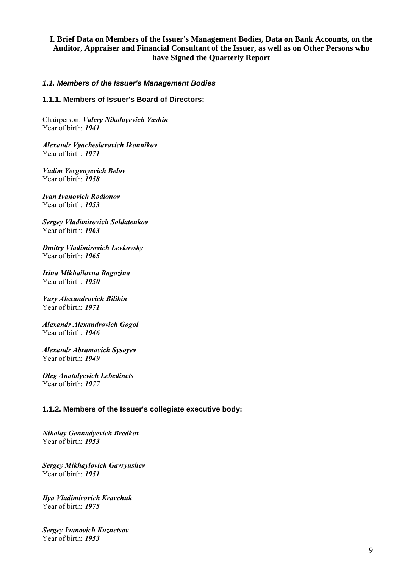## **I. Brief Data on Members of the Issuer's Management Bodies, Data on Bank Accounts, on the Auditor, Appraiser and Financial Consultant of the Issuer, as well as on Other Persons who have Signed the Quarterly Report**

## *1.1. Members of the Issuer's Management Bodies*

## **1.1.1. Members of Issuer's Board of Directors:**

Chairperson: *Valery Nikolayevich Yashin* Year of birth: *1941*

*Alexandr Vyacheslavovich Ikonnikov* Year of birth: *1971*

*Vadim Yevgenyevich Belov* Year of birth: *1958*

*Ivan Ivanovich Rodionov* Year of birth: *1953*

*Sergey Vladimirovich Soldatenkov* Year of birth: *1963*

*Dmitry Vladimirovich Levkovsky* Year of birth: *1965*

*Irina Mikhailovna Ragozina* Year of birth: *1950*

*Yury Alexandrovich Bilibin* Year of birth: *1971*

*Alexandr Alexandrovich Gogol* Year of birth: *1946*

*Alexandr Abramovich Sysoyev* Year of birth: *1949*

*Oleg Anatolyevich Lebedinets* Year of birth: *1977*

## **1.1.2. Members of the Issuer's collegiate executive body:**

*Nikolay Gennadyevich Bredkov* Year of birth: *1953*

*Sergey Mikhaylovich Gavryushev* Year of birth: *1951*

*Ilya Vladimirovich Kravchuk* Year of birth: *1975*

*Sergey Ivanovich Kuznetsov* Year of birth: *1953*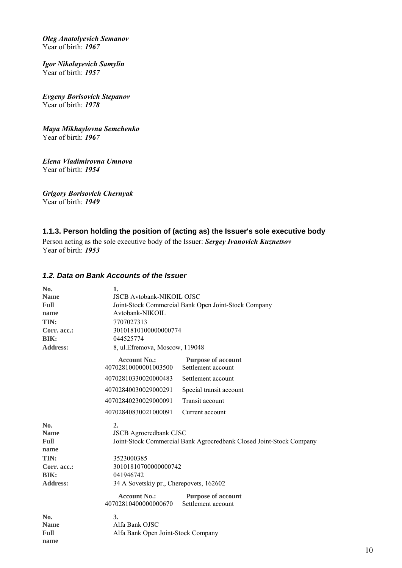*Oleg Anatolyevich Semanov* Year of birth: *1967*

*Igor Nikolayevich Samylin* Year of birth: *1957*

*Evgeny Borisovich Stepanov* Year of birth: *1978*

*Maya Mikhaylovna Semchenko* Year of birth: *1967*

*Elena Vladimirovna Umnova* Year of birth: *1954*

*Grigory Borisovich Chernyak* Year of birth: *1949*

## **1.1.3. Person holding the position of (acting as) the Issuer's sole executive body**

Person acting as the sole executive body of the Issuer: *Sergey Ivanovich Kuznetsov* Year of birth: *1953*

## *1.2. Data on Bank Accounts of the Issuer*

| No.<br><b>Name</b><br><b>Full</b><br>name<br>TIN:<br>Corr. acc.:<br>BIK:<br><b>Address:</b> | 1.<br><b>JSCB Avtobank-NIKOIL OJSC</b><br>Joint-Stock Commercial Bank Open Joint-Stock Company<br>Avtobank-NIKOIL<br>7707027313<br>30101810100000000774<br>044525774<br>8, ul. Efremova, Moscow, 119048 |                                                                     |
|---------------------------------------------------------------------------------------------|---------------------------------------------------------------------------------------------------------------------------------------------------------------------------------------------------------|---------------------------------------------------------------------|
|                                                                                             | <b>Account No.:</b><br>40702810000001003500                                                                                                                                                             | <b>Purpose of account</b><br>Settlement account                     |
|                                                                                             | 40702810330020000483                                                                                                                                                                                    | Settlement account                                                  |
|                                                                                             | 40702840030029000291                                                                                                                                                                                    | Special transit account                                             |
|                                                                                             | 40702840230029000091                                                                                                                                                                                    | Transit account                                                     |
|                                                                                             | 40702840830021000091                                                                                                                                                                                    | Current account                                                     |
| No.<br><b>Name</b><br>Full<br>name                                                          | $\overline{2}$ .<br><b>JSCB Agrocredbank CJSC</b>                                                                                                                                                       | Joint-Stock Commercial Bank Agrocredbank Closed Joint-Stock Company |
| TIN:<br>Corr. acc.:<br><b>BIK:</b>                                                          | 3523000385<br>30101810700000000742<br>041946742                                                                                                                                                         |                                                                     |
| <b>Address:</b>                                                                             | 34 A Sovetskiy pr., Cherepovets, 162602                                                                                                                                                                 |                                                                     |
|                                                                                             | <b>Account No.:</b><br>40702810400000000670                                                                                                                                                             | <b>Purpose of account</b><br>Settlement account                     |
| No.<br><b>Name</b><br>Full<br>name                                                          | 3.<br>Alfa Bank OJSC<br>Alfa Bank Open Joint-Stock Company                                                                                                                                              |                                                                     |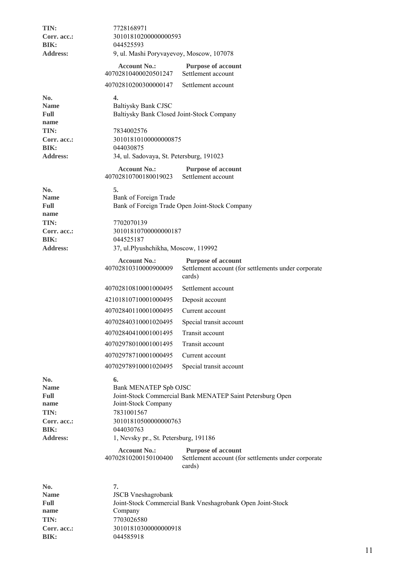| TIN:<br>Corr. acc.:<br>BIK:<br><b>Address:</b>                    | 7728168971<br>30101810200000000593<br>044525593<br>9, ul. Mashi Poryvayevoy, Moscow, 107078                                |                                                                                            |
|-------------------------------------------------------------------|----------------------------------------------------------------------------------------------------------------------------|--------------------------------------------------------------------------------------------|
|                                                                   | <b>Account No.:</b><br>40702810400020501247                                                                                | <b>Purpose of account</b><br>Settlement account                                            |
|                                                                   | 40702810200300000147                                                                                                       | Settlement account                                                                         |
| No.<br><b>Name</b><br>Full<br>name<br>TIN:<br>Corr. acc.:         | $\overline{4}$ .<br>Baltiysky Bank CJSC<br>Baltiysky Bank Closed Joint-Stock Company<br>7834002576<br>30101810100000000875 |                                                                                            |
| <b>BIK:</b>                                                       | 044030875                                                                                                                  |                                                                                            |
| <b>Address:</b>                                                   | 34, ul. Sadovaya, St. Petersburg, 191023                                                                                   |                                                                                            |
|                                                                   | <b>Account No.:</b><br>40702810700180019023                                                                                | <b>Purpose of account</b><br>Settlement account                                            |
| No.<br><b>Name</b><br><b>Full</b><br>name                         | 5.<br>Bank of Foreign Trade                                                                                                | Bank of Foreign Trade Open Joint-Stock Company                                             |
| TIN:<br>Corr. acc.:<br>BIK:<br><b>Address:</b>                    | 7702070139<br>30101810700000000187<br>044525187<br>37, ul.Plyushchikha, Moscow, 119992                                     |                                                                                            |
|                                                                   | <b>Account No.:</b><br>40702810310000900009                                                                                | <b>Purpose of account</b><br>Settlement account (for settlements under corporate<br>cards) |
|                                                                   | 40702810810001000495                                                                                                       | Settlement account                                                                         |
|                                                                   | 42101810710001000495                                                                                                       | Deposit account                                                                            |
|                                                                   | 40702840110001000495                                                                                                       | Current account                                                                            |
|                                                                   | 40702840310001020495                                                                                                       | Special transit account                                                                    |
|                                                                   | 40702840410001001495                                                                                                       | Transit account                                                                            |
|                                                                   | 40702978010001001495                                                                                                       | Transit account                                                                            |
|                                                                   | 40702978710001000495                                                                                                       | Current account                                                                            |
|                                                                   | 40702978910001020495                                                                                                       | Special transit account                                                                    |
| No.<br><b>Name</b><br>Full<br>name<br>TIN:<br>Corr. acc.:<br>BIK: | 6.<br><b>Bank MENATEP Spb OJSC</b><br>Joint-Stock Company<br>7831001567<br>30101810500000000763<br>044030763               | Joint-Stock Commercial Bank MENATEP Saint Petersburg Open                                  |
| <b>Address:</b>                                                   | 1, Nevsky pr., St. Petersburg, 191186                                                                                      |                                                                                            |
|                                                                   | <b>Account No.:</b><br>40702810200150100400                                                                                | <b>Purpose of account</b><br>Settlement account (for settlements under corporate<br>cards) |
| No.<br><b>Name</b><br>Full<br>name<br>TIN:<br>Corr. acc.:<br>BIK: | 7.<br><b>JSCB</b> Vneshagrobank<br>Company<br>7703026580<br>30101810300000000918<br>044585918                              | Joint-Stock Commercial Bank Vneshagrobank Open Joint-Stock                                 |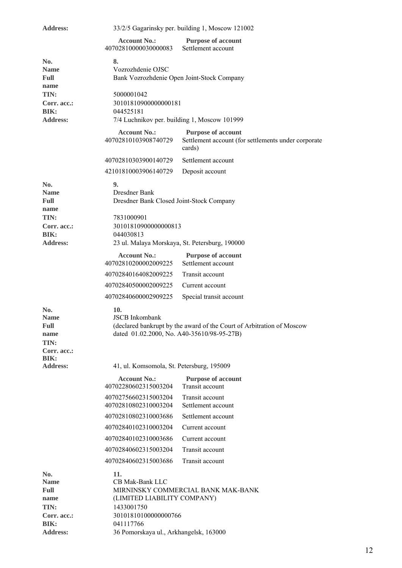| <b>Address:</b>                                                                       | 33/2/5 Gagarinsky per. building 1, Moscow 121002                                                                                                    |                                                                                            |  |
|---------------------------------------------------------------------------------------|-----------------------------------------------------------------------------------------------------------------------------------------------------|--------------------------------------------------------------------------------------------|--|
|                                                                                       | <b>Account No.:</b><br>40702810000030000083                                                                                                         | <b>Purpose of account</b><br>Settlement account                                            |  |
| No.<br><b>Name</b><br>Full<br>name                                                    | 8.<br>Vozrozhdenie OJSC                                                                                                                             | Bank Vozrozhdenie Open Joint-Stock Company                                                 |  |
| TIN:<br>Corr. acc.:<br>BIK:<br><b>Address:</b>                                        | 5000001042<br>30101810900000000181<br>044525181                                                                                                     | 7/4 Luchnikov per. building 1, Moscow 101999                                               |  |
|                                                                                       | <b>Account No.:</b><br>40702810103908740729                                                                                                         | <b>Purpose of account</b><br>Settlement account (for settlements under corporate<br>cards) |  |
|                                                                                       | 40702810303900140729                                                                                                                                | Settlement account                                                                         |  |
|                                                                                       | 42101810003906140729                                                                                                                                | Deposit account                                                                            |  |
| No.<br><b>Name</b><br><b>Full</b><br>name                                             | 9.<br>Dresdner Bank<br>Dresdner Bank Closed Joint-Stock Company                                                                                     |                                                                                            |  |
| TIN:<br>7831000901<br>30101810900000000813<br>Corr. acc.:<br>044030813<br><b>BIK:</b> |                                                                                                                                                     | 23 ul. Malaya Morskaya, St. Petersburg, 190000                                             |  |
| <b>Address:</b>                                                                       | <b>Account No.:</b>                                                                                                                                 | <b>Purpose of account</b>                                                                  |  |
|                                                                                       | 40702810200002009225                                                                                                                                | Settlement account                                                                         |  |
|                                                                                       | 40702840164082009225                                                                                                                                | Transit account                                                                            |  |
|                                                                                       | 40702840500002009225                                                                                                                                | Current account                                                                            |  |
|                                                                                       | 40702840600002909225                                                                                                                                | Special transit account                                                                    |  |
| No.<br><b>Name</b><br>Full<br>name<br>TIN:<br>Corr. acc.:                             | 10.<br><b>JSCB</b> Inkombank<br>(declared bankrupt by the award of the Court of Arbitration of Moscow<br>dated 01.02.2000, No. A40-35610/98-95-27B) |                                                                                            |  |
| <b>BIK:</b>                                                                           |                                                                                                                                                     |                                                                                            |  |
| <b>Address:</b>                                                                       | 41, ul. Komsomola, St. Petersburg, 195009                                                                                                           |                                                                                            |  |
|                                                                                       | <b>Account No.:</b><br>40702280602315003204                                                                                                         | <b>Purpose of account</b><br>Transit account                                               |  |
|                                                                                       | 40702756602315003204<br>40702810802310003204                                                                                                        | Transit account<br>Settlement account                                                      |  |
|                                                                                       | 40702810802310003686                                                                                                                                | Settlement account                                                                         |  |
|                                                                                       | 40702840102310003204                                                                                                                                | Current account                                                                            |  |
|                                                                                       | 40702840102310003686                                                                                                                                | Current account                                                                            |  |
|                                                                                       | 40702840602315003204                                                                                                                                | Transit account                                                                            |  |
|                                                                                       | 40702840602315003686                                                                                                                                | Transit account                                                                            |  |
| No.<br><b>Name</b><br><b>Full</b><br>name<br>TIN:<br>Corr. acc.:<br>BIK:              | 11.<br>CB Mak-Bank LLC<br>(LIMITED LIABILITY COMPANY)<br>1433001750<br>30101810100000000766<br>041117766                                            | MIRNINSKY COMMERCIAL BANK MAK-BANK                                                         |  |
| <b>Address:</b>                                                                       | 36 Pomorskaya ul., Arkhangelsk, 163000                                                                                                              |                                                                                            |  |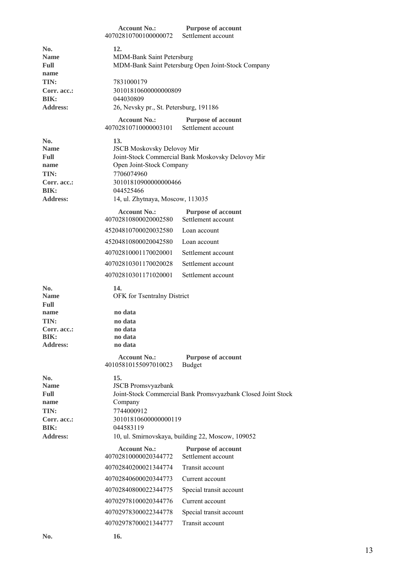|                                                                                      | <b>Account No.:</b><br>40702810700100000072                                                                | <b>Purpose of account</b><br>Settlement account                                                                   |
|--------------------------------------------------------------------------------------|------------------------------------------------------------------------------------------------------------|-------------------------------------------------------------------------------------------------------------------|
| No.<br><b>Name</b><br>Full                                                           | 12.<br>MDM-Bank Saint Petersburg                                                                           | MDM-Bank Saint Petersburg Open Joint-Stock Company                                                                |
| name<br>TIN:<br>Corr. acc.:<br><b>BIK:</b>                                           | 7831000179<br>30101810600000000809<br>044030809                                                            |                                                                                                                   |
| <b>Address:</b>                                                                      | 26, Nevsky pr., St. Petersburg, 191186                                                                     |                                                                                                                   |
|                                                                                      | <b>Account No.:</b><br>40702810710000003101                                                                | <b>Purpose of account</b><br>Settlement account                                                                   |
| No.<br><b>Name</b><br>Full<br>name<br>TIN:<br>Corr. acc.:                            | 13.<br><b>JSCB Moskovsky Delovoy Mir</b><br>Open Joint-Stock Company<br>7706074960<br>30101810900000000466 | Joint-Stock Commercial Bank Moskovsky Delovoy Mir                                                                 |
| RIK:                                                                                 | 044525466                                                                                                  |                                                                                                                   |
| <b>Address:</b>                                                                      | 14, ul. Zhytnaya, Moscow, 113035                                                                           |                                                                                                                   |
|                                                                                      | <b>Account No.:</b><br>40702810800020002580                                                                | <b>Purpose of account</b><br>Settlement account                                                                   |
|                                                                                      | 45204810700020032580                                                                                       | Loan account                                                                                                      |
|                                                                                      | 45204810800020042580                                                                                       | Loan account                                                                                                      |
|                                                                                      | 40702810001170020001                                                                                       | Settlement account                                                                                                |
|                                                                                      | 40702810301170020028                                                                                       | Settlement account                                                                                                |
|                                                                                      | 40702810301171020001                                                                                       | Settlement account                                                                                                |
| No.<br><b>Name</b><br>Full                                                           | 14.<br>OFK for Tsentralny District                                                                         |                                                                                                                   |
| name<br>TIN:<br>Corr. acc.:<br><b>BIK:</b><br><b>Address:</b>                        | no data<br>no data<br>no data<br>no data<br>no data                                                        |                                                                                                                   |
|                                                                                      | <b>Account No.:</b><br>40105810155097010023                                                                | <b>Purpose of account</b><br><b>Budget</b>                                                                        |
| No.<br><b>Name</b><br>Full<br>name<br>TIN:<br>Corr. acc.:<br>BIK:<br><b>Address:</b> | 15.<br><b>JSCB</b> Promsvyazbank<br>Company<br>7744000912<br>30101810600000000119<br>044583119             | Joint-Stock Commercial Bank Promsvyazbank Closed Joint Stock<br>10, ul. Smirnovskaya, building 22, Moscow, 109052 |
|                                                                                      | <b>Account No.:</b><br>40702810000020344772                                                                | <b>Purpose of account</b><br>Settlement account                                                                   |
|                                                                                      | 40702840200021344774                                                                                       | Transit account                                                                                                   |
|                                                                                      | 40702840600020344773                                                                                       | Current account                                                                                                   |
|                                                                                      | 40702840800022344775                                                                                       | Special transit account                                                                                           |
|                                                                                      | 40702978100020344776                                                                                       | Current account                                                                                                   |
|                                                                                      | 40702978300022344778                                                                                       | Special transit account                                                                                           |
|                                                                                      | 40702978700021344777                                                                                       | Transit account                                                                                                   |
|                                                                                      |                                                                                                            |                                                                                                                   |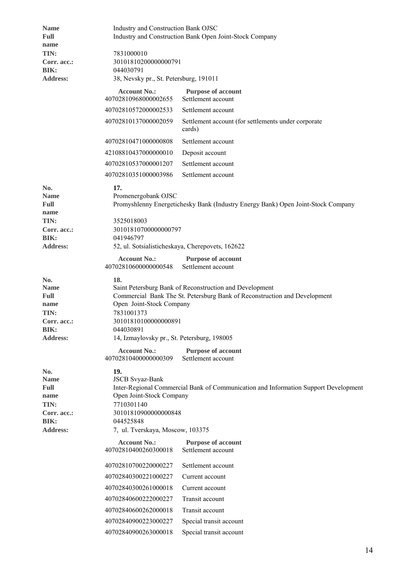| <b>Name</b><br><b>Full</b>                                                                                                                                                                                                               | Industry and Construction Bank OJSC<br>Industry and Construction Bank Open Joint-Stock Company |                                                                                                                                      |  |  |
|------------------------------------------------------------------------------------------------------------------------------------------------------------------------------------------------------------------------------------------|------------------------------------------------------------------------------------------------|--------------------------------------------------------------------------------------------------------------------------------------|--|--|
| name<br>TIN:<br>Corr. acc.:<br>BIK:<br><b>Address:</b>                                                                                                                                                                                   | 7831000010<br>30101810200000000791<br>044030791<br>38, Nevsky pr., St. Petersburg, 191011      |                                                                                                                                      |  |  |
|                                                                                                                                                                                                                                          | <b>Account No.:</b>                                                                            | <b>Purpose of account</b>                                                                                                            |  |  |
|                                                                                                                                                                                                                                          | 40702810968000002655                                                                           | Settlement account                                                                                                                   |  |  |
|                                                                                                                                                                                                                                          | 40702810572000002533<br>40702810137000002059                                                   | Settlement account                                                                                                                   |  |  |
|                                                                                                                                                                                                                                          |                                                                                                | Settlement account (for settlements under corporate<br>cards)                                                                        |  |  |
|                                                                                                                                                                                                                                          | 40702810471000000808                                                                           | Settlement account                                                                                                                   |  |  |
|                                                                                                                                                                                                                                          | 42108810437000000010                                                                           | Deposit account                                                                                                                      |  |  |
|                                                                                                                                                                                                                                          | 40702810537000001207                                                                           | Settlement account                                                                                                                   |  |  |
|                                                                                                                                                                                                                                          | 40702810351000003986                                                                           | Settlement account                                                                                                                   |  |  |
| No.<br><b>Name</b><br>Full<br>name                                                                                                                                                                                                       | 17.<br>Promenergobank OJSC                                                                     | Promyshlenny Energetichesky Bank (Industry Energy Bank) Open Joint-Stock Company                                                     |  |  |
| TIN:                                                                                                                                                                                                                                     | 3525018003                                                                                     |                                                                                                                                      |  |  |
| Corr. acc.:<br>BIK:                                                                                                                                                                                                                      | 30101810700000000797<br>041946797                                                              |                                                                                                                                      |  |  |
| <b>Address:</b>                                                                                                                                                                                                                          |                                                                                                | 52, ul. Sotsialisticheskaya, Cherepovets, 162622                                                                                     |  |  |
|                                                                                                                                                                                                                                          | <b>Account No.:</b><br>40702810600000000548                                                    | <b>Purpose of account</b><br>Settlement account                                                                                      |  |  |
| No.<br><b>Name</b><br>Full<br>name<br>TIN:<br>Corr. acc.:<br><b>BIK:</b>                                                                                                                                                                 | 18.<br>Open Joint-Stock Company<br>7831001373<br>30101810100000000891<br>044030891             | Saint Petersburg Bank of Reconstruction and Development<br>Commercial Bank The St. Petersburg Bank of Reconstruction and Development |  |  |
| <b>Address:</b>                                                                                                                                                                                                                          | 14, Izmaylovsky pr., St. Petersburg, 198005                                                    |                                                                                                                                      |  |  |
|                                                                                                                                                                                                                                          | <b>Account No.:</b><br>40702810400000000309                                                    | <b>Purpose of account</b><br>Settlement account                                                                                      |  |  |
| 19.<br>No.<br><b>Name</b><br><b>JSCB Svyaz-Bank</b><br><b>Full</b><br>Open Joint-Stock Company<br>name<br>7710301140<br>TIN:<br>30101810900000000848<br>Corr. acc.:<br>044525848<br>BIK:<br>Address:<br>7, ul. Tverskaya, Moscow, 103375 |                                                                                                | Inter-Regional Commercial Bank of Communication and Information Support Development                                                  |  |  |
|                                                                                                                                                                                                                                          | <b>Account No.:</b><br>40702810400260300018                                                    | <b>Purpose of account</b><br>Settlement account                                                                                      |  |  |
|                                                                                                                                                                                                                                          | 40702810700220000227                                                                           | Settlement account                                                                                                                   |  |  |
|                                                                                                                                                                                                                                          | 40702840300221000227                                                                           | Current account                                                                                                                      |  |  |
|                                                                                                                                                                                                                                          | 40702840300261000018                                                                           | Current account                                                                                                                      |  |  |
|                                                                                                                                                                                                                                          | 40702840600222000227                                                                           | Transit account                                                                                                                      |  |  |
|                                                                                                                                                                                                                                          | 40702840600262000018                                                                           | Transit account                                                                                                                      |  |  |
|                                                                                                                                                                                                                                          | 40702840900223000227                                                                           | Special transit account                                                                                                              |  |  |
|                                                                                                                                                                                                                                          | 40702840900263000018                                                                           | Special transit account                                                                                                              |  |  |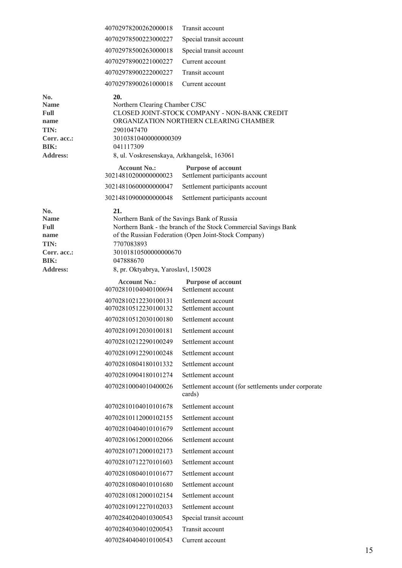|                                                                                             | 40702978200262000018                                                                                                                                                                                                                  | Transit account                                                                                                                                                                                                              |
|---------------------------------------------------------------------------------------------|---------------------------------------------------------------------------------------------------------------------------------------------------------------------------------------------------------------------------------------|------------------------------------------------------------------------------------------------------------------------------------------------------------------------------------------------------------------------------|
|                                                                                             | 40702978500223000227                                                                                                                                                                                                                  | Special transit account                                                                                                                                                                                                      |
|                                                                                             | 40702978500263000018                                                                                                                                                                                                                  | Special transit account                                                                                                                                                                                                      |
|                                                                                             | 40702978900221000227                                                                                                                                                                                                                  | Current account                                                                                                                                                                                                              |
|                                                                                             | 40702978900222000227                                                                                                                                                                                                                  | Transit account                                                                                                                                                                                                              |
|                                                                                             | 40702978900261000018                                                                                                                                                                                                                  | Current account                                                                                                                                                                                                              |
| No.<br><b>Name</b><br><b>Full</b><br>name<br>TIN:<br>Corr. acc.:<br>BIK:<br><b>Address:</b> | 20.<br>Northern Clearing Chamber CJSC<br>2901047470<br>30103810400000000309<br>041117309<br>8, ul. Voskresenskaya, Arkhangelsk, 163061<br><b>Account No.:</b><br>30214810200000000023<br>30214810600000000047<br>30214810900000000048 | CLOSED JOINT-STOCK COMPANY - NON-BANK CREDIT<br>ORGANIZATION NORTHERN CLEARING CHAMBER<br><b>Purpose of account</b><br>Settlement participants account<br>Settlement participants account<br>Settlement participants account |
| No.<br><b>Name</b><br>Full<br>name<br>TIN:<br>Corr. acc.:<br>BIK:<br><b>Address:</b>        | 21.<br>Northern Bank of the Savings Bank of Russia<br>7707083893<br>30101810500000000670<br>047888670<br>8, pr. Oktyabrya, Yaroslavl, 150028                                                                                          | Northern Bank - the branch of the Stock Commercial Savings Bank<br>of the Russian Federation (Open Joint-Stock Company)                                                                                                      |
|                                                                                             | <b>Account No.:</b>                                                                                                                                                                                                                   | <b>Purpose of account</b>                                                                                                                                                                                                    |
|                                                                                             | 40702810104040100694                                                                                                                                                                                                                  | Settlement account                                                                                                                                                                                                           |
|                                                                                             | 40702810212230100131<br>40702810512230100132                                                                                                                                                                                          | Settlement account<br>Settlement account                                                                                                                                                                                     |
|                                                                                             | 40702810512030100180                                                                                                                                                                                                                  | Settlement account                                                                                                                                                                                                           |
|                                                                                             | 40702810912030100181                                                                                                                                                                                                                  | Settlement account                                                                                                                                                                                                           |
|                                                                                             | 40702810212290100249                                                                                                                                                                                                                  | Settlement account                                                                                                                                                                                                           |
|                                                                                             | 40702810912290100248                                                                                                                                                                                                                  | Settlement account                                                                                                                                                                                                           |
|                                                                                             | 40702810804180101332                                                                                                                                                                                                                  | Settlement account                                                                                                                                                                                                           |
|                                                                                             | 40702810904180101274                                                                                                                                                                                                                  | Settlement account                                                                                                                                                                                                           |
|                                                                                             | 40702810004010400026                                                                                                                                                                                                                  | Settlement account (for settlements under corporate<br>cards)                                                                                                                                                                |
|                                                                                             | 40702810104010101678                                                                                                                                                                                                                  | Settlement account                                                                                                                                                                                                           |
|                                                                                             | 40702810112000102155                                                                                                                                                                                                                  | Settlement account                                                                                                                                                                                                           |
|                                                                                             | 40702810404010101679                                                                                                                                                                                                                  | Settlement account                                                                                                                                                                                                           |
|                                                                                             | 40702810612000102066                                                                                                                                                                                                                  | Settlement account                                                                                                                                                                                                           |
|                                                                                             | 40702810712000102173                                                                                                                                                                                                                  | Settlement account                                                                                                                                                                                                           |
|                                                                                             | 40702810712270101603                                                                                                                                                                                                                  | Settlement account                                                                                                                                                                                                           |
|                                                                                             | 40702810804010101677                                                                                                                                                                                                                  | Settlement account                                                                                                                                                                                                           |
|                                                                                             | 40702810804010101680                                                                                                                                                                                                                  | Settlement account                                                                                                                                                                                                           |
|                                                                                             | 40702810812000102154                                                                                                                                                                                                                  | Settlement account                                                                                                                                                                                                           |
|                                                                                             | 40702810912270102033                                                                                                                                                                                                                  | Settlement account                                                                                                                                                                                                           |
|                                                                                             | 40702840204010300543                                                                                                                                                                                                                  | Special transit account                                                                                                                                                                                                      |
|                                                                                             | 40702840304010200543                                                                                                                                                                                                                  | Transit account                                                                                                                                                                                                              |
|                                                                                             | 40702840404010100543                                                                                                                                                                                                                  | Current account                                                                                                                                                                                                              |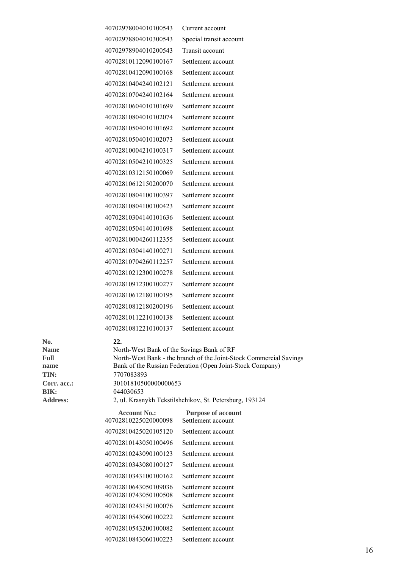|                                            | 40702978004010100543                                           | Current account                                                                                                                 |
|--------------------------------------------|----------------------------------------------------------------|---------------------------------------------------------------------------------------------------------------------------------|
|                                            | 40702978804010300543                                           | Special transit account                                                                                                         |
|                                            | 40702978904010200543                                           | Transit account                                                                                                                 |
|                                            | 40702810112090100167                                           | Settlement account                                                                                                              |
|                                            | 40702810412090100168                                           | Settlement account                                                                                                              |
|                                            | 40702810404240102121                                           | Settlement account                                                                                                              |
|                                            | 40702810704240102164                                           | Settlement account                                                                                                              |
|                                            | 40702810604010101699                                           | Settlement account                                                                                                              |
|                                            | 40702810804010102074                                           | Settlement account                                                                                                              |
|                                            | 40702810504010101692                                           | Settlement account                                                                                                              |
|                                            | 40702810504010102073                                           | Settlement account                                                                                                              |
|                                            | 40702810004210100317                                           | Settlement account                                                                                                              |
|                                            | 40702810504210100325                                           | Settlement account                                                                                                              |
|                                            | 40702810312150100069                                           | Settlement account                                                                                                              |
|                                            | 40702810612150200070                                           | Settlement account                                                                                                              |
|                                            | 40702810804100100397                                           | Settlement account                                                                                                              |
|                                            | 40702810804100100423                                           | Settlement account                                                                                                              |
|                                            | 40702810304140101636                                           | Settlement account                                                                                                              |
|                                            | 40702810504140101698                                           | Settlement account                                                                                                              |
|                                            | 40702810004260112355                                           | Settlement account                                                                                                              |
|                                            | 40702810304140100271                                           | Settlement account                                                                                                              |
|                                            | 40702810704260112257                                           | Settlement account                                                                                                              |
|                                            | 40702810212300100278                                           | Settlement account                                                                                                              |
|                                            | 40702810912300100277                                           | Settlement account                                                                                                              |
|                                            | 40702810612180100195                                           | Settlement account                                                                                                              |
|                                            | 40702810812180200196                                           | Settlement account                                                                                                              |
|                                            | 40702810112210100138                                           | Settlement account                                                                                                              |
|                                            | 40702810812210100137                                           | Settlement account                                                                                                              |
| No.<br><b>Name</b><br>Full<br>name<br>TIN: | 22.<br>North-West Bank of the Savings Bank of RF<br>7707083893 | North-West Bank - the branch of the Joint-Stock Commercial Savings<br>Bank of the Russian Federation (Open Joint-Stock Company) |
| Corr. acc.:                                | 30101810500000000653                                           |                                                                                                                                 |

**No.**<br>**Name TIN:** Corr. acc.: **BIK:** Address:

| name            | Bank of the Russian Federation (Open Joint-Stock Company) |                                                         |  |  |
|-----------------|-----------------------------------------------------------|---------------------------------------------------------|--|--|
| TIN:            | 7707083893                                                |                                                         |  |  |
| Corr. acc.:     | 30101810500000000653                                      |                                                         |  |  |
| BIK:            | 044030653                                                 |                                                         |  |  |
| <b>Address:</b> |                                                           | 2, ul. Krasnykh Tekstilshchikov, St. Petersburg, 193124 |  |  |
|                 | <b>Account No.:</b><br>40702810225020000098               | <b>Purpose of account</b><br>Settlement account         |  |  |
|                 | 40702810425020105120                                      | Settlement account                                      |  |  |
|                 | 40702810143050100496                                      | Settlement account                                      |  |  |
|                 | 40702810243090100123                                      | Settlement account                                      |  |  |
|                 | 40702810343080100127                                      | Settlement account                                      |  |  |
|                 | 40702810343100100162                                      | Settlement account                                      |  |  |
|                 | 40702810643050109036<br>40702810743050100508              | Settlement account<br>Settlement account                |  |  |
|                 | 40702810243150100076                                      | Settlement account                                      |  |  |
|                 | 40702810543060100222                                      | Settlement account                                      |  |  |
|                 | 40702810543200100082                                      | Settlement account                                      |  |  |
|                 | 40702810843060100223                                      | Settlement account                                      |  |  |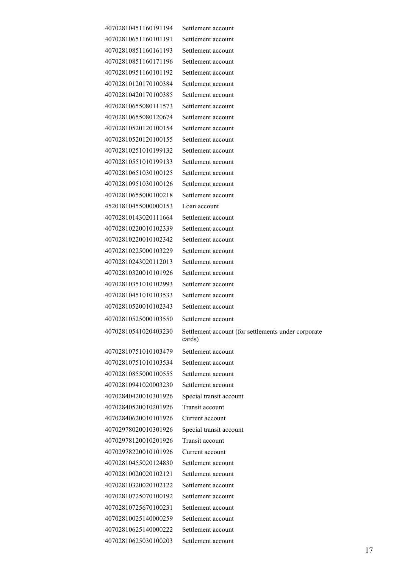| 40702810451160191194 | Settlement account                                            |
|----------------------|---------------------------------------------------------------|
| 40702810651160101191 | Settlement account                                            |
| 40702810851160161193 | Settlement account                                            |
| 40702810851160171196 | Settlement account                                            |
| 40702810951160101192 | Settlement account                                            |
| 40702810120170100384 | Settlement account                                            |
| 40702810420170100385 | Settlement account                                            |
| 40702810655080111573 | Settlement account                                            |
| 40702810655080120674 | Settlement account                                            |
| 40702810520120100154 | Settlement account                                            |
| 40702810520120100155 | Settlement account                                            |
| 40702810251010199132 | Settlement account                                            |
| 40702810551010199133 | Settlement account                                            |
| 40702810651030100125 | Settlement account                                            |
| 40702810951030100126 | Settlement account                                            |
| 40702810655000100218 | Settlement account                                            |
| 45201810455000000153 | Loan account                                                  |
| 40702810143020111664 | Settlement account                                            |
| 40702810220010102339 | Settlement account                                            |
| 40702810220010102342 | Settlement account                                            |
| 40702810225000103229 | Settlement account                                            |
| 40702810243020112013 | Settlement account                                            |
| 40702810320010101926 | Settlement account                                            |
| 40702810351010102993 | Settlement account                                            |
| 40702810451010103533 | Settlement account                                            |
| 40702810520010102343 | Settlement account                                            |
| 40702810525000103550 | Settlement account                                            |
| 40702810541020403230 | Settlement account (for settlements under corporate<br>cards) |
| 40702810751010103479 | Settlement account                                            |
| 40702810751010103534 | Settlement account                                            |
| 40702810855000100555 | Settlement account                                            |
| 40702810941020003230 | Settlement account                                            |
| 40702840420010301926 | Special transit account                                       |
| 40702840520010201926 | Transit account                                               |
| 40702840620010101926 | Current account                                               |
| 40702978020010301926 | Special transit account                                       |
| 40702978120010201926 | Transit account                                               |
| 40702978220010101926 | Current account                                               |
| 40702810455020124830 | Settlement account                                            |
| 40702810020020102121 | Settlement account                                            |
| 40702810320020102122 | Settlement account                                            |
| 40702810725070100192 | Settlement account                                            |
| 40702810725670100231 | Settlement account                                            |
| 40702810025140000259 | Settlement account                                            |
| 40702810625140000222 | Settlement account                                            |
| 40702810625030100203 | Settlement account                                            |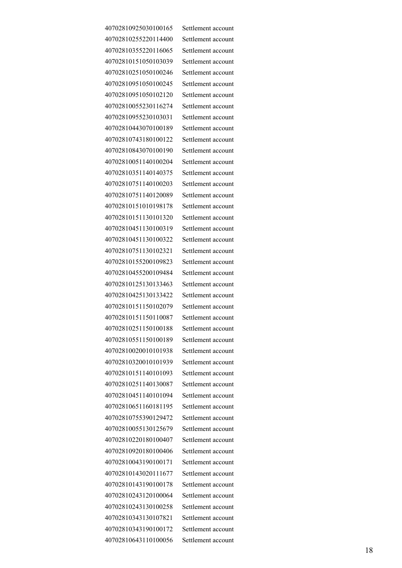Settlement account Settlement account Settlement account Settlement account Settlement account Settlement account Settlement account Settlement account Settlement account Settlement account Settlement account 40702810843070100190 Settlement account 40702810051140100204 Settlement account Settlement account Settlement account Settlement account Settlement account Settlement account Settlement account Settlement account Settlement account Settlement account Settlement account Settlement account Settlement account Settlement account Settlement account Settlement account Settlement account Settlement account Settlement account Settlement account Settlement account Settlement account Settlement account Settlement account Settlement account Settlement account Settlement account Settlement account Settlement account Settlement account Settlement account 40702810243130100258 Settlement account 40702810343130107821 Settlement account Settlement account Settlement account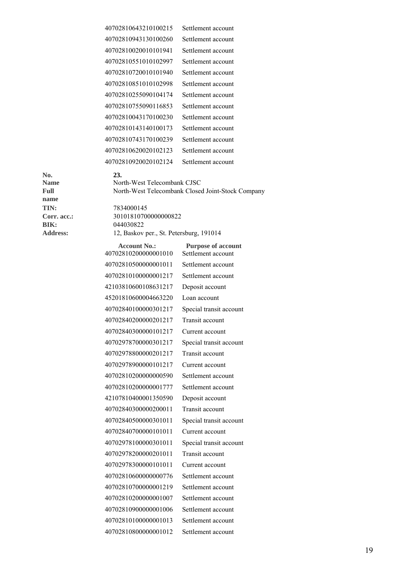| 40702810643210100215 | Settlement account |
|----------------------|--------------------|
| 40702810943130100260 | Settlement account |
| 40702810020010101941 | Settlement account |
| 40702810551010102997 | Settlement account |
| 40702810720010101940 | Settlement account |
| 40702810851010102998 | Settlement account |
| 40702810255090104174 | Settlement account |
| 40702810755090116853 | Settlement account |
| 40702810043170100230 | Settlement account |
| 40702810143140100173 | Settlement account |
| 40702810743170100239 | Settlement account |
| 40702810620020102123 | Settlement account |
| 40702810920020102124 | Settlement account |

**North-West Telecombank CJSC Full** North-West Telecombank Closed Joint-Stock Company

**TIN:** 7834000145 **Corr. acc.:** 30101810700000000822 **BIK:** 044030822 **Address:** 12, Baskov per., St. Petersburg, 191014

| <b>Account No.:</b><br>40702810200000001010 | <b>Purpose of account</b><br>Settlement account |
|---------------------------------------------|-------------------------------------------------|
| 40702810500000001011                        | Settlement account                              |
| 40702810100000001217                        | Settlement account                              |
| 42103810600108631217                        | Deposit account                                 |
| 45201810600004663220                        | Loan account                                    |
| 40702840100000301217                        | Special transit account                         |
| 40702840200000201217                        | Transit account                                 |
| 40702840300000101217                        | Current account                                 |
| 40702978700000301217                        | Special transit account                         |
| 40702978800000201217                        | <b>Transit account</b>                          |
| 40702978900000101217                        | Current account                                 |
| 40702810200000000590                        | Settlement account                              |
| 40702810200000001777                        | Settlement account                              |
| 42107810400001350590                        | Deposit account                                 |
| 40702840300000200011                        | <b>Transit account</b>                          |
| 40702840500000301011                        | Special transit account                         |
| 40702840700000101011                        | Current account                                 |
| 40702978100000301011                        | Special transit account                         |
| 40702978200000201011                        | Transit account                                 |
| 40702978300000101011                        | Current account                                 |
| 40702810600000000776                        | Settlement account                              |
| 40702810700000001219                        | Settlement account                              |
| 40702810200000001007                        | Settlement account                              |
| 40702810900000001006                        | Settlement account                              |
| 40702810100000001013                        | Settlement account                              |
| 40702810800000001012                        | Settlement account                              |

**No. 23. Name No. 23. name**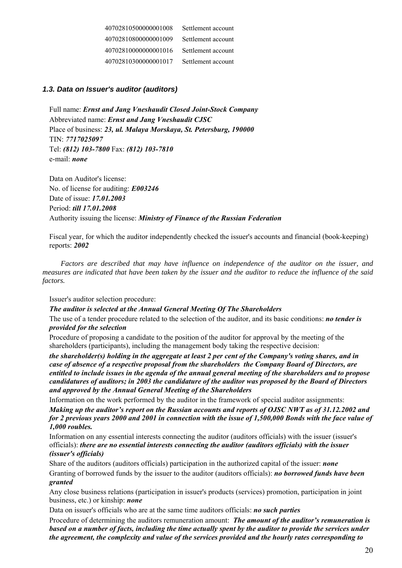Settlement account Settlement account Settlement account Settlement account

## *1.3. Data on Issuer's auditor (auditors)*

Full name: *Ernst and Jang Vneshaudit Closed Joint-Stock Company* Abbreviated name: *Ernst and Jang Vneshaudit CJSC* Place of business: *23, ul. Malaya Morskaya, St. Petersburg, 190000* TIN: *7717025097* Tel: *(812) 103-7800* Fax: *(812) 103-7810* e-mail: *none*

Data on Auditor's license: No. of license for auditing: *Е003246* Date of issue: *17.01.2003* Period: *till 17.01.2008* Authority issuing the license: *Ministry of Finance of the Russian Federation*

Fiscal year, for which the auditor independently checked the issuer's accounts and financial (book-keeping) reports: *2002*

*Factors are described that may have influence on independence of the auditor on the issuer, and measures are indicated that have been taken by the issuer and the auditor to reduce the influence of the said factors.* 

Issuer's auditor selection procedure:

*The auditor is selected at the Annual General Meeting Of The Shareholders* 

The use of a tender procedure related to the selection of the auditor, and its basic conditions: *no tender is provided for the selection* 

Procedure of proposing a candidate to the position of the auditor for approval by the meeting of the shareholders (participants), including the management body taking the respective decision:

*the shareholder(s) holding in the aggregate at least 2 per cent of the Company's voting shares, and in case of absence of a respective proposal from the shareholders the Company Board of Directors, are entitled to include issues in the agenda of the annual general meeting of the shareholders and to propose candidatures of auditors; in 2003 the candidature of the auditor was proposed by the Board of Directors and approved by the Annual General Meeting of the Shareholders* 

Information on the work performed by the auditor in the framework of special auditor assignments:

*Making up the auditor's report on the Russian accounts and reports of OJSC NWT as of 31.12.2002 and for 2 previous years 2000 and 2001 in connection with the issue of 1,500,000 Bonds with the face value of 1,000 roubles.* 

Information on any essential interests connecting the auditor (auditors officials) with the issuer (issuer's officials): *there are no essential interests connecting the auditor (auditors officials) with the issuer (issuer's officials)* 

Share of the auditors (auditors officials) participation in the authorized capital of the issuer: *none*

Granting of borrowed funds by the issuer to the auditor (auditors officials): *no borrowed funds have been granted* 

Any close business relations (participation in issuer's products (services) promotion, participation in joint business, etc.) or kinship: *none*

Data on issuer's officials who are at the same time auditors officials: *no such parties*  Procedure of determining the auditors remuneration amount: *The amount of the auditor's remuneration is based on a number of facts, including the time actually spent by the auditor to provide the services under the agreement, the complexity and value of the services provided and the hourly rates corresponding to*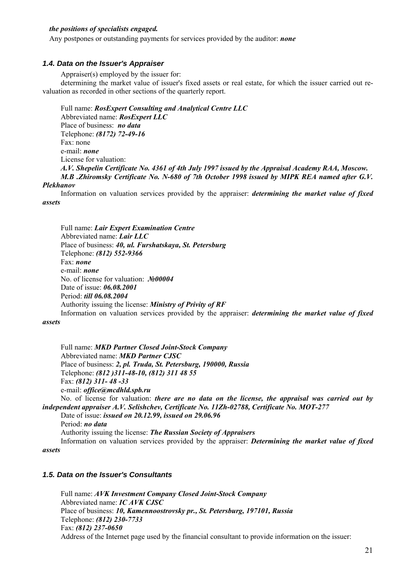#### *the positions of specialists engaged.*

Any postpones or outstanding payments for services provided by the auditor: *none*

#### *1.4. Data on the Issuer's Appraiser*

Appraiser(s) employed by the issuer for:

determining the market value of issuer's fixed assets or real estate, for which the issuer carried out revaluation as recorded in other sections of the quarterly report.

Full name: *RosExpert Consulting and Analytical Centre LLC*

Abbreviated name: *RosExpert LLC* Place of business: *no data* Telephone: *(8172) 72-49-16* Fax: none e-mail: *none* License for valuation:

*A.V. Shepelin Certificate No. 4361 of 4th July 1997 issued by the Appraisal Academy RAA, Moscow. M.B .Zhiromsky Certificate No. N-680 of 7th October 1998 issued by MIPK REA named after G.V. Plekhanov*

Information on valuation services provided by the appraiser: *determining the market value of fixed assets* 

Full name: *Lair Expert Examination Centre* Abbreviated name: *Lair LLC* Place of business: *40, ul. Furshatskaya, St. Petersburg* Telephone: *(812) 552-9366* Fax: *none* e-mail: *none* No. of license for valuation: *№00004* Date of issue: *06.08.2001* Period: *till 06.08.2004* Authority issuing the license: *Ministry of Privity of RF* Information on valuation services provided by the appraiser: *determining the market value of fixed* 

#### *assets*

Full name: *MKD Partner Closed Joint-Stock Company* Abbreviated name: *MKD Partner CJSC* Place of business: *2, pl. Truda, St. Petersburg, 190000, Russia* Telephone: *(812 )311-48-10, (812) 311 48 55* Fax: *(812) 311- 48 -33* e-mail: *office@mcdhld.spb.ru* No. of license for valuation: *there are no data on the license, the appraisal was carried out by* 

*independent appraiser A.V. Selishchev, Certificate No. 11Zh-02788, Certificate No. MOT-277* Date of issue: *issued on 20.12.99, issued on 29.06.96*

Period: *no data*

Authority issuing the license: *The Russian Society of Appraisers*

Information on valuation services provided by the appraiser: *Determining the market value of fixed assets* 

#### *1.5. Data on the Issuer's Consultants*

Full name: *AVK Investment Company Closed Joint-Stock Company* Abbreviated name: *IC AVK CJSC* Place of business: *10, Kamennoostrovsky pr., St. Petersburg, 197101, Russia* Telephone: *(812) 230-7733* Fax: *(812) 237-0650* Address of the Internet page used by the financial consultant to provide information on the issuer: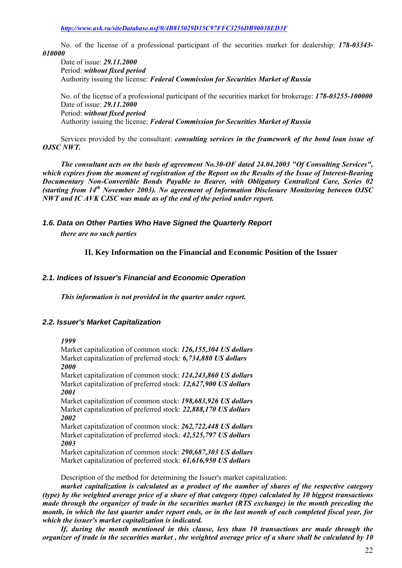*http://www.avk.ru/siteDatabase.nsf/0/4B815029D15C97FFC3256DB90038ED3F*

No. of the license of a professional participant of the securities market for dealership: *178-03343- 010000*

Date of issue: *29.11.2000* Period: *without fixed period* Authority issuing the license: *Federal Commission for Securities Market of Russia*

No. of the license of a professional participant of the securities market for brokerage: *178-03255-100000* Date of issue: *29.11.2000* Period: *without fixed period* Authority issuing the license: *Federal Commission for Securities Market of Russia*

Services provided by the consultant: *consulting services in the framework of the bond loan issue of OJSC NWT.* 

*The consultant acts on the basis of agreement No.30-OF dated 24.04.2003 "Of Consulting Services", which expires from the moment of registration of the Report on the Results of the Issue of Interest-Bearing Documentary Non-Convertible Bonds Payable to Bearer, with Obligatory Centralized Care, Series 02 (starting from 14th November 2003). No agreement of Information Disclosure Monitoring between OJSC NWT and IC AVK CJSC was made as of the end of the period under report.*

## *1.6. Data on Other Parties Who Have Signed the Quarterly Report*

*there are no such parties* 

**II. Key Information on the Financial and Economic Position of the Issuer** 

## *2.1. Indices of Issuer's Financial and Economic Operation*

*This information is not provided in the quarter under report.* 

### *2.2. Issuer's Market Capitalization*

#### *1999*

Market capitalization of common stock: *126,155,304 US dollars* Market capitalization of preferred stock: *6,734,880 US dollars 2000*  Market capitalization of common stock: *124,243,860 US dollars* Market capitalization of preferred stock: *12,627,900 US dollars 2001*  Market capitalization of common stock: *198,683,926 US dollars* Market capitalization of preferred stock: *22,888,170 US dollars 2002*  Market capitalization of common stock: *262,722,448 US dollars* Market capitalization of preferred stock: *42,525,797 US dollars 2003*  Market capitalization of common stock: *290,687,303 US dollars* Market capitalization of preferred stock: *61,616,950 US dollars*

Description of the method for determining the Issuer's market capitalization:

*market capitalization is calculated as a product of the number of shares of the respective category (type) by the weighted average price of a share of that category (type) calculated by 10 biggest transactions made through the organizer of trade in the securities market (RTS exchange) in the month preceding the month, in which the last quarter under report ends, or in the last month of each completed fiscal year, for which the issuer's market capitalization is indicated.* 

*If, during the month mentioned in this clause, less than 10 transactions are made through the organizer of trade in the securities market , the weighted average price of a share shall be calculated by 10*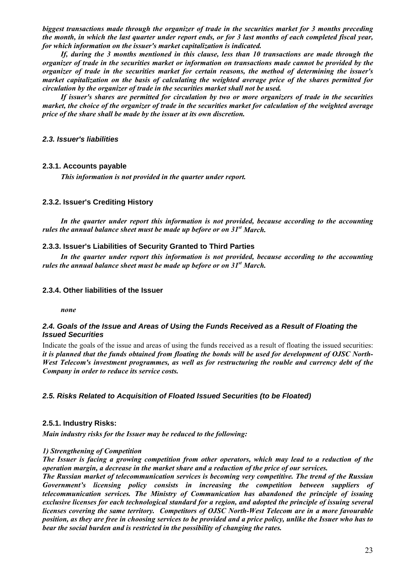*biggest transactions made through the organizer of trade in the securities market for 3 months preceding the month, in which the last quarter under report ends, or for 3 last months of each completed fiscal year, for which information on the issuer's market capitalization is indicated.* 

*If, during the 3 months mentioned in this clause, less than 10 transactions are made through the organizer of trade in the securities market or information on transactions made cannot be provided by the organizer of trade in the securities market for certain reasons, the method of determining the issuer's market capitalization on the basis of calculating the weighted average price of the shares permitted for circulation by the organizer of trade in the securities market shall not be used.* 

*If issuer's shares are permitted for circulation by two or more organizers of trade in the securities market, the choice of the organizer of trade in the securities market for calculation of the weighted average price of the share shall be made by the issuer at its own discretion.* 

## *2.3. Issuer's liabilities*

## **2.3.1. Accounts payable**

*This information is not provided in the quarter under report.* 

## **2.3.2. Issuer's Crediting History**

*In the quarter under report this information is not provided, because according to the accounting rules the annual balance sheet must be made up before or on 31st March.* 

## **2.3.3. Issuer's Liabilities of Security Granted to Third Parties**

*In the quarter under report this information is not provided, because according to the accounting rules the annual balance sheet must be made up before or on 31st March.* 

### **2.3.4. Other liabilities of the Issuer**

*none* 

## *2.4. Goals of the Issue and Areas of Using the Funds Received as a Result of Floating the Issued Securities*

Indicate the goals of the issue and areas of using the funds received as a result of floating the issued securities: *it is planned that the funds obtained from floating the bonds will be used for development of OJSC North-West Telecom's investment programmes, as well as for restructuring the rouble and currency debt of the Company in order to reduce its service costs.* 

## *2.5. Risks Related to Acquisition of Floated Issued Securities (to be Floated)*

## **2.5.1. Industry Risks:**

*Main industry risks for the Issuer may be reduced to the following:* 

### *1) Strengthening of Competition*

*The Issuer is facing a growing competition from other operators, which may lead to a reduction of the operation margin, a decrease in the market share and a reduction of the price of our services.* 

*The Russian market of telecommunication services is becoming very competitive. The trend of the Russian Government's licensing policy consists in increasing the competition between suppliers of telecommunication services. The Ministry of Communication has abandoned the principle of issuing exclusive licenses for each technological standard for a region, and adopted the principle of issuing several licenses covering the same territory. Competitors of OJSC North-West Telecom are in a more favourable position, as they are free in choosing services to be provided and a price policy, unlike the Issuer who has to bear the social burden and is restricted in the possibility of changing the rates.*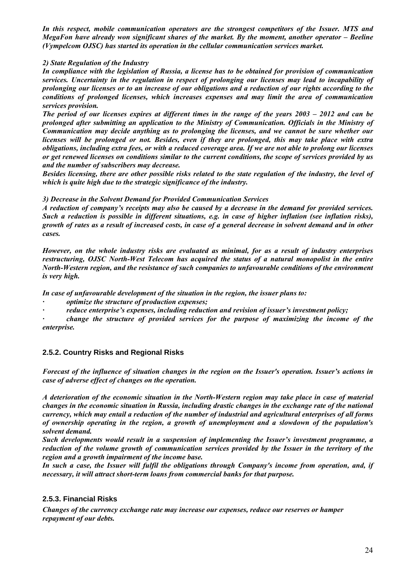*In this respect, mobile communication operators are the strongest competitors of the Issuer. MTS and MegaFon have already won significant shares of the market. By the moment, another operator – Beeline (Vympelcom OJSC) has started its operation in the cellular communication services market.* 

*2) State Regulation of the Industry* 

*In compliance with the legislation of Russia, a license has to be obtained for provision of communication services. Uncertainty in the regulation in respect of prolonging our licenses may lead to incapability of prolonging our licenses or to an increase of our obligations and a reduction of our rights according to the conditions of prolonged licenses, which increases expenses and may limit the area of communication services provision.*

*The period of our licenses expires at different times in the range of the years 2003 – 2012 and can be prolonged after submitting an application to the Ministry of Communication. Officials in the Ministry of Communication may decide anything as to prolonging the licenses, and we cannot be sure whether our licenses will be prolonged or not. Besides, even if they are prolonged, this may take place with extra obligations, including extra fees, or with a reduced coverage area. If we are not able to prolong our licenses or get renewed licenses on conditions similar to the current conditions, the scope of services provided by us and the number of subscribers may decrease.*

*Besides licensing, there are other possible risks related to the state regulation of the industry, the level of which is quite high due to the strategic significance of the industry.* 

*3) Decrease in the Solvent Demand for Provided Communication Services* 

*A reduction of company's receipts may also be caused by a decrease in the demand for provided services. Such a reduction is possible in different situations, e.g. in case of higher inflation (see inflation risks), growth of rates as a result of increased costs, in case of a general decrease in solvent demand and in other cases.*

*However, on the whole industry risks are evaluated as minimal, for as a result of industry enterprises restructuring, OJSC North-West Telecom has acquired the status of a natural monopolist in the entire North-Western region, and the resistance of such companies to unfavourable conditions of the environment is very high.* 

*In case of unfavourable development of the situation in the region, the issuer plans to:* 

*· optimize the structure of production expenses;* 

*· reduce enterprise's expenses, including reduction and revision of issuer's investment policy;* 

*· change the structure of provided services for the purpose of maximizing the income of the enterprise.* 

## **2.5.2. Country Risks and Regional Risks**

*Forecast of the influence of situation changes in the region on the Issuer's operation. Issuer's actions in case of adverse effect of changes on the operation.*

*A deterioration of the economic situation in the North-Western region may take place in case of material changes in the economic situation in Russia, including drastic changes in the exchange rate of the national currency, which may entail a reduction of the number of industrial and agricultural enterprises of all forms of ownership operating in the region, a growth of unemployment and a slowdown of the population's solvent demand.* 

*Such developments would result in a suspension of implementing the Issuer's investment programme, a reduction of the volume growth of communication services provided by the Issuer in the territory of the region and a growth impairment of the income base.* 

*In such a case, the Issuer will fulfil the obligations through Company's income from operation, and, if necessary, it will attract short-term loans from commercial banks for that purpose.* 

## **2.5.3. Financial Risks**

*Changes of the currency exchange rate may increase our expenses, reduce our reserves or hamper repayment of our debts.*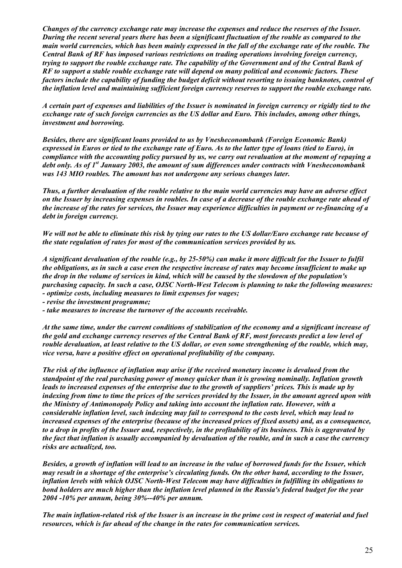*Changes of the currency exchange rate may increase the expenses and reduce the reserves of the Issuer. During the recent several years there has been a significant fluctuation of the rouble as compared to the main world currencies, which has been mainly expressed in the fall of the exchange rate of the rouble. The Central Bank of RF has imposed various restrictions on trading operations involving foreign currency, trying to support the rouble exchange rate. The capability of the Government and of the Central Bank of RF to support a stable rouble exchange rate will depend on many political and economic factors. These factors include the capability of funding the budget deficit without resorting to issuing banknotes, control of the inflation level and maintaining sufficient foreign currency reserves to support the rouble exchange rate.*

*A certain part of expenses and liabilities of the Issuer is nominated in foreign currency or rigidly tied to the exchange rate of such foreign currencies as the US dollar and Euro. This includes, among other things, investment and borrowing.*

*Besides, there are significant loans provided to us by Vnesheconombank (Foreign Economic Bank) expressed in Euros or tied to the exchange rate of Euro. As to the latter type of loans (tied to Euro), in compliance with the accounting policy pursued by us, we carry out revaluation at the moment of repaying a debt only. As of 1st January 2003, the amount of sum differences under contracts with Vnesheconombank was 143 MIO roubles. The amount has not undergone any serious changes later.*

*Thus, a further devaluation of the rouble relative to the main world currencies may have an adverse effect on the Issuer by increasing expenses in roubles. In case of a decrease of the rouble exchange rate ahead of the increase of the rates for services, the Issuer may experience difficulties in payment or re-financing of a debt in foreign currency.*

*We will not be able to eliminate this risk by tying our rates to the US dollar/Euro exchange rate because of the state regulation of rates for most of the communication services provided by us.* 

*A significant devaluation of the rouble (e.g., by 25-50%) can make it more difficult for the Issuer to fulfil the obligations, as in such a case even the respective increase of rates may become insufficient to make up the drop in the volume of services in kind, which will be caused by the slowdown of the population's purchasing capacity. In such a case, OJSC North-West Telecom is planning to take the following measures: - optimize costs, including measures to limit expenses for wages;* 

*- revise the investment programme;* 

*- take measures to increase the turnover of the accounts receivable.* 

*At the same time, under the current conditions of stabilization of the economy and a significant increase of the gold and exchange currency reserves of the Central Bank of RF, most forecasts predict a low level of rouble devaluation, at least relative to the US dollar, or even some strengthening of the rouble, which may, vice versa, have a positive effect on operational profitability of the company.* 

*The risk of the influence of inflation may arise if the received monetary income is devalued from the standpoint of the real purchasing power of money quicker than it is growing nominally. Inflation growth leads to increased expenses of the enterprise due to the growth of suppliers' prices. This is made up by indexing from time to time the prices of the services provided by the Issuer, in the amount agreed upon with the Ministry of Antimonopoly Policy and taking into account the inflation rate. However, with a considerable inflation level, such indexing may fail to correspond to the costs level, which may lead to increased expenses of the enterprise (because of the increased prices of fixed assets) and, as a consequence, to a drop in profits of the Issuer and, respectively, in the profitability of its business. This is aggravated by the fact that inflation is usually accompanied by devaluation of the rouble, and in such a case the currency risks are actualized, too.*

*Besides, a growth of inflation will lead to an increase in the value of borrowed funds for the Issuer, which may result in a shortage of the enterprise's circulating funds. On the other hand, according to the Issuer, inflation levels with which OJSC North-West Telecom may have difficulties in fulfilling its obligations to bond holders are much higher than the inflation level planned in the Russia's federal budget for the year 2004 -10% per annum, being 30%--40% per annum.*

*The main inflation-related risk of the Issuer is an increase in the prime cost in respect of material and fuel resources, which is far ahead of the change in the rates for communication services.*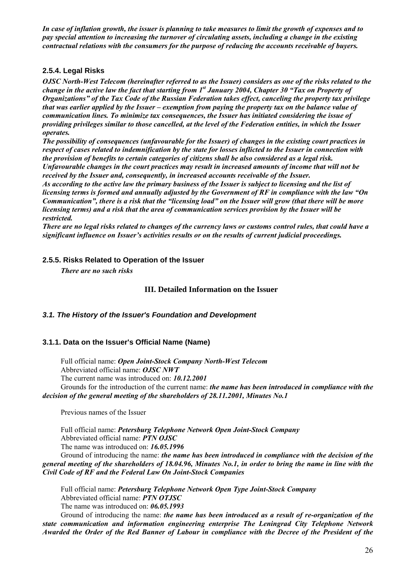*In case of inflation growth, the issuer is planning to take measures to limit the growth of expenses and to pay special attention to increasing the turnover of circulating assets, including a change in the existing contractual relations with the consumers for the purpose of reducing the accounts receivable of buyers.* 

## **2.5.4. Legal Risks**

*OJSC North-West Telecom (hereinafter referred to as the Issuer) considers as one of the risks related to the change in the active law the fact that starting from 1st January 2004, Chapter 30 "Tax on Property of Organizations" of the Tax Code of the Russian Federation takes effect, canceling the property tax privilege that was earlier applied by the Issuer – exemption from paying the property tax on the balance value of communication lines. To minimize tax consequences, the Issuer has initiated considering the issue of providing privileges similar to those cancelled, at the level of the Federation entities, in which the Issuer operates.*

*The possibility of consequences (unfavourable for the Issuer) of changes in the existing court practices in respect of cases related to indemnification by the state for losses inflicted to the Issuer in connection with the provision of benefits to certain categories of citizens shall be also considered as a legal risk. Unfavourable changes in the court practices may result in increased amounts of income that will not be received by the Issuer and, consequently, in increased accounts receivable of the Issuer. As according to the active law the primary business of the Issuer is subject to licensing and the list of licensing terms is formed and annually adjusted by the Government of RF in compliance with the law "On* 

*Communication", there is a risk that the "licensing load" on the Issuer will grow (that there will be more licensing terms) and a risk that the area of communication services provision by the Issuer will be restricted.* 

*There are no legal risks related to changes of the currency laws or customs control rules, that could have a significant influence on Issuer's activities results or on the results of current judicial proceedings.* 

## **2.5.5. Risks Related to Operation of the Issuer**

*There are no such risks* 

## **III. Detailed Information on the Issuer**

## *3.1. The History of the Issuer's Foundation and Development*

## **3.1.1. Data on the Issuer's Official Name (Name)**

Full official name: *Open Joint-Stock Company North-West Telecom* Abbreviated official name: *OJSC NWT* The current name was introduced on: *10.12.2001* Grounds for the introduction of the current name: *the name has been introduced in compliance with the decision of the general meeting of the shareholders of 28.11.2001, Minutes No.1*

Previous names of the Issuer

Full official name: *Petersburg Telephone Network Open Joint-Stock Company* Abbreviated official name: *PTN OJSC*

The name was introduced on: *16.05.1996*

Ground of introducing the name: *the name has been introduced in compliance with the decision of the general meeting of the shareholders of 18.04.96, Minutes No.1, in order to bring the name in line with the Civil Code of RF and the Federal Law On Joint-Stock Companies*

Full official name: *Petersburg Telephone Network Open Type Joint-Stock Company* Abbreviated official name: *PTN OTJSC* The name was introduced on: *06.05.1993*

Ground of introducing the name: *the name has been introduced as a result of re-organization of the state communication and information engineering enterprise The Leningrad City Telephone Network Awarded the Order of the Red Banner of Labour in compliance with the Decree of the President of the*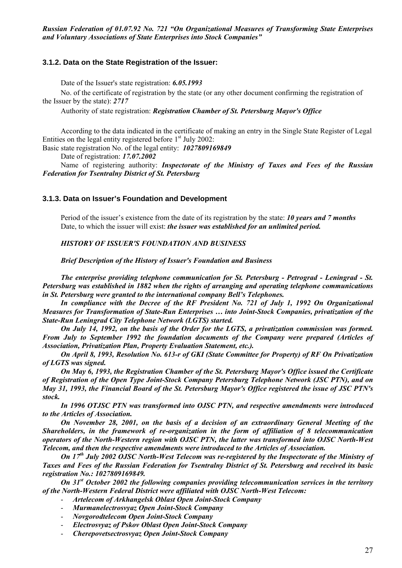*Russian Federation of 01.07.92 No. 721 "On Organizational Measures of Transforming State Enterprises and Voluntary Associations of State Enterprises into Stock Companies"* 

#### **3.1.2. Data on the State Registration of the Issuer:**

Date of the Issuer's state registration: *6.05.1993*

No. of the certificate of registration by the state (or any other document confirming the registration of the Issuer by the state): *2717*

Authority of state registration: *Registration Chamber of St. Petersburg Mayor's Office*

According to the data indicated in the certificate of making an entry in the Single State Register of Legal Entities on the legal entity registered before  $1<sup>st</sup>$  July 2002:

Basic state registration No. of the legal entity: *1027809169849*

Date of registration: *17.07.2002*

Name of registering authority: *Inspectorate of the Ministry of Taxes and Fees of the Russian Federation for Tsentralny District of St. Petersburg* 

#### **3.1.3. Data on Issuer's Foundation and Development**

Period of the issuer's existence from the date of its registration by the state: *10 years and 7 months* Date, to which the issuer will exist: *the issuer was established for an unlimited period.* 

*HISTORY OF ISSUER'S FOUNDATION AND BUSINESS* 

*Brief Description of the History of Issuer's Foundation and Business* 

*The enterprise providing telephone communication for St. Petersburg - Petrograd - Leningrad - St. Petersburg was established in 1882 when the rights of arranging and operating telephone communications in St. Petersburg were granted to the international company Bell's Telephones.* 

*In compliance with the Decree of the RF President No. 721 of July 1, 1992 On Organizational Measures for Transformation of State-Run Enterprises … into Joint-Stock Companies, privatization of the State-Run Leningrad City Telephone Network (LGTS) started.* 

*On July 14, 1992, on the basis of the Order for the LGTS, a privatization commission was formed. From July to September 1992 the foundation documents of the Company were prepared (Articles of Association, Privatization Plan, Property Evaluation Statement, etc.).* 

*On April 8, 1993, Resolution No. 613-r of GKI (State Committee for Property) of RF On Privatization of LGTS was signed.* 

*On May 6, 1993, the Registration Chamber of the St. Petersburg Mayor's Office issued the Certificate of Registration of the Open Type Joint-Stock Company Petersburg Telephone Network (JSC PTN), and on May 31, 1993, the Financial Board of the St. Petersburg Mayor's Office registered the issue of JSC PTN's stock.* 

*In 1996 OTJSC PTN was transformed into OJSC PTN, and respective amendments were introduced to the Articles of Association.* 

*On November 28, 2001, on the basis of a decision of an extraordinary General Meeting of the Shareholders, in the framework of re-organization in the form of affiliation of 8 telecommunication operators of the North-Western region with OJSC PTN, the latter was transformed into OJSC North-West Telecom, and then the respective amendments were introduced to the Articles of Association.* 

*On 17th July 2002 OJSC North-West Telecom was re-registered by the Inspectorate of the Ministry of Taxes and Fees of the Russian Federation for Tsentralny District of St. Petersburg and received its basic registration No.: 1027809169849.* 

*On 31st October 2002 the following companies providing telecommunication services in the territory of the North-Western Federal District were affiliated with OJSC North-West Telecom:* 

- *Artelecom of Arkhangelsk Oblast Open Joint-Stock Company*
- *Murmanelectrosvyaz Open Joint-Stock Company*
- *Novgorodtelecom Open Joint-Stock Company*
- *Electrosvyaz of Pskov Oblast Open Joint-Stock Company*
- *Cherepovetsectrosvyaz Open Joint-Stock Company*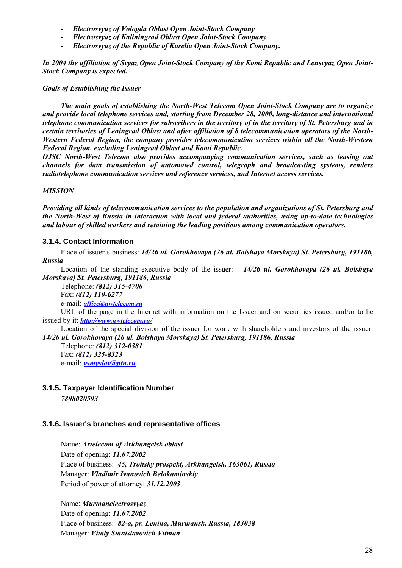- *Electrosvyaz of Vologda Oblast Open Joint-Stock Company*
- *Electrosvyaz of Kaliningrad Oblast Open Joint-Stock Company*
- *Electrosvyaz of the Republic of Karelia Open Joint-Stock Company.*

*In 2004 the affiliation of Svyaz Open Joint-Stock Company of the Komi Republic and Lensvyaz Open Joint-Stock Company is expected.* 

*Goals of Establishing the Issuer* 

*The main goals of establishing the North-West Telecom Open Joint-Stock Company are to organize and provide local telephone services and, starting from December 28, 2000, long-distance and international telephone communication services for subscribers in the territory of in the territory of St. Petersburg and in certain territories of Leningrad Oblast and after affiliation of 8 telecommunication operators of the North-Western Federal Region, the company provides telecommunication services within all the North-Western Federal Region, excluding Leningrad Oblast and Komi Republic.* 

*OJSC North-West Telecom also provides accompanying communication services, such as leasing out channels for data transmission of automated control, telegraph and broadcasting systems, renders radiotelephone communication services and reference services, and Internet access services.* 

## *MISSION*

*Providing all kinds of telecommunication services to the population and organizations of St. Petersburg and the North-West of Russia in interaction with local and federal authorities, using up-to-date technologies and labour of skilled workers and retaining the leading positions among communication operators.* 

## **3.1.4. Contact Information**

Place of issuer's business: *14/26 ul. Gorokhovaya (26 ul. Bolshaya Morskaya) St. Petersburg, 191186, Russia*

Location of the standing executive body of the issuer: *14/26 ul. Gorokhovaya (26 ul. Bolshaya Morskaya) St. Petersburg, 191186, Russia*

Telephone: *(812) 315-4706* Fax: *(812) 110-6277* e-mail: *office@nwtelecom.ru*

URL of the page in the Internet with information on the Issuer and on securities issued and/or to be issued by it: *http://www.nwtelecom.ru/*

Location of the special division of the issuer for work with shareholders and investors of the issuer: *14/26 ul. Gorokhovaya (26 ul. Bolshaya Morskaya) St. Petersburg, 191186, Russia*

Telephone: *(812) 312-0381* Fax: *(812) 325-8323* e-mail: *vsmyslov@ptn.ru*

## **3.1.5. Taxpayer Identification Number**

*7808020593* 

## **3.1.6. Issuer's branches and representative offices**

Name: *Artelecom of Arkhangelsk oblast* Date of opening: *11.07.2002* Place of business: *45, Troitsky prospekt, Arkhangelsk, 163061, Russia* Manager: *Vladimir Ivanovich Belokaminskiy* Period of power of attorney: *31.12.2003*

Name: *Murmanelectrosvyaz* Date of opening: *11.07.2002* Place of business: *82-a, pr. Lenina, Murmansk, Russia, 183038* Manager: *Vitaly Stanislavovich Vitman*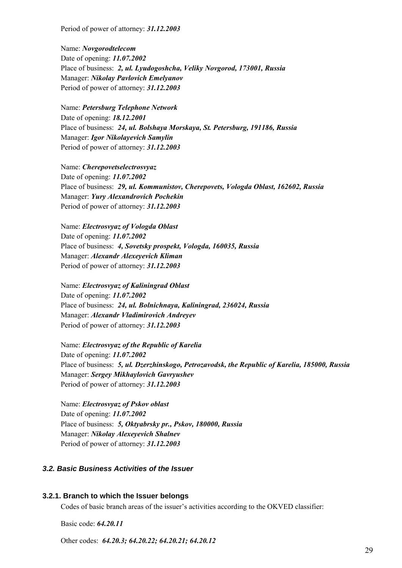Period of power of attorney: *31.12.2003*

Name: *Novgorodtelecom* Date of opening: *11.07.2002* Place of business: *2, ul. Lyudogoshcha, Veliky Novgorod, 173001, Russia* Manager: *Nikolay Pavlovich Emelyanov* Period of power of attorney: *31.12.2003*

Name: *Petersburg Telephone Network* Date of opening: *18.12.2001* Place of business: *24, ul. Bolshaya Morskaya, St. Petersburg, 191186, Russia* Manager: *Igor Nikolayevich Samylin* Period of power of attorney: *31.12.2003*

Name: *Cherepovetselectrosvyaz* Date of opening: *11.07.2002* Place of business: *29, ul. Kommunistov, Cherepovets, Vologda Oblast, 162602, Russia* Manager: *Yury Alexandrovich Pochekin* Period of power of attorney: *31.12.2003*

Name: *Electrosvyaz of Vologda Oblast* Date of opening: *11.07.2002* Place of business: *4, Sovetsky prospekt, Vologda, 160035, Russia* Manager: *Alexandr Alexeyevich Kliman* Period of power of attorney: *31.12.2003*

Name: *Electrosvyaz of Kaliningrad Oblast* Date of opening: *11.07.2002* Place of business: *24, ul. Bolnichnaya, Kaliningrad, 236024, Russia* Manager: *Alexandr Vladimirovich Andreyev* Period of power of attorney: *31.12.2003*

Name: *Electrosvyaz of the Republic of Karelia* Date of opening: *11.07.2002* Place of business: *5, ul. Dzerzhinskogo, Petrozavodsk, the Republic of Karelia, 185000, Russia* Manager: *Sergey Mikhaylovich Gavryushev*  Period of power of attorney: *31.12.2003*

Name: *Electrosvyaz of Pskov oblast* Date of opening: *11.07.2002* Place of business: *5, Oktyabrsky pr., Pskov, 180000, Russia* Manager: *Nikolay Alexeyevich Shalnev* Period of power of attorney: *31.12.2003*

## *3.2. Basic Business Activities of the Issuer*

### **3.2.1. Branch to which the Issuer belongs**

Codes of basic branch areas of the issuer's activities according to the OKVED classifier:

Basic code: *64.20.11*

Other codes: *64.20.3; 64.20.22; 64.20.21; 64.20.12*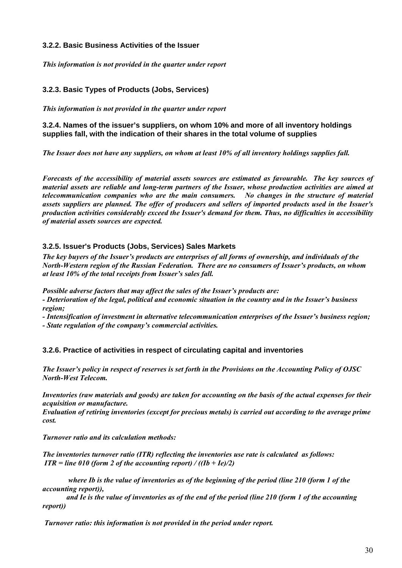## **3.2.2. Basic Business Activities of the Issuer**

*This information is not provided in the quarter under report*

## **3.2.3. Basic Types of Products (Jobs, Services)**

*This information is not provided in the quarter under report*

## **3.2.4. Names of the issuer's suppliers, on whom 10% and more of all inventory holdings supplies fall, with the indication of their shares in the total volume of supplies**

*The Issuer does not have any suppliers, on whom at least 10% of all inventory holdings supplies fall.* 

*Forecasts of the accessibility of material assets sources are estimated as favourable. The key sources of material assets are reliable and long-term partners of the Issuer, whose production activities are aimed at telecommunication companies who are the main consumers. No changes in the structure of material assets suppliers are planned. The offer of producers and sellers of imported products used in the Issuer's production activities considerably exceed the Issuer's demand for them. Thus, no difficulties in accessibility of material assets sources are expected.* 

## **3.2.5. Issuer's Products (Jobs, Services) Sales Markets**

*The key buyers of the Issuer's products are enterprises of all forms of ownership, and individuals of the North-Western region of the Russian Federation. There are no consumers of Issuer's products, on whom at least 10% of the total receipts from Issuer's sales fall.* 

*Possible adverse factors that may affect the sales of the Issuer's products are:* 

*- Deterioration of the legal, political and economic situation in the country and in the Issuer's business region;* 

*- Intensification of investment in alternative telecommunication enterprises of the Issuer's business region;* 

*- State regulation of the company's commercial activities.* 

## **3.2.6. Practice of activities in respect of circulating capital and inventories**

*The Issuer's policy in respect of reserves is set forth in the Provisions on the Accounting Policy of OJSC North-West Telecom.* 

*Inventories (raw materials and goods) are taken for accounting on the basis of the actual expenses for their acquisition or manufacture.* 

*Evaluation of retiring inventories (except for precious metals) is carried out according to the average prime cost.* 

*Turnover ratio and its calculation methods:* 

*The inventories turnover ratio (ITR) reflecting the inventories use rate is calculated as follows: ITR = line 010 (form 2 of the accounting report)* /  $((Ib + Ie)/2)$ 

 *where Ib is the value of inventories as of the beginning of the period (line 210 (form 1 of the accounting report)),* 

 *and Ie is the value of inventories as of the end of the period (line 210 (form 1 of the accounting report))* 

 *Turnover ratio: this information is not provided in the period under report.*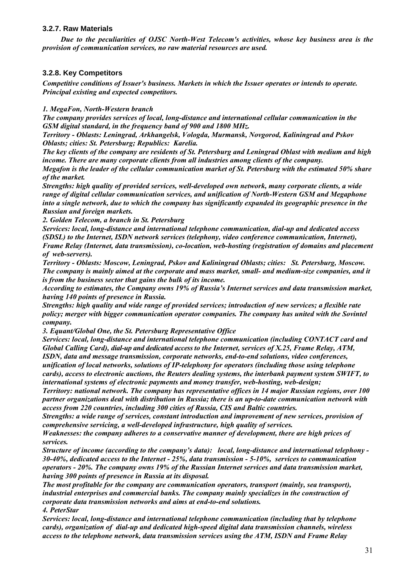## **3.2.7. Raw Materials**

*Due to the peculiarities of OJSC North-West Telecom's activities, whose key business area is the provision of communication services, no raw material resources are used.* 

## **3.2.8. Key Competitors**

*Competitive conditions of Issuer's business. Markets in which the Issuer operates or intends to operate. Principal existing and expected competitors.*

## *1. MegaFon, North-Western branch*

*The company provides services of local, long-distance and international cellular communication in the GSM digital standard, in the frequency band of 900 and 1800 MHz.* 

*Territory - Oblasts: Leningrad, Arkhangelsk, Vologda, Murmansk, Novgorod, Kaliningrad and Pskov Oblasts; cities: St. Petersburg; Republics: Karelia.*

*The key clients of the company are residents of St. Petersburg and Leningrad Oblast with medium and high income. There are many corporate clients from all industries among clients of the company.*

*Megafon is the leader of the cellular communication market of St. Petersburg with the estimated 50% share of the market.* 

*Strengths: high quality of provided services, well-developed own network, many corporate clients, a wide range of digital cellular communication services, and unification of North-Western GSM and Megaphone into a single network, due to which the company has significantly expanded its geographic presence in the Russian and foreign markets.*

*2. Golden Telecom, a branch in St. Petersburg* 

*Services: local, long-distance and international telephone communication, dial-up and dedicated access (SDSL) to the Internet, ISDN network services (telephony, video conference communication, Internet), Frame Relay (Internet, data transmission), co-location, web-hosting (registration of domains and placement of web-servers).*

*Territory - Oblasts: Moscow, Leningrad, Pskov and Kaliningrad Oblasts; cities: St. Petersburg, Moscow. The company is mainly aimed at the corporate and mass market, small- and medium-size companies, and it is from the business sector that gains the bulk of its income.* 

*According to estimates, the Company owns 19% of Russia's Internet services and data transmission market, having 140 points of presence in Russia.* 

*Strengths: high quality and wide range of provided services; introduction of new services; a flexible rate policy; merger with bigger communication operator companies. The company has united with the Sovintel company.*

*3. Equant/Global One, the St. Petersburg Representative Office* 

*Services: local, long-distance and international telephone communication (including CONTACT card and Global Calling Card), dial-up and dedicated access to the Internet, services of X.25, Frame Relay, ATM, ISDN, data and message transmission, corporate networks, end-to-end solutions, video conferences, unification of local networks, solutions of IP-telephony for operators (including those using telephone cards), access to electronic auctions, the Reuters dealing systems, the interbank payment system SWIFT, to* 

*international systems of electronic payments and money transfer, web-hosting, web-design;*

*Territory: national network. The company has representative offices in 14 major Russian regions, over 100 partner organizations deal with distribution in Russia; there is an up-to-date communication network with access from 220 countries, including 300 cities of Russia, CIS and Baltic countries.*

*Strengths: a wide range of services, constant introduction and improvement of new services, provision of comprehensive servicing, a well-developed infrastructure, high quality of services.* 

*Weaknesses: the company adheres to a conservative manner of development, there are high prices of services.*

*Structure of income (according to the company's data): local, long-distance and international telephony - 30-40%, dedicated access to the Internet - 25%, data transmission - 5-10%, services to communication operators - 20%. The company owns 19% of the Russian Internet services and data transmission market, having 300 points of presence in Russia at its disposal.*

*The most profitable for the company are communication operators, transport (mainly, sea transport), industrial enterprises and commercial banks. The company mainly specializes in the construction of corporate data transmission networks and aims at end-to-end solutions. 4. PeterStar* 

*Services: local, long-distance and international telephone communication (including that by telephone cards), organization of dial-up and dedicated high-speed digital data transmission channels, wireless access to the telephone network, data transmission services using the ATM, ISDN and Frame Relay*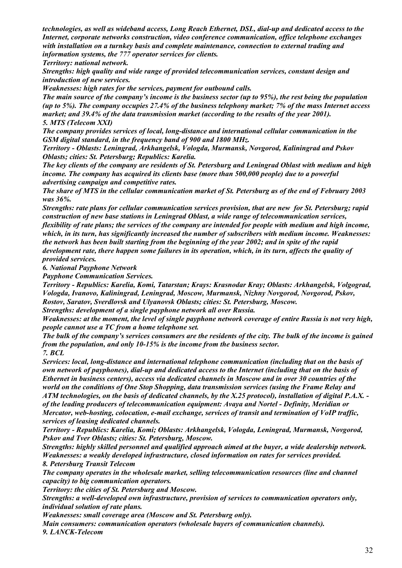*technologies, as well as wideband access, Long Reach Ethernet, DSL, dial-up and dedicated access to the Internet, corporate networks construction, video conference communication, office telephone exchanges with installation on a turnkey basis and complete maintenance, connection to external trading and information systems, the 777 operator services for clients.*

*Territory: national network.*

*Strengths: high quality and wide range of provided telecommunication services, constant design and introduction of new services.*

*Weaknesses: high rates for the services, payment for outbound calls.* 

*The main source of the company's income is the business sector (up to 95%), the rest being the population (up to 5%). The company occupies 27.4% of the business telephony market; 7% of the mass Internet access market; and 39.4% of the data transmission market (according to the results of the year 2001). 5. MTS (Telecom XXI)* 

*The company provides services of local, long-distance and international cellular communication in the GSM digital standard, in the frequency band of 900 and 1800 MHz.* 

*Territory - Oblasts: Leningrad, Arkhangelsk, Vologda, Murmansk, Novgorod, Kaliningrad and Pskov Oblasts; cities: St. Petersburg; Republics: Karelia.*

*The key clients of the company are residents of St. Petersburg and Leningrad Oblast with medium and high income. The company has acquired its clients base (more than 500,000 people) due to a powerful advertising campaign and competitive rates.*

*The share of MTS in the cellular communication market of St. Petersburg as of the end of February 2003 was 36%.* 

*Strengths: rate plans for cellular communication services provision, that are new for St. Petersburg; rapid construction of new base stations in Leningrad Oblast, a wide range of telecommunication services, flexibility of rate plans; the services of the company are intended for people with medium and high income, which, in its turn, has significantly increased the number of subscribers with medium income. Weaknesses: the network has been built starting from the beginning of the year 2002; and in spite of the rapid development rate, there happen some failures in its operation, which, in its turn, affects the quality of provided services.*

*6. National Payphone Network* 

*Payphone Communication Services.* 

*Territory - Republics: Karelia, Komi, Tatarstan; Krays: Krasnodar Kray; Oblasts: Arkhangelsk, Volgograd, Vologda, Ivanovo, Kaliningrad, Leningrad, Moscow, Murmansk, Nizhny Novgorod, Novgorod, Pskov, Rostov, Saratov, Sverdlovsk and Ulyanovsk Oblasts; cities: St. Petersburg, Moscow.*

*Strengths: development of a single payphone network all over Russia.* 

*Weaknesses: at the moment, the level of single payphone network coverage of entire Russia is not very high, people cannot use a TC from a home telephone set.*

*The bulk of the company's services consumers are the residents of the city. The bulk of the income is gained from the population, and only 10-15% is the income from the business sector. 7. BCL* 

*Services: local, long-distance and international telephone communication (including that on the basis of own network of payphones), dial-up and dedicated access to the Internet (including that on the basis of Ethernet in business centers), access via dedicated channels in Moscow and in over 30 countries of the world on the conditions of One Stop Shopping, data transmission services (using the Frame Relay and ATM technologies, on the basis of dedicated channels, by the X.25 protocol), installation of digital P.A.X. of the leading producers of telecommunication equipment: Avaya and Nortel - Definity, Meridian or Mercator, web-hosting, colocation, e-mail exchange, services of transit and termination of VoIP traffic, services of leasing dedicated channels.*

*Territory - Republics: Karelia, Komi; Oblasts: Arkhangelsk, Vologda, Leningrad, Murmansk, Novgorod, Pskov and Tver Oblasts; cities: St. Petersburg, Moscow.*

*Strengths: highly skilled personnel and qualified approach aimed at the buyer, a wide dealership network. Weaknesses: a weakly developed infrastructure, closed information on rates for services provided. 8. Petersburg Transit Telecom* 

*The company operates in the wholesale market, selling telecommunication resources (line and channel capacity) to big communication operators.* 

*Territory: the cities of St. Petersburg and Moscow.*

*Strengths: a well-developed own infrastructure, provision of services to communication operators only, individual solution of rate plans.* 

*Weaknesses: small coverage area (Moscow and St. Petersburg only).*

*Main consumers: communication operators (wholesale buyers of communication channels).* 

*9. LANCK-Telecom*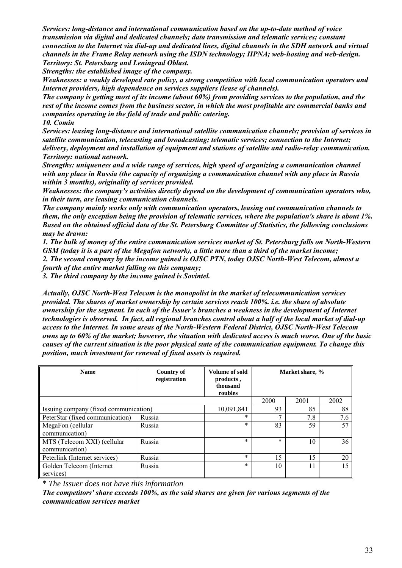*Services: long-distance and international communication based on the up-to-date method of voice transmission via digital and dedicated channels; data transmission and telematic services; constant connection to the Internet via dial-up and dedicated lines, digital channels in the SDH network and virtual channels in the Frame Relay network using the ISDN technology; HPNA; web-hosting and web-design. Territory: St. Petersburg and Leningrad Oblast.*

*Strengths: the established image of the company.* 

*Weaknesses: a weakly developed rate policy, a strong competition with local communication operators and Internet providers, high dependence on services suppliers (lease of channels).*

*The company is getting most of its income (about 60%) from providing services to the population, and the rest of the income comes from the business sector, in which the most profitable are commercial banks and companies operating in the field of trade and public catering.* 

*10. Comin* 

*Services: leasing long-distance and international satellite communication channels; provision of services in satellite communication, telecasting and broadcasting; telematic services; connection to the Internet; delivery, deployment and installation of equipment and stations of satellite and radio-relay communication. Territory: national network.*

*Strengths: uniqueness and a wide range of services, high speed of organizing a communication channel with any place in Russia (the capacity of organizing a communication channel with any place in Russia within 3 months), originality of services provided.* 

*Weaknesses: the company's activities directly depend on the development of communication operators who, in their turn, are leasing communication channels.*

*The company mainly works only with communication operators, leasing out communication channels to them, the only exception being the provision of telematic services, where the population's share is about 1%. Based on the obtained official data of the St. Petersburg Committee of Statistics, the following conclusions may be drawn:* 

*1. The bulk of money of the entire communication services market of St. Petersburg falls on North-Western GSM (today it is a part of the Megafon network), a little more than a third of the market income; 2. The second company by the income gained is OJSC PTN, today OJSC North-West Telecom, almost a fourth of the entire market falling on this company;* 

*3. The third company by the income gained is Sovintel.* 

*Actually, OJSC North-West Telecom is the monopolist in the market of telecommunication services provided. The shares of market ownership by certain services reach 100%. i.e. the share of absolute ownership for the segment. In each of the Issuer's branches a weakness in the development of Internet technologies is observed. In fact, all regional branches control about a half of the local market of dial-up access to the Internet. In some areas of the North-Western Federal District, OJSC North-West Telecom owns up to 60% of the market; however, the situation with dedicated access is much worse. One of the basic causes of the current situation is the poor physical state of the communication equipment. To change this position, much investment for renewal of fixed assets is required.* 

| <b>Name</b>                                   | Country of<br>registration | Volume of sold<br>products,<br>thousand<br>roubles | Market share, % |      |      |  |
|-----------------------------------------------|----------------------------|----------------------------------------------------|-----------------|------|------|--|
|                                               |                            |                                                    |                 | 2001 | 2002 |  |
| Issuing company (fixed communication)         |                            | 10,091,841                                         | 93              | 85   | 88   |  |
| PeterStar (fixed communication)               | Russia                     | $\ast$                                             | π               | 7.8  | 7.6  |  |
| MegaFon (cellular<br>communication)           | Russia                     | $\ast$                                             | 83              | 59   | 57   |  |
| MTS (Telecom XXI) (cellular<br>communication) | Russia                     | $\ast$                                             | $\ast$          | 10   | 36   |  |
| Peterlink (Internet services)                 | Russia                     | $\ast$                                             | 15              | 15   | 20   |  |
| Golden Telecom (Internet<br>services)         | Russia                     | $\ast$                                             | 10              | 11   | 15   |  |

\* *The Issuer does not have this information* 

*The competitors' share exceeds 100%, as the said shares are given for various segments of the communication services market*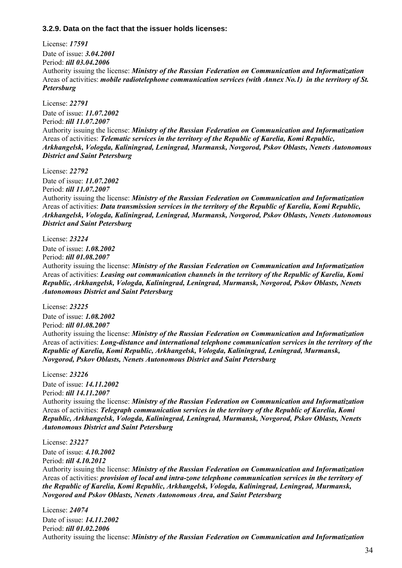## **3.2.9. Data on the fact that the issuer holds licenses:**

License: *17591* Date of issue: *3.04.2001* Period: *till 03.04.2006* Authority issuing the license: *Ministry of the Russian Federation on Communication and Informatization* Areas of activities: *mobile radiotelephone communication services (with Annex No.1) in the territory of St. Petersburg*

License: *22791* Date of issue: *11.07.2002* Period: *till 11.07.2007* Authority issuing the license: *Ministry of the Russian Federation on Communication and Informatization* Areas of activities: *Telematic services in the territory of the Republic of Karelia, Komi Republic, Arkhangelsk, Vologda, Kaliningrad, Leningrad, Murmansk, Novgorod, Pskov Oblasts, Nenets Autonomous District and Saint Petersburg*

License: *22792*

Date of issue: *11.07.2002* Period: *till 11.07.2007*

Authority issuing the license: *Ministry of the Russian Federation on Communication and Informatization* Areas of activities: *Data transmission services in the territory of the Republic of Karelia, Komi Republic, Arkhangelsk, Vologda, Kaliningrad, Leningrad, Murmansk, Novgorod, Pskov Oblasts, Nenets Autonomous District and Saint Petersburg*

License: *23224*

Date of issue: *1.08.2002* Period: *till 01.08.2007*

Authority issuing the license: *Ministry of the Russian Federation on Communication and Informatization* Areas of activities: *Leasing out communication channels in the territory of the Republic of Karelia, Komi Republic, Arkhangelsk, Vologda, Kaliningrad, Leningrad, Murmansk, Novgorod, Pskov Oblasts, Nenets Autonomous District and Saint Petersburg*

License: *23225*

Date of issue: *1.08.2002* Period: *till 01.08.2007* Authority issuing the license: *Ministry of the Russian Federation on Communication and Informatization* Areas of activities: *Long-distance and international telephone communication services in the territory of the Republic of Karelia, Komi Republic, Arkhangelsk, Vologda, Kaliningrad, Leningrad, Murmansk, Novgorod, Pskov Oblasts, Nenets Autonomous District and Saint Petersburg*

License: *23226*

Date of issue: *14.11.2002* Period: *till 14.11.2007* Authority issuing the license: *Ministry of the Russian Federation on Communication and Informatization* Areas of activities: *Telegraph communication services in the territory of the Republic of Karelia, Komi Republic, Arkhangelsk, Vologda, Kaliningrad, Leningrad, Murmansk, Novgorod, Pskov Oblasts, Nenets Autonomous District and Saint Petersburg*

License: *23227*

Date of issue: *4.10.2002* Period: *till 4.10.2012* Authority issuing the license: *Ministry of the Russian Federation on Communication and Informatization* Areas of activities: *provision of local and intra-zone telephone communication services in the territory of the Republic of Karelia, Komi Republic, Arkhangelsk, Vologda, Kaliningrad, Leningrad, Murmansk, Novgorod and Pskov Oblasts, Nenets Autonomous Area, and Saint Petersburg*

License: *24074* Date of issue: *14.11.2002* Period: *till 01.02.2006* Authority issuing the license: *Ministry of the Russian Federation on Communication and Informatization*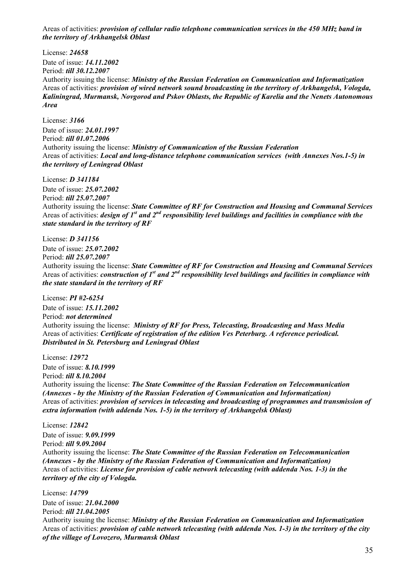Areas of activities: *provision of cellular radio telephone communication services in the 450 MHz band in the territory of Arkhangelsk Oblast*

License: *24658* Date of issue: *14.11.2002* Period: *till 30.12.2007* Authority issuing the license: *Ministry of the Russian Federation on Communication and Informatization* Areas of activities: *provision of wired network sound broadcasting in the territory of Arkhangelsk, Vologda, Kaliningrad, Murmansk, Novgorod and Pskov Oblasts, the Republic of Karelia and the Nenets Autonomous Area*

License: *3166* Date of issue: *24.01.1997* Period: *till 01.07.2006* Authority issuing the license: *Ministry of Communication of the Russian Federation* Areas of activities: *Local and long-distance telephone communication services (with Annexes Nos.1-5) in the territory of Leningrad Oblast*

License: *D 341184* Date of issue: *25.07.2002* Period: *till 25.07.2007* Authority issuing the license: *State Committee of RF for Construction and Housing and Communal Services*  Areas of activities: *design of 1st and 2nd responsibility level buildings and facilities in compliance with the state standard in the territory of RF*

License: *D 341156*

Date of issue: *25.07.2002* Period: *till 25.07.2007* Authority issuing the license: *State Committee of RF for Construction and Housing and Communal Services* Areas of activities: *construction of 1st and 2nd responsibility level buildings and facilities in compliance with the state standard in the territory of RF* 

License: *PI #2-6254* Date of issue: *15.11.2002* Period: *not determined* Authority issuing the license: *Ministry of RF for Press, Telecasting, Broadcasting and Mass Media* Areas of activities: *Certificate of registration of the edition Ves Peterburg. A reference periodical. Distributed in St. Petersburg and Leningrad Oblast*

License: *12972* Date of issue: *8.10.1999* Period: *till 8.10.2004* Authority issuing the license: *The State Committee of the Russian Federation on Telecommunication (Annexes - by the Ministry of the Russian Federation of Communication and Informatization)* Areas of activities: *provision of services in telecasting and broadcasting of programmes and transmission of extra information (with addenda Nos. 1-5) in the territory of Arkhangelsk Oblast)*

License: *12842* Date of issue: *9.09.1999* Period: *till 9.09.2004* Authority issuing the license: *The State Committee of the Russian Federation on Telecommunication (Annexes - by the Ministry of the Russian Federation of Communication and Informatization)* Areas of activities: *License for provision of cable network telecasting (with addenda Nos. 1-3) in the territory of the city of Vologda.*

License: *14799* Date of issue: *21.04.2000* Period: *till 21.04.2005* Authority issuing the license: *Ministry of the Russian Federation on Communication and Informatization* Areas of activities: *provision of cable network telecasting (with addenda Nos. 1-3) in the territory of the city of the village of Lovozero, Murmansk Oblast*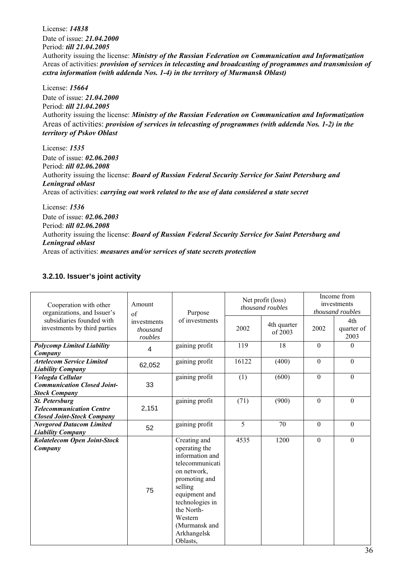License: *14838* Date of issue: *21.04.2000* Period: *till 21.04.2005* Authority issuing the license: *Ministry of the Russian Federation on Communication and Informatization* Areas of activities: *provision of services in telecasting and broadcasting of programmes and transmission of extra information (with addenda Nos. 1-4) in the territory of Murmansk Oblast)*

License: *15664* Date of issue: *21.04.2000* Period: *till 21.04.2005* Authority issuing the license: *Ministry of the Russian Federation on Communication and Informatization* Areas of activities: *provision of services in telecasting of programmes (with addenda Nos. 1-2) in the territory of Pskov Oblast*

License: *1535*

Date of issue: *02.06.2003* Period: *till 02.06.2008* Authority issuing the license: *Board of Russian Federal Security Service for Saint Petersburg and Leningrad oblast* Areas of activities: *carrying out work related to the use of data considered a state secret*

License: *1536* Date of issue: *02.06.2003* Period: *till 02.06.2008* Authority issuing the license: *Board of Russian Federal Security Service for Saint Petersburg and Leningrad oblast* Areas of activities: *measures and/or services of state secrets protection*

## **3.2.10. Issuer's joint activity**

| Cooperation with other<br>organizations, and Issuer's<br>subsidiaries founded with<br>investments by third parties | Amount<br>of<br>investments<br>thousand<br>roubles | Purpose<br>of investments                                                                                                                                                                                               | Net profit (loss)<br>thousand roubles |                        | Income from<br>investments<br>thousand roubles |                           |
|--------------------------------------------------------------------------------------------------------------------|----------------------------------------------------|-------------------------------------------------------------------------------------------------------------------------------------------------------------------------------------------------------------------------|---------------------------------------|------------------------|------------------------------------------------|---------------------------|
|                                                                                                                    |                                                    |                                                                                                                                                                                                                         | 2002                                  | 4th quarter<br>of 2003 | 2002                                           | 4th<br>quarter of<br>2003 |
| <b>Polycomp Limited Liability</b><br>Company                                                                       | $\overline{4}$                                     | gaining profit                                                                                                                                                                                                          | 119                                   | 18                     | $\mathbf{0}$                                   | $\theta$                  |
| <b>Artelecom Service Limited</b><br><b>Liability Company</b>                                                       | 62,052                                             | gaining profit                                                                                                                                                                                                          | 16122                                 | (400)                  | $\mathbf{0}$                                   | $\mathbf{0}$              |
| Vologda Cellular<br><b>Communication Closed Joint-</b><br><b>Stock Company</b>                                     | 33                                                 | gaining profit                                                                                                                                                                                                          | (1)                                   | (600)                  | $\mathbf{0}$                                   | $\mathbf{0}$              |
| <b>St. Petersburg</b><br><b>Telecommunication Centre</b><br><b>Closed Joint-Stock Company</b>                      | 2,151                                              | gaining profit                                                                                                                                                                                                          | (71)                                  | (900)                  | $\mathbf{0}$                                   | $\mathbf{0}$              |
| <b>Novgorod Datacom Limited</b><br><b>Liability Company</b>                                                        | 52                                                 | gaining profit                                                                                                                                                                                                          | 5                                     | 70                     | $\mathbf{0}$                                   | $\mathbf{0}$              |
| Kolatelecom Open Joint-Stock<br>Company                                                                            | 75                                                 | Creating and<br>operating the<br>information and<br>telecommunicati<br>on network,<br>promoting and<br>selling<br>equipment and<br>technologies in<br>the North-<br>Western<br>(Murmansk and<br>Arkhangelsk<br>Oblasts, | 4535                                  | 1200                   | $\theta$                                       | $\Omega$                  |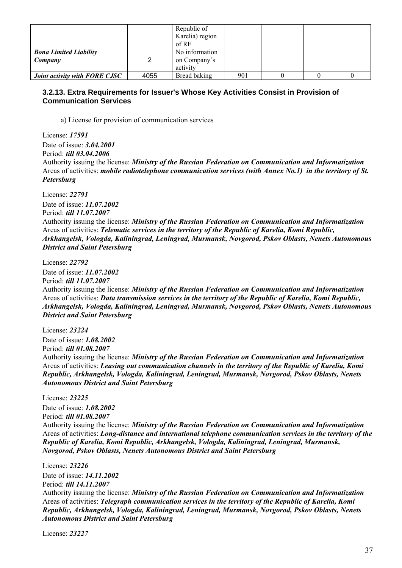|                                          |      | Republic of<br>Karelia) region<br>of RF    |     |  |  |
|------------------------------------------|------|--------------------------------------------|-----|--|--|
| <b>Bona Limited Liability</b><br>Company |      | No information<br>on Company's<br>activity |     |  |  |
| Joint activity with FORE CJSC            | 4055 | Bread baking                               | 901 |  |  |

# **3.2.13. Extra Requirements for Issuer's Whose Key Activities Consist in Provision of Communication Services**

a) License for provision of communication services

License: *17591* Date of issue: *3.04.2001* Period: *till 03.04.2006* Authority issuing the license: *Ministry of the Russian Federation on Communication and Informatization* Areas of activities: *mobile radiotelephone communication services (with Annex No.1) in the territory of St. Petersburg*

License: *22791* Date of issue: *11.07.2002* Period: *till 11.07.2007* Authority issuing the license: *Ministry of the Russian Federation on Communication and Informatization* Areas of activities: *Telematic services in the territory of the Republic of Karelia, Komi Republic, Arkhangelsk, Vologda, Kaliningrad, Leningrad, Murmansk, Novgorod, Pskov Oblasts, Nenets Autonomous District and Saint Petersburg*

License: *22792*

Date of issue: *11.07.2002* Period: *till 11.07.2007* Authority issuing the license: *Ministry of the Russian Federation on Communication and Informatization* Areas of activities: *Data transmission services in the territory of the Republic of Karelia, Komi Republic, Arkhangelsk, Vologda, Kaliningrad, Leningrad, Murmansk, Novgorod, Pskov Oblasts, Nenets Autonomous District and Saint Petersburg*

License: *23224* Date of issue: *1.08.2002* Period: *till 01.08.2007* Authority issuing the license: *Ministry of the Russian Federation on Communication and Informatization* Areas of activities: *Leasing out communication channels in the territory of the Republic of Karelia, Komi Republic, Arkhangelsk, Vologda, Kaliningrad, Leningrad, Murmansk, Novgorod, Pskov Oblasts, Nenets Autonomous District and Saint Petersburg*

License: *23225*

Date of issue: *1.08.2002* Period: *till 01.08.2007* Authority issuing the license: *Ministry of the Russian Federation on Communication and Informatization* Areas of activities: *Long-distance and international telephone communication services in the territory of the Republic of Karelia, Komi Republic, Arkhangelsk, Vologda, Kaliningrad, Leningrad, Murmansk, Novgorod, Pskov Oblasts, Nenets Autonomous District and Saint Petersburg*

License: *23226* Date of issue: *14.11.2002* Period: *till 14.11.2007* Authority issuing the license: *Ministry of the Russian Federation on Communication and Informatization* Areas of activities: *Telegraph communication services in the territory of the Republic of Karelia, Komi Republic, Arkhangelsk, Vologda, Kaliningrad, Leningrad, Murmansk, Novgorod, Pskov Oblasts, Nenets Autonomous District and Saint Petersburg*

License: *23227*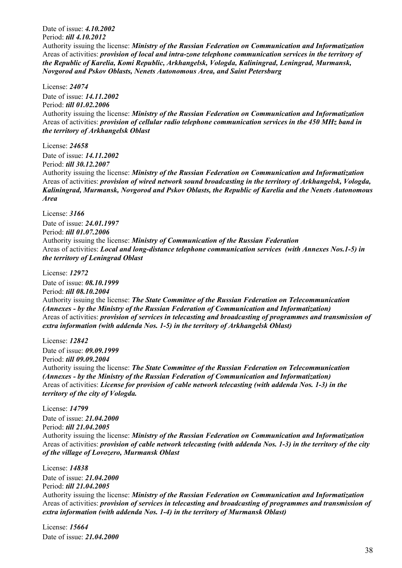Date of issue: *4.10.2002* Period: *till 4.10.2012* Authority issuing the license: *Ministry of the Russian Federation on Communication and Informatization* Areas of activities: *provision of local and intra-zone telephone communication services in the territory of the Republic of Karelia, Komi Republic, Arkhangelsk, Vologda, Kaliningrad, Leningrad, Murmansk, Novgorod and Pskov Oblasts, Nenets Autonomous Area, and Saint Petersburg*

License: *24074* Date of issue: *14.11.2002* Period: *till 01.02.2006* Authority issuing the license: *Ministry of the Russian Federation on Communication and Informatization* Areas of activities: *provision of cellular radio telephone communication services in the 450 MHz band in the territory of Arkhangelsk Oblast*

License: *24658* Date of issue: *14.11.2002* Period: *till 30.12.2007* Authority issuing the license: *Ministry of the Russian Federation on Communication and Informatization* Areas of activities: *provision of wired network sound broadcasting in the territory of Arkhangelsk, Vologda, Kaliningrad, Murmansk, Novgorod and Pskov Oblasts, the Republic of Karelia and the Nenets Autonomous Area*

License: *3166*

Date of issue: *24.01.1997* Period: *till 01.07.2006* Authority issuing the license: *Ministry of Communication of the Russian Federation* Areas of activities: *Local and long-distance telephone communication services (with Annexes Nos.1-5) in the territory of Leningrad Oblast*

License: *12972*

Date of issue: *08.10.1999* Period: *till 08.10.2004* Authority issuing the license: *The State Committee of the Russian Federation on Telecommunication (Annexes - by the Ministry of the Russian Federation of Communication and Informatization)* Areas of activities: *provision of services in telecasting and broadcasting of programmes and transmission of extra information (with addenda Nos. 1-5) in the territory of Arkhangelsk Oblast)*

License: *12842* Date of issue: *09.09.1999* Period: *till 09.09.2004* Authority issuing the license: *The State Committee of the Russian Federation on Telecommunication (Annexes - by the Ministry of the Russian Federation of Communication and Informatization)* Areas of activities: *License for provision of cable network telecasting (with addenda Nos. 1-3) in the territory of the city of Vologda.*

License: *14799* Date of issue: *21.04.2000* Period: *till 21.04.2005* Authority issuing the license: *Ministry of the Russian Federation on Communication and Informatization* Areas of activities: *provision of cable network telecasting (with addenda Nos. 1-3) in the territory of the city of the village of Lovozero, Murmansk Oblast*

License: *14838* Date of issue: *21.04.2000* Period: *till 21.04.2005* Authority issuing the license: *Ministry of the Russian Federation on Communication and Informatization* Areas of activities: *provision of services in telecasting and broadcasting of programmes and transmission of extra information (with addenda Nos. 1-4) in the territory of Murmansk Oblast)*

License: *15664* Date of issue: *21.04.2000*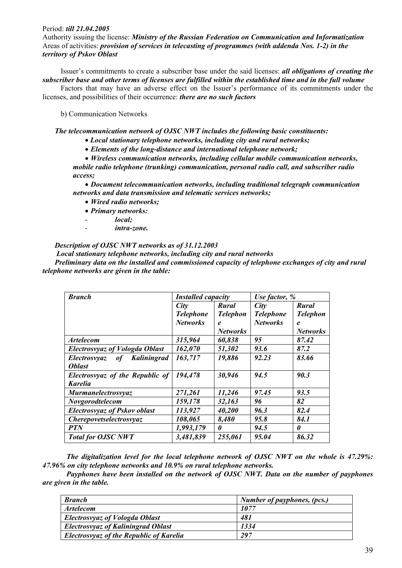### Period: *till 21.04.2005*

Authority issuing the license: *Ministry of the Russian Federation on Communication and Informatization* Areas of activities: *provision of services in telecasting of programmes (with addenda Nos. 1-2) in the territory of Pskov Oblast*

Issuer's commitments to create a subscriber base under the said licenses: *all obligations of creating the subscriber base and other terms of licenses are fulfilled within the established time and in the full volume* Factors that may have an adverse effect on the Issuer's performance of its commitments under the licenses, and possibilities of their occurrence: *there are no such factors*

b) Communication Networks

*The telecommunication network of OJSC NWT includes the following basic constituents:* 

- *Local stationary telephone networks, including city and rural networks;*
- *Elements of the long-distance and international telephone network;*

• *Wireless communication networks, including cellular mobile communication networks,* 

*mobile radio telephone (trunking) communication, personal radio call, and subscriber radio access;* 

• *Document telecommunication networks, including traditional telegraph communication networks and data transmission and telematic services networks;* 

- *Wired radio networks;*
- *Primary networks:*
- *local;*
- *intra-zone.*

#### *Description of OJSC NWT networks as of 31.12.2003*

 *Local stationary telephone networks, including city and rural networks* 

*Preliminary data on the installed and commissioned capacity of telephone exchanges of city and rural telephone networks are given in the table:* 

| <b>Branch</b>                            | <b>Installed capacity</b> |                  | Use factor, %    |                     |
|------------------------------------------|---------------------------|------------------|------------------|---------------------|
|                                          | City                      | Rural            | City             | <b>Rural</b>        |
|                                          | <b>Telephone</b>          | <b>Telephon</b>  | <b>Telephone</b> | <b>Telephon</b>     |
|                                          | <b>Networks</b>           | $\boldsymbol{e}$ | <b>Networks</b>  | $\boldsymbol{\ell}$ |
|                                          |                           | <b>Networks</b>  |                  | <b>Networks</b>     |
| Artelecom                                | 315,964                   | 60,838           | 95               | 87.42               |
| <b>Electrosyyaz of Vologda Oblast</b>    | 162,070                   | 51,302           | 93.6             | 87.2                |
| Kaliningrad<br><i>Electrosvyaz</i><br>of | 163,717                   | 19,886           | 92.23            | 83.66               |
| <i><b>Oblast</b></i>                     |                           |                  |                  |                     |
| Electrosvyaz of the Republic of          | 194,478                   | 30,946           | 94.5             | 90.3                |
| <b>Karelia</b>                           |                           |                  |                  |                     |
| <b>Murmanelectrosyyaz</b>                | 271,261                   | 11,246           | 97.45            | 93.5                |
| Novgorodtelecom                          | 159,178                   | 32,163           | 96               | 82                  |
| <b>Electrosyyaz of Pskov oblast</b>      | 113,927                   | 40,200           | 96.3             | 82.4                |
| <i>Cherepovetselectrosvyaz</i>           | 108,065                   | 8,480            | 95.8             | 84.1                |
| <i>PTN</i>                               | 1,993,179                 | 0                | 94.5             | 0                   |
| <b>Total for OJSC NWT</b>                | 3,481,839                 | 255,061          | 95.04            | 86.32               |

*The digitalization level for the local telephone network of OJSC NWT on the whole is 47.29%: 47.96% on city telephone networks and 10.9% on rural telephone networks.* 

*Payphones have been installed on the network of OJSC NWT. Data on the number of payphones are given in the table.*

| <b>Branch</b>                                  | Number of payphones, (pcs.) |
|------------------------------------------------|-----------------------------|
| <i><b>Artelecom</b></i>                        | 1077                        |
| <b>Electrosyyaz of Vologda Oblast</b>          | 481                         |
| <b>Electrosyyaz of Kaliningrad Oblast</b>      | 1334                        |
| <b>Electrosyyaz of the Republic of Karelia</b> | 297                         |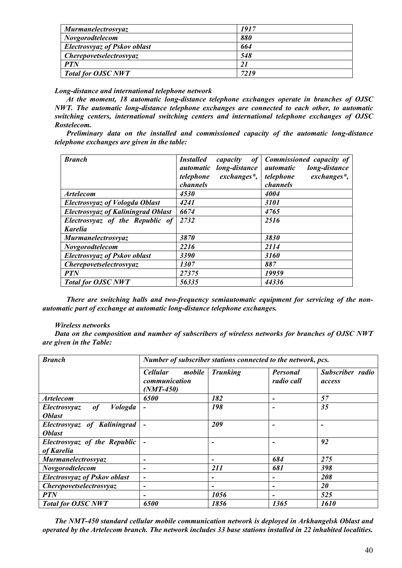| <b>Murmanelectrosyyaz</b>           | 1917 |  |
|-------------------------------------|------|--|
| Novgorodtelecom                     | 880  |  |
| <b>Electrosyyaz of Pskov oblast</b> | 664  |  |
| <i>Cherepovetselectrosvyaz</i>      | 548  |  |
| <b>PTN</b>                          | 21   |  |
| Total for OJSC NWT                  | 7219 |  |

*Long-distance and international telephone network* 

*At the moment, 18 automatic long-distance telephone exchanges operate in branches of OJSC NWT. The automatic long-distance telephone exchanges are connected to each other, to automatic switching centers, international switching centers and international telephone exchanges of OJSC Rostelecom.*

*Preliminary data on the installed and commissioned capacity of the automatic long-distance telephone exchanges are given in the table:* 

| <b>Branch</b>                             | <i><b>Installed</b></i><br>of<br>capacity<br>long-distance<br><i>automatic</i><br>exchanges*,<br>telephone<br>channels | Commissioned capacity of<br>long-distance<br><i>automatic</i><br>exchanges*,<br>telephone<br>channels |
|-------------------------------------------|------------------------------------------------------------------------------------------------------------------------|-------------------------------------------------------------------------------------------------------|
| <i><b>Artelecom</b></i>                   | 4530                                                                                                                   | 4004                                                                                                  |
| <b>Electrosyyaz of Vologda Oblast</b>     | 4241                                                                                                                   | 3101                                                                                                  |
| <b>Electrosyyaz of Kaliningrad Oblast</b> | 6674                                                                                                                   | 4765                                                                                                  |
| Electrosvyaz of the Republic of           | 2732                                                                                                                   | 2516                                                                                                  |
| <b>Karelia</b>                            |                                                                                                                        |                                                                                                       |
| <i>Murmanelectrosvyaz</i>                 | 3870                                                                                                                   | 3830                                                                                                  |
| Novgorodtelecom                           | 2216                                                                                                                   | 2114                                                                                                  |
| <b>Electrosyyaz of Pskov oblast</b>       | 3390                                                                                                                   | 3160                                                                                                  |
| <b>Cherepovetselectrosvyaz</b>            | 1307                                                                                                                   | 887                                                                                                   |
| <b>PTN</b>                                | 27375                                                                                                                  | 19959                                                                                                 |
| <b>Total for OJSC NWT</b>                 | 56335                                                                                                                  | 44336                                                                                                 |

*There are switching halls and two-frequency semiautomatic equipment for servicing of the nonautomatic part of exchange at automatic long-distance telephone exchanges.* 

#### *Wireless networks*

*Data on the composition and number of subscribers of wireless networks for branches of OJSC NWT are given in the Table:* 

| <b>Branch</b>                        | Number of subscriber stations connected to the network, pcs. |                          |                               |                            |  |  |
|--------------------------------------|--------------------------------------------------------------|--------------------------|-------------------------------|----------------------------|--|--|
|                                      | mobile<br><b>Cellular</b><br>communication<br>$(NMT-450)$    | <b>Trunking</b>          | <b>Personal</b><br>radio call | Subscriber radio<br>access |  |  |
| <i><b>Artelecom</b></i>              | 6500                                                         | 182                      | $\qquad \qquad$               | 57                         |  |  |
| Vologda<br><b>Electrosyyaz</b><br>of | $\blacksquare$                                               | 198                      | ۰                             | 35                         |  |  |
| <b>Oblast</b>                        |                                                              |                          |                               |                            |  |  |
| Electrosvyaz of Kaliningrad          | $\overline{\phantom{a}}$                                     | 209                      | $\overline{a}$                | $\overline{\phantom{a}}$   |  |  |
| <b>Oblast</b>                        |                                                              |                          |                               |                            |  |  |
| Electrosyyaz of the Republic         |                                                              | -                        |                               | 92                         |  |  |
| of Karelia                           |                                                              |                          |                               |                            |  |  |
| Murmanelectrosvyaz                   | -                                                            | $\overline{\phantom{0}}$ | 684                           | 275                        |  |  |
| Novgorodtelecom                      | $\overline{\phantom{0}}$                                     | 211                      | 681                           | 398                        |  |  |
| <b>Electrosvyaz of Pskov oblast</b>  | $\overline{\phantom{0}}$                                     | -                        |                               | 208                        |  |  |
| <i>Cherepovetselectrosvyaz</i>       | -                                                            | -                        |                               | <b>20</b>                  |  |  |
| <b>PTN</b>                           | -                                                            | 1056                     | -                             | 525                        |  |  |
| <b>Total for OJSC NWT</b>            | 6500                                                         | 1856                     | 1365                          | 1610                       |  |  |

*The NMT-450 standard cellular mobile communication network is deployed in Arkhangelsk Oblast and operated by the Artelecom branch. The network includes 33 base stations installed in 22 inhabited localities.*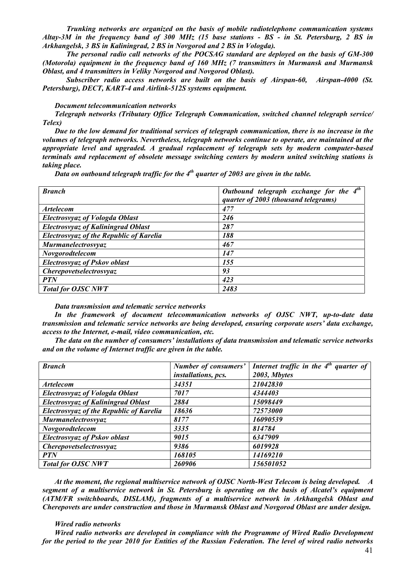*Trunking networks are organized on the basis of mobile radiotelephone communication systems Altay-3M in the frequency band of 300 MHz (15 base stations - BS - in St. Petersburg, 2 BS in Arkhangelsk, 3 BS in Kaliningrad, 2 BS in Novgorod and 2 BS in Vologda).* 

 *The personal radio call networks of the POCSAG standard are deployed on the basis of GM-300 (Motorola) equipment in the frequency band of 160 MHz (7 transmitters in Murmansk and Murmansk Oblast, and 4 transmitters in Veliky Novgorod and Novgorod Oblast).* 

 *Subscriber radio access networks are built on the basis of Airspan-60, Airspan-4000 (St. Petersburg), DECT, KART-4 and Airlink-512S systems equipment.* 

#### *Document telecommunication networks*

*Telegraph networks (Tributary Office Telegraph Communication, switched channel telegraph service/ Telex)* 

*Due to the low demand for traditional services of telegraph communication, there is no increase in the volumes of telegraph networks. Nevertheless, telegraph networks continue to operate, are maintained at the appropriate level and upgraded. A gradual replacement of telegraph sets by modern computer-based terminals and replacement of obsolete message switching centers by modern united switching stations is taking place.*

*Data on outbound telegraph traffic for the 4th quarter of 2003 are given in the table.* 

| <b>Branch</b>                                  | Outbound telegraph exchange for the $\overline{4^{th}}$<br>quarter of 2003 (thousand telegrams) |
|------------------------------------------------|-------------------------------------------------------------------------------------------------|
| <i><b>Artelecom</b></i>                        | 477                                                                                             |
| <b>Electrosvyaz of Vologda Oblast</b>          | 246                                                                                             |
| <b>Electrosyyaz of Kaliningrad Oblast</b>      | 287                                                                                             |
| <b>Electrosvyaz of the Republic of Karelia</b> | 188                                                                                             |
| <b>Murmanelectrosvyaz</b>                      | 467                                                                                             |
| Novgorodtelecom                                | 147                                                                                             |
| <b>Electrosyyaz of Pskov oblast</b>            | 155                                                                                             |
| <b>Cherepovetselectrosvyaz</b>                 | 93                                                                                              |
| <b>PTN</b>                                     | 423                                                                                             |
| <b>Total for OJSC NWT</b>                      | 2483                                                                                            |

*Data transmission and telematic service networks* 

*In the framework of document telecommunication networks of OJSC NWT, up-to-date data transmission and telematic service networks are being developed, ensuring corporate users' data exchange, access to the Internet, e-mail, video communication, etc.* 

*The data on the number of consumers' installations of data transmission and telematic service networks and on the volume of Internet traffic are given in the table.* 

| <b>Branch</b>                                  | Number of consumers' | Internet traffic in the $4th$ quarter of |
|------------------------------------------------|----------------------|------------------------------------------|
|                                                | installations, pcs.  | 2003, Mbytes                             |
| <b>Artelecom</b>                               | 34351                | 21042830                                 |
| <b>Electrosyyaz of Vologda Oblast</b>          | 7017                 | 4344403                                  |
| <b>Electrosvyaz of Kaliningrad Oblast</b>      | 2884                 | 15098449                                 |
| <b>Electrosyyaz of the Republic of Karelia</b> | 18636                | 72573000                                 |
| <b>Murmanelectrosvyaz</b>                      | 8177                 | 16090539                                 |
| Novgorodtelecom                                | 3335                 | 814784                                   |
| <b>Electrosyyaz of Pskov oblast</b>            | 9015                 | 6347909                                  |
| <i>Cherepovetselectrosvyaz</i>                 | 9386                 | 6019928                                  |
| <b>PTN</b>                                     | 168105               | 14169210                                 |
| <b>Total for OJSC NWT</b>                      | 260906               | 156501052                                |

*At the moment, the regional multiservice network of OJSC North-West Telecom is being developed. A segment of a multiservice network in St. Petersburg is operating on the basis of Alcatel's equipment (ATM/FR switchboards, DISLAM), fragments of a multiservice network in Arkhangelsk Oblast and Cherepovets are under construction and those in Murmansk Oblast and Novgorod Oblast are under design.* 

#### *Wired radio networks*

*Wired radio networks are developed in compliance with the Programme of Wired Radio Development for the period to the year 2010 for Entities of the Russian Federation. The level of wired radio networks*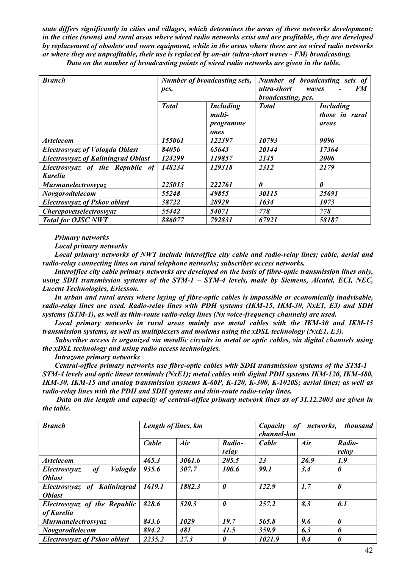*state differs significantly in cities and villages, which determines the areas of these networks development: in the cities (towns) and rural areas where wired radio networks exist and are profitable, they are developed by replacement of obsolete and worn equipment, while in the areas where there are no wired radio networks or where they are unprofitable, their use is replaced by on-air (ultra-short waves - FM) broadcasting. Data on the number of broadcasting points of wired radio networks are given in the table.* 

| <b>Branch</b>                                     | pcs.         | Number of broadcasting sets,                    | Number of broadcasting sets of<br>ultra-short<br>FM<br>waves<br>broadcasting, pcs. |                                             |  |
|---------------------------------------------------|--------------|-------------------------------------------------|------------------------------------------------------------------------------------|---------------------------------------------|--|
|                                                   | <b>Total</b> | <b>Including</b><br>multi-<br>programme<br>ones | <b>Total</b>                                                                       | <b>Including</b><br>those in rural<br>areas |  |
| Artelecom                                         | 155061       | 122397                                          | 10793                                                                              | 9096                                        |  |
| <b>Electrosyyaz of Vologda Oblast</b>             | 84056        | 65643                                           | 20144                                                                              | 17364                                       |  |
| <b>Electrosyyaz of Kaliningrad Oblast</b>         | 124299       | 119857                                          | 2145                                                                               | 2006                                        |  |
| Electrosvyaz of the Republic of<br><b>Karelia</b> | 148234       | 129318                                          | 2312                                                                               | 2179                                        |  |
| <b>Murmanelectrosyyaz</b>                         | 225015       | 222761                                          | $\theta$                                                                           | $\boldsymbol{\theta}$                       |  |
| Novgorodtelecom                                   | 55248        | 49855                                           | 30115                                                                              | 25691                                       |  |
| <b>Electrosyyaz of Pskov oblast</b>               | 38722        | 28929                                           | 1634                                                                               | 1073                                        |  |
| <i>Cherepovetselectrosvyaz</i>                    | 55442        | 54071                                           | 778                                                                                | 778                                         |  |
| <b>Total for OJSC NWT</b>                         | 886077       | 792831                                          | 67921                                                                              | 58187                                       |  |

*Primary networks* 

*Local primary networks* 

*Local primary networks of NWT include interoffice city cable and radio-relay lines; cable, aerial and radio-relay connecting lines on rural telephone networks; subscriber access networks.* 

*Interoffice city cable primary networks are developed on the basis of fibre-optic transmission lines only, using SDH transmission systems of the STM-1 – STM-4 levels, made by Siemens, Alcatel, ECI, NEC, Lucent Technologies, Ericsson.* 

*In urban and rural areas where laying of fibre-optic cables is impossible or economically inadvisable, radio-relay lines are used. Radio-relay lines with PDH systems (IKM-15, IKM-30, NxE1, E3) and SDH systems (STM-1), as well as thin-route radio-relay lines (Nx voice-frequency channels) are used.*

*Local primary networks in rural areas mainly use metal cables with the IKM-30 and IKM-15 transmission systems, as well as multiplexers and modems using the xDSL technology (NxE1, E3).* 

*Subscriber access is organized via metallic circuits in metal or optic cables, via digital channels using the xDSL technology and using radio access technologies.* 

*Intrazone primary networks* 

*Central-office primary networks use fibre-optic cables with SDH transmission systems of the STM-1 – STM-4 levels and optic linear terminals (NxE1); metal cables with digital PDH systems IKM-120, IKM-480, IKM-30, IKM-15 and analog transmission systems K-60P, K-120, K-300, K-1020S; aerial lines; as well as radio-relay lines with the PDH and SDH systems and thin-route radio-relay lines.* 

 *Data on the length and capacity of central-office primary network lines as of 31.12.2003 are given in the table.* 

| <b>Branch</b>                        | Length of lines, km |        |                       | Capacity | networks,<br><i>thousand</i><br>of<br>channel-km |                       |  |
|--------------------------------------|---------------------|--------|-----------------------|----------|--------------------------------------------------|-----------------------|--|
|                                      | Cable               | Air    | Radio-<br>relay       | Cable    | Air                                              | Radio-<br>relay       |  |
| <b>Artelecom</b>                     | 465.3               | 3061.6 | 205.5                 | 23       | 26.9                                             | 1.9                   |  |
| Vologda<br><b>Electrosyyaz</b><br>of | 935.6               | 307.7  | 100.6                 | 99.1     | 3.4                                              | 0                     |  |
| <b>Oblast</b>                        |                     |        |                       |          |                                                  |                       |  |
| Electrosvyaz of Kaliningrad          | 1619.1              | 1882.3 | $\boldsymbol{\theta}$ | 122.9    | 1.7                                              | $\boldsymbol{\theta}$ |  |
| <b>Oblast</b>                        |                     |        |                       |          |                                                  |                       |  |
| Electrosvyaz of the Republic         | 828.6               | 520.3  | $\boldsymbol{\theta}$ | 257.2    | 8.3                                              | 0.1                   |  |
| of Karelia                           |                     |        |                       |          |                                                  |                       |  |
| Murmanelectrosvyaz                   | 843.6               | 1029   | 19.7                  | 565.8    | 9.6                                              | 0                     |  |
| Novgorodtelecom                      | 894.2               | 481    | 41.5                  | 359.9    | 6.3                                              | 0                     |  |
| <b>Electrosyyaz of Pskov oblast</b>  | 2235.2              | 27.3   | $\theta$              | 1021.9   | 0.4                                              | 0                     |  |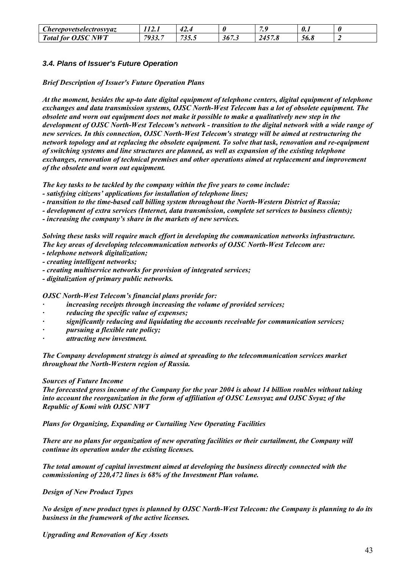| $\sim$<br>Cherepovetselectrosyyaz                                 | $\mathbf{A}$<br>14.I | $\overline{\phantom{a}}$<br>42.5 |      | $\bullet$                          | $\cdot$ 0. |  |
|-------------------------------------------------------------------|----------------------|----------------------------------|------|------------------------------------|------------|--|
| $\bm{\mathcal{C}}$ nii $\bm{V}\bm{T}$<br><i>Total</i> for<br>ojsc | 7022 7<br>,,,,,      | ັບພະ                             | 30/3 | $\overline{1}$<br><b>43</b><br>7.0 | 90. O      |  |

# *3.4. Plans of Issuer's Future Operation*

#### *Brief Description of Issuer's Future Operation Plans*

*At the moment, besides the up-to date digital equipment of telephone centers, digital equipment of telephone exchanges and data transmission systems, OJSC North-West Telecom has a lot of obsolete equipment. The obsolete and worn out equipment does not make it possible to make a qualitatively new step in the development of OJSC North-West Telecom's network - transition to the digital network with a wide range of new services. In this connection, OJSC North-West Telecom's strategy will be aimed at restructuring the network topology and at replacing the obsolete equipment. To solve that task, renovation and re-equipment of switching systems and line structures are planned, as well as expansion of the existing telephone exchanges, renovation of technical premises and other operations aimed at replacement and improvement of the obsolete and worn out equipment.*

*The key tasks to be tackled by the company within the five years to come include:* 

*- satisfying citizens' applications for installation of telephone lines;* 

*- transition to the time-based call billing system throughout the North-Western District of Russia;* 

*- development of extra services (Internet, data transmission, complete set services to business clients);* 

*- increasing the company's share in the markets of new services.* 

*Solving these tasks will require much effort in developing the communication networks infrastructure. The key areas of developing telecommunication networks of OJSC North-West Telecom are:* 

- *telephone network digitalization;*
- *creating intelligent networks;*
- *creating multiservice networks for provision of integrated services;*
- *digitalization of primary public networks.*

*OJSC North-West Telecom's financial plans provide for:* 

- *· increasing receipts through increasing the volume of provided services;*
- *· reducing the specific value of expenses;*
- *· significantly reducing and liquidating the accounts receivable for communication services;*
- *· pursuing a flexible rate policy;*
- *· attracting new investment.*

*The Company development strategy is aimed at spreading to the telecommunication services market throughout the North-Western region of Russia.* 

#### *Sources of Future Income*

*The forecasted gross income of the Company for the year 2004 is about 14 billion roubles without taking into account the reorganization in the form of affiliation of OJSC Lensvyaz and OJSC Svyaz of the Republic of Komi with OJSC NWT* 

*Plans for Organizing, Expanding or Curtailing New Operating Facilities* 

*There are no plans for organization of new operating facilities or their curtailment, the Company will continue its operation under the existing licenses.* 

*The total amount of capital investment aimed at developing the business directly connected with the commissioning of 220,472 lines is 68% of the Investment Plan volume.* 

*Design of New Product Types* 

*No design of new product types is planned by OJSC North-West Telecom: the Company is planning to do its business in the framework of the active licenses.* 

*Upgrading and Renovation of Key Assets*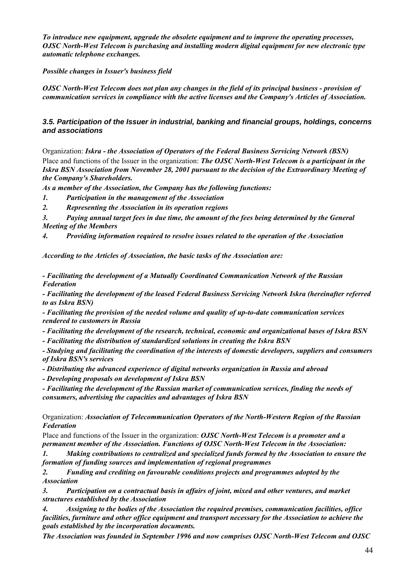*To introduce new equipment, upgrade the obsolete equipment and to improve the operating processes, OJSC North-West Telecom is purchasing and installing modern digital equipment for new electronic type automatic telephone exchanges.* 

*Possible changes in Issuer's business field* 

*OJSC North-West Telecom does not plan any changes in the field of its principal business - provision of communication services in compliance with the active licenses and the Company's Articles of Association.* 

# *3.5. Participation of the Issuer in industrial, banking and financial groups, holdings, concerns and associations*

Organization: *Iskra - the Association of Operators of the Federal Business Servicing Network (BSN)* Place and functions of the Issuer in the organization: *The OJSC North-West Telecom is a participant in the Iskra BSN Association from November 28, 2001 pursuant to the decision of the Extraordinary Meeting of the Company's Shareholders.* 

*As a member of the Association, the Company has the following functions:* 

*1. Participation in the management of the Association* 

*2. Representing the Association in its operation regions* 

*3. Paying annual target fees in due time, the amount of the fees being determined by the General Meeting of the Members* 

*4. Providing information required to resolve issues related to the operation of the Association* 

*According to the Articles of Association, the basic tasks of the Association are:* 

*- Facilitating the development of a Mutually Coordinated Communication Network of the Russian Federation* 

*- Facilitating the development of the leased Federal Business Servicing Network Iskra (hereinafter referred to as Iskra BSN)* 

*- Facilitating the provision of the needed volume and quality of up-to-date communication services rendered to customers in Russia* 

*- Facilitating the development of the research, technical, economic and organizational bases of Iskra BSN* 

*- Facilitating the distribution of standardized solutions in creating the Iskra BSN* 

*- Studying and facilitating the coordination of the interests of domestic developers, suppliers and consumers of Iskra BSN's services* 

*- Distributing the advanced experience of digital networks organization in Russia and abroad* 

*- Developing proposals on development of Iskra BSN* 

*- Facilitating the development of the Russian market of communication services, finding the needs of consumers, advertising the capacities and advantages of Iskra BSN*

Organization: *Association of Telecommunication Operators of the North-Western Region of the Russian Federation*

Place and functions of the Issuer in the organization: *OJSC North-West Telecom is a promoter and a permanent member of the Association. Functions of OJSC North-West Telecom in the Association:* 

*1. Making contributions to centralized and specialized funds formed by the Association to ensure the formation of funding sources and implementation of regional programmes* 

*2. Funding and crediting on favourable conditions projects and programmes adopted by the Association* 

*3. Participation on a contractual basis in affairs of joint, mixed and other ventures, and market structures established by the Association* 

*4. Assigning to the bodies of the Association the required premises, communication facilities, office facilities, furniture and other office equipment and transport necessary for the Association to achieve the goals established by the incorporation documents.* 

*The Association was founded in September 1996 and now comprises OJSC North-West Telecom and OJSC*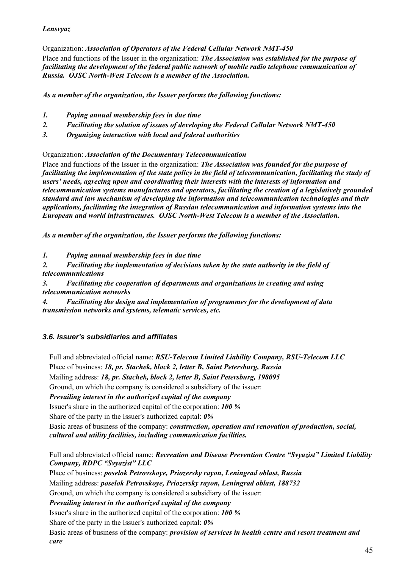# *Lensvyaz*

Organization: *Association of Operators of the Federal Cellular Network NMT-450* Place and functions of the Issuer in the organization: *The Association was established for the purpose of facilitating the development of the federal public network of mobile radio telephone communication of Russia. OJSC North-West Telecom is a member of the Association.* 

*As a member of the organization, the Issuer performs the following functions:* 

- *1. Paying annual membership fees in due time*
- *2. Facilitating the solution of issues of developing the Federal Cellular Network NMT-450*
- *3. Organizing interaction with local and federal authorities*

Organization: *Association of the Documentary Telecommunication*

Place and functions of the Issuer in the organization: *The Association was founded for the purpose of facilitating the implementation of the state policy in the field of telecommunication, facilitating the study of users' needs, agreeing upon and coordinating their interests with the interests of information and telecommunication systems manufactures and operators, facilitating the creation of a legislatively grounded standard and law mechanism of developing the information and telecommunication technologies and their applications, facilitating the integration of Russian telecommunication and information systems into the European and world infrastructures. OJSC North-West Telecom is a member of the Association.* 

*As a member of the organization, the Issuer performs the following functions:* 

*1. Paying annual membership fees in due time* 

*2. Facilitating the implementation of decisions taken by the state authority in the field of telecommunications* 

*3. Facilitating the cooperation of departments and organizations in creating and using telecommunication networks* 

*4. Facilitating the design and implementation of programmes for the development of data transmission networks and systems, telematic services, etc.*

# *3.6. Issuer's subsidiaries and affiliates*

Full and abbreviated official name: *RSU-Telecom Limited Liability Company, RSU-Telecom LLC* Place of business: *18, pr. Stachek, block 2, letter B, Saint Petersburg, Russia* Mailing address: *18, pr. Stachek, block 2, letter B, Saint Petersburg, 198095*

Ground, on which the company is considered a subsidiary of the issuer:

*Prevailing interest in the authorized capital of the company*

Issuer's share in the authorized capital of the corporation: *100 %*

Share of the party in the Issuer's authorized capital: *0%*

Basic areas of business of the company: *construction, operation and renovation of production, social, cultural and utility facilities, including communication facilities.* 

Full and abbreviated official name: *Recreation and Disease Prevention Centre "Svyazist" Limited Liability Company, RDPC "Svyazist" LLC*

Place of business: *poselok Petrovskoye, Priozersky rayon, Leningrad oblast, Russia*

Mailing address: *poselok Petrovskoye, Priozersky rayon, Leningrad oblast, 188732*

Ground, on which the company is considered a subsidiary of the issuer:

*Prevailing interest in the authorized capital of the company*

Issuer's share in the authorized capital of the corporation: *100 %*

Share of the party in the Issuer's authorized capital: *0%*

Basic areas of business of the company: *provision of services in health centre and resort treatment and care*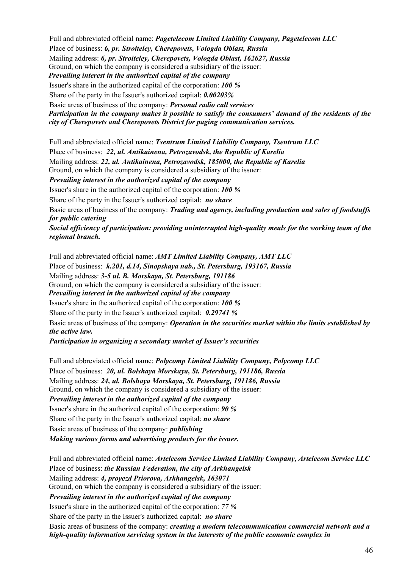Full and abbreviated official name: *Pagetelecom Limited Liability Company, Pagetelecom LLC* Place of business: *6, pr. Stroiteley, Cherepovets, Vologda Oblast, Russia* Mailing address: *6, pr. Stroiteley, Cherepovets, Vologda Oblast, 162627, Russia* Ground, on which the company is considered a subsidiary of the issuer: *Prevailing interest in the authorized capital of the company*  Issuer's share in the authorized capital of the corporation: *100 %* Share of the party in the Issuer's authorized capital: *0.00203%* Basic areas of business of the company: *Personal radio call services Participation in the company makes it possible to satisfy the consumers' demand of the residents of the city of Cherepovets and Cherepovets District for paging communication services.* 

Full and abbreviated official name: *Tsentrum Limited Liability Company, Tsentrum LLC* Place of business: *22, ul. Antikainena, Petrozavodsk, the Republic of Karelia* Mailing address: *22, ul. Antikainena, Petrozavodsk, 185000, the Republic of Karelia* Ground, on which the company is considered a subsidiary of the issuer: *Prevailing interest in the authorized capital of the company* Issuer's share in the authorized capital of the corporation: *100 %* Share of the party in the Issuer's authorized capital: *no share* Basic areas of business of the company: *Trading and agency, including production and sales of foodstuffs for public catering Social efficiency of participation: providing uninterrupted high-quality meals for the working team of the regional branch.* 

Full and abbreviated official name: *AMT Limited Liability Company, AMT LLC* Place of business: *k.201, d.14, Sinopskaya nab., St. Petersburg, 193167, Russia* Mailing address: *3-5 ul. B. Morskaya, St. Petersburg, 191186* Ground, on which the company is considered a subsidiary of the issuer: *Prevailing interest in the authorized capital of the company*  Issuer's share in the authorized capital of the corporation: *100 %* Share of the party in the Issuer's authorized capital: *0.29741 %* Basic areas of business of the company: *Operation in the securities market within the limits established by the active law.*

*Participation in organizing a secondary market of Issuer's securities* 

Full and abbreviated official name: *Polycomp Limited Liability Company, Polycomp LLC* Place of business: *20, ul. Bolshaya Morskaya, St. Petersburg, 191186, Russia* Mailing address: *24, ul. Bolshaya Morskaya, St. Petersburg, 191186, Russia* Ground, on which the company is considered a subsidiary of the issuer: *Prevailing interest in the authorized capital of the company*  Issuer's share in the authorized capital of the corporation: *90 %* Share of the party in the Issuer's authorized capital: *no share* Basic areas of business of the company: *publishing Making various forms and advertising products for the issuer.* 

Full and abbreviated official name: *Artelecom Service Limited Liability Company, Artelecom Service LLC* Place of business: *the Russian Federation, the city of Arkhangelsk* Mailing address: *4, proyezd Priorova, Arkhangelsk, 163071* Ground, on which the company is considered a subsidiary of the issuer: *Prevailing interest in the authorized capital of the company*  Issuer's share in the authorized capital of the corporation: *77 %* Share of the party in the Issuer's authorized capital: *no share* Basic areas of business of the company: *creating a modern telecommunication commercial network and a high-quality information servicing system in the interests of the public economic complex in*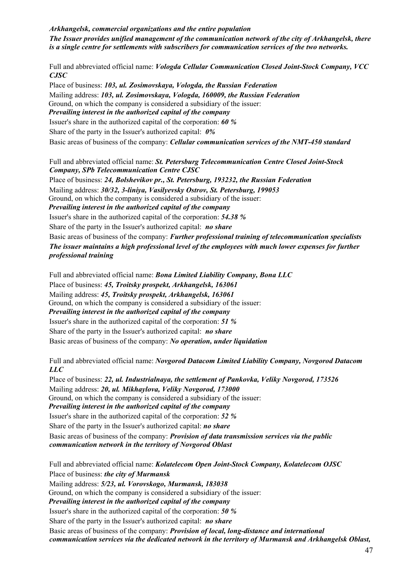*Arkhangelsk, commercial organizations and the entire population The Issuer provides unified management of the communication network of the city of Arkhangelsk, there is a single centre for settlements with subscribers for communication services of the two networks.* 

Full and abbreviated official name: *Vologda Cellular Communication Closed Joint-Stock Company, VCC CJSC*

Place of business: *103, ul. Zosimovskaya, Vologda, the Russian Federation* Mailing address: *103, ul. Zosimovskaya, Vologda, 160009, the Russian Federation* Ground, on which the company is considered a subsidiary of the issuer: *Prevailing interest in the authorized capital of the company*  Issuer's share in the authorized capital of the corporation: *60 %* Share of the party in the Issuer's authorized capital: *0%* Basic areas of business of the company: *Cellular communication services of the NMT-450 standard*

Full and abbreviated official name: *St. Petersburg Telecommunication Centre Closed Joint-Stock Company, SPb Telecommunication Centre CJSC*

Place of business: *24, Bolshevikov pr., St. Petersburg, 193232, the Russian Federation* Mailing address: *30/32, 3-liniya, Vasilyevsky Ostrov, St. Petersburg, 199053* Ground, on which the company is considered a subsidiary of the issuer: *Prevailing interest in the authorized capital of the company*  Issuer's share in the authorized capital of the corporation: *54.38 %*

Share of the party in the Issuer's authorized capital: *no share*

Basic areas of business of the company: *Further professional training of telecommunication specialists The issuer maintains a high professional level of the employees with much lower expenses for further professional training* 

Full and abbreviated official name: *Bona Limited Liability Company, Bona LLC* Place of business: *45, Troitsky prospekt, Arkhangelsk, 163061* Mailing address: *45, Troitsky prospekt, Arkhangelsk, 163061* Ground, on which the company is considered a subsidiary of the issuer: *Prevailing interest in the authorized capital of the company*  Issuer's share in the authorized capital of the corporation: *51 %* Share of the party in the Issuer's authorized capital: *no share*

Basic areas of business of the company: *No operation, under liquidation*

Full and abbreviated official name: *Novgorod Datacom Limited Liability Company, Novgorod Datacom LLC*

Place of business: *22, ul. Industrialnaya, the settlement of Pankovka, Veliky Novgorod, 173526* Mailing address: *20, ul. Mikhaylova, Veliky Novgorod, 173000* Ground, on which the company is considered a subsidiary of the issuer: *Prevailing interest in the authorized capital of the company*  Issuer's share in the authorized capital of the corporation: *52 %* Share of the party in the Issuer's authorized capital: *no share* Basic areas of business of the company: *Provision of data transmission services via the public communication network in the territory of Novgorod Oblast*

Full and abbreviated official name: *Kolatelecom Open Joint-Stock Company, Kolatelecom OJSC* Place of business: *the city of Murmansk* Mailing address: *5/23, ul. Vorovskogo, Murmansk, 183038* Ground, on which the company is considered a subsidiary of the issuer: *Prevailing interest in the authorized capital of the company*  Issuer's share in the authorized capital of the corporation: *50 %* Share of the party in the Issuer's authorized capital: *no share* Basic areas of business of the company: *Provision of local, long-distance and international communication services via the dedicated network in the territory of Murmansk and Arkhangelsk Oblast,*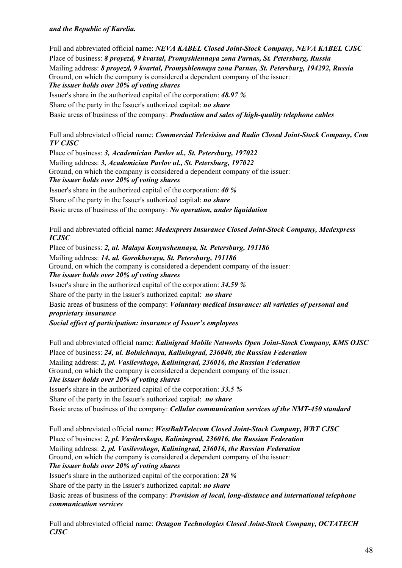# *and the Republic of Karelia.*

Full and abbreviated official name: *NEVA KABEL Closed Joint-Stock Company, NEVA KABEL CJSC* Place of business: *8 proyezd, 9 kvartal, Promyshlennaya zona Parnas, St. Petersburg, Russia* Mailing address: *8 proyezd, 9 kvartal, Promyshlennaya zona Parnas, St. Petersburg, 194292, Russia*  Ground, on which the company is considered a dependent company of the issuer: *The issuer holds over 20% of voting shares*  Issuer's share in the authorized capital of the corporation: *48.97 %* Share of the party in the Issuer's authorized capital: *no share* Basic areas of business of the company: *Production and sales of high-quality telephone cables*

Full and abbreviated official name: *Commercial Television and Radio Closed Joint-Stock Company, Com TV CJSC*

Place of business: *3, Academician Pavlov ul., St. Petersburg, 197022* Mailing address: *3, Academician Pavlov ul., St. Petersburg, 197022* Ground, on which the company is considered a dependent company of the issuer: *The issuer holds over 20% of voting shares*  Issuer's share in the authorized capital of the corporation: *40 %* Share of the party in the Issuer's authorized capital: *no share* Basic areas of business of the company: *No operation, under liquidation*

Full and abbreviated official name: *Medexpress Insurance Closed Joint-Stock Company, Medexpress ICJSC*

Place of business: *2, ul. Malaya Konyushennaya, St. Petersburg, 191186* Mailing address: *14, ul. Gorokhovaya, St. Petersburg, 191186* Ground, on which the company is considered a dependent company of the issuer: *The issuer holds over 20% of voting shares*  Issuer's share in the authorized capital of the corporation: *34.59 %* Share of the party in the Issuer's authorized capital: *no share* Basic areas of business of the company: *Voluntary medical insurance: all varieties of personal and proprietary insurance*

*Social effect of participation: insurance of Issuer's employees* 

Full and abbreviated official name: *Kalinigrad Mobile Networks Open Joint-Stock Company, KMS OJSC* Place of business: *24, ul. Bolnichnaya, Kaliningrad, 236040, the Russian Federation* Mailing address: *2, pl. Vasilevskogo, Kaliningrad, 236016, the Russian Federation* Ground, on which the company is considered a dependent company of the issuer: *The issuer holds over 20% of voting shares*  Issuer's share in the authorized capital of the corporation: *33.5 %* Share of the party in the Issuer's authorized capital: *no share* Basic areas of business of the company: *Cellular communication services of the NMT-450 standard*

Full and abbreviated official name: *WestBaltTelecom Closed Joint-Stock Company, WBT CJSC* Place of business: *2, pl. Vasilevskogo, Kaliningrad, 236016, the Russian Federation* Mailing address: *2, pl. Vasilevskogo, Kaliningrad, 236016, the Russian Federation* Ground, on which the company is considered a dependent company of the issuer: *The issuer holds over 20% of voting shares*  Issuer's share in the authorized capital of the corporation: *28 %* Share of the party in the Issuer's authorized capital: *no share* Basic areas of business of the company: *Provision of local, long-distance and international telephone communication services*

Full and abbreviated official name: *Octagon Technologies Closed Joint-Stock Company, OCTATECH CJSC*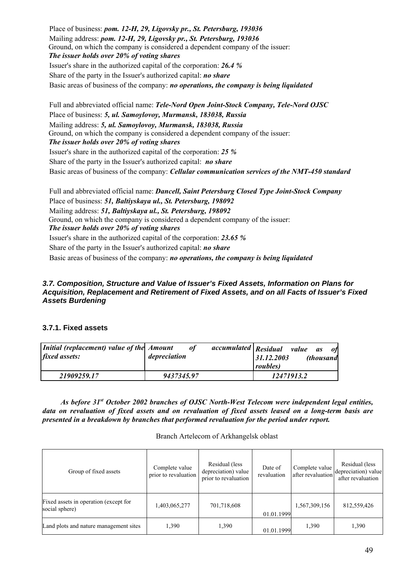Place of business: *pom. 12-H, 29, Ligovsky pr., St. Petersburg, 193036* Mailing address: *pom. 12-H, 29, Ligovsky pr., St. Petersburg, 193036* Ground, on which the company is considered a dependent company of the issuer: *The issuer holds over 20% of voting shares*  Issuer's share in the authorized capital of the corporation: *26.4 %* Share of the party in the Issuer's authorized capital: *no share* Basic areas of business of the company: *no operations, the company is being liquidated* 

Full and abbreviated official name: *Tele-Nord Open Joint-Stock Company, Tele-Nord OJSC* Place of business: *5, ul. Samoylovoy, Murmansk, 183038, Russia*  Mailing address: *5, ul. Samoylovoy, Murmansk, 183038, Russia* Ground, on which the company is considered a dependent company of the issuer: *The issuer holds over 20% of voting shares*  Issuer's share in the authorized capital of the corporation: *25 %* Share of the party in the Issuer's authorized capital: *no share* Basic areas of business of the company: *Cellular communication services of the NMT-450 standard*

Full and abbreviated official name: *Dancell, Saint Petersburg Closed Type Joint-Stock Company* Place of business: *51, Baltiyskaya ul., St. Petersburg, 198092* Mailing address: *51, Baltiyskaya ul., St. Petersburg, 198092* Ground, on which the company is considered a dependent company of the issuer: *The issuer holds over 20% of voting shares*  Issuer's share in the authorized capital of the corporation: *23.65 %* Share of the party in the Issuer's authorized capital: *no share* Basic areas of business of the company: *no operations, the company is being liquidated* 

# *3.7. Composition, Structure and Value of Issuer's Fixed Assets, Information on Plans for Acquisition, Replacement and Retirement of Fixed Assets, and on all Facts of Issuer's Fixed Assets Burdening*

# **3.7.1. Fixed assets**

| Initial (replacement) value of the Amount<br><i>fixed assets:</i> | depreciation | <i>of</i> | accumulated   Residual | 31.12.2003<br><i>roubles</i> ) | value as   | (thousand | – of |
|-------------------------------------------------------------------|--------------|-----------|------------------------|--------------------------------|------------|-----------|------|
| 21909259.17                                                       | 9437345.97   |           |                        |                                | 12471913.2 |           |      |

*As before 31st October 2002 branches of OJSC North-West Telecom were independent legal entities, data on revaluation of fixed assets and on revaluation of fixed assets leased on a long-term basis are presented in a breakdown by branches that performed revaluation for the period under report.* 

#### Branch Artelecom of Arkhangelsk oblast

| Group of fixed assets                                   | Complete value<br>prior to revaluation | Residual (less<br>depreciation) value<br>prior to revaluation | Date of<br>revaluation | Complete value<br>after revaluation | Residual (less<br>depreciation) value<br>after revaluation |
|---------------------------------------------------------|----------------------------------------|---------------------------------------------------------------|------------------------|-------------------------------------|------------------------------------------------------------|
| Fixed assets in operation (except for<br>social sphere) | 1,403,065,277                          | 701,718,608                                                   | 01.01.1999             | 1,567,309,156                       | 812,559,426                                                |
| Land plots and nature management sites                  | 1,390                                  | 1,390                                                         | 01.01.1999             | 1,390                               | 1,390                                                      |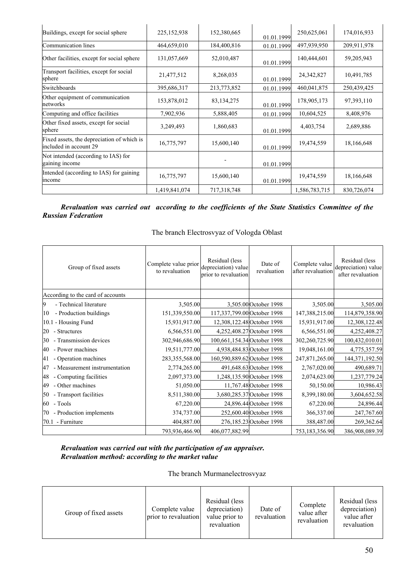| Buildings, except for social sphere                                  | 225, 152, 938 | 152,380,665  | 01.01.1999 | 250,625,061   | 174,016,933  |
|----------------------------------------------------------------------|---------------|--------------|------------|---------------|--------------|
| Communication lines                                                  | 464,659,010   | 184,400,816  | 01.01.1999 | 497,939,950   | 209,911,978  |
| Other facilities, except for social sphere                           | 131,057,669   | 52,010,487   | 01.01.1999 | 140,444,601   | 59,205,943   |
| Transport facilities, except for social<br>sphere                    | 21,477,512    | 8,268,035    | 01.01.1999 | 24, 342, 827  | 10,491,785   |
| Switchboards                                                         | 395,686,317   | 213,773,852  | 01.01.1999 | 460,041,875   | 250,439,425  |
| Other equipment of communication<br>networks                         | 153,878,012   | 83, 134, 275 | 01.01.1999 | 178,905,173   | 97, 393, 110 |
| Computing and office facilities                                      | 7,902,936     | 5,888,405    | 01.01.1999 | 10,604,525    | 8,408,976    |
| Other fixed assets, except for social<br>sphere                      | 3,249,493     | 1,860,683    | 01.01.1999 | 4,403,754     | 2,689,886    |
| Fixed assets, the depreciation of which is<br>included in account 29 | 16,775,797    | 15,600,140   | 01.01.1999 | 19,474,559    | 18,166,648   |
| Not intended (according to IAS) for<br>gaining income                |               |              | 01.01.1999 |               |              |
| Intended (according to IAS) for gaining<br>income                    | 16,775,797    | 15,600,140   | 01.01.1999 | 19,474,559    | 18,166,648   |
|                                                                      | 1,419,841,074 | 717,318,748  |            | 1,586,783,715 | 830,726,074  |

*Revaluation was carried out according to the coefficients of the State Statistics Committee of the Russian Federation* 

The branch Electrosvyaz of Vologda Oblast

| Group of fixed assets               | Complete value prior<br>to revaluation | Residual (less<br>depreciation) value<br>prior to revaluation | Date of<br>revaluation    | after revaluation | Residual (less<br>Complete value depreciation) value<br>after revaluation |
|-------------------------------------|----------------------------------------|---------------------------------------------------------------|---------------------------|-------------------|---------------------------------------------------------------------------|
| According to the card of accounts   |                                        |                                                               |                           |                   |                                                                           |
| 9<br>- Technical literature         | 3,505.00                               |                                                               | 3,505.00 October 1998     | 3,505.00          | 3,505.00                                                                  |
| - Production buildings<br>10        | 151,339,550.00                         | 117,337,799.00 October 1998                                   |                           | 147,388,215.00    | 114,879,358.90                                                            |
| 10.1 - Housing Fund                 | 15,931,917.00                          | 12,308,122.48 October 1998                                    |                           | 15,931,917.00     | 12,308,122.48                                                             |
| - Structures<br>20                  | 6,566,551.00                           |                                                               | 4,252,408.27 October 1998 | 6,566,551.00      | 4,252,408.27                                                              |
| - Transmission devices<br>30        | 302,946,686.90                         | 100,661,154.34 October 1998                                   |                           | 302,260,725.90    | 100,432,010.01                                                            |
| - Power machines<br>40              | 19,511,777.00                          |                                                               | 4,938,484.83 October 1998 | 19,048,161.00     | 4,775,357.59                                                              |
| - Operation machines<br>41          | 283,355,568.00                         | 160,590,889.62 October 1998                                   |                           | 247,871,265.00    | 144,371,192.50                                                            |
| - Measurement instrumentation<br>47 | 2,774,265.00                           |                                                               | 491,648.63 October 1998   | 2,767,020.00      | 490,689.71                                                                |
| - Computing facilities<br>48        | 2,097,373.00                           |                                                               | 1,248,135.90 October 1998 | 2,074,623.00      | 1,237,779.24                                                              |
| - Other machines<br>49              | 51,050.00                              |                                                               | 11,767.48 October 1998    | 50,150.00         | 10,986.43                                                                 |
| - Transport facilities<br>50        | 8,511,380.00                           |                                                               | 3,680,285.37 October 1998 | 8,399,180.00      | 3,604,652.58                                                              |
| 60 - Tools                          | 67,220.00                              |                                                               | 24,896.44 October 1998    | 67,220.00         | 24,896.44                                                                 |
| 70 - Production implements          | 374,737.00                             |                                                               | 252,600.40 October 1998   | 366,337.00        | 247,767.60                                                                |
| 70.1 - Furniture                    | 404,887.00                             |                                                               | 276,185.23 October 1998   | 388,487.00        | 269,362.64                                                                |
|                                     | 793,936,466.90                         | 406,077,882.99                                                |                           | 753,183,356.90    | 386,908,089.39                                                            |

*Revaluation was carried out with the participation of an appraiser. Revaluation method: according to the market value* 

### The branch Murmanelectrosvyaz

| Group of fixed assets | Complete value<br>prior to revaluation | Residual (less<br>depreciation)<br>value prior to<br>revaluation | Date of<br>revaluation | Complete<br>value after<br>revaluation | Residual (less<br>depreciation)<br>value after<br>revaluation |
|-----------------------|----------------------------------------|------------------------------------------------------------------|------------------------|----------------------------------------|---------------------------------------------------------------|
|-----------------------|----------------------------------------|------------------------------------------------------------------|------------------------|----------------------------------------|---------------------------------------------------------------|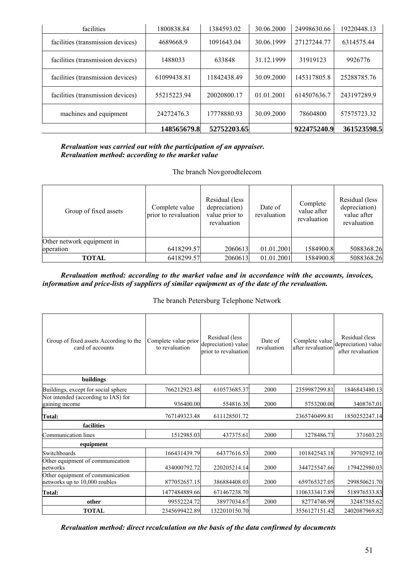| facilities                        | 1800838.84  | 1384593.02  | 30.06.2000 | 24998630.66 | 19220448.13 |
|-----------------------------------|-------------|-------------|------------|-------------|-------------|
| facilities (transmission devices) | 4689668.9   | 1091643.04  | 30.06.1999 | 27127244.77 | 6314575.44  |
| facilities (transmission devices) | 1488033     | 633848      | 31.12.1999 | 31919123    | 9926776     |
| facilities (transmission devices) | 61099438.81 | 11842438.49 | 30.09.2000 | 145317805.8 | 25288785.76 |
| facilities (transmission devices) | 55215223.94 | 20020800.17 | 01.01.2001 | 614507636.7 | 243197289.9 |
| machines and equipment            | 24272476.3  | 17778880.93 | 30.09.2000 | 78604800    | 57575723.32 |
|                                   | 148565679.8 | 52752203.65 |            | 922475240.9 | 361523598.5 |

*Revaluation was carried out with the participation of an appraiser. Revaluation method: according to the market value* 

# The branch Novgorodtelecom

| Group of fixed assets      | Complete value<br>prior to revaluation | Residual (less<br>depreciation)<br>value prior to<br>revaluation | Date of<br>revaluation | Complete<br>value after<br>revaluation | Residual (less<br>depreciation)<br>value after<br>revaluation |
|----------------------------|----------------------------------------|------------------------------------------------------------------|------------------------|----------------------------------------|---------------------------------------------------------------|
| Other network equipment in |                                        |                                                                  |                        |                                        |                                                               |
| operation                  | 6418299.57                             | 2060613                                                          | 01.01.2001             | 1584900.8                              | 5088368.26                                                    |
| <b>TOTAL</b>               | 6418299.57                             | 2060613                                                          | 01.01.2001             | 1584900.8                              | 5088368.26                                                    |

*Revaluation method: according to the market value and in accordance with the accounts, invoices, information and price-lists of suppliers of similar equipment as of the date of the revaluation.* 

### The branch Petersburg Telephone Network

| to revaluation | Residual (less<br>depreciation) value | Date of<br>revaluation                                                                                                                                                           | Complete value<br>after revaluation                                                               | Residual (less<br>depreciation) value<br>after revaluation |
|----------------|---------------------------------------|----------------------------------------------------------------------------------------------------------------------------------------------------------------------------------|---------------------------------------------------------------------------------------------------|------------------------------------------------------------|
|                |                                       |                                                                                                                                                                                  |                                                                                                   |                                                            |
|                | 610573685.37                          | 2000                                                                                                                                                                             | 2359987299.81                                                                                     | 1846843480.13                                              |
|                |                                       | 2000                                                                                                                                                                             | 5753200.00                                                                                        | 3408767.01                                                 |
|                |                                       |                                                                                                                                                                                  | 2365740499.81                                                                                     | 1850252247.14                                              |
|                |                                       |                                                                                                                                                                                  |                                                                                                   |                                                            |
|                | 437375.61                             | 2000                                                                                                                                                                             | 1278486.73                                                                                        | 371603.23                                                  |
|                |                                       |                                                                                                                                                                                  |                                                                                                   |                                                            |
|                |                                       | 2000                                                                                                                                                                             | 101842543.18                                                                                      | 39702932.10                                                |
|                | 220205214.14                          | 2000                                                                                                                                                                             | 344725547.66                                                                                      | 179422980.03                                               |
|                | 386884408.03                          | 2000                                                                                                                                                                             | 659765327.05                                                                                      | 299850621.70                                               |
|                |                                       |                                                                                                                                                                                  | 1106333417.89                                                                                     | 518976533.83                                               |
|                | 38977034.67                           | 2000                                                                                                                                                                             | 82774746.99                                                                                       | 32487585.62                                                |
|                |                                       |                                                                                                                                                                                  | 3556127151.42                                                                                     | 2402087969.82                                              |
|                |                                       | Complete value prior<br>766212923.48<br>936400.00<br>767149323.48<br>1512985.03<br>166431439.79<br>434000792.72<br>877052657.15<br>1477484889.66<br>99552224.72<br>2345699422.89 | prior to revaluation<br>554816.35<br>611128501.72<br>64377616.53<br>671467238.70<br>1322010150.70 |                                                            |

*Revaluation method: direct recalculation on the basis of the data confirmed by documents*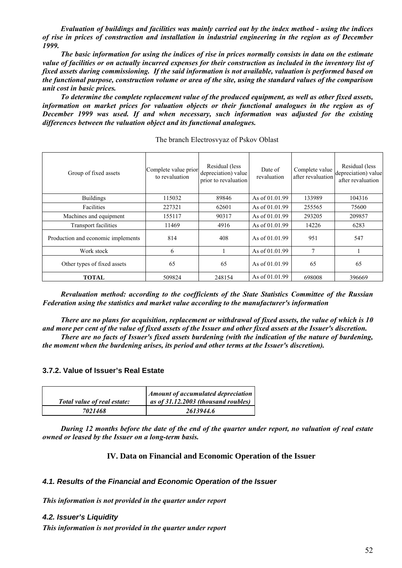*Evaluation of buildings and facilities was mainly carried out by the index method - using the indices of rise in prices of construction and installation in industrial engineering in the region as of December 1999.* 

*The basic information for using the indices of rise in prices normally consists in data on the estimate value of facilities or on actually incurred expenses for their construction as included in the inventory list of fixed assets during commissioning. If the said information is not available, valuation is performed based on the functional purpose, construction volume or area of the site, using the standard values of the comparison unit cost in basic prices.* 

*To determine the complete replacement value of the produced equipment, as well as other fixed assets, information on market prices for valuation objects or their functional analogues in the region as of December 1999 was used. If and when necessary, such information was adjusted for the existing differences between the valuation object and its functional analogues.*

| Group of fixed assets              | Complete value prior<br>to revaluation | Residual (less<br>depreciation) value<br>prior to revaluation | Date of<br>revaluation | Complete value<br>after revaluation | Residual (less<br>depreciation) value<br>after revaluation |
|------------------------------------|----------------------------------------|---------------------------------------------------------------|------------------------|-------------------------------------|------------------------------------------------------------|
| <b>Buildings</b>                   | 115032                                 | 89846                                                         | As of 01.01.99         | 133989                              | 104316                                                     |
| Facilities                         | 227321                                 | 62601                                                         | As of 01.01.99         | 255565                              | 75600                                                      |
| Machines and equipment             | 155117                                 | 90317                                                         | As of 01.01.99         | 293205                              | 209857                                                     |
| <b>Transport facilities</b>        | 11469                                  | 4916                                                          | As of 01.01.99         | 14226                               | 6283                                                       |
| Production and economic implements | 814                                    | 408                                                           | As of 01.01.99         | 951                                 | 547                                                        |
| Work stock                         | 6                                      |                                                               | As of 01.01.99         | $\overline{ }$                      |                                                            |
| Other types of fixed assets        | 65                                     | 65                                                            | As of 01.01.99         | 65                                  | 65                                                         |
| <b>TOTAL</b>                       | 509824                                 | 248154                                                        | As of 01.01.99         | 698008                              | 396669                                                     |

The branch Electrosvyaz of Pskov Oblast

*Revaluation method: according to the coefficients of the State Statistics Committee of the Russian Federation using the statistics and market value according to the manufacturer's information* 

*There are no plans for acquisition, replacement or withdrawal of fixed assets, the value of which is 10 and more per cent of the value of fixed assets of the Issuer and other fixed assets at the Issuer's discretion. There are no facts of Issuer's fixed assets burdening (with the indication of the nature of burdening, the moment when the burdening arises, its period and other terms at the Issuer's discretion).* 

# **3.7.2. Value of Issuer's Real Estate**

| Total value of real estate: | Amount of accumulated depreciation<br>as of 31.12.2003 (thousand roubles) |
|-----------------------------|---------------------------------------------------------------------------|
| 7021468                     | 2613944.6                                                                 |

*During 12 months before the date of the end of the quarter under report, no valuation of real estate owned or leased by the Issuer on a long-term basis.* 

# **IV. Data on Financial and Economic Operation of the Issuer**

#### *4.1. Results of the Financial and Economic Operation of the Issuer*

*This information is not provided in the quarter under report*

#### *4.2. Issuer's Liquidity*

*This information is not provided in the quarter under report*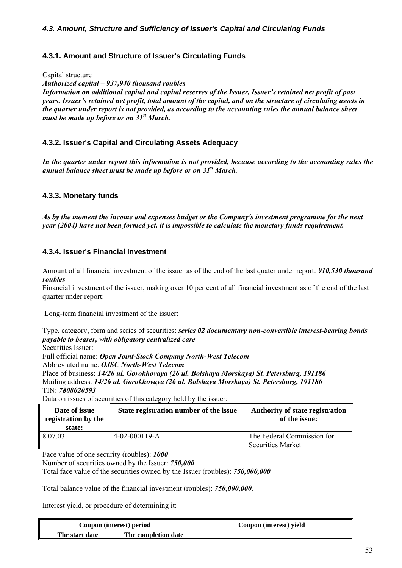# *4.3. Amount, Structure and Sufficiency of Issuer's Capital and Circulating Funds*

# **4.3.1. Amount and Structure of Issuer's Circulating Funds**

Capital structure

*Authorized capital – 937,940 thousand roubles Information on additional capital and capital reserves of the Issuer, Issuer's retained net profit of past years, Issuer's retained net profit, total amount of the capital, and on the structure of circulating assets in the quarter under report is not provided, as according to the accounting rules the annual balance sheet must be made up before or on 31st March.* 

### **4.3.2. Issuer's Capital and Circulating Assets Adequacy**

*In the quarter under report this information is not provided, because according to the accounting rules the annual balance sheet must be made up before or on 31st March.* 

### **4.3.3. Monetary funds**

*As by the moment the income and expenses budget or the Company's investment programme for the next year (2004) have not been formed yet, it is impossible to calculate the monetary funds requirement.* 

### **4.3.4. Issuer's Financial Investment**

Amount of all financial investment of the issuer as of the end of the last quater under report: *910,530 thousand roubles*

Financial investment of the issuer, making over 10 per cent of all financial investment as of the end of the last quarter under report:

Long-term financial investment of the issuer:

Type, category, form and series of securities: *series 02 documentary non-convertible interest-bearing bonds payable to bearer, with obligatory centralized care*

Securities Issuer:

Full official name: *Open Joint-Stock Company North-West Telecom* Abbreviated name: *OJSC North-West Telecom*

Place of business: *14/26 ul. Gorokhovaya (26 ul. Bolshaya Morskaya) St. Petersburg, 191186* Mailing address: *14/26 ul. Gorokhovaya (26 ul. Bolshaya Morskaya) St. Petersburg, 191186* TIN: *7808020593*

Data on issues of securities of this category held by the issuer:

| Date of issue<br>registration by the<br>state: | State registration number of the issue | <b>Authority of state registration</b><br>of the issue: |
|------------------------------------------------|----------------------------------------|---------------------------------------------------------|
| 8.07.03                                        | $4-02-000119-A$                        | The Federal Commission for<br><b>Securities Market</b>  |

Face value of one security (roubles): *1000*

Number of securities owned by the Issuer: *750,000* 

Total face value of the securities owned by the Issuer (roubles): *750,000,000*

Total balance value of the financial investment (roubles): *750,000,000.*

Interest yield, or procedure of determining it:

| Coupon (interest) period |                     | Coupon (interest) vield |
|--------------------------|---------------------|-------------------------|
| The start date           | The completion date |                         |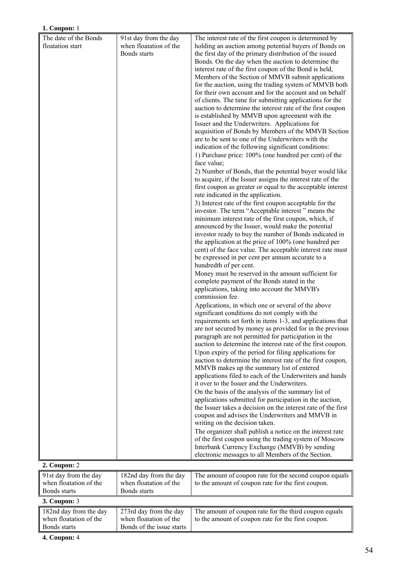| <b>1. Coupon:</b> 1 |  |
|---------------------|--|
|---------------------|--|

| The date of the Bonds<br>floatation start | 91st day from the day<br>when floatation of the<br>Bonds starts | The interest rate of the first coupon is determined by<br>holding an auction among potential buyers of Bonds on<br>the first day of the primary distribution of the issued<br>Bonds. On the day when the auction to determine the<br>interest rate of the first coupon of the Bond is held,<br>Members of the Section of MMVB submit applications<br>for the auction, using the trading system of MMVB both<br>for their own account and for the account and on behalf<br>of clients. The time for submitting applications for the<br>auction to determine the interest rate of the first coupon<br>is established by MMVB upon agreement with the<br>Issuer and the Underwriters. Applications for<br>acquisition of Bonds by Members of the MMVB Section<br>are to be sent to one of the Underwriters with the<br>indication of the following significant conditions:<br>1) Purchase price: 100% (one hundred per cent) of the<br>face value;<br>2) Number of Bonds, that the potential buyer would like<br>to acquire, if the Issuer assigns the interest rate of the<br>first coupon as greater or equal to the acceptable interest<br>rate indicated in the application.<br>3) Interest rate of the first coupon acceptable for the<br>investor. The term "Acceptable interest" means the<br>minimum interest rate of the first coupon, which, if<br>announced by the Issuer, would make the potential<br>investor ready to buy the number of Bonds indicated in<br>the application at the price of 100% (one hundred per<br>cent) of the face value. The acceptable interest rate must<br>be expressed in per cent per annum accurate to a<br>hundredth of per cent.<br>Money must be reserved in the amount sufficient for<br>complete payment of the Bonds stated in the<br>applications, taking into account the MMVB's<br>commission fee.<br>Applications, in which one or several of the above<br>significant conditions do not comply with the<br>requirements set forth in items 1-3, and applications that<br>are not secured by money as provided for in the previous<br>paragraph are not permitted for participation in the<br>auction to determine the interest rate of the first coupon.<br>Upon expiry of the period for filing applications for<br>auction to determine the interest rate of the first coupon,<br>MMVB makes up the summary list of entered<br>applications filed to each of the Underwriters and hands<br>it over to the Issuer and the Underwriters.<br>On the basis of the analysis of the summary list of<br>applications submitted for participation in the auction,<br>the Issuer takes a decision on the interest rate of the first<br>coupon and advises the Underwriters and MMVB in<br>writing on the decision taken.<br>The organizer shall publish a notice on the interest rate<br>of the first coupon using the trading system of Moscow<br>Interbank Currency Exchange (MMVB) by sending<br>electronic messages to all Members of the Section. |
|-------------------------------------------|-----------------------------------------------------------------|----------------------------------------------------------------------------------------------------------------------------------------------------------------------------------------------------------------------------------------------------------------------------------------------------------------------------------------------------------------------------------------------------------------------------------------------------------------------------------------------------------------------------------------------------------------------------------------------------------------------------------------------------------------------------------------------------------------------------------------------------------------------------------------------------------------------------------------------------------------------------------------------------------------------------------------------------------------------------------------------------------------------------------------------------------------------------------------------------------------------------------------------------------------------------------------------------------------------------------------------------------------------------------------------------------------------------------------------------------------------------------------------------------------------------------------------------------------------------------------------------------------------------------------------------------------------------------------------------------------------------------------------------------------------------------------------------------------------------------------------------------------------------------------------------------------------------------------------------------------------------------------------------------------------------------------------------------------------------------------------------------------------------------------------------------------------------------------------------------------------------------------------------------------------------------------------------------------------------------------------------------------------------------------------------------------------------------------------------------------------------------------------------------------------------------------------------------------------------------------------------------------------------------------------------------------------------------------------------------------------------------------------------------------------------------------------------------------------------------------------------------------------------------------------------------------------------------------------------------------------------------------------------------------------------------------------------------------------------------------------------|
| 2. Coupon: 2                              |                                                                 |                                                                                                                                                                                                                                                                                                                                                                                                                                                                                                                                                                                                                                                                                                                                                                                                                                                                                                                                                                                                                                                                                                                                                                                                                                                                                                                                                                                                                                                                                                                                                                                                                                                                                                                                                                                                                                                                                                                                                                                                                                                                                                                                                                                                                                                                                                                                                                                                                                                                                                                                                                                                                                                                                                                                                                                                                                                                                                                                                                                                    |
| 91st day from the day                     | 182nd day from the day                                          |                                                                                                                                                                                                                                                                                                                                                                                                                                                                                                                                                                                                                                                                                                                                                                                                                                                                                                                                                                                                                                                                                                                                                                                                                                                                                                                                                                                                                                                                                                                                                                                                                                                                                                                                                                                                                                                                                                                                                                                                                                                                                                                                                                                                                                                                                                                                                                                                                                                                                                                                                                                                                                                                                                                                                                                                                                                                                                                                                                                                    |
| when floatation of the<br>Bonds starts    | when floatation of the<br>Bonds starts                          | The amount of coupon rate for the second coupon equals<br>to the amount of coupon rate for the first coupon.                                                                                                                                                                                                                                                                                                                                                                                                                                                                                                                                                                                                                                                                                                                                                                                                                                                                                                                                                                                                                                                                                                                                                                                                                                                                                                                                                                                                                                                                                                                                                                                                                                                                                                                                                                                                                                                                                                                                                                                                                                                                                                                                                                                                                                                                                                                                                                                                                                                                                                                                                                                                                                                                                                                                                                                                                                                                                       |
| 3. Coupon: 3                              |                                                                 |                                                                                                                                                                                                                                                                                                                                                                                                                                                                                                                                                                                                                                                                                                                                                                                                                                                                                                                                                                                                                                                                                                                                                                                                                                                                                                                                                                                                                                                                                                                                                                                                                                                                                                                                                                                                                                                                                                                                                                                                                                                                                                                                                                                                                                                                                                                                                                                                                                                                                                                                                                                                                                                                                                                                                                                                                                                                                                                                                                                                    |
| 182nd day from the day                    | 273rd day from the day                                          | The amount of coupon rate for the third coupon equals                                                                                                                                                                                                                                                                                                                                                                                                                                                                                                                                                                                                                                                                                                                                                                                                                                                                                                                                                                                                                                                                                                                                                                                                                                                                                                                                                                                                                                                                                                                                                                                                                                                                                                                                                                                                                                                                                                                                                                                                                                                                                                                                                                                                                                                                                                                                                                                                                                                                                                                                                                                                                                                                                                                                                                                                                                                                                                                                              |
| when floatation of the<br>Bonds starts    | when floatation of the<br>Bonds of the issue starts             | to the amount of coupon rate for the first coupon.                                                                                                                                                                                                                                                                                                                                                                                                                                                                                                                                                                                                                                                                                                                                                                                                                                                                                                                                                                                                                                                                                                                                                                                                                                                                                                                                                                                                                                                                                                                                                                                                                                                                                                                                                                                                                                                                                                                                                                                                                                                                                                                                                                                                                                                                                                                                                                                                                                                                                                                                                                                                                                                                                                                                                                                                                                                                                                                                                 |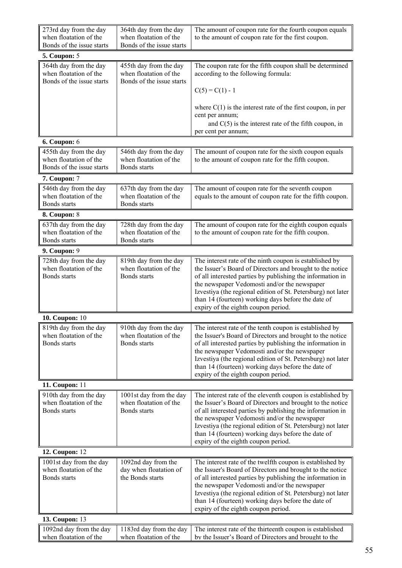| 273rd day from the day<br>when floatation of the<br>Bonds of the issue starts | 364th day from the day<br>when floatation of the<br>Bonds of the issue starts | The amount of coupon rate for the fourth coupon equals<br>to the amount of coupon rate for the first coupon.                                                                                                                                                                                                                                                                                       |  |  |
|-------------------------------------------------------------------------------|-------------------------------------------------------------------------------|----------------------------------------------------------------------------------------------------------------------------------------------------------------------------------------------------------------------------------------------------------------------------------------------------------------------------------------------------------------------------------------------------|--|--|
| <b>5. Coupon: 5</b>                                                           |                                                                               |                                                                                                                                                                                                                                                                                                                                                                                                    |  |  |
| 364th day from the day<br>when floatation of the<br>Bonds of the issue starts | 455th day from the day<br>when floatation of the<br>Bonds of the issue starts | The coupon rate for the fifth coupon shall be determined<br>according to the following formula:<br>$C(5) = C(1) - 1$                                                                                                                                                                                                                                                                               |  |  |
|                                                                               |                                                                               | where $C(1)$ is the interest rate of the first coupon, in per<br>cent per annum;<br>and $C(5)$ is the interest rate of the fifth coupon, in<br>per cent per annum;                                                                                                                                                                                                                                 |  |  |
| <b>6. Coupon: 6</b>                                                           |                                                                               |                                                                                                                                                                                                                                                                                                                                                                                                    |  |  |
| 455th day from the day<br>when floatation of the<br>Bonds of the issue starts | 546th day from the day<br>when floatation of the<br>Bonds starts              | The amount of coupon rate for the sixth coupon equals<br>to the amount of coupon rate for the fifth coupon.                                                                                                                                                                                                                                                                                        |  |  |
| <b>7. Coupon: 7</b>                                                           |                                                                               |                                                                                                                                                                                                                                                                                                                                                                                                    |  |  |
| 546th day from the day<br>when floatation of the<br>Bonds starts              | 637th day from the day<br>when floatation of the<br>Bonds starts              | The amount of coupon rate for the seventh coupon<br>equals to the amount of coupon rate for the fifth coupon.                                                                                                                                                                                                                                                                                      |  |  |
| <b>8. Coupon: 8</b>                                                           |                                                                               |                                                                                                                                                                                                                                                                                                                                                                                                    |  |  |
| 637th day from the day<br>when floatation of the<br>Bonds starts              | 728th day from the day<br>when floatation of the<br>Bonds starts              | The amount of coupon rate for the eighth coupon equals<br>to the amount of coupon rate for the fifth coupon.                                                                                                                                                                                                                                                                                       |  |  |
| 9. Coupon: 9                                                                  |                                                                               |                                                                                                                                                                                                                                                                                                                                                                                                    |  |  |
| 728th day from the day<br>when floatation of the<br>Bonds starts              | 819th day from the day<br>when floatation of the<br>Bonds starts              | The interest rate of the ninth coupon is established by<br>the Issuer's Board of Directors and brought to the notice<br>of all interested parties by publishing the information in<br>the newspaper Vedomosti and/or the newspaper<br>Izvestiya (the regional edition of St. Petersburg) not later<br>than 14 (fourteen) working days before the date of<br>expiry of the eighth coupon period.    |  |  |
| <b>10. Coupon: 10</b>                                                         |                                                                               |                                                                                                                                                                                                                                                                                                                                                                                                    |  |  |
| 819th day from the day<br>when floatation of the<br>Bonds starts              | 910th day from the day<br>when floatation of the<br>Bonds starts              | The interest rate of the tenth coupon is established by<br>the Issuer's Board of Directors and brought to the notice<br>of all interested parties by publishing the information in<br>the newspaper Vedomosti and/or the newspaper<br>Izvestiya (the regional edition of St. Petersburg) not later<br>than 14 (fourteen) working days before the date of<br>expiry of the eighth coupon period.    |  |  |
| 11. Coupon: 11                                                                |                                                                               |                                                                                                                                                                                                                                                                                                                                                                                                    |  |  |
| 910th day from the day<br>when floatation of the<br>Bonds starts              | 1001st day from the day<br>when floatation of the<br>Bonds starts             | The interest rate of the eleventh coupon is established by<br>the Issuer's Board of Directors and brought to the notice<br>of all interested parties by publishing the information in<br>the newspaper Vedomosti and/or the newspaper<br>Izvestiya (the regional edition of St. Petersburg) not later<br>than 14 (fourteen) working days before the date of<br>expiry of the eighth coupon period. |  |  |
| 12. Coupon: 12                                                                |                                                                               |                                                                                                                                                                                                                                                                                                                                                                                                    |  |  |
| 1001st day from the day<br>when floatation of the<br><b>Bonds</b> starts      | 1092nd day from the<br>day when floatation of<br>the Bonds starts             | The interest rate of the twelfth coupon is established by<br>the Issuer's Board of Directors and brought to the notice<br>of all interested parties by publishing the information in<br>the newspaper Vedomosti and/or the newspaper<br>Izvestiya (the regional edition of St. Petersburg) not later<br>than 14 (fourteen) working days before the date of<br>expiry of the eighth coupon period.  |  |  |
| <b>13. Coupon: 13</b>                                                         |                                                                               |                                                                                                                                                                                                                                                                                                                                                                                                    |  |  |
| 1092nd day from the day<br>when floatation of the                             | 1183rd day from the day<br>when floatation of the                             | The interest rate of the thirteenth coupon is established<br>by the Issuer's Board of Directors and brought to the                                                                                                                                                                                                                                                                                 |  |  |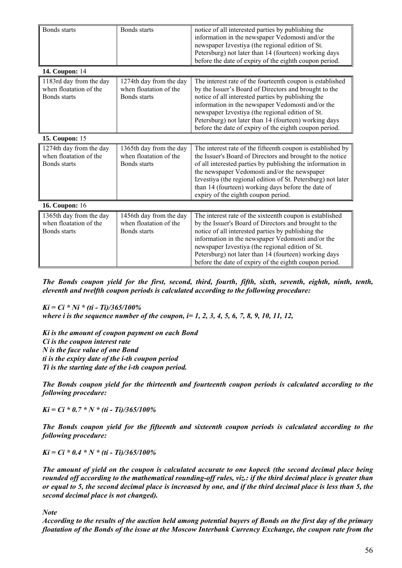| <b>Bonds</b> starts                                                      | <b>Bonds</b> starts                                                      | notice of all interested parties by publishing the<br>information in the newspaper Vedomosti and/or the<br>newspaper Izvestiya (the regional edition of St.<br>Petersburg) not later than 14 (fourteen) working days<br>before the date of expiry of the eighth coupon period.                                                                                                                       |  |  |  |  |
|--------------------------------------------------------------------------|--------------------------------------------------------------------------|------------------------------------------------------------------------------------------------------------------------------------------------------------------------------------------------------------------------------------------------------------------------------------------------------------------------------------------------------------------------------------------------------|--|--|--|--|
|                                                                          | 14. Coupon: 14                                                           |                                                                                                                                                                                                                                                                                                                                                                                                      |  |  |  |  |
| 1183rd day from the day<br>when floatation of the<br><b>Bonds</b> starts | 1274th day from the day<br>when floatation of the<br><b>Bonds</b> starts | The interest rate of the fourteenth coupon is established<br>by the Issuer's Board of Directors and brought to the<br>notice of all interested parties by publishing the<br>information in the newspaper Vedomosti and/or the<br>newspaper Izvestiya (the regional edition of St.<br>Petersburg) not later than 14 (fourteen) working days<br>before the date of expiry of the eighth coupon period. |  |  |  |  |
| 15. Coupon: 15                                                           |                                                                          |                                                                                                                                                                                                                                                                                                                                                                                                      |  |  |  |  |
| 1274th day from the day<br>when floatation of the<br>Bonds starts        | 1365th day from the day<br>when floatation of the<br>Bonds starts        | The interest rate of the fifteenth coupon is established by<br>the Issuer's Board of Directors and brought to the notice<br>of all interested parties by publishing the information in<br>the newspaper Vedomosti and/or the newspaper<br>Izvestiya (the regional edition of St. Petersburg) not later<br>than 14 (fourteen) working days before the date of<br>expiry of the eighth coupon period.  |  |  |  |  |
| 16. Coupon: 16                                                           |                                                                          |                                                                                                                                                                                                                                                                                                                                                                                                      |  |  |  |  |
| 1365th day from the day<br>when floatation of the<br>Bonds starts        | 1456th day from the day<br>when floatation of the<br><b>Bonds</b> starts | The interest rate of the sixteenth coupon is established<br>by the Issuer's Board of Directors and brought to the<br>notice of all interested parties by publishing the<br>information in the newspaper Vedomosti and/or the<br>newspaper Izvestiya (the regional edition of St.<br>Petersburg) not later than 14 (fourteen) working days<br>before the date of expiry of the eighth coupon period.  |  |  |  |  |

*The Bonds coupon yield for the first, second, third, fourth, fifth, sixth, seventh, eighth, ninth, tenth, eleventh and twelfth coupon periods is calculated according to the following procedure:* 

*Ki = Ci \* Ni \* (ti - Ti)/365/100% where i is the sequence number of the coupon, i= 1, 2, 3, 4, 5, 6, 7, 8, 9, 10, 11, 12,* 

*Ki is the amount of coupon payment on each Bond Ci is the coupon interest rate N is the face value of one Bond ti is the expiry date of the i-th coupon period Ti is the starting date of the i-th coupon period.* 

*The Bonds coupon yield for the thirteenth and fourteenth coupon periods is calculated according to the following procedure:* 

*Ki = Ci \* 0.7 \* N \* (ti - Ti)/365/100%* 

*The Bonds coupon yield for the fifteenth and sixteenth coupon periods is calculated according to the following procedure:* 

*Ki = Ci \* 0.4 \* N \* (ti - Ti)/365/100%* 

*The amount of yield on the coupon is calculated accurate to one kopeck (the second decimal place being rounded off according to the mathematical rounding-off rules, viz.: if the third decimal place is greater than or equal to 5, the second decimal place is increased by one, and if the third decimal place is less than 5, the second decimal place is not changed).*

*Note* 

*According to the results of the auction held among potential buyers of Bonds on the first day of the primary floatation of the Bonds of the issue at the Moscow Interbank Currency Exchange, the coupon rate from the*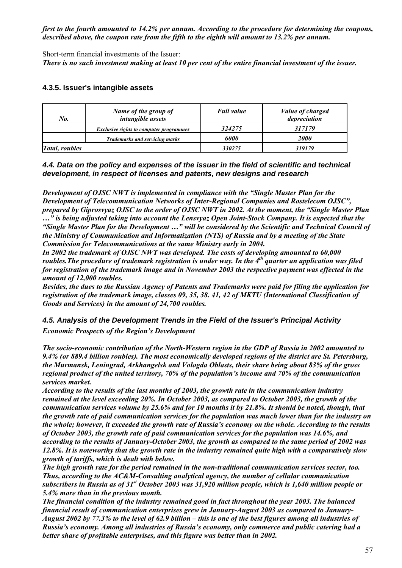*first to the fourth amounted to 14.2% per annum. According to the procedure for determining the coupons, described above, the coupon rate from the fifth to the eighth will amount to 13.2% per annum.*

Short-term financial investments of the Issuer:

*There is no such investment making at least 10 per cent of the entire financial investment of the issuer.* 

# **4.3.5. Issuer's intangible assets**

| No.                   | Name of the group of<br><i>intangible</i> assets | <b>Full</b> value | Value of charged<br>depreciation |
|-----------------------|--------------------------------------------------|-------------------|----------------------------------|
|                       | <b>Exclusive rights to computer programmes</b>   | 324275            | 317179                           |
|                       | <b>Trademarks and servicing marks</b>            | 6000              | <i>2000</i>                      |
| <b>Total, roubles</b> |                                                  | 330275            | 319179                           |

*4.4. Data on the policy and expenses of the issuer in the field of scientific and technical development, in respect of licenses and patents, new designs and research* 

*Development of OJSC NWT is implemented in compliance with the "Single Master Plan for the Development of Telecommunication Networks of Inter-Regional Companies and Rostelecom OJSC", prepared by Giprosvyaz OJSC to the order of OJSC NWT in 2002. At the moment, the "Single Master Plan …" is being adjusted taking into account the Lensvyaz Open Joint-Stock Company. It is expected that the "Single Master Plan for the Development …" will be considered by the Scientific and Technical Council of the Ministry of Communication and Informatization (NTS) of Russia and by a meeting of the State Commission for Telecommunications at the same Ministry early in 2004.* 

*In 2002 the trademark of OJSC NWT was developed. The costs of developing amounted to 60,000 roubles.The procedure of trademark registration is under way. In the 4th quarter an application was filed for registration of the trademark image and in November 2003 the respective payment was effected in the amount of 12,000 roubles.* 

*Besides, the dues to the Russian Agency of Patents and Trademarks were paid for filing the application for registration of the trademark image, classes 09, 35, 38. 41, 42 of MKTU (International Classification of Goods and Services) in the amount of 24,700 roubles.*

*4.5. Analysis of the Development Trends in the Field of the Issuer's Principal Activity Economic Prospects of the Region's Development* 

*The socio-economic contribution of the North-Western region in the GDP of Russia in 2002 amounted to 9.4% (or 889.4 billion roubles). The most economically developed regions of the district are St. Petersburg, the Murmansk, Leningrad, Arkhangelsk and Vologda Oblasts, their share being about 83% of the gross regional product of the united territory, 70% of the population's income and 70% of the communication services market.* 

*According to the results of the last months of 2003, the growth rate in the communication industry remained at the level exceeding 20%. In October 2003, as compared to October 2003, the growth of the communication services volume by 25.6% and for 10 months it by 21.8%. It should be noted, though, that the growth rate of paid communication services for the population was much lower than for the industry on the whole; however, it exceeded the growth rate of Russia's economy on the whole. According to the results of October 2003, the growth rate of paid communication services for the population was 14.6%, and according to the results of January-October 2003, the growth as compared to the same period of 2002 was 12.8%. It is noteworthy that the growth rate in the industry remained quite high with a comparatively slow growth of tariffs, which is dealt with below.*

*The high growth rate for the period remained in the non-traditional communication services sector, too. Thus, according to the AC&M-Consulting analytical agency, the number of cellular communication subscribers in Russia as of 31st October 2003 was 31,920 million people, which is 1,640 million people or 5.4% more than in the previous month.*

*The financial condition of the industry remained good in fact throughout the year 2003. The balanced financial result of communication enterprises grew in January-August 2003 as compared to January-August 2002 by 77.3% to the level of 62.9 billion – this is one of the best figures among all industries of Russia's economy. Among all industries of Russia's economy, only commerce and public catering had a better share of profitable enterprises, and this figure was better than in 2002.*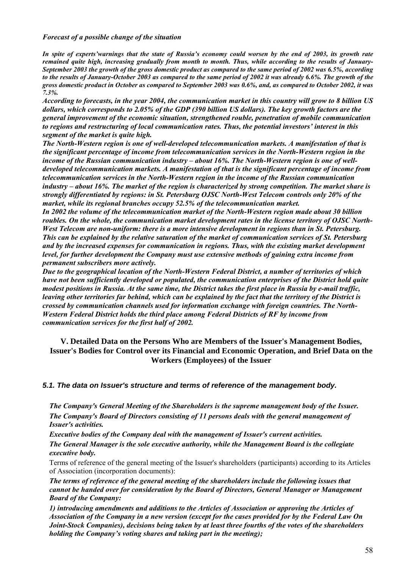*In spite of experts'warnings that the state of Russia's economy could worsen by the end of 2003, its growth rate remained quite high, increasing gradually from month to month. Thus, while according to the results of January-September 2003 the growth of the gross domestic product as compared to the same period of 2002 was 6.5%, according to the results of January-October 2003 as compared to the same period of 2002 it was already 6.6%. The growth of the gross domestic product in October as compared to September 2003 was 0.6%, and, as compared to October 2002, it was 7.3%.*

*According to forecasts, in the year 2004, the communication market in this country will grow to 8 billion US dollars, which corresponds to 2.05% of the GDP (390 billion US dollars). The key growth factors are the general improvement of the economic situation, strengthened rouble, penetration of mobile communication to regions and restructuring of local communication rates. Thus, the potential investors' interest in this segment of the market is quite high.*

*The North-Western region is one of well-developed telecommunication markets. A manifestation of that is the significant percentage of income from telecommunication services in the North-Western region in the income of the Russian communication industry – about 16%. The North-Western region is one of welldeveloped telecommunication markets. A manifestation of that is the significant percentage of income from telecommunication services in the North-Western region in the income of the Russian communication industry – about 16%. The market of the region is characterized by strong competition. The market share is strongly differentiated by regions: in St. Petersburg OJSC North-West Telecom controls only 20% of the market, while its regional branches occupy 52.5% of the telecommunication market.* 

*In 2002 the volume of the telecommunication market of the North-Western region made about 30 billion roubles. On the whole, the communication market development rates in the license territory of OJSC North-West Telecom are non-uniform: there is a more intensive development in regions than in St. Petersburg. This can be explained by the relative saturation of the market of communication services of St. Petersburg and by the increased expenses for communication in regions. Thus, with the existing market development level, for further development the Company must use extensive methods of gaining extra income from permanent subscribers more actively.* 

*Due to the geographical location of the North-Western Federal District, a number of territories of which have not been sufficiently developed or populated, the communication enterprises of the District hold quite modest positions in Russia. At the same time, the District takes the first place in Russia by e-mail traffic, leaving other territories far behind, which can be explained by the fact that the territory of the District is crossed by communication channels used for information exchange with foreign countries. The North-Western Federal District holds the third place among Federal Districts of RF by income from communication services for the first half of 2002.* 

# **V. Detailed Data on the Persons Who are Members of the Issuer's Management Bodies, Issuer's Bodies for Control over its Financial and Economic Operation, and Brief Data on the Workers (Employees) of the Issuer**

#### *5.1. The data on Issuer's structure and terms of reference of the management body.*

*The Company's General Meeting of the Shareholders is the supreme management body of the Issuer. The Company's Board of Directors consisting of 11 persons deals with the general management of Issuer's activities.* 

*Executive bodies of the Company deal with the management of Issuer's current activities. The General Manager is the sole executive authority, while the Management Board is the collegiate executive body.* 

Terms of reference of the general meeting of the Issuer's shareholders (participants) according to its Articles of Association (incorporation documents):

*The terms of reference of the general meeting of the shareholders include the following issues that cannot be handed over for consideration by the Board of Directors, General Manager or Management Board of the Company:* 

*1) introducing amendments and additions to the Articles of Association or approving the Articles of Association of the Company in a new version (except for the cases provided for by the Federal Law On Joint-Stock Companies), decisions being taken by at least three fourths of the votes of the shareholders holding the Company's voting shares and taking part in the meeting);*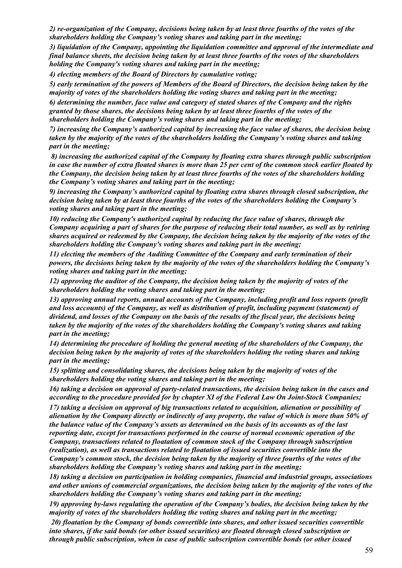*2) re-organization of the Company, decisions being taken by at least three fourths of the votes of the shareholders holding the Company's voting shares and taking part in the meeting;* 

*3) liquidation of the Company, appointing the liquidation committee and approval of the intermediate and final balance sheets, the decision being taken by at least three fourths of the votes of the shareholders holding the Company's voting shares and taking part in the meeting;* 

*4) electing members of the Board of Directors by cumulative voting;* 

*5) early termination of the powers of Members of the Board of Directors, the decision being taken by the majority of votes of the shareholders holding the voting shares and taking part in the meeting;* 

*6) determining the number, face value and category of stated shares of the Company and the rights granted by those shares, the decisions being taken by at least three fourths of the votes of the shareholders holding the Company's voting shares and taking part in the meeting;* 

*7) increasing the Company's authorized capital by increasing the face value of shares, the decision being taken by the majority of the votes of the shareholders holding the Company's voting shares and taking part in the meeting;* 

 *8) increasing the authorized capital of the Company by floating extra shares through public subscription in case the number of extra floated shares is more than 25 per cent of the common stock earlier floated by the Company, the decision being taken by at least three fourths of the votes of the shareholders holding the Company's voting shares and taking part in the meeting;* 

*9) increasing the Company's authorized capital by floating extra shares through closed subscription, the decision being taken by at least three fourths of the votes of the shareholders holding the Company's voting shares and taking part in the meeting;* 

*10) reducing the Company's authorized capital by reducing the face value of shares, through the Company acquiring a part of shares for the purpose of reducing their total number, as well as by retiring shares acquired or redeemed by the Company, the decision being taken by the majority of the votes of the shareholders holding the Company's voting shares and taking part in the meeting;* 

*11) electing the members of the Auditing Committee of the Company and early termination of their powers, the decisions being taken by the majority of the votes of the shareholders holding the Company's voting shares and taking part in the meeting;* 

*12) approving the auditor of the Company, the decision being taken by the majority of votes of the shareholders holding the voting shares and taking part in the meeting;* 

*13) approving annual reports, annual accounts of the Company, including profit and loss reports (profit and loss accounts) of the Company, as well as distribution of profit, including payment (statement) of dividend, and losses of the Company on the basis of the results of the fiscal year, the decisions being taken by the majority of the votes of the shareholders holding the Company's voting shares and taking part in the meeting;* 

*14) determining the procedure of holding the general meeting of the shareholders of the Company, the decision being taken by the majority of votes of the shareholders holding the voting shares and taking part in the meeting;* 

*15) splitting and consolidating shares, the decisions being taken by the majority of votes of the shareholders holding the voting shares and taking part in the meeting;* 

*16) taking a decision on approval of party-related transactions, the decision being taken in the cases and according to the procedure provided for by chapter XI of the Federal Law On Joint-Stock Companies; 17) taking a decision on approval of big transactions related to acquisition, alienation or possibility of alienation by the Company directly or indirectly of any property, the value of which is more than 50% of the balance value of the Company's assets as determined on the basis of its accounts as of the last reporting date, except for transactions performed in the course of normal economic operation of the Company, transactions related to floatation of common stock of the Company through subscription (realization), as well as transactions related to floatation of issued securities convertible into the Company's common stock, the decision being taken by the majority of three fourths of the votes of the shareholders holding the Company's voting shares and taking part in the meeting;* 

*18) taking a decision on participation in holding companies, financial and industrial groups, associations and other unions of commercial organizations, the decision being taken by the majority of the votes of the shareholders holding the Company's voting shares and taking part in the meeting;* 

*19) approving by-laws regulating the operation of the Company's bodies, the decision being taken by the majority of votes of the shareholders holding the voting shares and taking part in the meeting;* 

 *20) floatation by the Company of bonds convertible into shares, and other issued securities convertible into shares, if the said bonds (or other issued securities) are floated through closed subscription or through public subscription, when in case of public subscription convertible bonds (or other issued*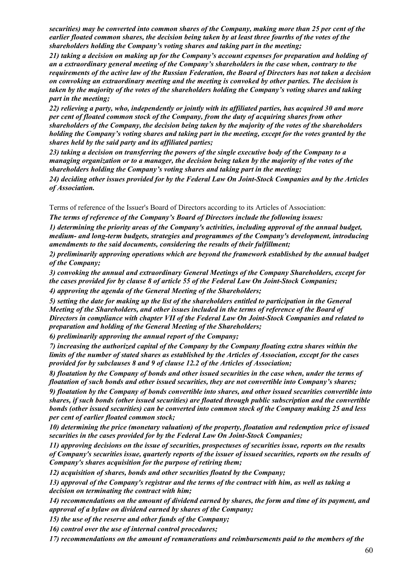*securities) may be converted into common shares of the Company, making more than 25 per cent of the earlier floated common shares, the decision being taken by at least three fourths of the votes of the shareholders holding the Company's voting shares and taking part in the meeting;* 

*21) taking a decision on making up for the Company's account expenses for preparation and holding of an a extraordinary general meeting of the Company's shareholders in the case when, contrary to the requirements of the active law of the Russian Federation, the Board of Directors has not taken a decision on convoking an extraordinary meeting and the meeting is convoked by other parties. The decision is taken by the majority of the votes of the shareholders holding the Company's voting shares and taking part in the meeting;* 

*22) relieving a party, who, independently or jointly with its affiliated parties, has acquired 30 and more per cent of floated common stock of the Company, from the duty of acquiring shares from other shareholders of the Company, the decision being taken by the majority of the votes of the shareholders holding the Company's voting shares and taking part in the meeting, except for the votes granted by the shares held by the said party and its affiliated parties;* 

*23) taking a decision on transferring the powers of the single executive body of the Company to a managing organization or to a manager, the decision being taken by the majority of the votes of the shareholders holding the Company's voting shares and taking part in the meeting;* 

*24) deciding other issues provided for by the Federal Law On Joint-Stock Companies and by the Articles of Association.* 

Terms of reference of the Issuer's Board of Directors according to its Articles of Association:

*The terms of reference of the Company's Board of Directors include the following issues:* 

*1) determining the priority areas of the Company's activities, including approval of the annual budget, medium- and long-term budgets, strategies and programmes of the Company's development, introducing amendments to the said documents, considering the results of their fulfillment;* 

*2) preliminarily approving operations which are beyond the framework established by the annual budget of the Company;* 

*3) convoking the annual and extraordinary General Meetings of the Company Shareholders, except for the cases provided for by clause 8 of article 55 of the Federal Law On Joint-Stock Companies;* 

*4) approving the agenda of the General Meeting of the Shareholders;* 

*5) setting the date for making up the list of the shareholders entitled to participation in the General Meeting of the Shareholders, and other issues included in the terms of reference of the Board of Directors in compliance with chapter VII of the Federal Law On Joint-Stock Companies and related to preparation and holding of the General Meeting of the Shareholders;* 

*6) preliminarily approving the annual report of the Company;* 

*7) increasing the authorized capital of the Company by the Company floating extra shares within the limits of the number of stated shares as established by the Articles of Association, except for the cases provided for by subclauses 8 and 9 of clause 12.2 of the Articles of Association;* 

*8) floatation by the Company of bonds and other issued securities in the case when, under the terms of floatation of such bonds and other issued securities, they are not convertible into Company's shares;* 

*9) floatation by the Company of bonds convertible into shares, and other issued securities convertible into shares, if such bonds (other issued securities) are floated through public subscription and the convertible bonds (other issued securities) can be converted into common stock of the Company making 25 and less per cent of earlier floated common stock;* 

*10) determining the price (monetary valuation) of the property, floatation and redemption price of issued securities in the cases provided for by the Federal Law On Joint-Stock Companies;* 

*11) approving decisions on the issue of securities, prospectuses of securities issue, reports on the results of Company's securities issue, quarterly reports of the issuer of issued securities, reports on the results of Company's shares acquisition for the purpose of retiring them;* 

*12) acquisition of shares, bonds and other securities floated by the Company;* 

*13) approval of the Company's registrar and the terms of the contract with him, as well as taking a decision on terminating the contract with him;* 

*14) recommendations on the amount of dividend earned by shares, the form and time of its payment, and approval of a bylaw on dividend earned by shares of the Company;* 

*15) the use of the reserve and other funds of the Company;* 

*16) control over the use of internal control procedures;* 

*17) recommendations on the amount of remunerations and reimbursements paid to the members of the*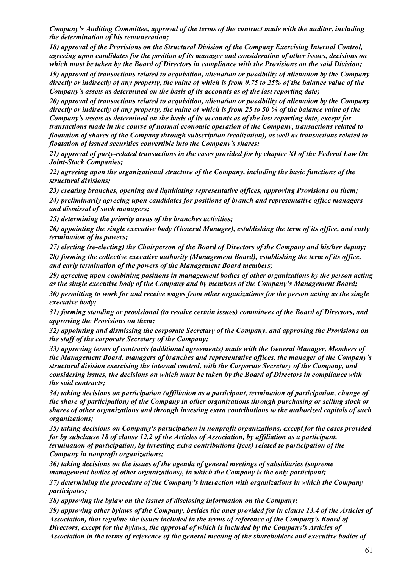*Company's Auditing Committee, approval of the terms of the contract made with the auditor, including the determination of his remuneration;* 

*18) approval of the Provisions on the Structural Division of the Company Exercising Internal Control, agreeing upon candidates for the position of its manager and consideration of other issues, decisions on which must be taken by the Board of Directors in compliance with the Provisions on the said Division; 19) approval of transactions related to acquisition, alienation or possibility of alienation by the Company directly or indirectly of any property, the value of which is from 0.75 to 25% of the balance value of the Company's assets as determined on the basis of its accounts as of the last reporting date;* 

*20) approval of transactions related to acquisition, alienation or possibility of alienation by the Company directly or indirectly of any property, the value of which is from 25 to 50 % of the balance value of the Company's assets as determined on the basis of its accounts as of the last reporting date, except for transactions made in the course of normal economic operation of the Company, transactions related to floatation of shares of the Company through subscription (realization), as well as transactions related to floatation of issued securities convertible into the Company's shares;* 

*21) approval of party-related transactions in the cases provided for by chapter XI of the Federal Law On Joint-Stock Companies;* 

*22) agreeing upon the organizational structure of the Company, including the basic functions of the structural divisions;* 

*23) creating branches, opening and liquidating representative offices, approving Provisions on them; 24) preliminarily agreeing upon candidates for positions of branch and representative office managers and dismissal of such managers;* 

*25) determining the priority areas of the branches activities;* 

*26) appointing the single executive body (General Manager), establishing the term of its office, and early termination of its powers;* 

*27) electing (re-electing) the Chairperson of the Board of Directors of the Company and his/her deputy;* 

*28) forming the collective executive authority (Management Board), establishing the term of its office, and early termination of the powers of the Management Board members;* 

*29) agreeing upon combining positions in management bodies of other organizations by the person acting as the single executive body of the Company and by members of the Company's Management Board;* 

*30) permitting to work for and receive wages from other organizations for the person acting as the single executive body;* 

*31) forming standing or provisional (to resolve certain issues) committees of the Board of Directors, and approving the Provisions on them;* 

*32) appointing and dismissing the corporate Secretary of the Company, and approving the Provisions on the staff of the corporate Secretary of the Company;* 

*33) approving terms of contracts (additional agreements) made with the General Manager, Members of the Management Board, managers of branches and representative offices, the manager of the Company's structural division exercising the internal control, with the Corporate Secretary of the Company, and considering issues, the decisions on which must be taken by the Board of Directors in compliance with the said contracts;* 

*34) taking decisions on participation (affiliation as a participant, termination of participation, change of the share of participation) of the Company in other organizations through purchasing or selling stock or shares of other organizations and through investing extra contributions to the authorized capitals of such organizations;* 

*35) taking decisions on Company's participation in nonprofit organizations, except for the cases provided for by subclause 18 of clause 12.2 of the Articles of Association, by affiliation as a participant, termination of participation, by investing extra contributions (fees) related to participation of the Company in nonprofit organizations;* 

*36) taking decisions on the issues of the agenda of general meetings of subsidiaries (supreme management bodies of other organizations), in which the Company is the only participant;* 

*37) determining the procedure of the Company's interaction with organizations in which the Company participates;* 

*38) approving the bylaw on the issues of disclosing information on the Company;* 

*39) approving other bylaws of the Company, besides the ones provided for in clause 13.4 of the Articles of Association, that regulate the issues included in the terms of reference of the Company's Board of Directors, except for the bylaws, the approval of which is included by the Company's Articles of Association in the terms of reference of the general meeting of the shareholders and executive bodies of*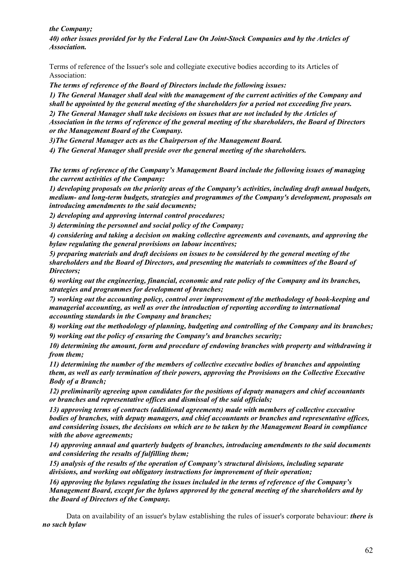*the Company;* 

*40) other issues provided for by the Federal Law On Joint-Stock Companies and by the Articles of Association.*

Terms of reference of the Issuer's sole and collegiate executive bodies according to its Articles of Association:

*The terms of reference of the Board of Directors include the following issues:* 

*1) The General Manager shall deal with the management of the current activities of the Company and shall be appointed by the general meeting of the shareholders for a period not exceeding five years. 2) The General Manager shall take decisions on issues that are not included by the Articles of Association in the terms of reference of the general meeting of the shareholders, the Board of Directors or the Management Board of the Company.* 

*3)The General Manager acts as the Chairperson of the Management Board.* 

*4) The General Manager shall preside over the general meeting of the shareholders.* 

*The terms of reference of the Company's Management Board include the following issues of managing the current activities of the Company:* 

*1) developing proposals on the priority areas of the Company's activities, including draft annual budgets, medium- and long-term budgets, strategies and programmes of the Company's development, proposals on introducing amendments to the said documents;* 

*2) developing and approving internal control procedures;* 

*3) determining the personnel and social policy of the Company;* 

*4) considering and taking a decision on making collective agreements and covenants, and approving the bylaw regulating the general provisions on labour incentives;* 

*5) preparing materials and draft decisions on issues to be considered by the general meeting of the shareholders and the Board of Directors, and presenting the materials to committees of the Board of Directors;* 

*6) working out the engineering, financial, economic and rate policy of the Company and its branches, strategies and programmes for development of branches;* 

*7) working out the accounting policy, control over improvement of the methodology of book-keeping and managerial accounting, as well as over the introduction of reporting according to international accounting standards in the Company and branches;* 

*8) working out the methodology of planning, budgeting and controlling of the Company and its branches; 9) working out the policy of ensuring the Company's and branches security;* 

*10) determining the amount, form and procedure of endowing branches with property and withdrawing it from them;* 

*11) determining the number of the members of collective executive bodies of branches and appointing them, as well as early termination of their powers, approving the Provisions on the Collective Executive Body of a Branch;* 

*12) preliminarily agreeing upon candidates for the positions of deputy managers and chief accountants or branches and representative offices and dismissal of the said officials;* 

*13) approving terms of contracts (additional agreements) made with members of collective executive bodies of branches, with deputy managers, and chief accountants or branches and representative offices, and considering issues, the decisions on which are to be taken by the Management Board in compliance with the above agreements;* 

*14) approving annual and quarterly budgets of branches, introducing amendments to the said documents and considering the results of fulfilling them;* 

*15) analysis of the results of the operation of Company's structural divisions, including separate divisions, and working out obligatory instructions for improvement of their operation;* 

*16) approving the bylaws regulating the issues included in the terms of reference of the Company's Management Board, except for the bylaws approved by the general meeting of the shareholders and by the Board of Directors of the Company.* 

Data on availability of an issuer's bylaw establishing the rules of issuer's corporate behaviour: *there is no such bylaw*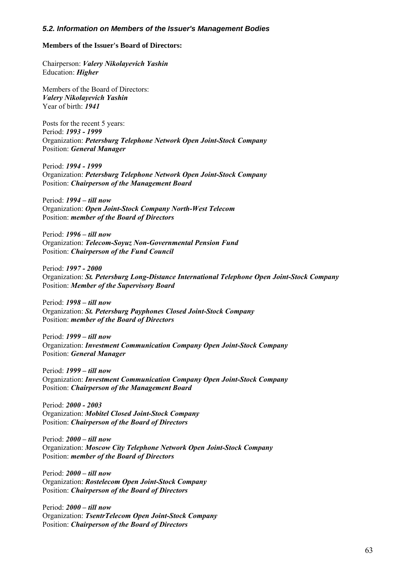#### *5.2. Information on Members of the Issuer's Management Bodies*

#### **Members of the Issuer's Board of Directors:**

Chairperson: *Valery Nikolayevich Yashin*  Education: *Higher*

Members of the Board of Directors: *Valery Nikolayevich Yashin*  Year of birth: *1941*

Posts for the recent 5 years: Period: *1993 - 1999* Organization: *Petersburg Telephone Network Open Joint-Stock Company* Position: *General Manager*

Period: *1994 - 1999* Organization: *Petersburg Telephone Network Open Joint-Stock Company* Position: *Chairperson of the Management Board*

Period: *1994 – till now* Organization: *Open Joint-Stock Company North-West Telecom* Position: *member of the Board of Directors* 

Period: *1996 – till now* Organization: *Telecom-Soyuz Non-Governmental Pension Fund* Position: *Chairperson of the Fund Council*

Period: *1997 - 2000* Organization: *St. Petersburg Long-Distance International Telephone Open Joint-Stock Company* Position: *Member of the Supervisory Board*

Period: *1998 – till now* Organization: *St. Petersburg Payphones Closed Joint-Stock Company* Position: *member of the Board of Directors* 

Period: *1999 – till now* Organization: *Investment Communication Company Open Joint-Stock Company* Position: *General Manager*

Period: *1999 – till now* Organization: *Investment Communication Company Open Joint-Stock Company* Position: *Chairperson of the Management Board*

Period: *2000 - 2003* Organization: *Mobitel Closed Joint-Stock Company* Position: *Chairperson of the Board of Directors*

Period: *2000 – till now* Organization: *Moscow City Telephone Network Open Joint-Stock Company* Position: *member of the Board of Directors* 

Period: *2000 – till now* Organization: *Rostelecom Open Joint-Stock Company* Position: *Chairperson of the Board of Directors*

Period: *2000 – till now* Organization: *TsentrTelecom Open Joint-Stock Company* Position: *Chairperson of the Board of Directors*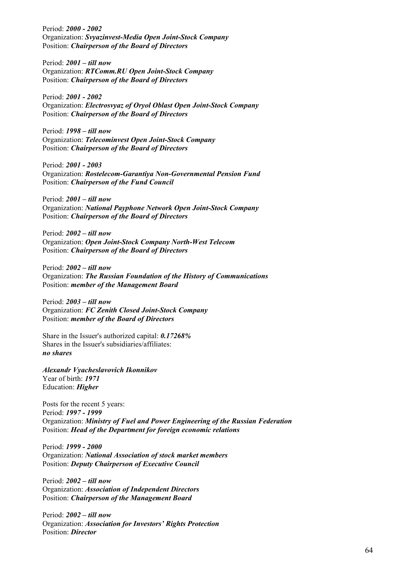Period: *2000 - 2002* Organization: *Svyazinvest-Media Open Joint-Stock Company* Position: *Chairperson of the Board of Directors*

Period: *2001 – till now* Organization: *RTComm.RU Open Joint-Stock Company*  Position: *Chairperson of the Board of Directors*

Period: *2001 - 2002* Organization: *Electrosvyaz of Oryol Oblast Open Joint-Stock Company* Position: *Chairperson of the Board of Directors*

Period: *1998 – till now* Organization: *Telecominvest Open Joint-Stock Company* Position: *Chairperson of the Board of Directors*

Period: *2001 - 2003* Organization: *Rostelecom-Garantiya Non-Governmental Pension Fund* Position: *Chairperson of the Fund Council*

Period: *2001 – till now* Organization: *National Payphone Network Open Joint-Stock Company* Position: *Chairperson of the Board of Directors*

Period: *2002 – till now* Organization: *Open Joint-Stock Company North-West Telecom* Position: *Chairperson of the Board of Directors*

Period: *2002 – till now* Organization: *The Russian Foundation of the History of Communications*  Position: *member of the Management Board* 

Period: *2003 – till now* Organization: *FC Zenith Closed Joint-Stock Company* Position: *member of the Board of Directors* 

Share in the Issuer's authorized capital: *0.17268%* Shares in the Issuer's subsidiaries/affiliates: *no shares*

*Alexandr Vyacheslavovich Ikonnikov*  Year of birth: *1971* Education: *Higher*

Posts for the recent 5 years: Period: *1997 - 1999* Organization: *Ministry of Fuel and Power Engineering of the Russian Federation* Position: *Head of the Department for foreign economic relations*

Period: *1999 - 2000* Organization: *National Association of stock market members* Position: *Deputy Chairperson of Executive Council*

Period: *2002 – till now* Organization: *Association of Independent Directors* Position: *Chairperson of the Management Board*

Period: *2002 – till now* Organization: *Association for Investors' Rights Protection*  Position: *Director*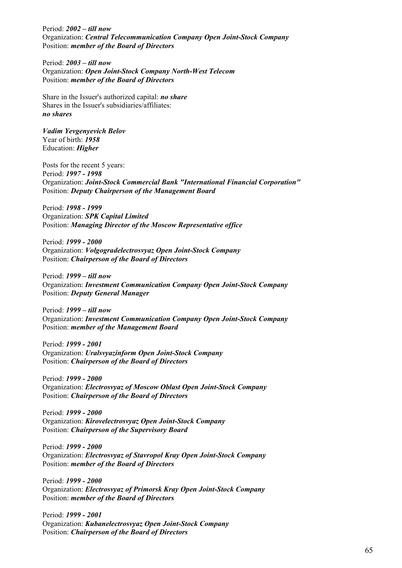Period: *2002 – till now* Organization: *Central Telecommunication Company Open Joint-Stock Company* Position: *member of the Board of Directors* 

Period: *2003 – till now* Organization: *Open Joint-Stock Company North-West Telecom* Position: *member of the Board of Directors* 

Share in the Issuer's authorized capital: *no share* Shares in the Issuer's subsidiaries/affiliates: *no shares*

*Vadim Yevgenyevich Belov*  Year of birth: *1958* Education: *Higher*

Posts for the recent 5 years: Period: *1997 - 1998* Organization: *Joint-Stock Commercial Bank "International Financial Corporation"* Position: *Deputy Chairperson of the Management Board*

Period: *1998 - 1999* Organization: *SPK Capital Limited* Position: *Managing Director of the Moscow Representative office*

Period: *1999 - 2000* Organization: *Volgogradelectrosvyaz Open Joint-Stock Company*  Position: *Chairperson of the Board of Directors*

Period: *1999 – till now* Organization: *Investment Communication Company Open Joint-Stock Company* Position: *Deputy General Manager* 

Period: *1999 – till now* Organization: *Investment Communication Company Open Joint-Stock Company* Position: *member of the Management Board* 

Period: *1999 - 2001* Organization: *Uralsvyazinform Open Joint-Stock Company* Position: *Chairperson of the Board of Directors*

Period: *1999 - 2000* Organization: *Electrosvyaz of Moscow Oblast Open Joint-Stock Company* Position: *Chairperson of the Board of Directors*

Period: *1999 - 2000* Organization: *Kirovelectrosvyaz Open Joint-Stock Company* Position: *Chairperson of the Supervisory Board*

Period: *1999 - 2000* Organization: *Electrosvyaz of Stavropol Kray Open Joint-Stock Company* Position: *member of the Board of Directors* 

Period: *1999 - 2000* Organization: *Electrosvyaz of Primorsk Kray Open Joint-Stock Company* Position: *member of the Board of Directors* 

Period: *1999 - 2001* Organization: *Kubanelectrosvyaz Open Joint-Stock Company* Position: *Chairperson of the Board of Directors*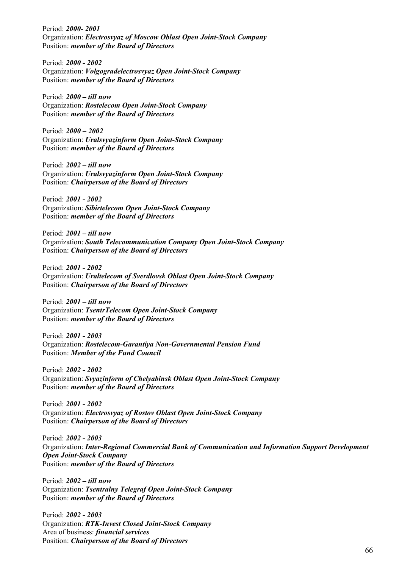Period: *2000- 2001* Organization: *Electrosvyaz of Moscow Oblast Open Joint-Stock Company* Position: *member of the Board of Directors* 

Period: *2000 - 2002* Organization: *Volgogradelectrosvyaz Open Joint-Stock Company*  Position: *member of the Board of Directors* 

Period: *2000 – till now* Organization: *Rostelecom Open Joint-Stock Company* Position: *member of the Board of Directors* 

Period: *2000 – 2002* Organization: *Uralsvyazinform Open Joint-Stock Company* Position: *member of the Board of Directors* 

Period: *2002 – till now* Organization: *Uralsvyazinform Open Joint-Stock Company* Position: *Chairperson of the Board of Directors*

Period: *2001 - 2002* Organization: *Sibirtelecom Open Joint-Stock Company* Position: *member of the Board of Directors* 

Period: *2001 – till now* Organization: *South Telecommunication Company Open Joint-Stock Company* Position: *Chairperson of the Board of Directors*

Period: *2001 - 2002* Organization: *Uraltelecom of Sverdlovsk Oblast Open Joint-Stock Company* Position: *Chairperson of the Board of Directors*

Period: *2001 – till now* Organization: *TsentrTelecom Open Joint-Stock Company* Position: *member of the Board of Directors* 

Period: *2001 - 2003* Organization: *Rostelecom-Garantiya Non-Governmental Pension Fund* Position: *Member of the Fund Council*

Period: *2002 - 2002* Organization: *Svyazinform of Chelyabinsk Oblast Open Joint-Stock Company* Position: *member of the Board of Directors* 

Period: *2001 - 2002* Organization: *Electrosvyaz of Rostov Oblast Open Joint-Stock Company* Position: *Chairperson of the Board of Directors*

Period: *2002 - 2003* Organization: *Inter-Regional Commercial Bank of Communication and Information Support Development Open Joint-Stock Company* Position: *member of the Board of Directors* 

Period: *2002 – till now* Organization: *Tsentralny Telegraf Open Joint-Stock Company* Position: *member of the Board of Directors* 

Period: *2002 - 2003* Organization: *RTK-Invest Closed Joint-Stock Company* Area of business: *financial services* Position: *Chairperson of the Board of Directors*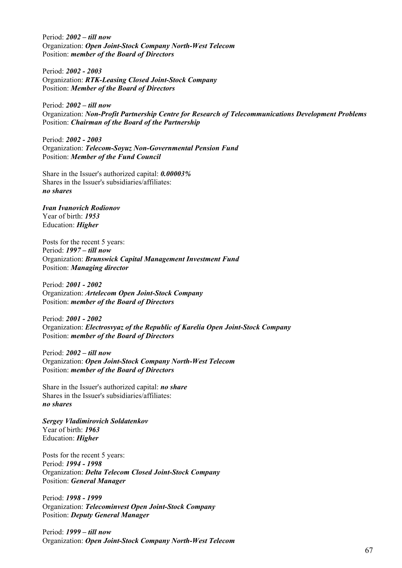Period: *2002 – till now* Organization: *Open Joint-Stock Company North-West Telecom* Position: *member of the Board of Directors* 

Period: *2002 - 2003* Organization: *RTK-Leasing Closed Joint-Stock Company* Position: *Member of the Board of Directors*

Period: *2002 – till now* Organization: *Non-Profit Partnership Centre for Research of Telecommunications Development Problems*  Position: *Chairman of the Board of the Partnership* 

Period: *2002 - 2003* Organization: *Telecom-Soyuz Non-Governmental Pension Fund* Position: *Member of the Fund Council*

Share in the Issuer's authorized capital: *0.00003%* Shares in the Issuer's subsidiaries/affiliates: *no shares*

*Ivan Ivanovich Rodionov*  Year of birth: *1953* Education: *Higher*

Posts for the recent 5 years: Period: *1997 – till now* Organization: *Brunswick Capital Management Investment Fund*  Position: *Managing director*

Period: *2001 - 2002* Organization: *Artelecom Open Joint-Stock Company* Position: *member of the Board of Directors* 

Period: *2001 - 2002* Organization: *Electrosvyaz of the Republic of Karelia Open Joint-Stock Company* Position: *member of the Board of Directors* 

Period: *2002 – till now* Organization: *Open Joint-Stock Company North-West Telecom* Position: *member of the Board of Directors* 

Share in the Issuer's authorized capital: *no share* Shares in the Issuer's subsidiaries/affiliates: *no shares*

*Sergey Vladimirovich Soldatenkov*  Year of birth: *1963* Education: *Higher*

Posts for the recent 5 years: Period: *1994 - 1998* Organization: *Delta Telecom Closed Joint-Stock Company* Position: *General Manager*

Period: *1998 - 1999* Organization: *Telecominvest Open Joint-Stock Company* Position: *Deputy General Manager* 

Period: *1999 – till now* Organization: *Open Joint-Stock Company North-West Telecom*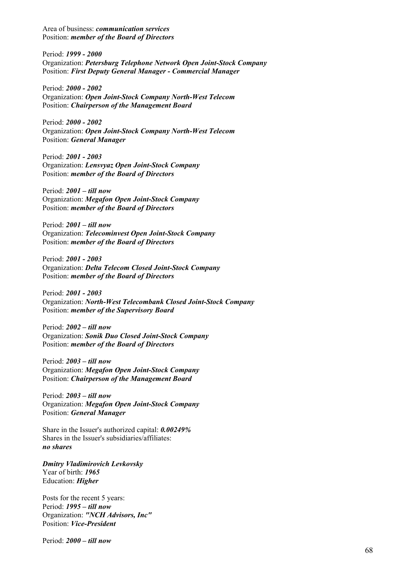Area of business: *communication services*  Position: *member of the Board of Directors* 

Period: *1999 - 2000* Organization: *Petersburg Telephone Network Open Joint-Stock Company* Position: *First Deputy General Manager - Commercial Manager*

Period: *2000 - 2002* Organization: *Open Joint-Stock Company North-West Telecom* Position: *Chairperson of the Management Board*

Period: *2000 - 2002* Organization: *Open Joint-Stock Company North-West Telecom* Position: *General Manager*

Period: *2001 - 2003* Organization: *Lensvyaz Open Joint-Stock Company* Position: *member of the Board of Directors* 

Period: *2001 – till now* Organization: *Megafon Open Joint-Stock Company* Position: *member of the Board of Directors* 

Period: *2001 – till now* Organization: *Telecominvest Open Joint-Stock Company* Position: *member of the Board of Directors* 

Period: *2001 - 2003* Organization: *Delta Telecom Closed Joint-Stock Company* Position: *member of the Board of Directors* 

Period: *2001 - 2003* Organization: *North-West Telecombank Closed Joint-Stock Company* Position: *member of the Supervisory Board*

Period: *2002 – till now* Organization: *Sonik Duo Closed Joint-Stock Company* Position: *member of the Board of Directors* 

Period: *2003 – till now* Organization: *Megafon Open Joint-Stock Company* Position: *Chairperson of the Management Board*

Period: *2003 – till now* Organization: *Megafon Open Joint-Stock Company* Position: *General Manager*

Share in the Issuer's authorized capital: *0.00249%* Shares in the Issuer's subsidiaries/affiliates: *no shares*

*Dmitry Vladimirovich Levkovsky*  Year of birth: *1965* Education: *Higher*

Posts for the recent 5 years: Period: *1995 – till now* Organization: *"NCH Advisors, Inc"* Position: *Vice-President*

Period: *2000 – till now*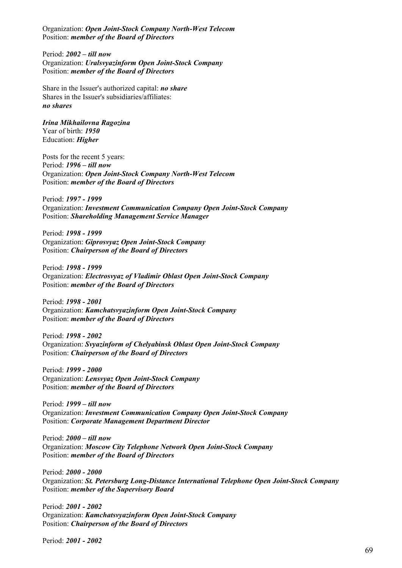Organization: *Open Joint-Stock Company North-West Telecom* Position: *member of the Board of Directors* 

Period: *2002 – till now* Organization: *Uralsvyazinform Open Joint-Stock Company* Position: *member of the Board of Directors* 

Share in the Issuer's authorized capital: *no share* Shares in the Issuer's subsidiaries/affiliates: *no shares*

*Irina Mikhailovna Ragozina*  Year of birth: *1950* Education: *Higher*

Posts for the recent 5 years: Period: *1996 – till now* Organization: *Open Joint-Stock Company North-West Telecom* Position: *member of the Board of Directors* 

Period: *1997 - 1999* Organization: *Investment Communication Company Open Joint-Stock Company* Position: *Shareholding Management Service Manager*

Period: *1998 - 1999* Organization: *Giprosvyaz Open Joint-Stock Company* Position: *Chairperson of the Board of Directors*

Period: *1998 - 1999* Organization: *Electrosvyaz of Vladimir Oblast Open Joint-Stock Company* Position: *member of the Board of Directors* 

Period: *1998 - 2001* Organization: *Kamchatsvyazinform Open Joint-Stock Company*  Position: *member of the Board of Directors* 

Period: *1998 - 2002* Organization: *Svyazinform of Chelyabinsk Oblast Open Joint-Stock Company* Position: *Chairperson of the Board of Directors*

Period: *1999 - 2000* Organization: *Lensvyaz Open Joint-Stock Company* Position: *member of the Board of Directors* 

Period: *1999 – till now* Organization: *Investment Communication Company Open Joint-Stock Company* Position: *Corporate Management Department Director*

Period: *2000 – till now* Organization: *Moscow City Telephone Network Open Joint-Stock Company* Position: *member of the Board of Directors* 

Period: *2000 - 2000* Organization: *St. Petersburg Long-Distance International Telephone Open Joint-Stock Company* Position: *member of the Supervisory Board*

Period: *2001 - 2002* Organization: *Kamchatsvyazinform Open Joint-Stock Company*  Position: *Chairperson of the Board of Directors*

Period: *2001 - 2002*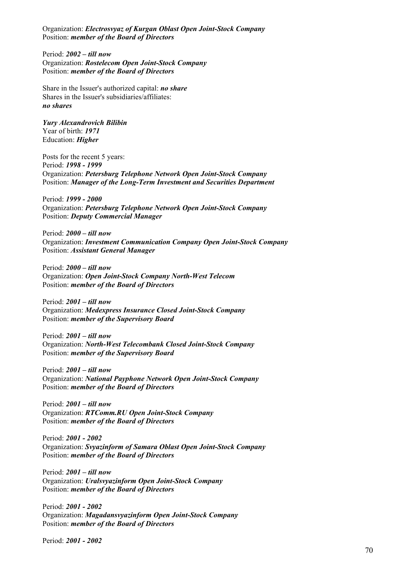Organization: *Electrosvyaz of Kurgan Oblast Open Joint-Stock Company* Position: *member of the Board of Directors* 

Period: *2002 – till now* Organization: *Rostelecom Open Joint-Stock Company* Position: *member of the Board of Directors* 

Share in the Issuer's authorized capital: *no share* Shares in the Issuer's subsidiaries/affiliates: *no shares*

*Yury Alexandrovich Bilibin*  Year of birth: *1971* Education: *Higher*

Posts for the recent 5 years: Period: *1998 - 1999* Organization: *Petersburg Telephone Network Open Joint-Stock Company* Position: *Manager of the Long-Term Investment and Securities Department* 

Period: *1999 - 2000* Organization: *Petersburg Telephone Network Open Joint-Stock Company* Position: *Deputy Commercial Manager*

Period: *2000 – till now* Organization: *Investment Communication Company Open Joint-Stock Company* Position: *Assistant General Manager*

Period: *2000 – till now* Organization: *Open Joint-Stock Company North-West Telecom* Position: *member of the Board of Directors* 

Period: *2001 – till now* Organization: *Medexpress Insurance Closed Joint-Stock Company* Position: *member of the Supervisory Board*

Period: *2001 – till now* Organization: *North-West Telecombank Closed Joint-Stock Company* Position: *member of the Supervisory Board*

Period: *2001 – till now* Organization: *National Payphone Network Open Joint-Stock Company* Position: *member of the Board of Directors* 

Period: *2001 – till now* Organization: *RTComm.RU Open Joint-Stock Company*  Position: *member of the Board of Directors* 

Period: *2001 - 2002* Organization: *Svyazinform of Samara Oblast Open Joint-Stock Company* Position: *member of the Board of Directors* 

Period: *2001 – till now* Organization: *Uralsvyazinform Open Joint-Stock Company* Position: *member of the Board of Directors* 

Period: *2001 - 2002* Organization: *Magadansvyazinform Open Joint-Stock Company* Position: *member of the Board of Directors* 

Period: *2001 - 2002*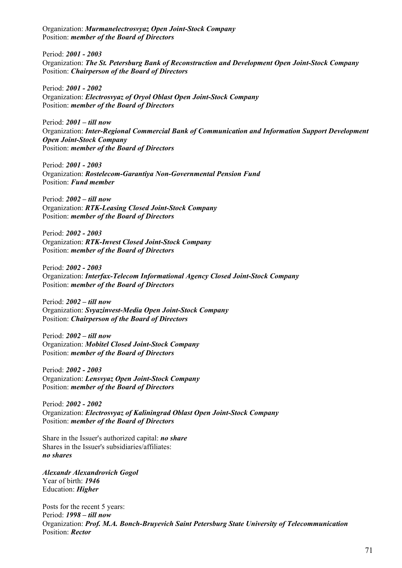Organization: *Murmanelectrosvyaz Open Joint-Stock Company* Position: *member of the Board of Directors* 

Period: *2001 - 2003* Organization: *The St. Petersburg Bank of Reconstruction and Development Open Joint-Stock Company* Position: *Chairperson of the Board of Directors*

Period: *2001 - 2002* Organization: *Electrosvyaz of Oryol Oblast Open Joint-Stock Company* Position: *member of the Board of Directors* 

Period: *2001 – till now* Organization: *Inter-Regional Commercial Bank of Communication and Information Support Development Open Joint-Stock Company* Position: *member of the Board of Directors* 

Period: *2001 - 2003* Organization: *Rostelecom-Garantiya Non-Governmental Pension Fund* Position: *Fund member*

Period: *2002 – till now* Organization: *RTK-Leasing Closed Joint-Stock Company* Position: *member of the Board of Directors* 

Period: *2002 - 2003* Organization: *RTK-Invest Closed Joint-Stock Company* Position: *member of the Board of Directors* 

Period: *2002 - 2003* Organization: *Interfax-Telecom Informational Agency Closed Joint-Stock Company* Position: *member of the Board of Directors* 

Period: *2002 – till now* Organization: *Svyazinvest-Media Open Joint-Stock Company* Position: *Chairperson of the Board of Directors*

Period: *2002 – till now* Organization: *Mobitel Closed Joint-Stock Company* Position: *member of the Board of Directors* 

Period: *2002 - 2003* Organization: *Lensvyaz Open Joint-Stock Company* Position: *member of the Board of Directors* 

Period: *2002 - 2002* Organization: *Electrosvyaz of Kaliningrad Oblast Open Joint-Stock Company* Position: *member of the Board of Directors* 

Share in the Issuer's authorized capital: *no share* Shares in the Issuer's subsidiaries/affiliates: *no shares*

*Alexandr Alexandrovich Gogol*  Year of birth: *1946* Education: *Higher*

Posts for the recent 5 years: Period: *1998 – till now* Organization: *Prof. M.A. Bonch-Bruyevich Saint Petersburg State University of Telecommunication* Position: *Rector*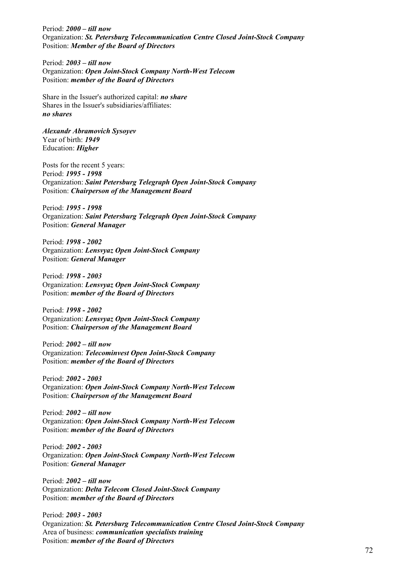Period: *2000 – till now* Organization: *St. Petersburg Telecommunication Centre Closed Joint-Stock Company* Position: *Member of the Board of Directors*

Period: *2003 – till now* Organization: *Open Joint-Stock Company North-West Telecom* Position: *member of the Board of Directors* 

Share in the Issuer's authorized capital: *no share* Shares in the Issuer's subsidiaries/affiliates: *no shares*

*Alexandr Abramovich Sysoyev*  Year of birth: *1949* Education: *Higher*

Posts for the recent 5 years: Period: *1995 - 1998* Organization: *Saint Petersburg Telegraph Open Joint-Stock Company* Position: *Chairperson of the Management Board*

Period: *1995 - 1998* Organization: *Saint Petersburg Telegraph Open Joint-Stock Company* Position: *General Manager*

Period: *1998 - 2002* Organization: *Lensvyaz Open Joint-Stock Company* Position: *General Manager*

Period: *1998 - 2003* Organization: *Lensvyaz Open Joint-Stock Company* Position: *member of the Board of Directors* 

Period: *1998 - 2002* Organization: *Lensvyaz Open Joint-Stock Company* Position: *Chairperson of the Management Board*

Period: *2002 – till now* Organization: *Telecominvest Open Joint-Stock Company* Position: *member of the Board of Directors* 

Period: *2002 - 2003* Organization: *Open Joint-Stock Company North-West Telecom* Position: *Chairperson of the Management Board*

Period: *2002 – till now* Organization: *Open Joint-Stock Company North-West Telecom* Position: *member of the Board of Directors* 

Period: *2002 - 2003* Organization: *Open Joint-Stock Company North-West Telecom* Position: *General Manager*

Period: *2002 – till now* Organization: *Delta Telecom Closed Joint-Stock Company* Position: *member of the Board of Directors* 

Period: *2003 - 2003* Organization: *St. Petersburg Telecommunication Centre Closed Joint-Stock Company* Area of business: *communication specialists training* Position: *member of the Board of Directors*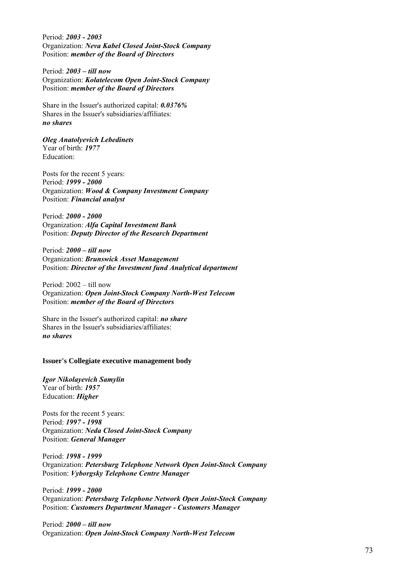Period: *2003 - 2003* Organization: *Neva Kabel Closed Joint-Stock Company* Position: *member of the Board of Directors* 

Period: *2003 – till now* Organization: *Kolatelecom Open Joint-Stock Company* Position: *member of the Board of Directors* 

Share in the Issuer's authorized capital: *0.0376%* Shares in the Issuer's subsidiaries/affiliates: *no shares*

#### *Oleg Anatolyevich Lebedinets*

Year of birth: *1977* Education:

Posts for the recent 5 years: Period: *1999 - 2000* Organization: *Wood & Company Investment Company* Position: *Financial analyst*

Period: *2000 - 2000* Organization: *Alfa Capital Investment Bank* Position: *Deputy Director of the Research Department*

Period: *2000 – till now* Organization: *Brunswick Asset Management* Position: *Director of the Investment fund Analytical department*

Period: 2002 – till now Organization: *Open Joint-Stock Company North-West Telecom* Position: *member of the Board of Directors* 

Share in the Issuer's authorized capital: *no share* Shares in the Issuer's subsidiaries/affiliates: *no shares*

#### **Issuer's Collegiate executive management body**

*Igor Nikolayevich Samylin*  Year of birth: *1957* Education: *Higher*

Posts for the recent 5 years: Period: *1997 - 1998* Organization: *Neda Closed Joint-Stock Company* Position: *General Manager*

Period: *1998 - 1999* Organization: *Petersburg Telephone Network Open Joint-Stock Company* Position: *Vyborgsky Telephone Centre Manager*

Period: *1999 - 2000* Organization: *Petersburg Telephone Network Open Joint-Stock Company* Position: *Customers Department Manager - Customers Manager*

Period: *2000 – till now* Organization: *Open Joint-Stock Company North-West Telecom*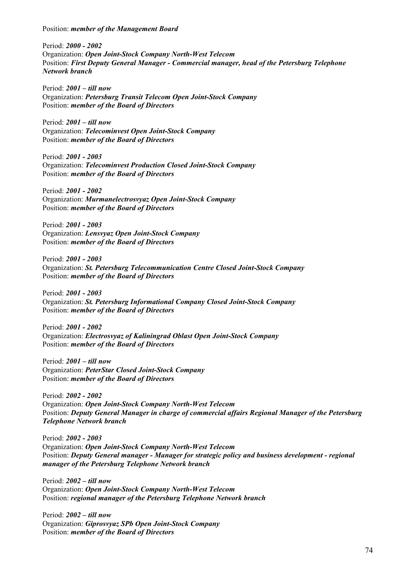Position: *member of the Management Board* 

Period: *2000 - 2002* Organization: *Open Joint-Stock Company North-West Telecom* Position: *First Deputy General Manager - Commercial manager, head of the Petersburg Telephone Network branch*

Period: *2001 – till now* Organization: *Petersburg Transit Telecom Open Joint-Stock Company* Position: *member of the Board of Directors* 

Period: *2001 – till now* Organization: *Telecominvest Open Joint-Stock Company* Position: *member of the Board of Directors* 

Period: *2001 - 2003* Organization: *Telecominvest Production Closed Joint-Stock Company* Position: *member of the Board of Directors* 

Period: *2001 - 2002* Organization: *Murmanelectrosvyaz Open Joint-Stock Company* Position: *member of the Board of Directors* 

Period: *2001 - 2003* Organization: *Lensvyaz Open Joint-Stock Company* Position: *member of the Board of Directors* 

Period: *2001 - 2003* Organization: *St. Petersburg Telecommunication Centre Closed Joint-Stock Company* Position: *member of the Board of Directors* 

Period: *2001 - 2003* Organization: *St. Petersburg Informational Company Closed Joint-Stock Company* Position: *member of the Board of Directors* 

Period: *2001 - 2002* Organization: *Electrosvyaz of Kaliningrad Oblast Open Joint-Stock Company* Position: *member of the Board of Directors* 

Period: *2001 – till now* Organization: *PeterStar Closed Joint-Stock Company* Position: *member of the Board of Directors* 

Period: *2002 - 2002* Organization: *Open Joint-Stock Company North-West Telecom* Position: *Deputy General Manager in charge of commercial affairs Regional Manager of the Petersburg Telephone Network branch*

Period: *2002 - 2003* Organization: *Open Joint-Stock Company North-West Telecom* Position: *Deputy General manager - Manager for strategic policy and business development - regional manager of the Petersburg Telephone Network branch*

Period: *2002 – till now* Organization: *Open Joint-Stock Company North-West Telecom* Position: *regional manager of the Petersburg Telephone Network branch*

Period: *2002 – till now* Organization: *Giprosvyaz SPb Open Joint-Stock Company* Position: *member of the Board of Directors*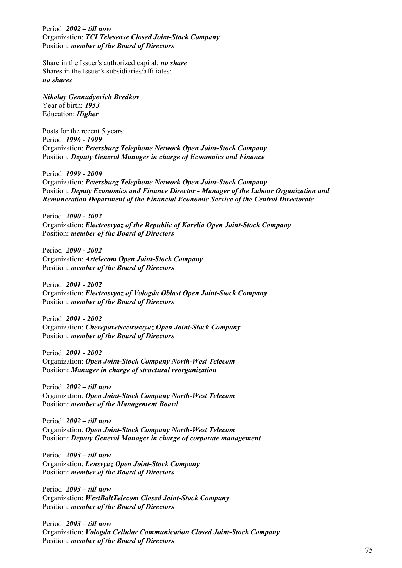Period: *2002 – till now* Organization: *TCI Telesense Closed Joint-Stock Company* Position: *member of the Board of Directors* 

Share in the Issuer's authorized capital: *no share* Shares in the Issuer's subsidiaries/affiliates: *no shares*

*Nikolay Gennadyevich Bredkov*  Year of birth: *1953* Education: *Higher*

Posts for the recent 5 years: Period: *1996 - 1999* Organization: *Petersburg Telephone Network Open Joint-Stock Company* Position: *Deputy General Manager in charge of Economics and Finance* 

Period: *1999 - 2000* Organization: *Petersburg Telephone Network Open Joint-Stock Company* Position: *Deputy Economics and Finance Director - Manager of the Labour Organization and Remuneration Department of the Financial Economic Service of the Central Directorate*

Period: *2000 - 2002* Organization: *Electrosvyaz of the Republic of Karelia Open Joint-Stock Company* Position: *member of the Board of Directors* 

Period: *2000 - 2002* Organization: *Artelecom Open Joint-Stock Company* Position: *member of the Board of Directors* 

Period: *2001 - 2002* Organization: *Electrosvyaz of Vologda Oblast Open Joint-Stock Company* Position: *member of the Board of Directors* 

Period: *2001 - 2002* Organization: *Cherepovetsectrosvyaz Open Joint-Stock Company* Position: *member of the Board of Directors* 

Period: *2001 - 2002* Organization: *Open Joint-Stock Company North-West Telecom* Position: *Manager in charge of structural reorganization*

Period: *2002 – till now* Organization: *Open Joint-Stock Company North-West Telecom* Position: *member of the Management Board* 

Period: *2002 – till now* Organization: *Open Joint-Stock Company North-West Telecom* Position: *Deputy General Manager in charge of corporate management*

Period: *2003 – till now* Organization: *Lensvyaz Open Joint-Stock Company* Position: *member of the Board of Directors* 

Period: *2003 – till now* Organization: *WestBaltTelecom Closed Joint-Stock Company* Position: *member of the Board of Directors* 

Period: *2003 – till now* Organization: *Vologda Cellular Communication Closed Joint-Stock Company* Position: *member of the Board of Directors*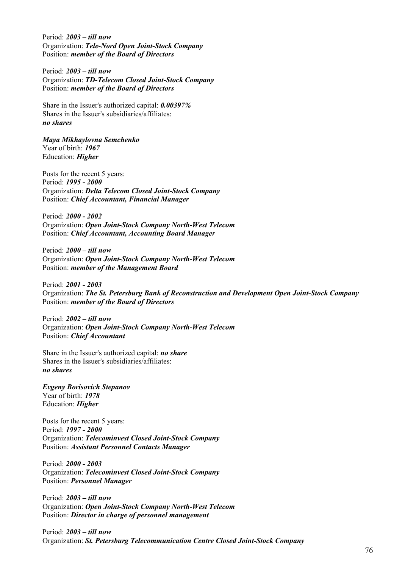Period: *2003 – till now* Organization: *Tele-Nord Open Joint-Stock Company* Position: *member of the Board of Directors* 

Period: *2003 – till now* Organization: *TD-Telecom Closed Joint-Stock Company* Position: *member of the Board of Directors* 

Share in the Issuer's authorized capital: *0.00397%* Shares in the Issuer's subsidiaries/affiliates: *no shares*

# *Maya Mikhaylovna Semchenko*

Year of birth: *1967* Education: *Higher*

Posts for the recent 5 years: Period: *1995 - 2000* Organization: *Delta Telecom Closed Joint-Stock Company* Position: *Chief Accountant, Financial Manager* 

Period: *2000 - 2002* Organization: *Open Joint-Stock Company North-West Telecom* Position: *Chief Accountant, Accounting Board Manager*

Period: *2000 – till now* Organization: *Open Joint-Stock Company North-West Telecom* Position: *member of the Management Board* 

Period: *2001 - 2003* Organization: *The St. Petersburg Bank of Reconstruction and Development Open Joint-Stock Company* Position: *member of the Board of Directors* 

Period: *2002 – till now* Organization: *Open Joint-Stock Company North-West Telecom* Position: *Chief Accountant*

Share in the Issuer's authorized capital: *no share* Shares in the Issuer's subsidiaries/affiliates: *no shares*

#### *Evgeny Borisovich Stepanov*  Year of birth: *1978* Education: *Higher*

Posts for the recent 5 years: Period: *1997 - 2000* Organization: *Telecominvest Closed Joint-Stock Company* Position: *Assistant Personnel Contacts Manager*

Period: *2000 - 2003* Organization: *Telecominvest Closed Joint-Stock Company* Position: *Personnel Manager*

Period: *2003 – till now* Organization: *Open Joint-Stock Company North-West Telecom* Position: *Director in charge of personnel management*

Period: *2003 – till now* Organization: *St. Petersburg Telecommunication Centre Closed Joint-Stock Company*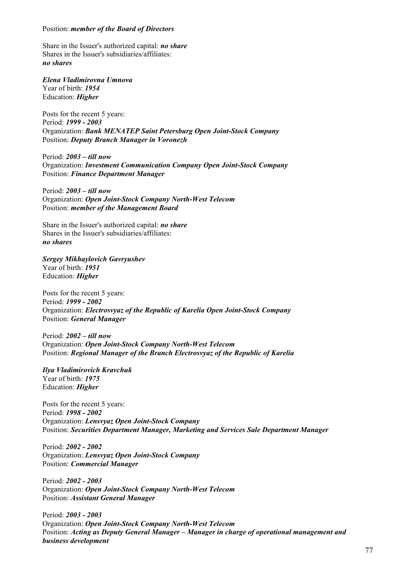#### Position: *member of the Board of Directors*

Share in the Issuer's authorized capital: *no share* Shares in the Issuer's subsidiaries/affiliates: *no shares*

*Elena Vladimirovna Umnova*  Year of birth: *1954* Education: *Higher*

Posts for the recent 5 years: Period: *1999 - 2003* Organization: *Bank MENATEP Saint Petersburg Open Joint-Stock Company* Position: *Deputy Branch Manager in Voronezh*

Period: *2003 – till now* Organization: *Investment Communication Company Open Joint-Stock Company* Position: *Finance Department Manager*

Period: *2003 – till now* Organization: *Open Joint-Stock Company North-West Telecom* Position: *member of the Management Board* 

Share in the Issuer's authorized capital: *no share* Shares in the Issuer's subsidiaries/affiliates: *no shares*

*Sergey Mikhaylovich Gavryushev*  Year of birth: *1951* Education: *Higher*

Posts for the recent 5 years: Period: *1999 - 2002* Organization: *Electrosvyaz of the Republic of Karelia Open Joint-Stock Company* Position: *General Manager*

Period: *2002 – till now* Organization: *Open Joint-Stock Company North-West Telecom* Position: *Regional Manager of the Branch Electrosvyaz of the Republic of Karelia*

*Ilya Vladimirovich Kravchuk*  Year of birth: *1975* Education: *Higher*

Posts for the recent 5 years: Period: *1998 - 2002* Organization: *Lensvyaz Open Joint-Stock Company* Position: *Securities Department Manager, Marketing and Services Sale Department Manager*

Period: *2002 - 2002* Organization: *Lensvyaz Open Joint-Stock Company* Position: *Commercial Manager*

Period: *2002 - 2003* Organization: *Open Joint-Stock Company North-West Telecom* Position: *Assistant General Manager*

Period: *2003 - 2003* Organization: *Open Joint-Stock Company North-West Telecom* Position: *Acting as Deputy General Manager – Manager in charge of operational management and business development*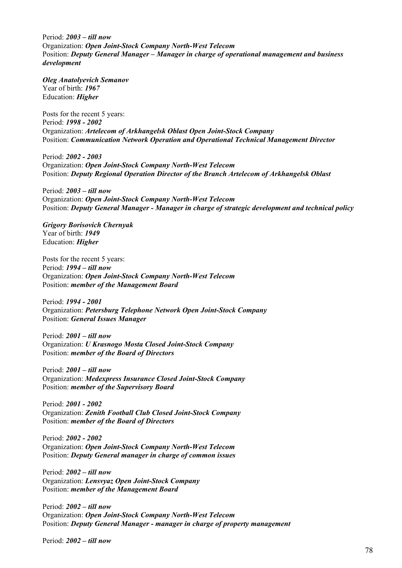Period: *2003 – till now* Organization: *Open Joint-Stock Company North-West Telecom* Position: *Deputy General Manager – Manager in charge of operational management and business development*

*Oleg Anatolyevich Semanov*  Year of birth: *1967* Education: *Higher*

Posts for the recent 5 years: Period: *1998 - 2002* Organization: *Artelecom of Arkhangelsk Oblast Open Joint-Stock Company* Position: *Communication Network Operation and Operational Technical Management Director*

Period: *2002 - 2003* Organization: *Open Joint-Stock Company North-West Telecom* Position: *Deputy Regional Operation Director of the Branch Artelecom of Arkhangelsk Oblast*

Period: *2003 – till now* Organization: *Open Joint-Stock Company North-West Telecom* Position: *Deputy General Manager - Manager in charge of strategic development and technical policy*

*Grigory Borisovich Chernyak*  Year of birth: *1949* Education: *Higher*

Posts for the recent 5 years: Period: *1994 – till now* Organization: *Open Joint-Stock Company North-West Telecom* Position: *member of the Management Board* 

Period: *1994 - 2001* Organization: *Petersburg Telephone Network Open Joint-Stock Company* Position: *General Issues Manager*

Period: *2001 – till now* Organization: *U Krasnogo Mosta Closed Joint-Stock Company* Position: *member of the Board of Directors*

Period: *2001 – till now* Organization: *Medexpress Insurance Closed Joint-Stock Company* Position: *member of the Supervisory Board*

Period: *2001 - 2002* Organization: *Zenith Football Club Closed Joint-Stock Company* Position: *member of the Board of Directors*

Period: *2002 - 2002* Organization: *Open Joint-Stock Company North-West Telecom* Position: *Deputy General manager in charge of common issues*

Period: *2002 – till now* Organization: *Lensvyaz Open Joint-Stock Company* Position: *member of the Management Board* 

Period: *2002 – till now* Organization: *Open Joint-Stock Company North-West Telecom* Position: *Deputy General Manager - manager in charge of property management*

Period: *2002 – till now*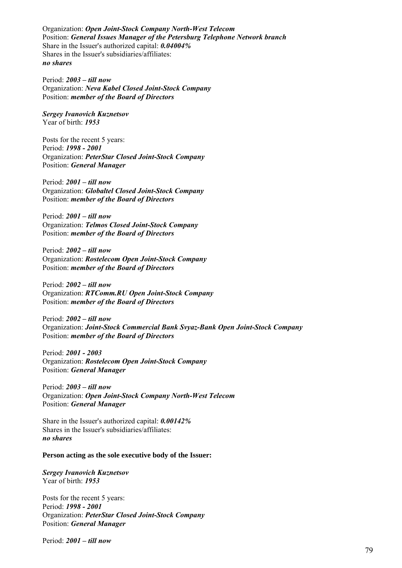Organization: *Open Joint-Stock Company North-West Telecom* Position: *General Issues Manager of the Petersburg Telephone Network branch* Share in the Issuer's authorized capital: *0.04004%* Shares in the Issuer's subsidiaries/affiliates: *no shares*

Period: *2003 – till now* Organization: *Neva Kabel Closed Joint-Stock Company* Position: *member of the Board of Directors*

*Sergey Ivanovich Kuznetsov*  Year of birth: *1953*

Posts for the recent 5 years: Period: *1998 - 2001* Organization: *PeterStar Closed Joint-Stock Company* Position: *General Manager*

Period: *2001 – till now* Organization: *Globaltel Closed Joint-Stock Company* Position: *member of the Board of Directors*

Period: *2001 – till now* Organization: *Telmos Closed Joint-Stock Company* Position: *member of the Board of Directors*

Period: *2002 – till now* Organization: *Rostelecom Open Joint-Stock Company* Position: *member of the Board of Directors*

Period: *2002 – till now* Organization: *RTComm.RU Open Joint-Stock Company*  Position: *member of the Board of Directors*

Period: *2002 – till now* Organization: *Joint-Stock Commercial Bank Svyaz-Bank Open Joint-Stock Company* Position: *member of the Board of Directors*

Period: *2001 - 2003* Organization: *Rostelecom Open Joint-Stock Company* Position: *General Manager*

Period: *2003 – till now* Organization: *Open Joint-Stock Company North-West Telecom* Position: *General Manager*

Share in the Issuer's authorized capital: *0.00142%* Shares in the Issuer's subsidiaries/affiliates: *no shares*

# **Person acting as the sole executive body of the Issuer:**

*Sergey Ivanovich Kuznetsov*  Year of birth: *1953*

Posts for the recent 5 years: Period: *1998 - 2001* Organization: *PeterStar Closed Joint-Stock Company* Position: *General Manager*

Period: *2001 – till now*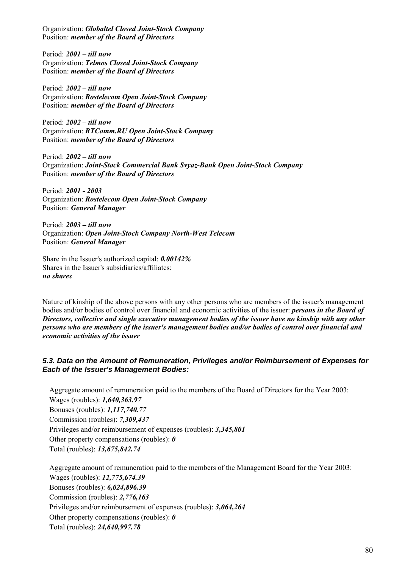Organization: *Globaltel Closed Joint-Stock Company* Position: *member of the Board of Directors*

Period: *2001 – till now* Organization: *Telmos Closed Joint-Stock Company* Position: *member of the Board of Directors*

Period: *2002 – till now* Organization: *Rostelecom Open Joint-Stock Company* Position: *member of the Board of Directors*

Period: *2002 – till now* Organization: *RTComm.RU Open Joint-Stock Company*  Position: *member of the Board of Directors*

Period: *2002 – till now* Organization: *Joint-Stock Commercial Bank Svyaz-Bank Open Joint-Stock Company* Position: *member of the Board of Directors*

Period: *2001 - 2003* Organization: *Rostelecom Open Joint-Stock Company* Position: *General Manager*

Period: *2003 – till now* Organization: *Open Joint-Stock Company North-West Telecom* Position: *General Manager*

Share in the Issuer's authorized capital: *0.00142%* Shares in the Issuer's subsidiaries/affiliates: *no shares*

Nature of kinship of the above persons with any other persons who are members of the issuer's management bodies and/or bodies of control over financial and economic activities of the issuer: *persons in the Board of Directors, collective and single executive management bodies of the issuer have no kinship with any other persons who are members of the issuer's management bodies and/or bodies of control over financial and economic activities of the issuer*

# *5.3. Data on the Amount of Remuneration, Privileges and/or Reimbursement of Expenses for Each of the Issuer's Management Bodies:*

Aggregate amount of remuneration paid to the members of the Board of Directors for the Year 2003: Wages (roubles): *1,640,363.97* Bonuses (roubles): *1,117,740.77* Commission (roubles): *7,309,437* Privileges and/or reimbursement of expenses (roubles): *3,345,801* Other property compensations (roubles): *0* Total (roubles): *13,675,842.74*

Aggregate amount of remuneration paid to the members of the Management Board for the Year 2003: Wages (roubles): *12,775,674.39* Bonuses (roubles): *6,024,896.39* Commission (roubles): *2,776,163* Privileges and/or reimbursement of expenses (roubles): *3,064,264* Other property compensations (roubles): *0* Total (roubles): *24,640,997.78*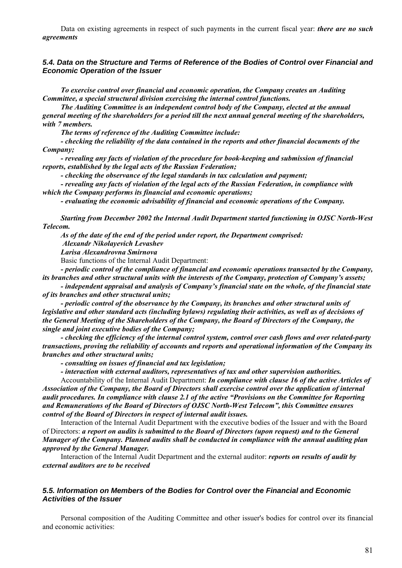Data on existing agreements in respect of such payments in the current fiscal year: *there are no such agreements*

#### *5.4. Data on the Structure and Terms of Reference of the Bodies of Control over Financial and Economic Operation of the Issuer*

*To exercise control over financial and economic operation, the Company creates an Auditing Committee, a special structural division exercising the internal control functions.* 

*The Auditing Committee is an independent control body of the Company, elected at the annual general meeting of the shareholders for a period till the next annual general meeting of the shareholders, with 7 members.* 

*The terms of reference of the Auditing Committee include:* 

*- checking the reliability of the data contained in the reports and other financial documents of the Company;* 

*- revealing any facts of violation of the procedure for book-keeping and submission of financial reports, established by the legal acts of the Russian Federation;* 

*- checking the observance of the legal standards in tax calculation and payment;* 

*- revealing any facts of violation of the legal acts of the Russian Federation, in compliance with which the Company performs its financial and economic operations;* 

*- evaluating the economic advisability of financial and economic operations of the Company.* 

*Starting from December 2002 the Internal Audit Department started functioning in OJSC North-West Telecom.* 

*As of the date of the end of the period under report, the Department comprised:* 

 *Alexandr Nikolayevich Levashev* 

*Larisa Alexandrovna Smirnova* 

Basic functions of the Internal Audit Department:

*- periodic control of the compliance of financial and economic operations transacted by the Company, its branches and other structural units with the interests of the Company, protection of Company's assets;* 

*- independent appraisal and analysis of Company's financial state on the whole, of the financial state of its branches and other structural units;* 

*- periodic control of the observance by the Company, its branches and other structural units of legislative and other standard acts (including bylaws) regulating their activities, as well as of decisions of the General Meeting of the Shareholders of the Company, the Board of Directors of the Company, the single and joint executive bodies of the Company;* 

*- checking the efficiency of the internal control system, control over cash flows and over related-party transactions, proving the reliability of accounts and reports and operational information of the Company its branches and other structural units;* 

*- consulting on issues of financial and tax legislation;* 

*- interaction with external auditors, representatives of tax and other supervision authorities.* 

Accountability of the Internal Audit Department: *In compliance with clause 16 of the active Articles of Association of the Company, the Board of Directors shall exercise control over the application of internal audit procedures. In compliance with clause 2.1 of the active "Provisions on the Committee for Reporting and Remunerations of the Board of Directors of OJSC North-West Telecom", this Committee ensures control of the Board of Directors in respect of internal audit issues.* 

Interaction of the Internal Audit Department with the executive bodies of the Issuer and with the Board of Directors: *a report on audits is submitted to the Board of Directors (upon request) and to the General Manager of the Company. Planned audits shall be conducted in compliance with the annual auditing plan approved by the General Manager.*

Interaction of the Internal Audit Department and the external auditor: *reports on results of audit by external auditors are to be received*

#### *5.5. Information on Members of the Bodies for Control over the Financial and Economic Activities of the Issuer*

Personal composition of the Auditing Committee and other issuer's bodies for control over its financial and economic activities: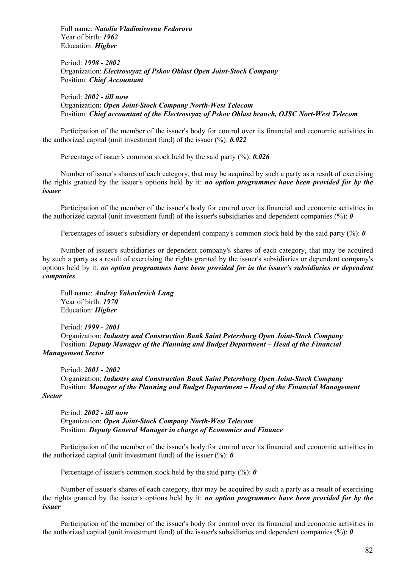Full name: *Natalia Vladimirovna Fedorova* Year of birth: *1962* Education: *Higher*

Period: *1998 - 2002* Organization: *Electrosvyaz of Pskov Oblast Open Joint-Stock Company* Position: *Chief Accountant*

## Period: *2002 - till now*

Organization: *Open Joint-Stock Company North-West Telecom* Position: *Chief accountant of the Electrosvyaz of Pskov Oblast branch, OJSC Nort-West Telecom*

Participation of the member of the issuer's body for control over its financial and economic activities in the authorized capital (unit investment fund) of the issuer (%): *0.022*

Percentage of issuer's common stock held by the said party (%): *0.026*

Number of issuer's shares of each category, that may be acquired by such a party as a result of exercising the rights granted by the issuer's options held by it: *no option programmes have been provided for by the issuer*

Participation of the member of the issuer's body for control over its financial and economic activities in the authorized capital (unit investment fund) of the issuer's subsidiaries and dependent companies  $(\%)$ :  $\theta$ 

Percentages of issuer's subsidiary or dependent company's common stock held by the said party (%): *0*

Number of issuer's subsidiaries or dependent company's shares of each category, that may be acquired by such a party as a result of exercising the rights granted by the issuer's subsidiaries or dependent company's options held by it: *no option programmes have been provided for in the issuer's subsidiaries or dependent companies*

Full name: *Andrey Yakovlevich Lang* Year of birth: *1970* Education: *Higher*

Period: *1999 - 2001* Organization: *Industry and Construction Bank Saint Petersburg Open Joint-Stock Company* Position: *Deputy Manager of the Planning and Budget Department – Head of the Financial Management Sector*

Period: *2001 - 2002* Organization: *Industry and Construction Bank Saint Petersburg Open Joint-Stock Company* Position: *Manager of the Planning and Budget Department – Head of the Financial Management* 

#### *Sector*

Period: *2002 - till now* Organization: *Open Joint-Stock Company North-West Telecom* Position: *Deputy General Manager in charge of Economics and Finance* 

Participation of the member of the issuer's body for control over its financial and economic activities in the authorized capital (unit investment fund) of the issuer  $(\%)$ : **0** 

Percentage of issuer's common stock held by the said party (%): *0*

Number of issuer's shares of each category, that may be acquired by such a party as a result of exercising the rights granted by the issuer's options held by it: *no option programmes have been provided for by the issuer*

Participation of the member of the issuer's body for control over its financial and economic activities in the authorized capital (unit investment fund) of the issuer's subsidiaries and dependent companies  $(\%)$ :  $\theta$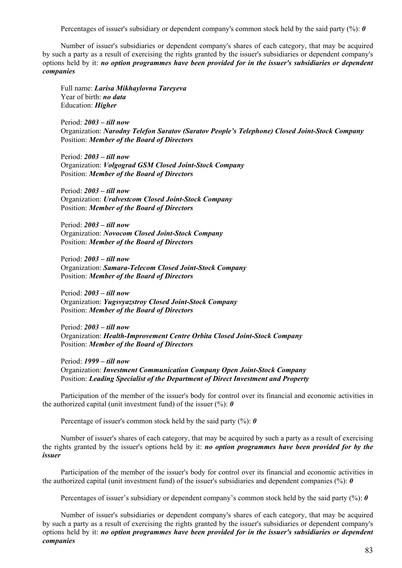Percentages of issuer's subsidiary or dependent company's common stock held by the said party (%): *0*

Number of issuer's subsidiaries or dependent company's shares of each category, that may be acquired by such a party as a result of exercising the rights granted by the issuer's subsidiaries or dependent company's options held by it: *no option programmes have been provided for in the issuer's subsidiaries or dependent companies*

Full name: *Larisa Mikhaylovna Tareyeva* Year of birth: *no data* Education: *Higher*

Period: *2003 – till now* Organization: *Narodny Telefon Saratov (Saratov People's Telephone) Closed Joint-Stock Company* Position: *Member of the Board of Directors*

Period: *2003 – till now* Organization: *Volgograd GSM Closed Joint-Stock Company* Position: *Member of the Board of Directors*

Period: *2003 – till now* Organization: *Uralvestcom Closed Joint-Stock Company* Position: *Member of the Board of Directors*

Period: *2003 – till now* Organization: *Novocom Closed Joint-Stock Company* Position: *Member of the Board of Directors*

Period: *2003 – till now* Organization: *Samara-Telecom Closed Joint-Stock Company* Position: *Member of the Board of Directors*

Period: *2003 – till now* Organization: *Yugsvyazstroy Closed Joint-Stock Company* Position: *Member of the Board of Directors*

Period: *2003 – till now* Organization: *Health-Improvement Centre Orbita Closed Joint-Stock Company* Position: *Member of the Board of Directors*

Period: *1999 – till now* Organization: *Investment Communication Company Open Joint-Stock Company* Position: *Leading Specialist of the Department of Direct Investment and Property* 

Participation of the member of the issuer's body for control over its financial and economic activities in the authorized capital (unit investment fund) of the issuer  $(\%)$ : **0** 

Percentage of issuer's common stock held by the said party (%): *0*

Number of issuer's shares of each category, that may be acquired by such a party as a result of exercising the rights granted by the issuer's options held by it: *no option programmes have been provided for by the issuer*

Participation of the member of the issuer's body for control over its financial and economic activities in the authorized capital (unit investment fund) of the issuer's subsidiaries and dependent companies  $(\%)$ :  $\theta$ 

Percentages of issuer's subsidiary or dependent company's common stock held by the said party (%): **0** 

Number of issuer's subsidiaries or dependent company's shares of each category, that may be acquired by such a party as a result of exercising the rights granted by the issuer's subsidiaries or dependent company's options held by it: *no option programmes have been provided for in the issuer's subsidiaries or dependent companies*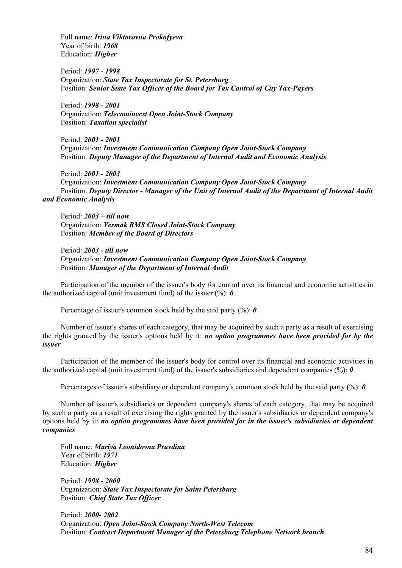Full name: *Irina Viktorovna Prokofyeva* Year of birth: *1968* Education: *Higher*

Period: *1997 - 1998* Organization: *State Tax Inspectorate for St. Petersburg*  Position: *Senior State Tax Officer of the Board for Tax Control of City Tax-Payers*

Period: *1998 - 2001* Organization: *Telecominvest Open Joint-Stock Company* Position: *Taxation specialist*

Period: *2001 - 2001* Organization: *Investment Communication Company Open Joint-Stock Company* Position: *Deputy Manager of the Department of Internal Audit and Economic Analysis* 

Period: *2001 - 2003* Organization: *Investment Communication Company Open Joint-Stock Company* Position: *Deputy Director - Manager of the Unit of Internal Audit of the Department of Internal Audit and Economic Analysis*

Period: *2003 – till now* Organization: *Yermak RMS Closed Joint-Stock Company* Position: *Member of the Board of Directors*

Period: *2003 - till now* Organization: *Investment Communication Company Open Joint-Stock Company* Position: *Manager of the Department of Internal Audit* 

Participation of the member of the issuer's body for control over its financial and economic activities in the authorized capital (unit investment fund) of the issuer (%): *0*

Percentage of issuer's common stock held by the said party (%): *0*

Number of issuer's shares of each category, that may be acquired by such a party as a result of exercising the rights granted by the issuer's options held by it: *no option programmes have been provided for by the issuer*

Participation of the member of the issuer's body for control over its financial and economic activities in the authorized capital (unit investment fund) of the issuer's subsidiaries and dependent companies  $(\%)$ :  $\theta$ 

Percentages of issuer's subsidiary or dependent company's common stock held by the said party (%): **0** 

Number of issuer's subsidiaries or dependent company's shares of each category, that may be acquired by such a party as a result of exercising the rights granted by the issuer's subsidiaries or dependent company's options held by it: *no option programmes have been provided for in the issuer's subsidiaries or dependent companies*

Full name: *Mariya Leonidovna Pravdina* Year of birth: *1971* Education: *Higher*

Period: *1998 - 2000* Organization: *State Tax Inspectorate for Saint Petersburg* Position: *Chief State Tax Officer*

Period: *2000- 2002* Organization: *Open Joint-Stock Company North-West Telecom* Position: *Contract Department Manager of the Petersburg Telephone Network branch*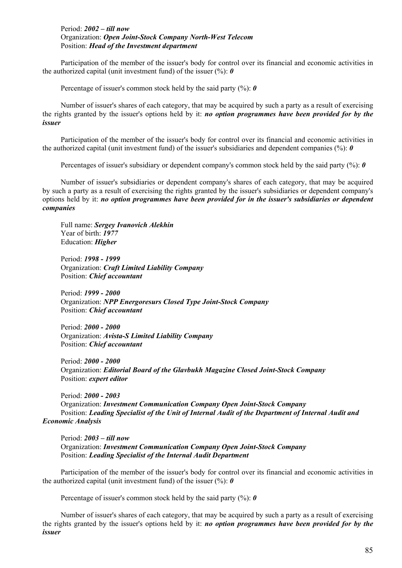#### Period: *2002 – till now*  Organization: *Open Joint-Stock Company North-West Telecom* Position: *Head of the Investment department*

Participation of the member of the issuer's body for control over its financial and economic activities in the authorized capital (unit investment fund) of the issuer  $(\%): \mathbf{0}$ 

Percentage of issuer's common stock held by the said party (%): *0*

Number of issuer's shares of each category, that may be acquired by such a party as a result of exercising the rights granted by the issuer's options held by it: *no option programmes have been provided for by the issuer*

Participation of the member of the issuer's body for control over its financial and economic activities in the authorized capital (unit investment fund) of the issuer's subsidiaries and dependent companies (%): *0*

Percentages of issuer's subsidiary or dependent company's common stock held by the said party (%): *0*

Number of issuer's subsidiaries or dependent company's shares of each category, that may be acquired by such a party as a result of exercising the rights granted by the issuer's subsidiaries or dependent company's options held by it: *no option programmes have been provided for in the issuer's subsidiaries or dependent companies*

Full name: *Sergey Ivanovich Alekhin* Year of birth: *1977* Education: *Higher*

Period: *1998 - 1999* Organization: *Craft Limited Liability Company* Position: *Chief accountant*

Period: *1999 - 2000* Organization: *NPP Energoresurs Closed Type Joint-Stock Company* Position: *Chief accountant*

Period: *2000 - 2000* Organization: *Avista-S Limited Liability Company* Position: *Chief accountant*

Period: *2000 - 2000* Organization: *Editorial Board of the Glavbukh Magazine Closed Joint-Stock Company* Position: *expert editor*

Period: *2000 - 2003* Organization: *Investment Communication Company Open Joint-Stock Company* Position: *Leading Specialist of the Unit of Internal Audit of the Department of Internal Audit and Economic Analysis*

Period: *2003 – till now* Organization: *Investment Communication Company Open Joint-Stock Company* Position: *Leading Specialist of the Internal Audit Department* 

Participation of the member of the issuer's body for control over its financial and economic activities in the authorized capital (unit investment fund) of the issuer  $(\%)$ : **0** 

Percentage of issuer's common stock held by the said party (%): *0*

Number of issuer's shares of each category, that may be acquired by such a party as a result of exercising the rights granted by the issuer's options held by it: *no option programmes have been provided for by the issuer*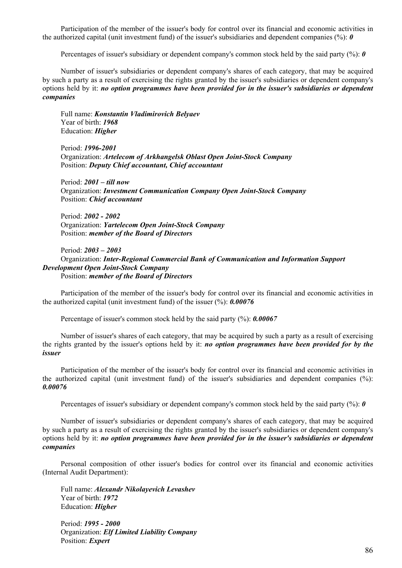Participation of the member of the issuer's body for control over its financial and economic activities in the authorized capital (unit investment fund) of the issuer's subsidiaries and dependent companies (%): *0*

Percentages of issuer's subsidiary or dependent company's common stock held by the said party (%): *0*

Number of issuer's subsidiaries or dependent company's shares of each category, that may be acquired by such a party as a result of exercising the rights granted by the issuer's subsidiaries or dependent company's options held by it: *no option programmes have been provided for in the issuer's subsidiaries or dependent companies*

Full name: *Konstantin Vladimirovich Belyaev* Year of birth: *1968* Education: *Higher*

Period: *1996-2001* Organization: *Artelecom of Arkhangelsk Oblast Open Joint-Stock Company* Position: *Deputy Chief accountant, Chief accountant*

Period: *2001 – till now* Organization: *Investment Communication Company Open Joint-Stock Company* Position: *Chief accountant*

Period: *2002 - 2002*  Organization: *Yartelecom Open Joint-Stock Company* Position: *member of the Board of Directors*

Period: *2003 – 2003* Organization: *Inter-Regional Commercial Bank of Communication and Information Support Development Open Joint-Stock Company* Position: *member of the Board of Directors*

Participation of the member of the issuer's body for control over its financial and economic activities in the authorized capital (unit investment fund) of the issuer (%): *0.00076*

Percentage of issuer's common stock held by the said party (%): *0.00067*

Number of issuer's shares of each category, that may be acquired by such a party as a result of exercising the rights granted by the issuer's options held by it: *no option programmes have been provided for by the issuer*

Participation of the member of the issuer's body for control over its financial and economic activities in the authorized capital (unit investment fund) of the issuer's subsidiaries and dependent companies (%): *0.00076*

Percentages of issuer's subsidiary or dependent company's common stock held by the said party (%): **0** 

Number of issuer's subsidiaries or dependent company's shares of each category, that may be acquired by such a party as a result of exercising the rights granted by the issuer's subsidiaries or dependent company's options held by it: *no option programmes have been provided for in the issuer's subsidiaries or dependent companies*

Personal composition of other issuer's bodies for control over its financial and economic activities (Internal Audit Department):

Full name: *Alexandr Nikolayevich Levashev* Year of birth: *1972* Education: *Higher*

Period: *1995 - 2000*  Organization: *Elf Limited Liability Company* Position: *Expert*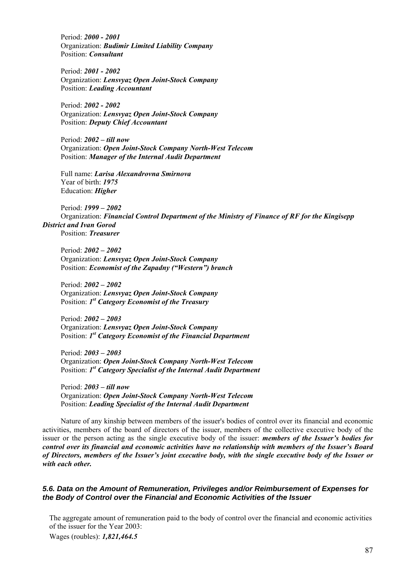Period: *2000 - 2001*  Organization: *Budimir Limited Liability Company* Position: *Consultant*

Period: *2001 - 2002*  Organization: *Lensvyaz Open Joint-Stock Company* Position: *Leading Accountant*

Period: *2002 - 2002*  Organization: *Lensvyaz Open Joint-Stock Company* Position: *Deputy Chief Accountant*

Period: *2002 – till now* Organization: *Open Joint-Stock Company North-West Telecom* Position: *Manager of the Internal Audit Department*

Full name: *Larisa Alexandrovna Smirnova* Year of birth: *1975* Education: *Higher*

Period: *1999 – 2002*  Organization: *Financial Control Department of the Ministry of Finance of RF for the Kingisepp District and Ivan Gorod* Position: *Treasurer*

Period: *2002 – 2002*  Organization: *Lensvyaz Open Joint-Stock Company* Position: *Economist of the Zapadny ("Western") branch*

Period: *2002 – 2002*  Organization: *Lensvyaz Open Joint-Stock Company* Position: *1st Category Economist of the Treasury*

Period: *2002 – 2003*  Organization: *Lensvyaz Open Joint-Stock Company* Position: *1st Category Economist of the Financial Department*

Period: *2003 – 2003*  Organization: *Open Joint-Stock Company North-West Telecom* Position: *1st Category Specialist of the Internal Audit Department*

Period: *2003 – till now* Organization: *Open Joint-Stock Company North-West Telecom* Position: *Leading Specialist of the Internal Audit Department* 

Nature of any kinship between members of the issuer's bodies of control over its financial and economic activities, members of the board of directors of the issuer, members of the collective executive body of the issuer or the person acting as the single executive body of the issuer: *members of the Issuer's bodies for control over its financial and economic activities have no relationship with members of the Issuer's Board of Directors, members of the Issuer's joint executive body, with the single executive body of the Issuer or with each other.*

#### *5.6. Data on the Amount of Remuneration, Privileges and/or Reimbursement of Expenses for the Body of Control over the Financial and Economic Activities of the Issuer*

The aggregate amount of remuneration paid to the body of control over the financial and economic activities of the issuer for the Year 2003: Wages (roubles): *1,821,464.5*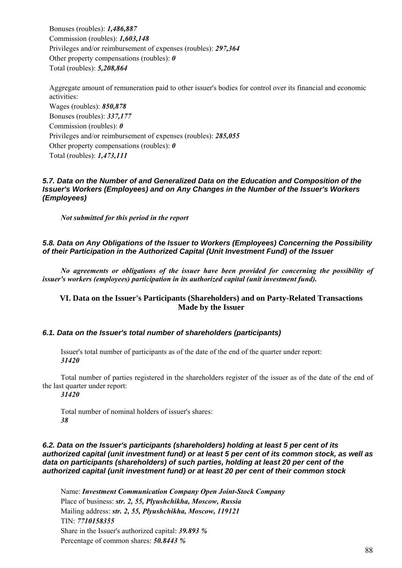Bonuses (roubles): *1,486,887* Commission (roubles): *1,603,148* Privileges and/or reimbursement of expenses (roubles): *297,364* Other property compensations (roubles): *0* Total (roubles): *5,208,864*

Aggregate amount of remuneration paid to other issuer's bodies for control over its financial and economic activities: Wages (roubles): *850,878* Bonuses (roubles): *337,177* Commission (roubles): *0* Privileges and/or reimbursement of expenses (roubles): *285,055* Other property compensations (roubles): *0*

Total (roubles): *1,473,111*

## *5.7. Data on the Number of and Generalized Data on the Education and Composition of the Issuer's Workers (Employees) and on Any Changes in the Number of the Issuer's Workers (Employees)*

*Not submitted for this period in the report*

# *5.8. Data on Any Obligations of the Issuer to Workers (Employees) Concerning the Possibility of their Participation in the Authorized Capital (Unit Investment Fund) of the Issuer*

*No agreements or obligations of the issuer have been provided for concerning the possibility of issuer's workers (employees) participation in its authorized capital (unit investment fund).* 

# **VI. Data on the Issuer's Participants (Shareholders) and on Party-Related Transactions Made by the Issuer**

# *6.1. Data on the Issuer's total number of shareholders (participants)*

Issuer's total number of participants as of the date of the end of the quarter under report: *31420* 

Total number of parties registered in the shareholders register of the issuer as of the date of the end of the last quarter under report:

*31420* 

Total number of nominal holders of issuer's shares: *38* 

## *6.2. Data on the Issuer's participants (shareholders) holding at least 5 per cent of its authorized capital (unit investment fund) or at least 5 per cent of its common stock, as well as data on participants (shareholders) of such parties, holding at least 20 per cent of the authorized capital (unit investment fund) or at least 20 per cent of their common stock*

Name: *Investment Communication Company Open Joint-Stock Company* Place of business: *str. 2, 55, Plyushchikha, Moscow, Russia*  Mailing address: *str. 2, 55, Plyushchikha, Moscow, 119121* TIN: *7710158355* Share in the Issuer's authorized capital: *39.893 %* Percentage of common shares: *50.8443 %*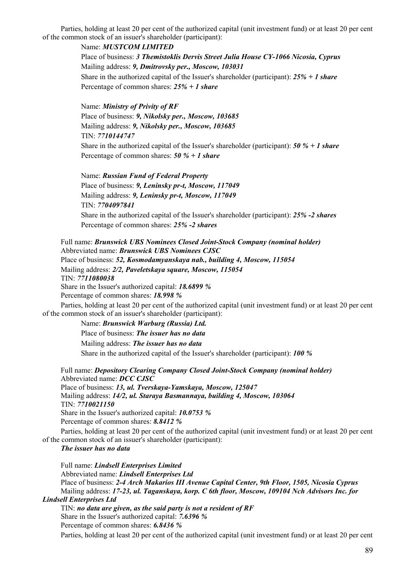Parties, holding at least 20 per cent of the authorized capital (unit investment fund) or at least 20 per cent of the common stock of an issuer's shareholder (participant):

> Name: *MUSTCOM LIMITED* Place of business: *3 Themistoklis Dervis Street Julia House CY-1066 Nicosia, Cyprus* Mailing address: *9, Dmitrovsky per., Moscow, 103031* Share in the authorized capital of the Issuer's shareholder (participant): *25% + 1 share* Percentage of common shares: *25% + 1 share*

> Name: *Ministry of Privity of RF* Place of business: *9, Nikolsky per., Moscow, 103685* Mailing address: *9, Nikolsky per., Moscow, 103685* TIN: *7710144747* Share in the authorized capital of the Issuer's shareholder (participant): *50 % + 1 share* Percentage of common shares: *50 % + 1 share*

> Name: *Russian Fund of Federal Property* Place of business: *9, Leninsky pr-t, Moscow, 117049* Mailing address: *9, Leninsky pr-t, Moscow, 117049* TIN: *7704097841* Share in the authorized capital of the Issuer's shareholder (participant): *25% -2 shares* Percentage of common shares: *25% -2 shares*

Full name: *Brunswick UBS Nominees Closed Joint-Stock Company (nominal holder)* Abbreviated name: *Brunswick UBS Nominees CJSC* Place of business: *52, Kosmodamyanskaya nab., building 4, Moscow, 115054* Mailing address: *2/2, Paveletskaya square, Moscow, 115054* TIN: *7711080038* Share in the Issuer's authorized capital: *18.6899 %* Percentage of common shares: *18.998 %*

Parties, holding at least 20 per cent of the authorized capital (unit investment fund) or at least 20 per cent of the common stock of an issuer's shareholder (participant):

> Name: *Brunswick Warburg (Russia) Ltd.* Place of business: *The issuer has no data* Mailing address: *The issuer has no data* Share in the authorized capital of the Issuer's shareholder (participant): *100 %*

Full name: *Depository Clearing Company Closed Joint-Stock Company (nominal holder)* Abbreviated name: *DCC CJSC* Place of business: *13, ul. Tverskaya-Yamskaya, Moscow, 125047* Mailing address: *14/2, ul. Staraya Basmannaya, building 4, Moscow, 103064* TIN: *7710021150* Share in the Issuer's authorized capital: *10.0753 %*  Percentage of common shares: *8.8412 %*

Parties, holding at least 20 per cent of the authorized capital (unit investment fund) or at least 20 per cent of the common stock of an issuer's shareholder (participant):

*The issuer has no data*

Full name: *Lindsell Enterprises Limited* Abbreviated name: *Lindsell Enterprises Ltd* Place of business: *2-4 Arch Makarios III Avenue Capital Center, 9th Floor, 1505, Nicosia Cyprus* Mailing address: *17-23, ul. Taganskaya, korp. C 6th floor, Moscow, 109104 Nch Advisors Inc. for* 

## *Lindsell Enterprises Ltd*

TIN: *no data are given, as the said party is not a resident of RF* Share in the Issuer's authorized capital: *7.6396 %*  Percentage of common shares: *6.8436 %*

Parties, holding at least 20 per cent of the authorized capital (unit investment fund) or at least 20 per cent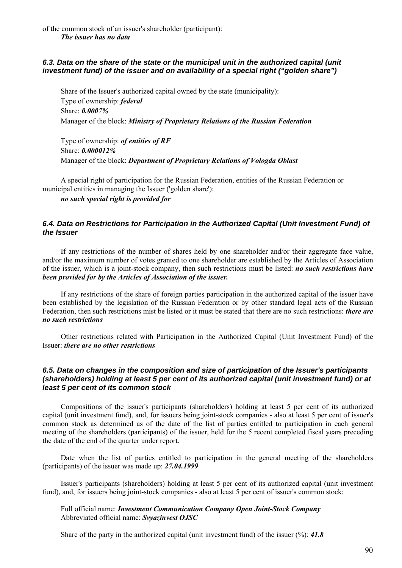of the common stock of an issuer's shareholder (participant): *The issuer has no data*

## *6.3. Data on the share of the state or the municipal unit in the authorized capital (unit investment fund) of the issuer and on availability of a special right ("golden share")*

Share of the Issuer's authorized capital owned by the state (municipality): Type of ownership: *federal* Share: *0.0007%* Manager of the block: *Ministry of Proprietary Relations of the Russian Federation*

Type of ownership: *of entities of RF*  Share: *0.000012%* Manager of the block: *Department of Proprietary Relations of Vologda Oblast*

A special right of participation for the Russian Federation, entities of the Russian Federation or municipal entities in managing the Issuer ('golden share'):

*no such special right is provided for*

## *6.4. Data on Restrictions for Participation in the Authorized Capital (Unit Investment Fund) of the Issuer*

If any restrictions of the number of shares held by one shareholder and/or their aggregate face value, and/or the maximum number of votes granted to one shareholder are established by the Articles of Association of the issuer, which is a joint-stock company, then such restrictions must be listed: *no such restrictions have been provided for by the Articles of Association of the issuer.* 

If any restrictions of the share of foreign parties participation in the authorized capital of the issuer have been established by the legislation of the Russian Federation or by other standard legal acts of the Russian Federation, then such restrictions mist be listed or it must be stated that there are no such restrictions: *there are no such restrictions*

Other restrictions related with Participation in the Authorized Capital (Unit Investment Fund) of the Issuer: *there are no other restrictions*

## *6.5. Data on changes in the composition and size of participation of the Issuer's participants (shareholders) holding at least 5 per cent of its authorized capital (unit investment fund) or at least 5 per cent of its common stock*

Compositions of the issuer's participants (shareholders) holding at least 5 per cent of its authorized capital (unit investment fund), and, for issuers being joint-stock companies - also at least 5 per cent of issuer's common stock as determined as of the date of the list of parties entitled to participation in each general meeting of the shareholders (participants) of the issuer, held for the 5 recent completed fiscal years preceding the date of the end of the quarter under report.

Date when the list of parties entitled to participation in the general meeting of the shareholders (participants) of the issuer was made up: *27.04.1999*

Issuer's participants (shareholders) holding at least 5 per cent of its authorized capital (unit investment fund), and, for issuers being joint-stock companies - also at least 5 per cent of issuer's common stock:

#### Full official name: *Investment Communication Company Open Joint-Stock Company* Abbreviated official name: *Svyazinvest OJSC*

Share of the party in the authorized capital (unit investment fund) of the issuer (%): *41.8*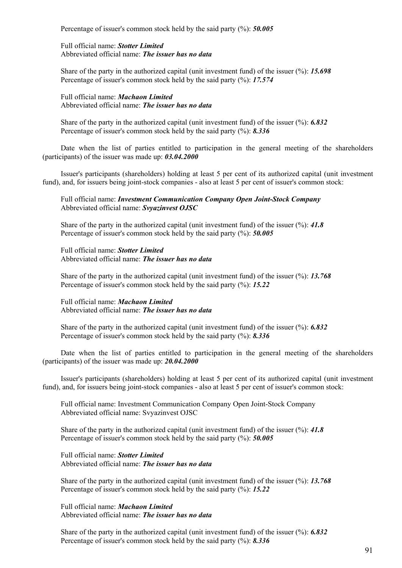Percentage of issuer's common stock held by the said party (%): *50.005*

Full official name: *Stotter Limited* Abbreviated official name: *The issuer has no data*

Share of the party in the authorized capital (unit investment fund) of the issuer (%): *15.698* Percentage of issuer's common stock held by the said party (%): *17.574*

Full official name: *Machaon Limited* Abbreviated official name: *The issuer has no data*

Share of the party in the authorized capital (unit investment fund) of the issuer (%): *6.832* Percentage of issuer's common stock held by the said party (%): *8.336*

Date when the list of parties entitled to participation in the general meeting of the shareholders (participants) of the issuer was made up: *03.04.2000*

Issuer's participants (shareholders) holding at least 5 per cent of its authorized capital (unit investment fund), and, for issuers being joint-stock companies - also at least 5 per cent of issuer's common stock:

Full official name: *Investment Communication Company Open Joint-Stock Company* Abbreviated official name: *Svyazinvest OJSC*

Share of the party in the authorized capital (unit investment fund) of the issuer (%): *41.8* Percentage of issuer's common stock held by the said party (%): *50.005*

Full official name: *Stotter Limited* Abbreviated official name: *The issuer has no data*

Share of the party in the authorized capital (unit investment fund) of the issuer (%): *13.768* Percentage of issuer's common stock held by the said party (%): *15.22*

Full official name: *Machaon Limited* Abbreviated official name: *The issuer has no data*

Share of the party in the authorized capital (unit investment fund) of the issuer (%): *6.832* Percentage of issuer's common stock held by the said party (%): *8.336*

Date when the list of parties entitled to participation in the general meeting of the shareholders (participants) of the issuer was made up: *20.04.2000*

Issuer's participants (shareholders) holding at least 5 per cent of its authorized capital (unit investment fund), and, for issuers being joint-stock companies - also at least 5 per cent of issuer's common stock:

Full official name: Investment Communication Company Open Joint-Stock Company Abbreviated official name: Svyazinvest OJSC

Share of the party in the authorized capital (unit investment fund) of the issuer (%): *41.8* Percentage of issuer's common stock held by the said party (%): *50.005*

Full official name: *Stotter Limited* Abbreviated official name: *The issuer has no data*

Share of the party in the authorized capital (unit investment fund) of the issuer (%): *13.768* Percentage of issuer's common stock held by the said party (%): *15.22*

Full official name: *Machaon Limited* Abbreviated official name: *The issuer has no data*

Share of the party in the authorized capital (unit investment fund) of the issuer (%): *6.832* Percentage of issuer's common stock held by the said party (%): *8.336*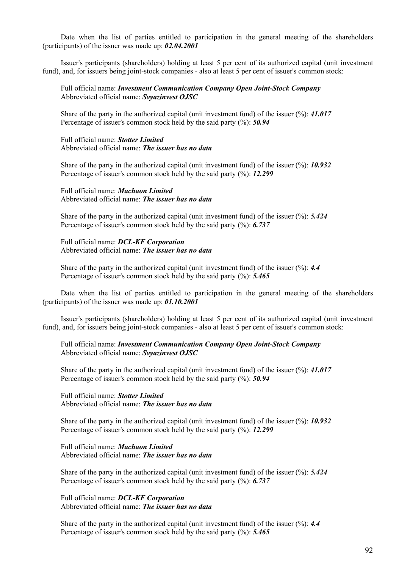Date when the list of parties entitled to participation in the general meeting of the shareholders (participants) of the issuer was made up: *02.04.2001*

Issuer's participants (shareholders) holding at least 5 per cent of its authorized capital (unit investment fund), and, for issuers being joint-stock companies - also at least 5 per cent of issuer's common stock:

Full official name: *Investment Communication Company Open Joint-Stock Company* Abbreviated official name: *Svyazinvest OJSC*

Share of the party in the authorized capital (unit investment fund) of the issuer (%): *41.017* Percentage of issuer's common stock held by the said party (%): *50.94*

Full official name: *Stotter Limited* Abbreviated official name: *The issuer has no data*

Share of the party in the authorized capital (unit investment fund) of the issuer (%): *10.932* Percentage of issuer's common stock held by the said party (%): *12.299*

Full official name: *Machaon Limited* Abbreviated official name: *The issuer has no data*

Share of the party in the authorized capital (unit investment fund) of the issuer (%): *5.424* Percentage of issuer's common stock held by the said party (%): *6.737*

Full official name: *DCL-KF Corporation* Abbreviated official name: *The issuer has no data*

Share of the party in the authorized capital (unit investment fund) of the issuer (%): *4.4* Percentage of issuer's common stock held by the said party (%): *5.465*

Date when the list of parties entitled to participation in the general meeting of the shareholders (participants) of the issuer was made up: *01.10.2001*

Issuer's participants (shareholders) holding at least 5 per cent of its authorized capital (unit investment fund), and, for issuers being joint-stock companies - also at least 5 per cent of issuer's common stock:

Full official name: *Investment Communication Company Open Joint-Stock Company* Abbreviated official name: *Svyazinvest OJSC*

Share of the party in the authorized capital (unit investment fund) of the issuer (%): *41.017* Percentage of issuer's common stock held by the said party (%): *50.94*

Full official name: *Stotter Limited* Abbreviated official name: *The issuer has no data*

Share of the party in the authorized capital (unit investment fund) of the issuer (%): *10.932* Percentage of issuer's common stock held by the said party (%): *12.299*

Full official name: *Machaon Limited* Abbreviated official name: *The issuer has no data*

Share of the party in the authorized capital (unit investment fund) of the issuer (%): *5.424* Percentage of issuer's common stock held by the said party (%): *6.737*

Full official name: *DCL-KF Corporation* Abbreviated official name: *The issuer has no data*

Share of the party in the authorized capital (unit investment fund) of the issuer (%): *4.4* Percentage of issuer's common stock held by the said party (%): *5.465*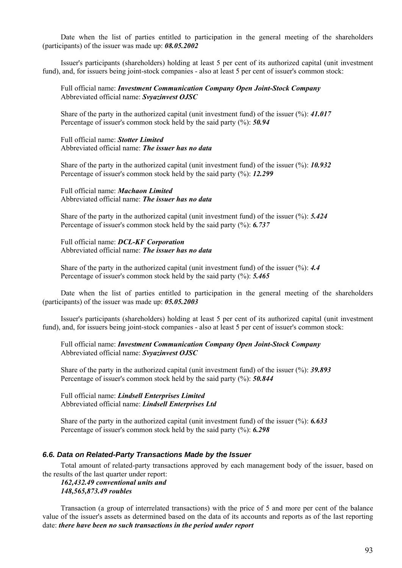Date when the list of parties entitled to participation in the general meeting of the shareholders (participants) of the issuer was made up: *08.05.2002*

Issuer's participants (shareholders) holding at least 5 per cent of its authorized capital (unit investment fund), and, for issuers being joint-stock companies - also at least 5 per cent of issuer's common stock:

Full official name: *Investment Communication Company Open Joint-Stock Company* Abbreviated official name: *Svyazinvest OJSC*

Share of the party in the authorized capital (unit investment fund) of the issuer (%): *41.017* Percentage of issuer's common stock held by the said party (%): *50.94*

Full official name: *Stotter Limited* Abbreviated official name: *The issuer has no data*

Share of the party in the authorized capital (unit investment fund) of the issuer (%): *10.932* Percentage of issuer's common stock held by the said party (%): *12.299*

Full official name: *Machaon Limited* Abbreviated official name: *The issuer has no data*

Share of the party in the authorized capital (unit investment fund) of the issuer (%): *5.424* Percentage of issuer's common stock held by the said party (%): *6.737*

Full official name: *DCL-KF Corporation* Abbreviated official name: *The issuer has no data*

Share of the party in the authorized capital (unit investment fund) of the issuer (%): *4.4* Percentage of issuer's common stock held by the said party (%): *5.465*

Date when the list of parties entitled to participation in the general meeting of the shareholders (participants) of the issuer was made up: *05.05.2003*

Issuer's participants (shareholders) holding at least 5 per cent of its authorized capital (unit investment fund), and, for issuers being joint-stock companies - also at least 5 per cent of issuer's common stock:

Full official name: *Investment Communication Company Open Joint-Stock Company* Abbreviated official name: *Svyazinvest OJSC*

Share of the party in the authorized capital (unit investment fund) of the issuer (%): *39.893* Percentage of issuer's common stock held by the said party (%): *50.844*

Full official name: *Lindsell Enterprises Limited* Abbreviated official name: *Lindsell Enterprises Ltd*

Share of the party in the authorized capital (unit investment fund) of the issuer (%): *6.633* Percentage of issuer's common stock held by the said party (%): *6.298*

#### *6.6. Data on Related-Party Transactions Made by the Issuer*

Total amount of related-party transactions approved by each management body of the issuer, based on the results of the last quarter under report:

*162,432.49 conventional units and 148,565,873.49 roubles* 

Transaction (a group of interrelated transactions) with the price of 5 and more per cent of the balance value of the issuer's assets as determined based on the data of its accounts and reports as of the last reporting date: *there have been no such transactions in the period under report*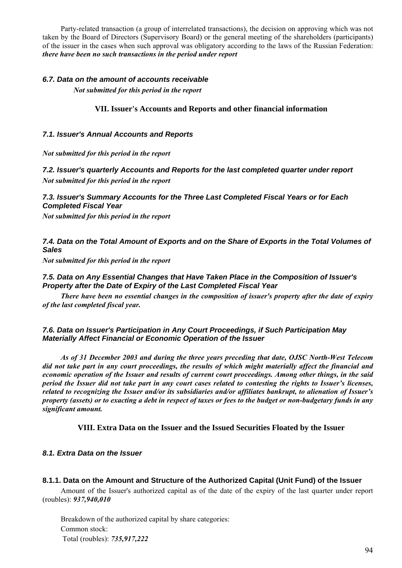Party-related transaction (a group of interrelated transactions), the decision on approving which was not taken by the Board of Directors (Supervisory Board) or the general meeting of the shareholders (participants) of the issuer in the cases when such approval was obligatory according to the laws of the Russian Federation: *there have been no such transactions in the period under report*

## *6.7. Data on the amount of accounts receivable*

*Not submitted for this period in the report* 

## **VII. Issuer's Accounts and Reports and other financial information**

#### *7.1. Issuer's Annual Accounts and Reports*

*Not submitted for this period in the report* 

*7.2. Issuer's quarterly Accounts and Reports for the last completed quarter under report Not submitted for this period in the report*

## *7.3. Issuer's Summary Accounts for the Three Last Completed Fiscal Years or for Each Completed Fiscal Year*

*Not submitted for this period in the report* 

*7.4. Data on the Total Amount of Exports and on the Share of Exports in the Total Volumes of Sales* 

*Not submitted for this period in the report*

## *7.5. Data on Any Essential Changes that Have Taken Place in the Composition of Issuer's Property after the Date of Expiry of the Last Completed Fiscal Year*

*There have been no essential changes in the composition of issuer's property after the date of expiry of the last completed fiscal year.* 

## *7.6. Data on Issuer's Participation in Any Court Proceedings, if Such Participation May Materially Affect Financial or Economic Operation of the Issuer*

*As of 31 December 2003 and during the three years preceding that date, OJSC North-West Telecom did not take part in any court proceedings, the results of which might materially affect the financial and economic operation of the Issuer and results of current court proceedings. Among other things, in the said period the Issuer did not take part in any court cases related to contesting the rights to Issuer's licenses, related to recognizing the Issuer and/or its subsidiaries and/or affiliates bankrupt, to alienation of Issuer's property (assets) or to exacting a debt in respect of taxes or fees to the budget or non-budgetary funds in any significant amount.*

#### **VIII. Extra Data on the Issuer and the Issued Securities Floated by the Issuer**

#### *8.1. Extra Data on the Issuer*

## **8.1.1. Data on the Amount and Structure of the Authorized Capital (Unit Fund) of the Issuer**

Amount of the Issuer's authorized capital as of the date of the expiry of the last quarter under report (roubles): *937,940,010*

Breakdown of the authorized capital by share categories: Common stock: Total (roubles): *735,917,222*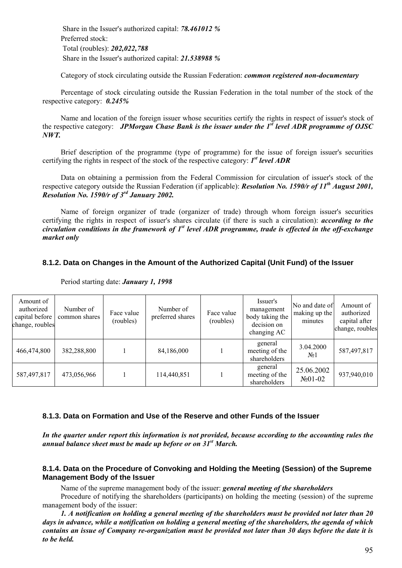Share in the Issuer's authorized capital: *78.461012 %* Preferred stock: Total (roubles): *202,022,788* Share in the Issuer's authorized capital: *21.538988 %*

Category of stock circulating outside the Russian Federation: *common registered non-documentary*

Percentage of stock circulating outside the Russian Federation in the total number of the stock of the respective category: *0.245%*

Name and location of the foreign issuer whose securities certify the rights in respect of issuer's stock of the respective category: *JPMorgan Chase Bank is the issuer under the 1st level ADR programme of OJSC NWT.*

Brief description of the programme (type of programme) for the issue of foreign issuer's securities certifying the rights in respect of the stock of the respective category: *1st level ADR*

Data on obtaining a permission from the Federal Commission for circulation of issuer's stock of the respective category outside the Russian Federation (if applicable): *Resolution No. 1590/r of 11th August 2001, Resolution No. 1590/r of 3rd January 2002.*

Name of foreign organizer of trade (organizer of trade) through whom foreign issuer's securities certifying the rights in respect of issuer's shares circulate (if there is such a circulation): *according to the circulation conditions in the framework of 1st level ADR programme, trade is effected in the off-exchange market only*

## **8.1.2. Data on Changes in the Amount of the Authorized Capital (Unit Fund) of the Issuer**

| Amount of<br>authorized<br>capital before<br>change, roubles | Number of<br>common shares | Face value<br>(roubles) | Number of<br>preferred shares | Face value<br>(roubles) | Issuer's<br>management<br>body taking the<br>decision on<br>changing AC | No and date of<br>making up the<br>minutes | Amount of<br>authorized<br>capital after<br>change, roubles |
|--------------------------------------------------------------|----------------------------|-------------------------|-------------------------------|-------------------------|-------------------------------------------------------------------------|--------------------------------------------|-------------------------------------------------------------|
| 466,474,800                                                  | 382,288,800                |                         | 84,186,000                    |                         | general<br>meeting of the<br>shareholders                               | 3.04.2000<br>No 1                          | 587,497,817                                                 |
| 587,497,817                                                  | 473,056,966                |                         | 114,440,851                   |                         | general<br>meeting of the<br>shareholders                               | 25.06.2002<br>$N_2$ 01-02                  | 937,940,010                                                 |

Period starting date: *January 1, 1998*

## **8.1.3. Data on Formation and Use of the Reserve and other Funds of the Issuer**

*In the quarter under report this information is not provided, because according to the accounting rules the annual balance sheet must be made up before or on 31st March.*

## **8.1.4. Data on the Procedure of Convoking and Holding the Meeting (Session) of the Supreme Management Body of the Issuer**

Name of the supreme management body of the issuer: *general meeting of the shareholders*

Procedure of notifying the shareholders (participants) on holding the meeting (session) of the supreme management body of the issuer:

*1. A notification on holding a general meeting of the shareholders must be provided not later than 20 days in advance, while a notification on holding a general meeting of the shareholders, the agenda of which contains an issue of Company re-organization must be provided not later than 30 days before the date it is to be held.*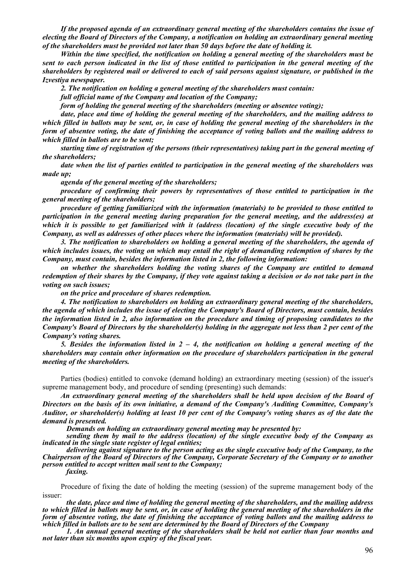*If the proposed agenda of an extraordinary general meeting of the shareholders contains the issue of electing the Board of Directors of the Company, a notification on holding an extraordinary general meeting of the shareholders must be provided not later than 50 days before the date of holding it.* 

*Within the time specified, the notification on holding a general meeting of the shareholders must be sent to each person indicated in the list of those entitled to participation in the general meeting of the shareholders by registered mail or delivered to each of said persons against signature, or published in the Izvestiya newspaper.* 

*2. The notification on holding a general meeting of the shareholders must contain:* 

*full official name of the Company and location of the Company;* 

*form of holding the general meeting of the shareholders (meeting or absentee voting);* 

*date, place and time of holding the general meeting of the shareholders, and the mailing address to which filled in ballots may be sent, or, in case of holding the general meeting of the shareholders in the form of absentee voting, the date of finishing the acceptance of voting ballots and the mailing address to which filled in ballots are to be sent;* 

*starting time of registration of the persons (their representatives) taking part in the general meeting of the shareholders;* 

*date when the list of parties entitled to participation in the general meeting of the shareholders was made up;* 

*agenda of the general meeting of the shareholders;* 

*procedure of confirming their powers by representatives of those entitled to participation in the general meeting of the shareholders;* 

*procedure of getting familiarized with the information (materials) to be provided to those entitled to participation in the general meeting during preparation for the general meeting, and the address(es) at which it is possible to get familiarized with it (address (location) of the single executive body of the Company, as well as addresses of other places where the information (materials) will be provided).* 

*3. The notification to shareholders on holding a general meeting of the shareholders, the agenda of which includes issues, the voting on which may entail the right of demanding redemption of shares by the Company, must contain, besides the information listed in 2, the following information:* 

*on whether the shareholders holding the voting shares of the Company are entitled to demand redemption of their shares by the Company, if they vote against taking a decision or do not take part in the voting on such issues;* 

*on the price and procedure of shares redemption.* 

*4. The notification to shareholders on holding an extraordinary general meeting of the shareholders, the agenda of which includes the issue of electing the Company's Board of Directors, must contain, besides the information listed in 2, also information on the procedure and timing of proposing candidates to the Company's Board of Directors by the shareholder(s) holding in the aggregate not less than 2 per cent of the Company's voting shares.* 

*5. Besides the information listed in 2 – 4, the notification on holding a general meeting of the shareholders may contain other information on the procedure of shareholders participation in the general meeting of the shareholders.* 

Parties (bodies) entitled to convoke (demand holding) an extraordinary meeting (session) of the issuer's supreme management body, and procedure of sending (presenting) such demands:

*An extraordinary general meeting of the shareholders shall be held upon decision of the Board of Directors on the basis of its own initiative, a demand of the Company's Auditing Committee, Company's Auditor, or shareholder(s) holding at least 10 per cent of the Company's voting shares as of the date the demand is presented.* 

*Demands on holding an extraordinary general meeting may be presented by:* 

*sending them by mail to the address (location) of the single executive body of the Company as indicated in the single state register of legal entities;* 

*delivering against signature to the person acting as the single executive body of the Company, to the Chairperson of the Board of Directors of the Company, Corporate Secretary of the Company or to another person entitled to accept written mail sent to the Company;* 

*faxing.* 

Procedure of fixing the date of holding the meeting (session) of the supreme management body of the issuer:

*the date, place and time of holding the general meeting of the shareholders, and the mailing address*  to which filled in ballots may be sent, or, in case of holding the general meeting of the shareholders in the *form of absentee voting, the date of finishing the acceptance of voting ballots and the mailing address to which filled in ballots are to be sent are determined by the Board of Directors of the Company* 

*1. An annual general meeting of the shareholders shall be held not earlier than four months and not later than six months upon expiry of the fiscal year.*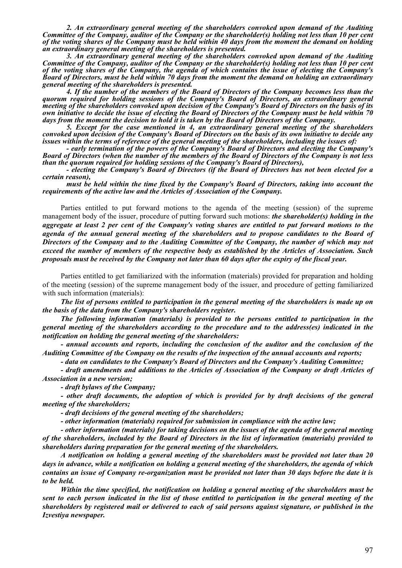*2. An extraordinary general meeting of the shareholders convoked upon demand of the Auditing Committee of the Company, auditor of the Company or the shareholder(s) holding not less than 10 per cent of the voting shares of the Company must be held within 40 days from the moment the demand on holding an extraordinary general meeting of the shareholders is presented.* 

*3. An extraordinary general meeting of the shareholders convoked upon demand of the Auditing Committee of the Company, auditor of the Company or the shareholder(s) holding not less than 10 per cent of the voting shares of the Company, the agenda of which contains the issue of electing the Company's Board of Directors, must be held within 70 days from the moment the demand on holding an extraordinary general meeting of the shareholders is presented.* 

*4. If the number of the members of the Board of Directors of the Company becomes less than the quorum required for holding sessions of the Company's Board of Directors, an extraordinary general meeting of the shareholders convoked upon decision of the Company's Board of Directors on the basis of its own initiative to decide the issue of electing the Board of Directors of the Company must be held within 70*  days from the moment the decision to hold it is taken by the Board of Directors of the Company.

*5. Except for the case mentioned in 4, an extraordinary general meeting of the shareholders convoked upon decision of the Company's Board of Directors on the basis of its own initiative to decide any issues within the terms of reference of the general meeting of the shareholders, including the issues of:* 

*- early termination of the powers of the Company's Board of Directors and electing the Company's Board of Directors (when the number of the members of the Board of Directors of the Company is not less than the quorum required for holding sessions of the Company's Board of Directors),* 

*- electing the Company's Board of Directors (if the Board of Directors has not been elected for a certain reason),* 

*must be held within the time fixed by the Company's Board of Directors, taking into account the requirements of the active law and the Articles of Association of the Company.* 

Parties entitled to put forward motions to the agenda of the meeting (session) of the supreme management body of the issuer, procedure of putting forward such motions: *the shareholder(s) holding in the aggregate at least 2 per cent of the Company's voting shares are entitled to put forward motions to the agenda of the annual general meeting of the shareholders and to propose candidates to the Board of Directors of the Company and to the Auditing Committee of the Company, the number of which may not exceed the number of members of the respective body as established by the Articles of Association. Such proposals must be received by the Company not later than 60 days after the expiry of the fiscal year.*

Parties entitled to get familiarized with the information (materials) provided for preparation and holding of the meeting (session) of the supreme management body of the issuer, and procedure of getting familiarized with such information (materials):

*The list of persons entitled to participation in the general meeting of the shareholders is made up on the basis of the data from the Company's shareholders register.* 

*The following information (materials) is provided to the persons entitled to participation in the general meeting of the shareholders according to the procedure and to the address(es) indicated in the notification on holding the general meeting of the shareholders:* 

*- annual accounts and reports, including the conclusion of the auditor and the conclusion of the Auditing Committee of the Company on the results of the inspection of the annual accounts and reports;* 

*- data on candidates to the Company's Board of Directors and the Company's Auditing Committee;* 

*- draft amendments and additions to the Articles of Association of the Company or draft Articles of Association in a new version;* 

*- draft bylaws of the Company;* 

*- other draft documents, the adoption of which is provided for by draft decisions of the general meeting of the shareholders;* 

*- draft decisions of the general meeting of the shareholders;* 

*- other information (materials) required for submission in compliance with the active law;* 

*- other information (materials) for taking decisions on the issues of the agenda of the general meeting of the shareholders, included by the Board of Directors in the list of information (materials) provided to shareholders during preparation for the general meeting of the shareholders.* 

*A notification on holding a general meeting of the shareholders must be provided not later than 20 days in advance, while a notification on holding a general meeting of the shareholders, the agenda of which contains an issue of Company re-organization must be provided not later than 30 days before the date it is to be held.* 

*Within the time specified, the notification on holding a general meeting of the shareholders must be sent to each person indicated in the list of those entitled to participation in the general meeting of the shareholders by registered mail or delivered to each of said persons against signature, or published in the Izvestiya newspaper.*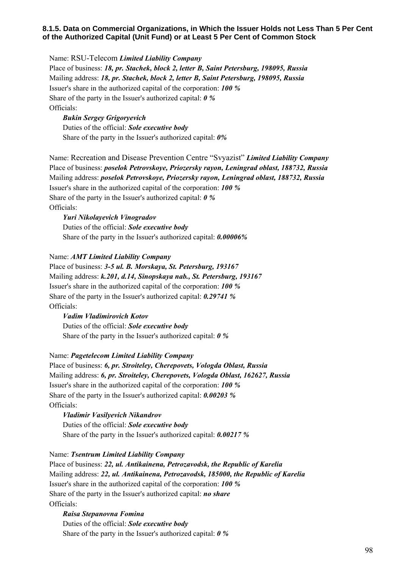## **8.1.5. Data on Commercial Organizations, in Which the Issuer Holds not Less Than 5 Per Cent of the Authorized Capital (Unit Fund) or at Least 5 Per Cent of Common Stock**

Name: RSU-Telecom *Limited Liability Company* Place of business: *18, pr. Stachek, block 2, letter B, Saint Petersburg, 198095, Russia* Mailing address: *18, pr. Stachek, block 2, letter B, Saint Petersburg, 198095, Russia* Issuer's share in the authorized capital of the corporation: *100 %* Share of the party in the Issuer's authorized capital: *0 %* Officials:

*Bukin Sergey Grigoryevich* Duties of the official: *Sole executive body* Share of the party in the Issuer's authorized capital: *0%*

Name: Recreation and Disease Prevention Centre "Svyazist" *Limited Liability Company* Place of business: *poselok Petrovskoye, Priozersky rayon, Leningrad oblast, 188732, Russia* Mailing address: *poselok Petrovskoye, Priozersky rayon, Leningrad oblast, 188732, Russia* Issuer's share in the authorized capital of the corporation: *100 %* Share of the party in the Issuer's authorized capital: *0 %* Officials:

*Yuri Nikolayevich Vinogradov* Duties of the official: *Sole executive body* Share of the party in the Issuer's authorized capital: *0.00006%*

## Name: *AMT Limited Liability Company*

Place of business: *3-5 ul. B. Morskaya, St. Petersburg, 193167* Mailing address: *k.201, d.14, Sinopskaya nab., St. Petersburg, 193167* Issuer's share in the authorized capital of the corporation: *100 %* Share of the party in the Issuer's authorized capital: *0.29741 %* Officials:

# *Vadim Vladimirovich Kotov* Duties of the official: *Sole executive body*

Share of the party in the Issuer's authorized capital: *0 %*

## Name: *Pagetelecom Limited Liability Company*

Place of business: *6, pr. Stroiteley, Cherepovets, Vologda Oblast, Russia* Mailing address: *6, pr. Stroiteley, Cherepovets, Vologda Oblast, 162627, Russia* Issuer's share in the authorized capital of the corporation: *100 %* Share of the party in the Issuer's authorized capital: *0.00203 %* Officials:

*Vladimir Vasilyevich Nikandrov*  Duties of the official: *Sole executive body* Share of the party in the Issuer's authorized capital: *0.00217 %*

## Name: *Tsentrum Limited Liability Company*

Place of business: *22, ul. Antikainena, Petrozavodsk, the Republic of Karelia* Mailing address: *22, ul. Antikainena, Petrozavodsk, 185000, the Republic of Karelia* Issuer's share in the authorized capital of the corporation: *100 %* Share of the party in the Issuer's authorized capital: *no share* Officials:

*Raisa Stepanovna Fomina*  Duties of the official: *Sole executive body* Share of the party in the Issuer's authorized capital: *0 %*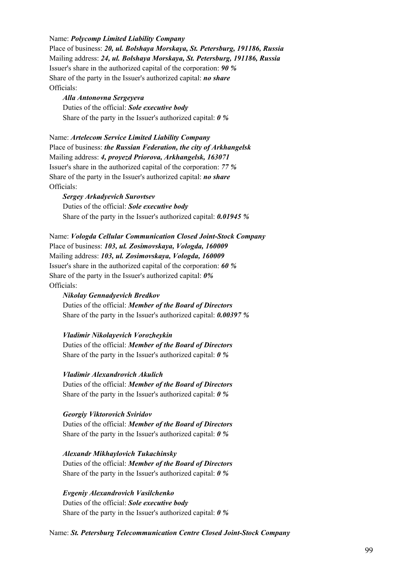Name: *Polycomp Limited Liability Company* Place of business: *20, ul. Bolshaya Morskaya, St. Petersburg, 191186, Russia* Mailing address: *24, ul. Bolshaya Morskaya, St. Petersburg, 191186, Russia* Issuer's share in the authorized capital of the corporation: *90 %* Share of the party in the Issuer's authorized capital: *no share* Officials:

*Alla Antonovna Sergeyeva*  Duties of the official: *Sole executive body* Share of the party in the Issuer's authorized capital: *0 %*

Name: *Artelecom Service Limited Liability Company* Place of business: *the Russian Federation, the city of Arkhangelsk* Mailing address: *4, proyezd Priorova, Arkhangelsk, 163071* Issuer's share in the authorized capital of the corporation: *77 %* Share of the party in the Issuer's authorized capital: *no share* Officials:

*Sergey Arkadyevich Surovtsev*  Duties of the official: *Sole executive body* Share of the party in the Issuer's authorized capital: *0.01945 %*

Name: *Vologda Cellular Communication Closed Joint-Stock Company* Place of business: *103, ul. Zosimovskaya, Vologda, 160009* Mailing address: *103, ul. Zosimovskaya, Vologda, 160009* Issuer's share in the authorized capital of the corporation: *60 %* Share of the party in the Issuer's authorized capital: *0%* Officials:

*Nikolay Gennadyevich Bredkov*  Duties of the official: *Member of the Board of Directors* Share of the party in the Issuer's authorized capital: *0.00397 %*

*Vladimir Nikolayevich Vorozheykin*  Duties of the official: *Member of the Board of Directors* Share of the party in the Issuer's authorized capital: *0 %*

*Vladimir Alexandrovich Akulich*  Duties of the official: *Member of the Board of Directors* Share of the party in the Issuer's authorized capital: *0 %*

## *Georgiy Viktorovich Sviridov*

Duties of the official: *Member of the Board of Directors* Share of the party in the Issuer's authorized capital: *0 %*

*Alexandr Mikhaylovich Tukachinsky*  Duties of the official: *Member of the Board of Directors* Share of the party in the Issuer's authorized capital: *0 %*

*Evgeniy Alexandrovich Vasilchenko*  Duties of the official: *Sole executive body* Share of the party in the Issuer's authorized capital: *0 %*

Name: *St. Petersburg Telecommunication Centre Closed Joint-Stock Company*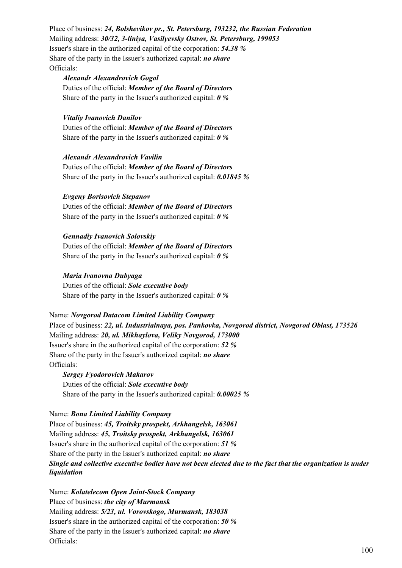Place of business: *24, Bolshevikov pr., St. Petersburg, 193232, the Russian Federation*  Mailing address: *30/32, 3-liniya, Vasilyevsky Ostrov, St. Petersburg, 199053* Issuer's share in the authorized capital of the corporation: *54.38 %* Share of the party in the Issuer's authorized capital: *no share* Officials:

#### *Alexandr Alexandrovich Gogol*

Duties of the official: *Member of the Board of Directors* Share of the party in the Issuer's authorized capital: *0 %*

#### *Vitaliy Ivanovich Danilov*

Duties of the official: *Member of the Board of Directors* Share of the party in the Issuer's authorized capital: *0 %*

*Alexandr Alexandrovich Vavilin*  Duties of the official: *Member of the Board of Directors* Share of the party in the Issuer's authorized capital: *0.01845 %*

#### *Evgeny Borisovich Stepanov*

Duties of the official: *Member of the Board of Directors* Share of the party in the Issuer's authorized capital: *0 %*

#### *Gennadiy Ivanovich Solovskiy*

Duties of the official: *Member of the Board of Directors* Share of the party in the Issuer's authorized capital: *0 %*

#### *Maria Ivanovna Dubyaga*

Duties of the official: *Sole executive body* Share of the party in the Issuer's authorized capital: *0 %*

#### Name: *Novgorod Datacom Limited Liability Company*

Place of business: *22, ul. Industrialnaya, pos. Pankovka, Novgorod district, Novgorod Oblast, 173526* Mailing address: *20, ul. Mikhaylova, Veliky Novgorod, 173000* Issuer's share in the authorized capital of the corporation: *52 %* Share of the party in the Issuer's authorized capital: *no share* Officials:

*Sergey Fyodorovich Makarov*  Duties of the official: *Sole executive body* Share of the party in the Issuer's authorized capital: *0.00025 %*

Name: *Bona Limited Liability Company* Place of business: *45, Troitsky prospekt, Arkhangelsk, 163061* Mailing address: *45, Troitsky prospekt, Arkhangelsk, 163061* Issuer's share in the authorized capital of the corporation: *51 %* Share of the party in the Issuer's authorized capital: *no share Single and collective executive bodies have not been elected due to the fact that the organization is under liquidation* 

Name: *Kolatelecom Open Joint-Stock Company* Place of business: *the city of Murmansk* Mailing address: *5/23, ul. Vorovskogo, Murmansk, 183038* Issuer's share in the authorized capital of the corporation: *50 %* Share of the party in the Issuer's authorized capital: *no share* Officials: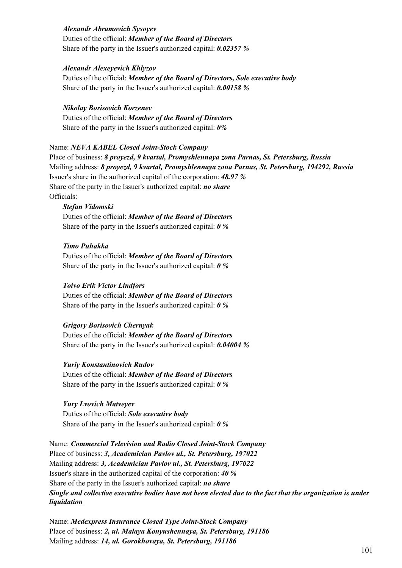## *Alexandr Abramovich Sysoyev*

Duties of the official: *Member of the Board of Directors* Share of the party in the Issuer's authorized capital: *0.02357 %*

## *Alexandr Alexeyevich Khlyzov*

Duties of the official: *Member of the Board of Directors, Sole executive body* Share of the party in the Issuer's authorized capital: *0.00158 %*

#### *Nikolay Borisovich Korzenev*

Duties of the official: *Member of the Board of Directors* Share of the party in the Issuer's authorized capital: *0%*

## Name: *NEVA KABEL Closed Joint-Stock Company*

Place of business: *8 proyezd, 9 kvartal, Promyshlennaya zona Parnas, St. Petersburg, Russia* Mailing address: *8 proyezd, 9 kvartal, Promyshlennaya zona Parnas, St. Petersburg, 194292, Russia* Issuer's share in the authorized capital of the corporation: *48.97 %* Share of the party in the Issuer's authorized capital: *no share* Officials:

## *Stefan Vidomski*

Duties of the official: *Member of the Board of Directors* Share of the party in the Issuer's authorized capital: *0 %*

## *Timo Puhakka*

Duties of the official: *Member of the Board of Directors* Share of the party in the Issuer's authorized capital: *0 %*

## *Toivo Erik Victor Lindfors*

Duties of the official: *Member of the Board of Directors* Share of the party in the Issuer's authorized capital: *0 %*

#### *Grigory Borisovich Chernyak*

Duties of the official: *Member of the Board of Directors* Share of the party in the Issuer's authorized capital: *0.04004 %*

#### *Yuriy Konstantinovich Rudov*

Duties of the official: *Member of the Board of Directors* Share of the party in the Issuer's authorized capital: *0 %*

#### *Yury Lvovich Matveyev*

Duties of the official: *Sole executive body* Share of the party in the Issuer's authorized capital: *0 %*

Name: *Commercial Television and Radio Closed Joint-Stock Company* Place of business: *3, Academician Pavlov ul., St. Petersburg, 197022* Mailing address: *3, Academician Pavlov ul., St. Petersburg, 197022* Issuer's share in the authorized capital of the corporation: *40 %* Share of the party in the Issuer's authorized capital: *no share Single and collective executive bodies have not been elected due to the fact that the organization is under liquidation* 

Name: *Medexpress Insurance Closed Type Joint-Stock Company* Place of business: *2, ul. Malaya Konyushennaya, St. Petersburg, 191186* Mailing address: *14, ul. Gorokhovaya, St. Petersburg, 191186*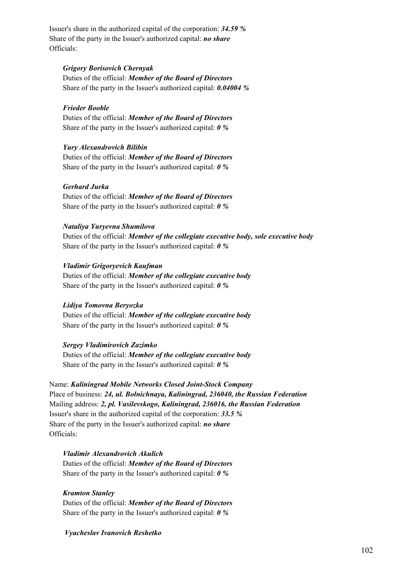Issuer's share in the authorized capital of the corporation: *34.59 %* Share of the party in the Issuer's authorized capital: *no share* Officials:

## *Grigory Borisovich Chernyak*

Duties of the official: *Member of the Board of Directors* Share of the party in the Issuer's authorized capital: *0.04004 %*

#### *Frieder Booble*

Duties of the official: *Member of the Board of Directors* Share of the party in the Issuer's authorized capital: *0 %*

### *Yury Alexandrovich Bilibin*

Duties of the official: *Member of the Board of Directors* Share of the party in the Issuer's authorized capital: *0 %*

#### *Gerhard Jurka*

Duties of the official: *Member of the Board of Directors* Share of the party in the Issuer's authorized capital: *0 %*

## *Nataliya Yuryevna Shumilova*

Duties of the official: *Member of the collegiate executive body, sole executive body* Share of the party in the Issuer's authorized capital: *0 %*

#### *Vladimir Grigoryevich Kaufman*

Duties of the official: *Member of the collegiate executive body* Share of the party in the Issuer's authorized capital: *0 %*

#### *Lidiya Tomovna Beryozka*

Duties of the official: *Member of the collegiate executive body* Share of the party in the Issuer's authorized capital: *0 %*

## *Sergey Vladimirovich Zazimko*

Duties of the official: *Member of the collegiate executive body* Share of the party in the Issuer's authorized capital: *0 %*

Name: *Kaliningrad Mobile Networks Closed Joint-Stock Company* Place of business: *24, ul. Bolnichnaya, Kaliningrad, 236040, the Russian Federation* Mailing address: *2, pl. Vasilevskogo, Kaliningrad, 236016, the Russian Federation* Issuer's share in the authorized capital of the corporation: *33.5 %* Share of the party in the Issuer's authorized capital: *no share* Officials:

#### *Vladimir Alexandrovich Akulich*

Duties of the official: *Member of the Board of Directors* Share of the party in the Issuer's authorized capital: *0 %*

#### *Kramton Stanley*

Duties of the official: *Member of the Board of Directors* Share of the party in the Issuer's authorized capital: *0 %*

#### *Vyacheslav Ivanovich Reshetko*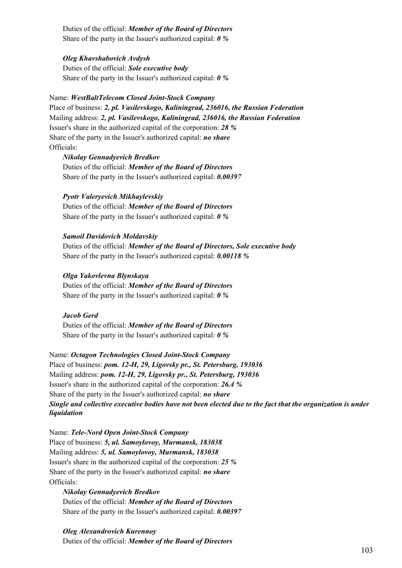Duties of the official: *Member of the Board of Directors* Share of the party in the Issuer's authorized capital: *0 %*

*Oleg Khavshabovich Avdysh*  Duties of the official: *Sole executive body* Share of the party in the Issuer's authorized capital: *0 %*

Name: *WestBaltTelecom Closed Joint-Stock Company* Place of business: *2, pl. Vasilevskogo, Kaliningrad, 236016, the Russian Federation* Mailing address: *2, pl. Vasilevskogo, Kaliningrad, 236016, the Russian Federation* Issuer's share in the authorized capital of the corporation: *28 %* Share of the party in the Issuer's authorized capital: *no share* Officials:

*Nikolay Gennadyevich Bredkov*  Duties of the official: *Member of the Board of Directors* Share of the party in the Issuer's authorized capital: *0.00397*

*Pyotr Valeryevich Mikhaylevskiy*  Duties of the official: *Member of the Board of Directors* Share of the party in the Issuer's authorized capital: *0 %*

## *Samoil Davidovich Moldavskiy*

Duties of the official: *Member of the Board of Directors, Sole executive body* Share of the party in the Issuer's authorized capital: *0.00118 %*

## *Olga Yakovlevna Blynskaya*

Duties of the official: *Member of the Board of Directors* Share of the party in the Issuer's authorized capital: *0 %*

#### *Jacob Gerd*

Duties of the official: *Member of the Board of Directors* Share of the party in the Issuer's authorized capital: *0 %*

Name: *Octagon Technologies Closed Joint-Stock Company* Place of business: *pom. 12-H, 29, Ligovsky pr., St. Petersburg, 193036* Mailing address: *pom. 12-H, 29, Ligovsky pr., St. Petersburg, 193036* Issuer's share in the authorized capital of the corporation: *26.4 %* Share of the party in the Issuer's authorized capital: *no share Single and collective executive bodies have not been elected due to the fact that the organization is under liquidation* 

Name: *Tele-Nord Open Joint-Stock Company* Place of business: *5, ul. Samoylovoy, Murmansk, 183038* Mailing address: *5, ul. Samoylovoy, Murmansk, 183038* Issuer's share in the authorized capital of the corporation: *25 %* Share of the party in the Issuer's authorized capital: *no share* Officials:

*Nikolay Gennadyevich Bredkov* Duties of the official: *Member of the Board of Directors* Share of the party in the Issuer's authorized capital: *0.00397*

*Oleg Alexandrovich Kurennoy*  Duties of the official: *Member of the Board of Directors*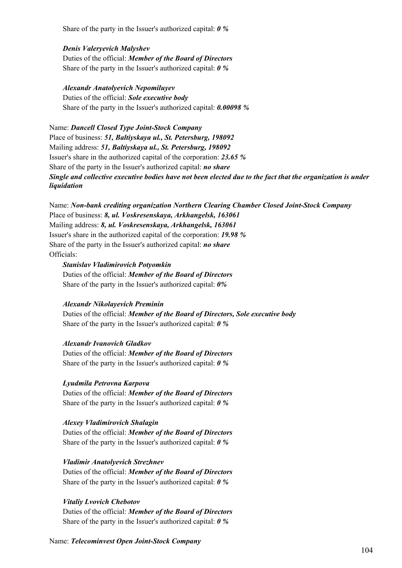Share of the party in the Issuer's authorized capital: *0 %*

*Denis Valeryevich Malyshev*

Duties of the official: *Member of the Board of Directors* Share of the party in the Issuer's authorized capital: *0 %*

*Alexandr Anatolyevich Nepomiluyev* Duties of the official: *Sole executive body* Share of the party in the Issuer's authorized capital: *0.00098 %*

Name: *Dancell Closed Type Joint-Stock Company* Place of business: *51, Baltiyskaya ul., St. Petersburg, 198092* Mailing address: *51, Baltiyskaya ul., St. Petersburg, 198092* Issuer's share in the authorized capital of the corporation: *23.65 %* Share of the party in the Issuer's authorized capital: *no share Single and collective executive bodies have not been elected due to the fact that the organization is under liquidation* 

Name: *Non-bank crediting organization Northern Clearing Chamber Closed Joint-Stock Company* Place of business: *8, ul. Voskresenskaya, Arkhangelsk, 163061* Mailing address: *8, ul. Voskresenskaya, Arkhangelsk, 163061* Issuer's share in the authorized capital of the corporation: *19.98 %* Share of the party in the Issuer's authorized capital: *no share* Officials:

*Stanislav Vladimirovich Potyomkin* Duties of the official: *Member of the Board of Directors* Share of the party in the Issuer's authorized capital: *0%*

#### *Alexandr Nikolayevich Preminin*

Duties of the official: *Member of the Board of Directors, Sole executive body* Share of the party in the Issuer's authorized capital: *0 %*

## *Alexandr Ivanovich Gladkov*

Duties of the official: *Member of the Board of Directors* Share of the party in the Issuer's authorized capital: *0 %*

#### *Lyudmila Petrovna Karpova*

Duties of the official: *Member of the Board of Directors* Share of the party in the Issuer's authorized capital: *0 %*

## *Alexey Vladimirovich Shalagin*

Duties of the official: *Member of the Board of Directors* Share of the party in the Issuer's authorized capital: *0 %*

## *Vladimir Anatolyevich Strezhnev*

Duties of the official: *Member of the Board of Directors* Share of the party in the Issuer's authorized capital: *0 %*

#### *Vitaliy Lvovich Chebotov*

Duties of the official: *Member of the Board of Directors* Share of the party in the Issuer's authorized capital: *0 %*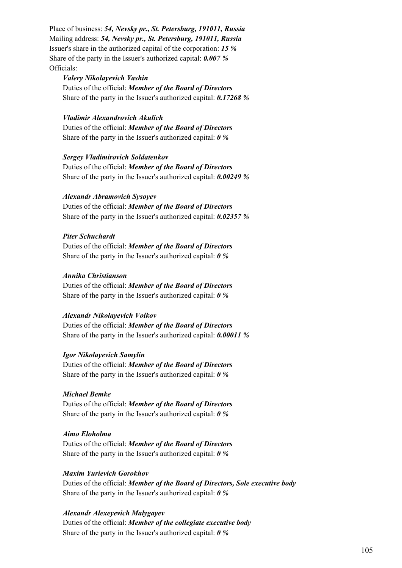Place of business: *54, Nevsky pr., St. Petersburg, 191011, Russia*  Mailing address: *54, Nevsky pr., St. Petersburg, 191011, Russia* Issuer's share in the authorized capital of the corporation: *15 %* Share of the party in the Issuer's authorized capital: *0.007 %* Officials:

## *Valery Nikolayevich Yashin*

Duties of the official: *Member of the Board of Directors* Share of the party in the Issuer's authorized capital: *0.17268 %*

## *Vladimir Alexandrovich Akulich*

Duties of the official: *Member of the Board of Directors* Share of the party in the Issuer's authorized capital: *0 %*

#### *Sergey Vladimirovich Soldatenkov*

Duties of the official: *Member of the Board of Directors* Share of the party in the Issuer's authorized capital: *0.00249 %*

#### *Alexandr Abramovich Sysoyev*

Duties of the official: *Member of the Board of Directors* Share of the party in the Issuer's authorized capital: *0.02357 %*

## *Piter Schuchardt*

Duties of the official: *Member of the Board of Directors* Share of the party in the Issuer's authorized capital: *0 %*

#### *Annika Christianson*

Duties of the official: *Member of the Board of Directors* Share of the party in the Issuer's authorized capital: *0 %*

#### *Alexandr Nikolayevich Volkov*

Duties of the official: *Member of the Board of Directors* Share of the party in the Issuer's authorized capital: *0.00011 %*

#### *Igor Nikolayevich Samylin*

Duties of the official: *Member of the Board of Directors* Share of the party in the Issuer's authorized capital: *0 %*

#### *Michael Bemke*

Duties of the official: *Member of the Board of Directors* Share of the party in the Issuer's authorized capital: *0 %*

#### *Aimo Eloholma*

Duties of the official: *Member of the Board of Directors* Share of the party in the Issuer's authorized capital: *0 %*

#### *Maxim Yurievich Gorokhov*

Duties of the official: *Member of the Board of Directors, Sole executive body* Share of the party in the Issuer's authorized capital: *0 %*

#### *Alexandr Alexeyevich Malygayev*

Duties of the official: *Member of the collegiate executive body* Share of the party in the Issuer's authorized capital: *0 %*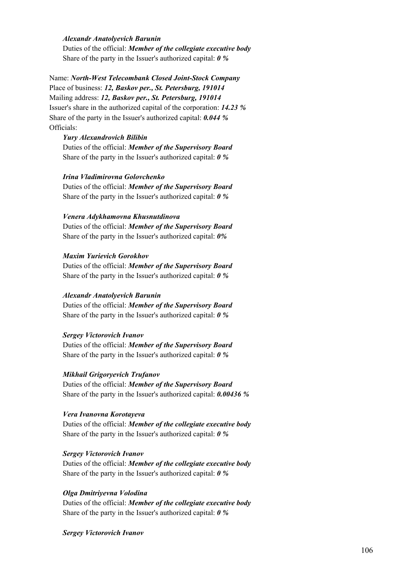#### *Alexandr Anatolyevich Barunin*

Duties of the official: *Member of the collegiate executive body* Share of the party in the Issuer's authorized capital: *0 %*

Name: *North-West Telecombank Closed Joint-Stock Company* Place of business: *12, Baskov per., St. Petersburg, 191014* Mailing address: *12, Baskov per., St. Petersburg, 191014* Issuer's share in the authorized capital of the corporation: *14.23 %* Share of the party in the Issuer's authorized capital: *0.044 %* Officials:

## *Yury Alexandrovich Bilibin*

Duties of the official: *Member of the Supervisory Board* Share of the party in the Issuer's authorized capital: *0 %*

#### *Irina Vladimirovna Golovchenko*

Duties of the official: *Member of the Supervisory Board* Share of the party in the Issuer's authorized capital: *0 %*

## *Venera Adykhamovna Khusnutdinova*

Duties of the official: *Member of the Supervisory Board* Share of the party in the Issuer's authorized capital: *0%*

## *Maxim Yurievich Gorokhov*

Duties of the official: *Member of the Supervisory Board* Share of the party in the Issuer's authorized capital: *0 %*

## *Alexandr Anatolyevich Barunin*

Duties of the official: *Member of the Supervisory Board* Share of the party in the Issuer's authorized capital: *0 %*

## *Sergey Victorovich Ivanov*

Duties of the official: *Member of the Supervisory Board* Share of the party in the Issuer's authorized capital: *0 %*

## *Mikhail Grigoryevich Trufanov*

Duties of the official: *Member of the Supervisory Board* Share of the party in the Issuer's authorized capital: *0.00436 %*

#### *Vera Ivanovna Korotayeva*

Duties of the official: *Member of the collegiate executive body* Share of the party in the Issuer's authorized capital: *0 %*

## *Sergey Victorovich Ivanov*

Duties of the official: *Member of the collegiate executive body* Share of the party in the Issuer's authorized capital: *0 %*

## *Olga Dmitriyevna Volodina*

Duties of the official: *Member of the collegiate executive body* Share of the party in the Issuer's authorized capital: *0 %*

*Sergey Victorovich Ivanov*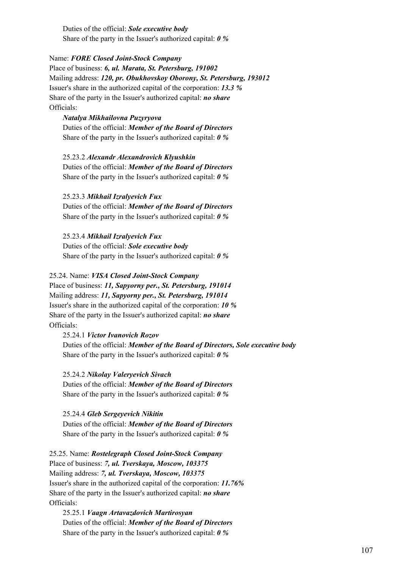Duties of the official: *Sole executive body* Share of the party in the Issuer's authorized capital: *0 %*

## Name: *FORE Closed Joint-Stock Company*

Place of business: *6, ul. Marata, St. Petersburg, 191002* Mailing address: *120, pr. Obukhovskoy Oborony, St. Petersburg, 193012* Issuer's share in the authorized capital of the corporation: *13.3 %* Share of the party in the Issuer's authorized capital: *no share* Officials:

#### *Natalya Mikhailovna Puzyryova*

Duties of the official: *Member of the Board of Directors* Share of the party in the Issuer's authorized capital: *0 %*

25.23.2 *Alexandr Alexandrovich Klyushkin* Duties of the official: *Member of the Board of Directors* Share of the party in the Issuer's authorized capital: *0 %*

25.23.3 *Mikhail Izralyevich Fux* Duties of the official: *Member of the Board of Directors*

Share of the party in the Issuer's authorized capital: *0 %*

25.23.4 *Mikhail Izralyevich Fux* Duties of the official: *Sole executive body* Share of the party in the Issuer's authorized capital: *0 %*

#### 25.24. Name: *VISA Closed Joint-Stock Company*

Place of business: *11, Sapyorny per., St. Petersburg, 191014* Mailing address: *11, Sapyorny per., St. Petersburg, 191014* Issuer's share in the authorized capital of the corporation: *10 %* Share of the party in the Issuer's authorized capital: *no share* Officials:

#### 25.24.1 *Victor Ivanovich Rozov*

Duties of the official: *Member of the Board of Directors, Sole executive body* Share of the party in the Issuer's authorized capital: *0 %*

25.24.2 *Nikolay Valeryevich Sivach* Duties of the official: *Member of the Board of Directors* Share of the party in the Issuer's authorized capital: *0 %*

25.24.4 *Gleb Sergeyevich Nikitin* Duties of the official: *Member of the Board of Directors* Share of the party in the Issuer's authorized capital: *0 %*

25.25. Name: *Rostelegraph Closed Joint-Stock Company* Place of business: *7, ul. Tverskaya, Moscow, 103375*  Mailing address: *7, ul. Tverskaya, Moscow, 103375*  Issuer's share in the authorized capital of the corporation: *11.76%* Share of the party in the Issuer's authorized capital: *no share* Officials:

25.25.1 *Vaagn Artavazdovich Martirosyan* Duties of the official: *Member of the Board of Directors* Share of the party in the Issuer's authorized capital: *0 %*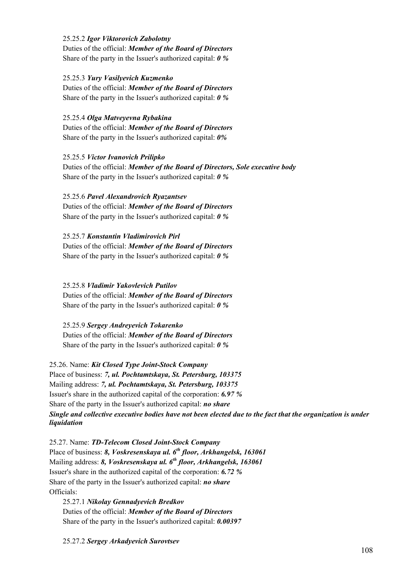25.25.2 *Igor Viktorovich Zabolotny* Duties of the official: *Member of the Board of Directors* Share of the party in the Issuer's authorized capital: *0 %*

## 25.25.3 *Yury Vasilyevich Kuzmenko*

Duties of the official: *Member of the Board of Directors* Share of the party in the Issuer's authorized capital: *0 %*

## 25.25.4 *Olga Matveyevna Rybakina*

Duties of the official: *Member of the Board of Directors* Share of the party in the Issuer's authorized capital: *0%*

25.25.5 *Victor Ivanovich Prilipko* Duties of the official: *Member of the Board of Directors, Sole executive body* Share of the party in the Issuer's authorized capital: *0 %*

# 25.25.6 *Pavel Alexandrovich Ryazantsev* Duties of the official: *Member of the Board of Directors* Share of the party in the Issuer's authorized capital: *0 %*

25.25.7 *Konstantin Vladimirovich Pirl* Duties of the official: *Member of the Board of Directors* Share of the party in the Issuer's authorized capital: *0 %*

# 25.25.8 *Vladimir Yakovlevich Putilov* Duties of the official: *Member of the Board of Directors* Share of the party in the Issuer's authorized capital: *0 %*

25.25.9 *Sergey Andreyevich Tokarenko* Duties of the official: *Member of the Board of Directors* Share of the party in the Issuer's authorized capital: *0 %*

25.26. Name: *Kit Closed Type Joint-Stock Company* Place of business: *7, ul. Pochtamtskaya, St. Petersburg, 103375* Mailing address: *7, ul. Pochtamtskaya, St. Petersburg, 103375* Issuer's share in the authorized capital of the corporation: *6.97 %* Share of the party in the Issuer's authorized capital: *no share Single and collective executive bodies have not been elected due to the fact that the organization is under liquidation* 

25.27. Name: *TD-Telecom Closed Joint-Stock Company* Place of business: *8, Voskresenskaya ul. 6<sup>th</sup> floor, Arkhangelsk, 163061* Mailing address: *8, Voskresenskaya ul. 6th floor, Arkhangelsk, 163061* Issuer's share in the authorized capital of the corporation: *6.72 %* Share of the party in the Issuer's authorized capital: *no share* Officials:

25.27.1 *Nikolay Gennadyevich Bredkov* Duties of the official: *Member of the Board of Directors* Share of the party in the Issuer's authorized capital: *0.00397*

25.27.2 *Sergey Arkadyevich Surovtsev*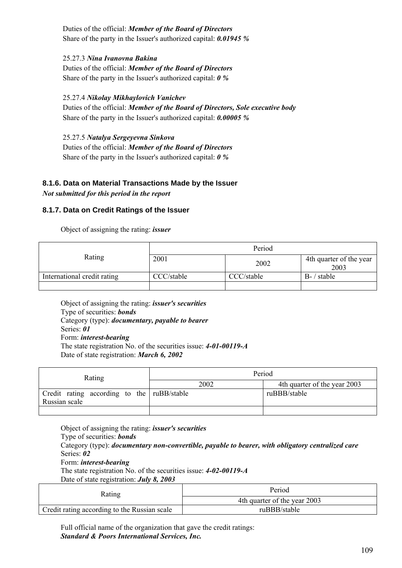Duties of the official: *Member of the Board of Directors* Share of the party in the Issuer's authorized capital: *0.01945 %*

25.27.3 *Nina Ivanovna Bakina*

Duties of the official: *Member of the Board of Directors* Share of the party in the Issuer's authorized capital: *0 %*

25.27.4 *Nikolay Mikhaylovich Vanichev*

Duties of the official: *Member of the Board of Directors, Sole executive body* Share of the party in the Issuer's authorized capital: *0.00005 %*

25.27.5 *Natalya Sergeyevna Sinkova* Duties of the official: *Member of the Board of Directors* Share of the party in the Issuer's authorized capital: *0 %*

# **8.1.6. Data on Material Transactions Made by the Issuer**

*Not submitted for this period in the report*

# **8.1.7. Data on Credit Ratings of the Issuer**

Object of assigning the rating: *issuer*

| Rating                      | Period     |            |                                 |
|-----------------------------|------------|------------|---------------------------------|
|                             | 2001       | 2002       | 4th quarter of the year<br>2003 |
| International credit rating | CCC/stable | CCC/stable | $B - /$ stable                  |
|                             |            |            |                                 |

Object of assigning the rating: *issuer's securities*  Type of securities: *bonds* Category (type): *documentary, payable to bearer* Series: *01* Form: *interest-bearing* The state registration No. of the securities issue: *4-01-00119-А* Date of state registration: *March 6, 2002*

| Rating                                       | Period |                              |
|----------------------------------------------|--------|------------------------------|
|                                              | 2002   | 4th quarter of the year 2003 |
| Credit rating according to the   ruBB/stable |        | ruBBB/stable                 |
| Russian scale                                |        |                              |
|                                              |        |                              |

Object of assigning the rating: *issuer's securities*  Type of securities: *bonds* Category (type): *documentary non-convertible, payable to bearer, with obligatory centralized care* Series: *02* Form: *interest-bearing* The state registration No. of the securities issue: *4-02-00119-А* Date of state registration: *July 8, 2003*

| Rating                                       | Period                       |  |
|----------------------------------------------|------------------------------|--|
|                                              | 4th quarter of the year 2003 |  |
| Credit rating according to the Russian scale | ruBBB/stable                 |  |

Full official name of the organization that gave the credit ratings: *Standard & Poors International Services, Inc.*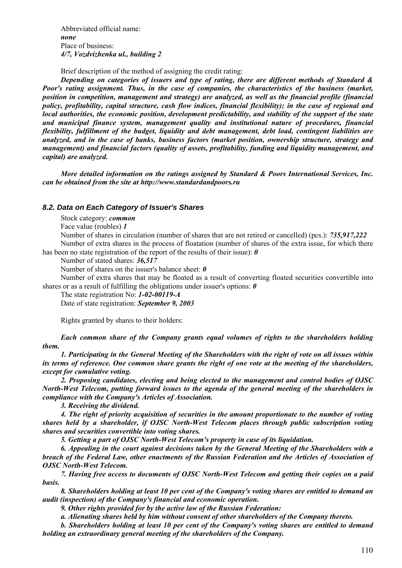Abbreviated official name: *none*  Place of business: *4/7, Vozdvizhenka ul., building 2* 

Brief description of the method of assigning the credit rating:

*Depending on categories of issuers and type of rating, there are different methods of Standard & Poor's rating assignment. Thus, in the case of companies, the characteristics of the business (market, position in competition, management and strategy) are analyzed, as well as the financial profile (financial policy, profitability, capital structure, cash flow indices, financial flexibility); in the case of regional and local authorities, the economic position, development predictability, and stability of the support of the state and municipal finance system, management quality and institutional nature of procedures, financial flexibility, fulfillment of the budget, liquidity and debt management, debt load, contingent liabilities are analyzed, and in the case of banks, business factors (market position, ownership structure, strategy and management) and financial factors (quality of assets, profitability, funding and liquidity management, and capital) are analyzed.* 

*More detailed information on the ratings assigned by Standard & Poors International Services, Inc. can be obtained from the site at http://www.standardandpoors.ru* 

# *8.2. Data on Each Category of Issuer's Shares*

Stock category: *common*

Face value (roubles) *1*

Number of shares in circulation (number of shares that are not retired or cancelled) (pcs.): *735,917,222* Number of extra shares in the process of floatation (number of shares of the extra issue, for which there has been no state registration of the report of the results of their issue): *0* 

Number of stated shares: *36,517*

Number of shares on the issuer's balance sheet: *0*

Number of extra shares that may be floated as a result of converting floated securities convertible into shares or as a result of fulfilling the obligations under issuer's options: *0*

The state registration No: *1-02-00119-А* Date of state registration: *September 9, 2003*

Rights granted by shares to their holders:

*Each common share of the Company grants equal volumes of rights to the shareholders holding them.* 

*1. Participating in the General Meeting of the Shareholders with the right of vote on all issues within its terms of reference. One common share grants the right of one vote at the meeting of the shareholders, except for cumulative voting.* 

*2. Proposing candidates, electing and being elected to the management and control bodies of OJSC North-West Telecom, putting forward issues to the agenda of the general meeting of the shareholders in compliance with the Company's Articles of Association.* 

*3. Receiving the dividend.* 

*4. The right of priority acquisition of securities in the amount proportionate to the number of voting shares held by a shareholder, if OJSC North-West Telecom places through public subscription voting shares and securities convertible into voting shares.* 

*5. Getting a part of OJSC North-West Telecom's property in case of its liquidation.* 

*6. Appealing in the court against decisions taken by the General Meeting of the Shareholders with a breach of the Federal Law, other enactments of the Russian Federation and the Articles of Association of OJSC North-West Telecom.* 

*7. Having free access to documents of OJSC North-West Telecom and getting their copies on a paid basis.* 

*8. Shareholders holding at least 10 per cent of the Company's voting shares are entitled to demand an audit (inspection) of the Company's financial and economic operation.* 

*9. Other rights provided for by the active law of the Russian Federation:* 

*a. Alienating shares held by him without consent of other shareholders of the Company thereto.* 

*b. Shareholders holding at least 10 per cent of the Company's voting shares are entitled to demand holding an extraordinary general meeting of the shareholders of the Company.*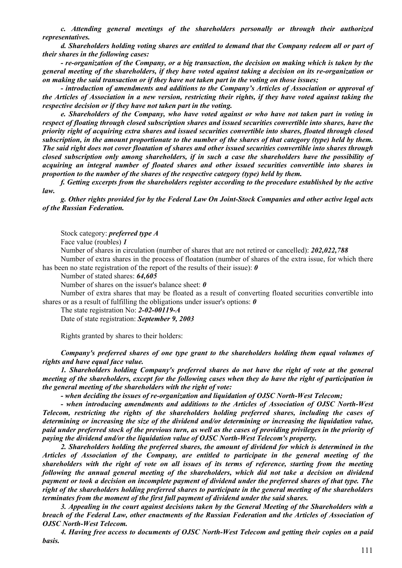*c. Attending general meetings of the shareholders personally or through their authorized representatives.* 

*d. Shareholders holding voting shares are entitled to demand that the Company redeem all or part of their shares in the following cases:* 

*- re-organization of the Company, or a big transaction, the decision on making which is taken by the general meeting of the shareholders, if they have voted against taking a decision on its re-organization or on making the said transaction or if they have not taken part in the voting on those issues;* 

*- introduction of amendments and additions to the Company's Articles of Association or approval of the Articles of Association in a new version, restricting their rights, if they have voted against taking the respective decision or if they have not taken part in the voting.* 

*e. Shareholders of the Company, who have voted against or who have not taken part in voting in respect of floating through closed subscription shares and issued securities convertible into shares, have the priority right of acquiring extra shares and issued securities convertible into shares, floated through closed subscription, in the amount proportionate to the number of the shares of that category (type) held by them. The said right does not cover floatation of shares and other issued securities convertible into shares through closed subscription only among shareholders, if in such a case the shareholders have the possibility of acquiring an integral number of floated shares and other issued securities convertible into shares in proportion to the number of the shares of the respective category (type) held by them.*

*f. Getting excerpts from the shareholders register according to the procedure established by the active law.* 

*g. Other rights provided for by the Federal Law On Joint-Stock Companies and other active legal acts of the Russian Federation.* 

Stock category: *preferred type A*

Face value (roubles) *1*

Number of shares in circulation (number of shares that are not retired or cancelled): *202,022,788*

Number of extra shares in the process of floatation (number of shares of the extra issue, for which there has been no state registration of the report of the results of their issue): **0** 

Number of stated shares: *64,605*

Number of shares on the issuer's balance sheet: *0*

Number of extra shares that may be floated as a result of converting floated securities convertible into shares or as a result of fulfilling the obligations under issuer's options: *0*

The state registration No: *2-02-00119-А*

Date of state registration: *September 9, 2003*

Rights granted by shares to their holders:

*Company's preferred shares of one type grant to the shareholders holding them equal volumes of rights and have equal face value.* 

*1. Shareholders holding Company's preferred shares do not have the right of vote at the general meeting of the shareholders, except for the following cases when they do have the right of participation in the general meeting of the shareholders with the right of vote:* 

*- when deciding the issues of re-organization and liquidation of OJSC North-West Telecom;* 

*- when introducing amendments and additions to the Articles of Association of OJSC North-West Telecom, restricting the rights of the shareholders holding preferred shares, including the cases of determining or increasing the size of the dividend and/or determining or increasing the liquidation value, paid under preferred stock of the previous turn, as well as the cases of providing privileges in the priority of paying the dividend and/or the liquidation value of OJSC North-West Telecom's property.* 

*2. Shareholders holding the preferred shares, the amount of dividend for which is determined in the Articles of Association of the Company, are entitled to participate in the general meeting of the shareholders with the right of vote on all issues of its terms of reference, starting from the meeting following the annual general meeting of the shareholders, which did not take a decision on dividend payment or took a decision on incomplete payment of dividend under the preferred shares of that type. The right of the shareholders holding preferred shares to participate in the general meeting of the shareholders terminates from the moment of the first full payment of dividend under the said shares.* 

*3. Appealing in the court against decisions taken by the General Meeting of the Shareholders with a breach of the Federal Law, other enactments of the Russian Federation and the Articles of Association of OJSC North-West Telecom.* 

*4. Having free access to documents of OJSC North-West Telecom and getting their copies on a paid basis.*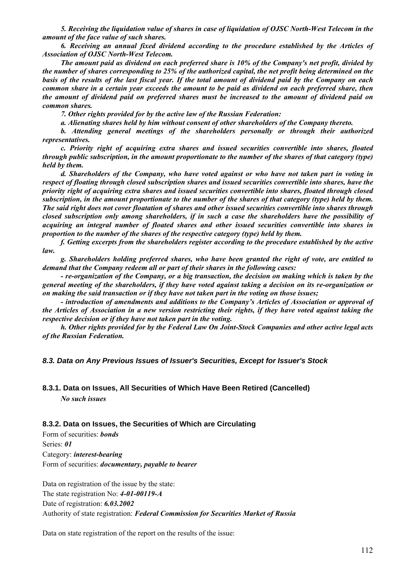*5. Receiving the liquidation value of shares in case of liquidation of OJSC North-West Telecom in the amount of the face value of such shares.* 

*6. Receiving an annual fixed dividend according to the procedure established by the Articles of Association of OJSC North-West Telecom.* 

*The amount paid as dividend on each preferred share is 10% of the Company's net profit, divided by the number of shares corresponding to 25% of the authorized capital, the net profit being determined on the basis of the results of the last fiscal year. If the total amount of dividend paid by the Company on each common share in a certain year exceeds the amount to be paid as dividend on each preferred share, then the amount of dividend paid on preferred shares must be increased to the amount of dividend paid on common shares.*

*7. Other rights provided for by the active law of the Russian Federation:* 

*a. Alienating shares held by him without consent of other shareholders of the Company thereto.* 

*b. Attending general meetings of the shareholders personally or through their authorized representatives.* 

*c. Priority right of acquiring extra shares and issued securities convertible into shares, floated through public subscription, in the amount proportionate to the number of the shares of that category (type) held by them.* 

*d. Shareholders of the Company, who have voted against or who have not taken part in voting in respect of floating through closed subscription shares and issued securities convertible into shares, have the priority right of acquiring extra shares and issued securities convertible into shares, floated through closed subscription, in the amount proportionate to the number of the shares of that category (type) held by them. The said right does not cover floatation of shares and other issued securities convertible into shares through closed subscription only among shareholders, if in such a case the shareholders have the possibility of acquiring an integral number of floated shares and other issued securities convertible into shares in proportion to the number of the shares of the respective category (type) held by them.*

*f. Getting excerpts from the shareholders register according to the procedure established by the active law.* 

*g. Shareholders holding preferred shares, who have been granted the right of vote, are entitled to demand that the Company redeem all or part of their shares in the following cases:* 

*- re-organization of the Company, or a big transaction, the decision on making which is taken by the general meeting of the shareholders, if they have voted against taking a decision on its re-organization or on making the said transaction or if they have not taken part in the voting on those issues;* 

*- introduction of amendments and additions to the Company's Articles of Association or approval of the Articles of Association in a new version restricting their rights, if they have voted against taking the respective decision or if they have not taken part in the voting.* 

*h. Other rights provided for by the Federal Law On Joint-Stock Companies and other active legal acts of the Russian Federation.* 

# *8.3. Data on Any Previous Issues of Issuer's Securities, Except for Issuer's Stock*

# **8.3.1. Data on Issues, All Securities of Which Have Been Retired (Cancelled)**

*No such issues* 

# **8.3.2. Data on Issues, the Securities of Which are Circulating**

Form of securities: *bonds* Series: *01* Category: *interest-bearing* Form of securities: *documentary, payable to bearer*

Data on registration of the issue by the state: The state registration No: *4-01-00119-A* Date of registration: *6.03.2002* Authority of state registration: *Federal Commission for Securities Market of Russia*

Data on state registration of the report on the results of the issue: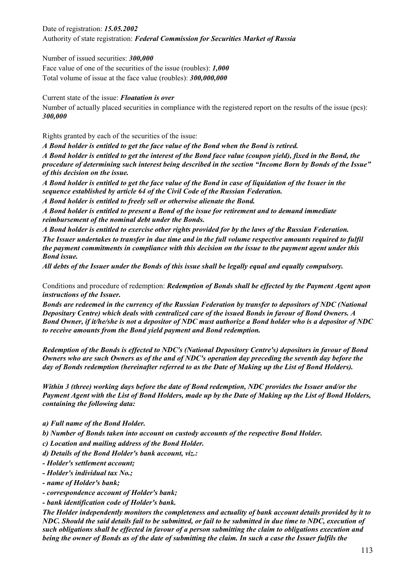Date of registration: *15.05.2002* Authority of state registration: *Federal Commission for Securities Market of Russia* 

Number of issued securities: *300,000*

Face value of one of the securities of the issue (roubles): *1,000* Total volume of issue at the face value (roubles): *300,000,000*

Current state of the issue: *Floatation is over*

Number of actually placed securities in compliance with the registered report on the results of the issue (pcs): *300,000*

Rights granted by each of the securities of the issue:

*A Bond holder is entitled to get the face value of the Bond when the Bond is retired.* 

*A Bond holder is entitled to get the interest of the Bond face value (coupon yield), fixed in the Bond, the procedure of determining such interest being described in the section "Income Born by Bonds of the Issue" of this decision on the issue.* 

*A Bond holder is entitled to get the face value of the Bond in case of liquidation of the Issuer in the sequence established by article 64 of the Civil Code of the Russian Federation.* 

*A Bond holder is entitled to freely sell or otherwise alienate the Bond.* 

*A Bond holder is entitled to present a Bond of the issue for retirement and to demand immediate reimbursement of the nominal debt under the Bonds.* 

*A Bond holder is entitled to exercise other rights provided for by the laws of the Russian Federation. The Issuer undertakes to transfer in due time and in the full volume respective amounts required to fulfil the payment commitments in compliance with this decision on the issue to the payment agent under this Bond issue.* 

*All debts of the Issuer under the Bonds of this issue shall be legally equal and equally compulsory.* 

Conditions and procedure of redemption: *Redemption of Bonds shall be effected by the Payment Agent upon instructions of the Issuer.*

*Bonds are redeemed in the currency of the Russian Federation by transfer to depositors of NDC (National Depositary Centre) which deals with centralized care of the issued Bonds in favour of Bond Owners. A Bond Owner, if it/he/she is not a depositor of NDC must authorize a Bond holder who is a depositor of NDC to receive amounts from the Bond yield payment and Bond redemption.* 

*Redemption of the Bonds is effected to NDC's (National Depository Centre's) depositors in favour of Bond Owners who are such Owners as of the and of NDC's operation day preceding the seventh day before the day of Bonds redemption (hereinafter referred to as the Date of Making up the List of Bond Holders).* 

*Within 3 (three) working days before the date of Bond redemption, NDC provides the Issuer and/or the Payment Agent with the List of Bond Holders, made up by the Date of Making up the List of Bond Holders, containing the following data:* 

*a) Full name of the Bond Holder.* 

*b) Number of Bonds taken into account on custody accounts of the respective Bond Holder.* 

*c) Location and mailing address of the Bond Holder.* 

*d) Details of the Bond Holder's bank account, viz.:* 

*- Holder's settlement account;* 

*- Holder's individual tax No.;* 

*- name of Holder's bank;* 

*- correspondence account of Holder's bank;* 

*- bank identification code of Holder's bank.* 

*The Holder independently monitors the completeness and actuality of bank account details provided by it to NDC. Should the said details fail to be submitted, or fail to be submitted in due time to NDC, execution of such obligations shall be effected in favour of a person submitting the claim to obligations execution and being the owner of Bonds as of the date of submitting the claim. In such a case the Issuer fulfils the*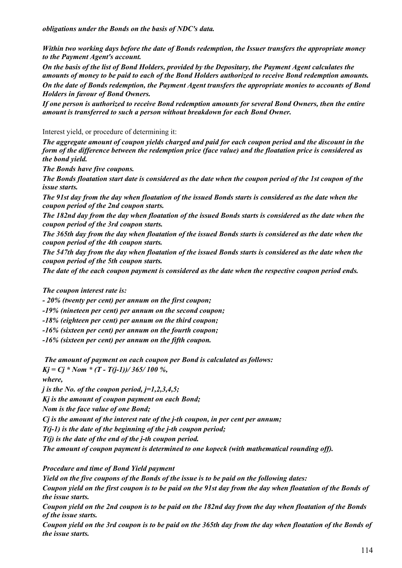*Within two working days before the date of Bonds redemption, the Issuer transfers the appropriate money to the Payment Agent's account.* 

*On the basis of the list of Bond Holders, provided by the Depositary, the Payment Agent calculates the amounts of money to be paid to each of the Bond Holders authorized to receive Bond redemption amounts. On the date of Bonds redemption, the Payment Agent transfers the appropriate monies to accounts of Bond Holders in favour of Bond Owners.* 

*If one person is authorized to receive Bond redemption amounts for several Bond Owners, then the entire amount is transferred to such a person without breakdown for each Bond Owner.* 

Interest yield, or procedure of determining it:

*The aggregate amount of coupon yields charged and paid for each coupon period and the discount in the form of the difference between the redemption price (face value) and the floatation price is considered as the bond yield.* 

*The Bonds have five coupons.* 

*The Bonds floatation start date is considered as the date when the coupon period of the 1st coupon of the issue starts.* 

*The 91st day from the day when floatation of the issued Bonds starts is considered as the date when the coupon period of the 2nd coupon starts.* 

*The 182nd day from the day when floatation of the issued Bonds starts is considered as the date when the coupon period of the 3rd coupon starts.* 

*The 365th day from the day when floatation of the issued Bonds starts is considered as the date when the coupon period of the 4th coupon starts.* 

*The 547th day from the day when floatation of the issued Bonds starts is considered as the date when the coupon period of the 5th coupon starts.* 

*The date of the each coupon payment is considered as the date when the respective coupon period ends.* 

*The coupon interest rate is:* 

*- 20% (twenty per cent) per annum on the first coupon;* 

*-19% (nineteen per cent) per annum on the second coupon;* 

*-18% (eighteen per cent) per annum on the third coupon;* 

*-16% (sixteen per cent) per annum on the fourth coupon;* 

*-16% (sixteen per cent) per annum on the fifth coupon.* 

 *The amount of payment on each coupon per Bond is calculated as follows:*   $Kj = Cj * Nom * (T - T(j-1))/365/100 %$ ,

*where,* 

*j is the No. of the coupon period, j=1,2,3,4,5;* 

*Kj is the amount of coupon payment on each Bond;* 

*Nom is the face value of one Bond;* 

*Cj is the amount of the interest rate of the j-th coupon, in per cent per annum;* 

*T(j-1) is the date of the beginning of the j-th coupon period;* 

*T(j) is the date of the end of the j-th coupon period.* 

*The amount of coupon payment is determined to one kopeck (with mathematical rounding off).* 

*Procedure and time of Bond Yield payment* 

*Yield on the five coupons of the Bonds of the issue is to be paid on the following dates:* 

*Coupon yield on the first coupon is to be paid on the 91st day from the day when floatation of the Bonds of the issue starts.* 

*Coupon yield on the 2nd coupon is to be paid on the 182nd day from the day when floatation of the Bonds of the issue starts.* 

*Coupon yield on the 3rd coupon is to be paid on the 365th day from the day when floatation of the Bonds of the issue starts.*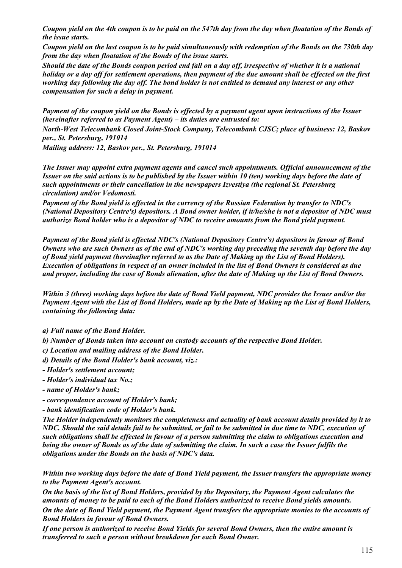*Coupon yield on the 4th coupon is to be paid on the 547th day from the day when floatation of the Bonds of the issue starts.* 

*Coupon yield on the last coupon is to be paid simultaneously with redemption of the Bonds on the 730th day from the day when floatation of the Bonds of the issue starts.* 

*Should the date of the Bonds coupon period end fall on a day off, irrespective of whether it is a national holiday or a day off for settlement operations, then payment of the due amount shall be effected on the first working day following the day off. The bond holder is not entitled to demand any interest or any other compensation for such a delay in payment.*

*Payment of the coupon yield on the Bonds is effected by a payment agent upon instructions of the Issuer (hereinafter referred to as Payment Agent) – its duties are entrusted to: North-West Telecombank Closed Joint-Stock Company, Telecombank CJSC; place of business: 12, Baskov* 

*per., St. Petersburg, 191014*

*Mailing address: 12, Baskov per., St. Petersburg, 191014*

*The Issuer may appoint extra payment agents and cancel such appointments. Official announcement of the Issuer on the said actions is to be published by the Issuer within 10 (ten) working days before the date of such appointments or their cancellation in the newspapers Izvestiya (the regional St. Petersburg circulation) and/or Vedomosti.* 

*Payment of the Bond yield is effected in the currency of the Russian Federation by transfer to NDC's (National Depository Centre's) depositors. A Bond owner holder, if it/he/she is not a depositor of NDC must authorize Bond holder who is a depositor of NDC to receive amounts from the Bond yield payment.* 

*Payment of the Bond yield is effected NDC's (National Depository Centre's) depositors in favour of Bond Owners who are such Owners as of the end of NDC's working day preceding the seventh day before the day of Bond yield payment (hereinafter referred to as the Date of Making up the List of Bond Holders). Execution of obligations in respect of an owner included in the list of Bond Owners is considered as due and proper, including the case of Bonds alienation, after the date of Making up the List of Bond Owners.*

*Within 3 (three) working days before the date of Bond Yield payment, NDC provides the Issuer and/or the Payment Agent with the List of Bond Holders, made up by the Date of Making up the List of Bond Holders, containing the following data:* 

*a) Full name of the Bond Holder.* 

*b) Number of Bonds taken into account on custody accounts of the respective Bond Holder.* 

*c) Location and mailing address of the Bond Holder.* 

*d) Details of the Bond Holder's bank account, viz.:* 

*- Holder's settlement account;* 

*- Holder's individual tax No.;* 

*- name of Holder's bank;* 

*- correspondence account of Holder's bank;* 

*- bank identification code of Holder's bank.* 

*The Holder independently monitors the completeness and actuality of bank account details provided by it to NDC. Should the said details fail to be submitted, or fail to be submitted in due time to NDC, execution of such obligations shall be effected in favour of a person submitting the claim to obligations execution and being the owner of Bonds as of the date of submitting the claim. In such a case the Issuer fulfils the obligations under the Bonds on the basis of NDC's data.* 

*Within two working days before the date of Bond Yield payment, the Issuer transfers the appropriate money to the Payment Agent's account.* 

*On the basis of the list of Bond Holders, provided by the Depositary, the Payment Agent calculates the amounts of money to be paid to each of the Bond Holders authorized to receive Bond yields amounts. On the date of Bond Yield payment, the Payment Agent transfers the appropriate monies to the accounts of Bond Holders in favour of Bond Owners.* 

*If one person is authorized to receive Bond Yields for several Bond Owners, then the entire amount is transferred to such a person without breakdown for each Bond Owner.*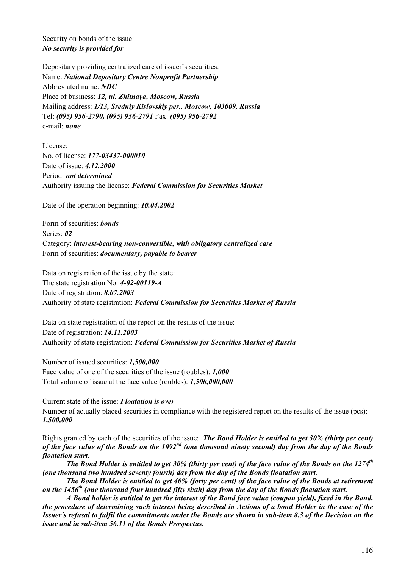Security on bonds of the issue: *No security is provided for*

Depositary providing centralized care of issuer's securities: Name: *National Depositary Centre Nonprofit Partnership*  Abbreviated name: *NDC* Place of business: *12, ul. Zhitnaya, Moscow, Russia*  Mailing address: *1/13, Sredniy Kislovskiy per., Moscow, 103009, Russia* Tel: *(095) 956-2790, (095) 956-2791* Fax: *(095) 956-2792* e-mail: *none*

License: No. of license: *177-03437-000010*  Date of issue: *4.12.2000* Period: *not determined* Authority issuing the license: *Federal Commission for Securities Market*

Date of the operation beginning: *10.04.2002*

Form of securities: *bonds* Series: *02* Category: *interest-bearing non-convertible, with obligatory centralized care* Form of securities: *documentary, payable to bearer*

Data on registration of the issue by the state: The state registration No: *4-02-00119-А* Date of registration: *8.07.2003* Authority of state registration: *Federal Commission for Securities Market of Russia*

Data on state registration of the report on the results of the issue: Date of registration: *14.11.2003* Authority of state registration: *Federal Commission for Securities Market of Russia* 

Number of issued securities: *1,500,000* Face value of one of the securities of the issue (roubles): *1,000* Total volume of issue at the face value (roubles): *1,500,000,000*

Current state of the issue: *Floatation is over* Number of actually placed securities in compliance with the registered report on the results of the issue (pcs): *1,500,000*

Rights granted by each of the securities of the issue: *The Bond Holder is entitled to get 30% (thirty per cent) of the face value of the Bonds on the 1092nd (one thousand ninety second) day from the day of the Bonds floatation start.* 

*The Bond Holder is entitled to get 30% (thirty per cent) of the face value of the Bonds on the 1274th (one thousand two hundred seventy fourth) day from the day of the Bonds floatation start.* 

*The Bond Holder is entitled to get 40% (forty per cent) of the face value of the Bonds at retirement on the 1456th (one thousand four hundred fifty sixth) day from the day of the Bonds floatation start.* 

*A Bond holder is entitled to get the interest of the Bond face value (coupon yield), fixed in the Bond, the procedure of determining such interest being described in Actions of a bond Holder in the case of the Issuer's refusal to fulfil the commitments under the Bonds are shown in sub-item 8.3 of the Decision on the issue and in sub-item 56.11 of the Bonds Prospectus.*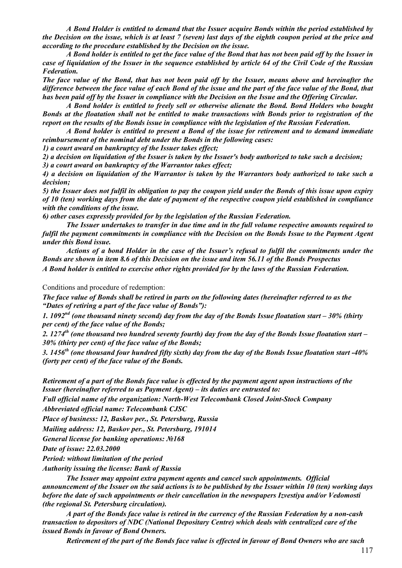*A Bond Holder is entitled to demand that the Issuer acquire Bonds within the period established by the Decision on the issue, which is at least 7 (seven) last days of the eighth coupon period at the price and according to the procedure established by the Decision on the issue.* 

 *A Bond holder is entitled to get the face value of the Bond that has not been paid off by the Issuer in case of liquidation of the Issuer in the sequence established by article 64 of the Civil Code of the Russian Federation.* 

*The face value of the Bond, that has not been paid off by the Issuer, means above and hereinafter the difference between the face value of each Bond of the issue and the part of the face value of the Bond, that has been paid off by the Issuer in compliance with the Decision on the Issue and the Offering Circular.* 

*A Bond holder is entitled to freely sell or otherwise alienate the Bond. Bond Holders who bought Bonds at the floatation shall not be entitled to make transactions with Bonds prior to registration of the report on the results of the Bonds issue in compliance with the legislation of the Russian Federation.* 

*A Bond holder is entitled to present a Bond of the issue for retirement and to demand immediate reimbursement of the nominal debt under the Bonds in the following cases:* 

*1) a court award on bankruptcy of the Issuer takes effect;* 

*2) a decision on liquidation of the Issuer is taken by the Issuer's body authorized to take such a decision; 3) a court award on bankruptcy of the Warrantor takes effect;* 

*4) a decision on liquidation of the Warrantor is taken by the Warrantors body authorized to take such a decision;* 

*5) the Issuer does not fulfil its obligation to pay the coupon yield under the Bonds of this issue upon expiry of 10 (ten) working days from the date of payment of the respective coupon yield established in compliance with the conditions of the issue.* 

*6) other cases expressly provided for by the legislation of the Russian Federation.* 

*The Issuer undertakes to transfer in due time and in the full volume respective amounts required to fulfil the payment commitments in compliance with the Decision on the Bonds Issue to the Payment Agent under this Bond issue.* 

*Actions of a bond Holder in the case of the Issuer's refusal to fulfil the commitments under the Bonds are shown in item 8.6 of this Decision on the issue and item 56.11 of the Bonds Prospectus* 

*A Bond holder is entitled to exercise other rights provided for by the laws of the Russian Federation.* 

Conditions and procedure of redemption:

*The face value of Bonds shall be retired in parts on the following dates (hereinafter referred to as the "Dates of retiring a part of the face value of Bonds"):* 

*1. 1092nd (one thousand ninety second) day from the day of the Bonds Issue floatation start – 30% (thirty per cent) of the face value of the Bonds;* 

*2. 1274th (one thousand two hundred seventy fourth) day from the day of the Bonds Issue floatation start – 30% (thirty per cent) of the face value of the Bonds;* 

*3. 1456th (one thousand four hundred fifty sixth) day from the day of the Bonds Issue floatation start -40% (forty per cent) of the face value of the Bonds.* 

*Retirement of a part of the Bonds face value is effected by the payment agent upon instructions of the Issuer (hereinafter referred to as Payment Agent) – its duties are entrusted to:* 

*Full official name of the organization: North-West Telecombank Closed Joint-Stock Company*

*Abbreviated official name: Telecombank CJSC*

*Place of business: 12, Baskov per., St. Petersburg, Russia*

*Mailing address: 12, Baskov per., St. Petersburg, 191014*

*General license for banking operations: №168*

*Date of issue: 22.03.2000*

*Period: without limitation of the period* 

*Authority issuing the license: Bank of Russia*

*The Issuer may appoint extra payment agents and cancel such appointments. Official announcement of the Issuer on the said actions is to be published by the Issuer within 10 (ten) working days before the date of such appointments or their cancellation in the newspapers Izvestiya and/or Vedomosti (the regional St. Petersburg circulation).* 

*A part of the Bonds face value is retired in the currency of the Russian Federation by a non-cash transaction to depositors of NDC (National Depositary Centre) which deals with centralized care of the issued Bonds in favour of Bond Owners.* 

*Retirement of the part of the Bonds face value is effected in favour of Bond Owners who are such*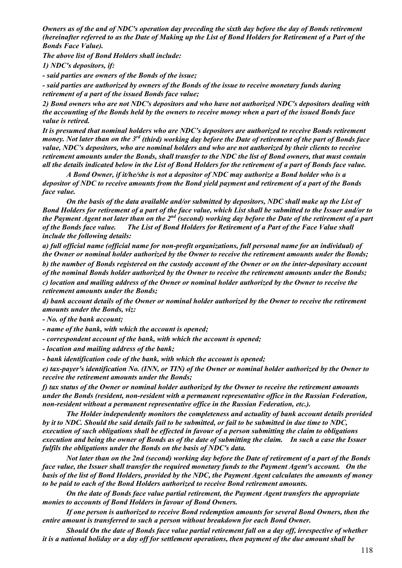*Owners as of the and of NDC's operation day preceding the sixth day before the day of Bonds retirement (hereinafter referred to as the Date of Making up the List of Bond Holders for Retirement of a Part of the Bonds Face Value).* 

*The above list of Bond Holders shall include:* 

*1) NDC's depositors, if:* 

*- said parties are owners of the Bonds of the issue;* 

*- said parties are authorized by owners of the Bonds of the issue to receive monetary funds during retirement of a part of the issued Bonds face value;* 

*2) Bond owners who are not NDC's depositors and who have not authorized NDC's depositors dealing with the accounting of the Bonds held by the owners to receive money when a part of the issued Bonds face value is retired.* 

*It is presumed that nominal holders who are NDC's depositors are authorized to receive Bonds retirement money. Not later than on the 3rd (third) working day before the Date of retirement of the part of Bonds face value, NDC's depositors, who are nominal holders and who are not authorized by their clients to receive retirement amounts under the Bonds, shall transfer to the NDC the list of Bond owners, that must contain all the details indicated below in the List of Bond Holders for the retirement of a part of Bonds face value.*

*A Bond Owner, if it/he/she is not a depositor of NDC may authorize a Bond holder who is a depositor of NDC to receive amounts from the Bond yield payment and retirement of a part of the Bonds face value.* 

*On the basis of the data available and/or submitted by depositors, NDC shall make up the List of Bond Holders for retirement of a part of the face value, which List shall be submitted to the Issuer and/or to the Payment Agent not later than on the 2nd (second) working day before the Date of the retirement of a part of the Bonds face value. The List of Bond Holders for Retirement of a Part of the Face Value shall include the following details:*

*a) full official name (official name for non-profit organizations, full personal name for an individual) of the Owner or nominal holder authorized by the Owner to receive the retirement amounts under the Bonds;* 

*b) the number of Bonds registered on the custody account of the Owner or on the inter-depositary account of the nominal Bonds holder authorized by the Owner to receive the retirement amounts under the Bonds; c) location and mailing address of the Owner or nominal holder authorized by the Owner to receive the retirement amounts under the Bonds;* 

*d) bank account details of the Owner or nominal holder authorized by the Owner to receive the retirement amounts under the Bonds, viz:* 

*- No. of the bank account;* 

*- name of the bank, with which the account is opened;* 

*- correspondent account of the bank, with which the account is opened;* 

*- location and mailing address of the bank;* 

*- bank identification code of the bank, with which the account is opened;* 

*e) tax-payer's identification No. (INN, or TIN) of the Owner or nominal holder authorized by the Owner to receive the retirement amounts under the Bonds;* 

*f) tax status of the Owner or nominal holder authorized by the Owner to receive the retirement amounts under the Bonds (resident, non-resident with a permanent representative office in the Russian Federation, non-resident without a permanent representative office in the Russian Federation, etc.).* 

*The Holder independently monitors the completeness and actuality of bank account details provided by it to NDC. Should the said details fail to be submitted, or fail to be submitted in due time to NDC, execution of such obligations shall be effected in favour of a person submitting the claim to obligations execution and being the owner of Bonds as of the date of submitting the claim. In such a case the Issuer fulfils the obligations under the Bonds on the basis of NDC's data.* 

*Not later than on the 2nd (second) working day before the Date of retirement of a part of the Bonds face value, the Issuer shall transfer the required monetary funds to the Payment Agent's account. On the basis of the list of Bond Holders, provided by the NDC, the Payment Agent calculates the amounts of money to be paid to each of the Bond Holders authorized to receive Bond retirement amounts.*

*On the date of Bonds face value partial retirement, the Payment Agent transfers the appropriate monies to accounts of Bond Holders in favour of Bond Owners.* 

*If one person is authorized to receive Bond redemption amounts for several Bond Owners, then the entire amount is transferred to such a person without breakdown for each Bond Owner.* 

*Should On the date of Bonds face value partial retirement fall on a day off, irrespective of whether it is a national holiday or a day off for settlement operations, then payment of the due amount shall be*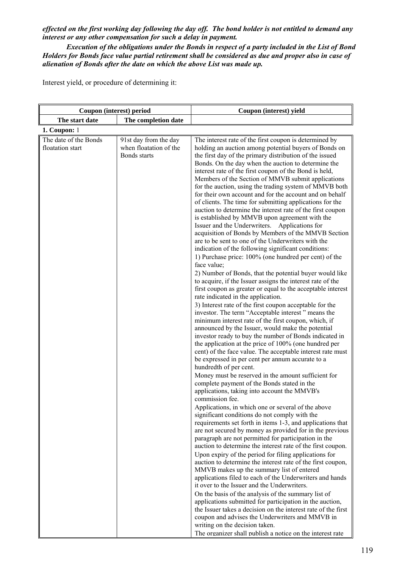# *effected on the first working day following the day off. The bond holder is not entitled to demand any interest or any other compensation for such a delay in payment.*

*Execution of the obligations under the Bonds in respect of a party included in the List of Bond Holders for Bonds face value partial retirement shall be considered as due and proper also in case of alienation of Bonds after the date on which the above List was made up.* 

Interest yield, or procedure of determining it:

| Coupon (interest) period<br>Coupon (interest) yield                                                                                                                                                                                                                                                                                                                                                                                                                                                                                                                                                                                                                                                                                                                                                                                                                                                                                                                                                                                                                                                                                                                                                                                                                                                                                                                                                                                                                                                                                                                                                                                                                                                                                                                                                                                                                                                                                                                                                                                                                                                                                                                                                                                                                                                                                                                                                       |
|-----------------------------------------------------------------------------------------------------------------------------------------------------------------------------------------------------------------------------------------------------------------------------------------------------------------------------------------------------------------------------------------------------------------------------------------------------------------------------------------------------------------------------------------------------------------------------------------------------------------------------------------------------------------------------------------------------------------------------------------------------------------------------------------------------------------------------------------------------------------------------------------------------------------------------------------------------------------------------------------------------------------------------------------------------------------------------------------------------------------------------------------------------------------------------------------------------------------------------------------------------------------------------------------------------------------------------------------------------------------------------------------------------------------------------------------------------------------------------------------------------------------------------------------------------------------------------------------------------------------------------------------------------------------------------------------------------------------------------------------------------------------------------------------------------------------------------------------------------------------------------------------------------------------------------------------------------------------------------------------------------------------------------------------------------------------------------------------------------------------------------------------------------------------------------------------------------------------------------------------------------------------------------------------------------------------------------------------------------------------------------------------------------------|
| The completion date                                                                                                                                                                                                                                                                                                                                                                                                                                                                                                                                                                                                                                                                                                                                                                                                                                                                                                                                                                                                                                                                                                                                                                                                                                                                                                                                                                                                                                                                                                                                                                                                                                                                                                                                                                                                                                                                                                                                                                                                                                                                                                                                                                                                                                                                                                                                                                                       |
|                                                                                                                                                                                                                                                                                                                                                                                                                                                                                                                                                                                                                                                                                                                                                                                                                                                                                                                                                                                                                                                                                                                                                                                                                                                                                                                                                                                                                                                                                                                                                                                                                                                                                                                                                                                                                                                                                                                                                                                                                                                                                                                                                                                                                                                                                                                                                                                                           |
| 91st day from the day<br>The interest rate of the first coupon is determined by<br>when floatation of the<br>holding an auction among potential buyers of Bonds on<br>Bonds starts<br>the first day of the primary distribution of the issued<br>Bonds. On the day when the auction to determine the<br>interest rate of the first coupon of the Bond is held,<br>Members of the Section of MMVB submit applications<br>for the auction, using the trading system of MMVB both<br>for their own account and for the account and on behalf<br>of clients. The time for submitting applications for the<br>auction to determine the interest rate of the first coupon<br>is established by MMVB upon agreement with the<br>Issuer and the Underwriters.<br>Applications for<br>acquisition of Bonds by Members of the MMVB Section<br>are to be sent to one of the Underwriters with the<br>indication of the following significant conditions:<br>1) Purchase price: 100% (one hundred per cent) of the<br>face value;<br>2) Number of Bonds, that the potential buyer would like<br>to acquire, if the Issuer assigns the interest rate of the<br>first coupon as greater or equal to the acceptable interest<br>rate indicated in the application.<br>3) Interest rate of the first coupon acceptable for the<br>investor. The term "Acceptable interest" means the<br>minimum interest rate of the first coupon, which, if<br>announced by the Issuer, would make the potential<br>investor ready to buy the number of Bonds indicated in<br>the application at the price of 100% (one hundred per<br>cent) of the face value. The acceptable interest rate must<br>be expressed in per cent per annum accurate to a<br>hundredth of per cent.<br>Money must be reserved in the amount sufficient for<br>complete payment of the Bonds stated in the<br>applications, taking into account the MMVB's<br>commission fee.<br>Applications, in which one or several of the above<br>significant conditions do not comply with the<br>requirements set forth in items 1-3, and applications that<br>are not secured by money as provided for in the previous<br>paragraph are not permitted for participation in the<br>auction to determine the interest rate of the first coupon.<br>Upon expiry of the period for filing applications for<br>auction to determine the interest rate of the first coupon, |
|                                                                                                                                                                                                                                                                                                                                                                                                                                                                                                                                                                                                                                                                                                                                                                                                                                                                                                                                                                                                                                                                                                                                                                                                                                                                                                                                                                                                                                                                                                                                                                                                                                                                                                                                                                                                                                                                                                                                                                                                                                                                                                                                                                                                                                                                                                                                                                                                           |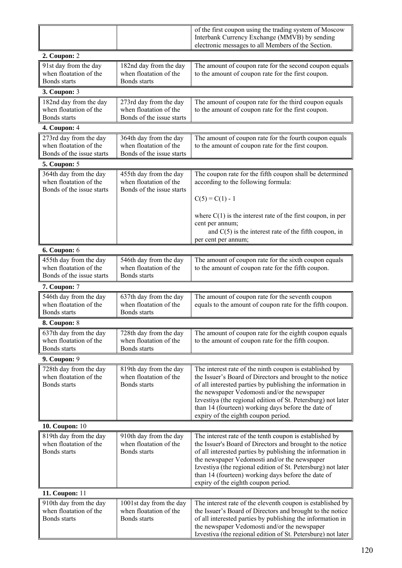|                                                  |                                                  | of the first coupon using the trading system of Moscow<br>Interbank Currency Exchange (MMVB) by sending<br>electronic messages to all Members of the Section. |  |  |  |
|--------------------------------------------------|--------------------------------------------------|---------------------------------------------------------------------------------------------------------------------------------------------------------------|--|--|--|
| 2. Coupon: 2                                     |                                                  |                                                                                                                                                               |  |  |  |
| 91st day from the day                            | 182nd day from the day                           | The amount of coupon rate for the second coupon equals                                                                                                        |  |  |  |
| when floatation of the                           | when floatation of the                           | to the amount of coupon rate for the first coupon.                                                                                                            |  |  |  |
| Bonds starts                                     | Bonds starts                                     |                                                                                                                                                               |  |  |  |
| <b>3. Coupon: 3</b>                              |                                                  |                                                                                                                                                               |  |  |  |
| 182nd day from the day<br>when floatation of the | 273rd day from the day<br>when floatation of the | The amount of coupon rate for the third coupon equals                                                                                                         |  |  |  |
| Bonds starts                                     | Bonds of the issue starts                        | to the amount of coupon rate for the first coupon.                                                                                                            |  |  |  |
| 4. Coupon: 4                                     |                                                  |                                                                                                                                                               |  |  |  |
| 273rd day from the day                           | 364th day from the day                           | The amount of coupon rate for the fourth coupon equals                                                                                                        |  |  |  |
| when floatation of the                           | when floatation of the                           | to the amount of coupon rate for the first coupon.                                                                                                            |  |  |  |
| Bonds of the issue starts                        | Bonds of the issue starts                        |                                                                                                                                                               |  |  |  |
| <b>5. Coupon: 5</b>                              |                                                  |                                                                                                                                                               |  |  |  |
| 364th day from the day                           | 455th day from the day                           | The coupon rate for the fifth coupon shall be determined                                                                                                      |  |  |  |
| when floatation of the                           | when floatation of the                           | according to the following formula:                                                                                                                           |  |  |  |
| Bonds of the issue starts                        | Bonds of the issue starts                        |                                                                                                                                                               |  |  |  |
|                                                  |                                                  | $C(5) = C(1) - 1$                                                                                                                                             |  |  |  |
|                                                  |                                                  | where $C(1)$ is the interest rate of the first coupon, in per                                                                                                 |  |  |  |
|                                                  |                                                  | cent per annum;                                                                                                                                               |  |  |  |
|                                                  |                                                  | and $C(5)$ is the interest rate of the fifth coupon, in                                                                                                       |  |  |  |
|                                                  |                                                  | per cent per annum;                                                                                                                                           |  |  |  |
| <b>6. Coupon: 6</b>                              |                                                  |                                                                                                                                                               |  |  |  |
| 455th day from the day                           | 546th day from the day                           | The amount of coupon rate for the sixth coupon equals                                                                                                         |  |  |  |
| when floatation of the                           | when floatation of the                           | to the amount of coupon rate for the fifth coupon.                                                                                                            |  |  |  |
| Bonds of the issue starts                        | Bonds starts                                     |                                                                                                                                                               |  |  |  |
| 7. Coupon: 7                                     |                                                  |                                                                                                                                                               |  |  |  |
|                                                  |                                                  |                                                                                                                                                               |  |  |  |
| 546th day from the day                           | 637th day from the day                           | The amount of coupon rate for the seventh coupon                                                                                                              |  |  |  |
| when floatation of the                           | when floatation of the                           | equals to the amount of coupon rate for the fifth coupon.                                                                                                     |  |  |  |
| <b>Bonds</b> starts                              | Bonds starts                                     |                                                                                                                                                               |  |  |  |
| 8. Coupon: 8                                     |                                                  |                                                                                                                                                               |  |  |  |
| 637th day from the day<br>when floatation of the | 728th day from the day<br>when floatation of the | The amount of coupon rate for the eighth coupon equals                                                                                                        |  |  |  |
| Bonds starts                                     | <b>Bonds</b> starts                              | to the amount of coupon rate for the fifth coupon.                                                                                                            |  |  |  |
| <b>9. Coupon: 9</b>                              |                                                  |                                                                                                                                                               |  |  |  |
| 728th day from the day                           | 819th day from the day                           | The interest rate of the ninth coupon is established by                                                                                                       |  |  |  |
| when floatation of the                           | when floatation of the                           | the Issuer's Board of Directors and brought to the notice                                                                                                     |  |  |  |
| Bonds starts                                     | Bonds starts                                     | of all interested parties by publishing the information in                                                                                                    |  |  |  |
|                                                  |                                                  | the newspaper Vedomosti and/or the newspaper                                                                                                                  |  |  |  |
|                                                  |                                                  | Izvestiya (the regional edition of St. Petersburg) not later<br>than 14 (fourteen) working days before the date of                                            |  |  |  |
|                                                  |                                                  | expiry of the eighth coupon period.                                                                                                                           |  |  |  |
| 10. Coupon: 10                                   |                                                  |                                                                                                                                                               |  |  |  |
| 819th day from the day                           | 910th day from the day                           | The interest rate of the tenth coupon is established by                                                                                                       |  |  |  |
| when floatation of the                           | when floatation of the                           | the Issuer's Board of Directors and brought to the notice                                                                                                     |  |  |  |
| Bonds starts                                     | Bonds starts                                     | of all interested parties by publishing the information in                                                                                                    |  |  |  |
|                                                  |                                                  | the newspaper Vedomosti and/or the newspaper                                                                                                                  |  |  |  |
|                                                  |                                                  | Izvestiya (the regional edition of St. Petersburg) not later<br>than 14 (fourteen) working days before the date of                                            |  |  |  |
|                                                  |                                                  | expiry of the eighth coupon period.                                                                                                                           |  |  |  |
| 11. Coupon: 11                                   |                                                  |                                                                                                                                                               |  |  |  |
| 910th day from the day                           | 1001st day from the day                          | The interest rate of the eleventh coupon is established by                                                                                                    |  |  |  |
| when floatation of the                           | when floatation of the                           | the Issuer's Board of Directors and brought to the notice                                                                                                     |  |  |  |
| Bonds starts                                     | Bonds starts                                     | of all interested parties by publishing the information in<br>the newspaper Vedomosti and/or the newspaper                                                    |  |  |  |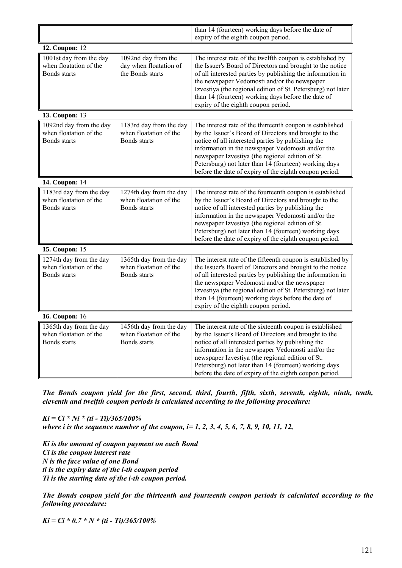|                                                                          |                                                                          | than 14 (fourteen) working days before the date of<br>expiry of the eighth coupon period.                                                                                                                                                                                                                                                                                                            |  |  |
|--------------------------------------------------------------------------|--------------------------------------------------------------------------|------------------------------------------------------------------------------------------------------------------------------------------------------------------------------------------------------------------------------------------------------------------------------------------------------------------------------------------------------------------------------------------------------|--|--|
| 12. Coupon: 12                                                           |                                                                          |                                                                                                                                                                                                                                                                                                                                                                                                      |  |  |
| 1001st day from the day<br>when floatation of the<br><b>Bonds starts</b> | 1092nd day from the<br>day when floatation of<br>the Bonds starts        | The interest rate of the twelfth coupon is established by<br>the Issuer's Board of Directors and brought to the notice<br>of all interested parties by publishing the information in<br>the newspaper Vedomosti and/or the newspaper<br>Izvestiya (the regional edition of St. Petersburg) not later<br>than 14 (fourteen) working days before the date of<br>expiry of the eighth coupon period.    |  |  |
| 13. Coupon: 13                                                           |                                                                          |                                                                                                                                                                                                                                                                                                                                                                                                      |  |  |
| 1092nd day from the day<br>when floatation of the<br>Bonds starts        | 1183rd day from the day<br>when floatation of the<br><b>Bonds</b> starts | The interest rate of the thirteenth coupon is established<br>by the Issuer's Board of Directors and brought to the<br>notice of all interested parties by publishing the<br>information in the newspaper Vedomosti and/or the<br>newspaper Izvestiya (the regional edition of St.<br>Petersburg) not later than 14 (fourteen) working days<br>before the date of expiry of the eighth coupon period. |  |  |
| 14. Coupon: 14                                                           |                                                                          |                                                                                                                                                                                                                                                                                                                                                                                                      |  |  |
| 1183rd day from the day<br>when floatation of the<br>Bonds starts        | 1274th day from the day<br>when floatation of the<br>Bonds starts        | The interest rate of the fourteenth coupon is established<br>by the Issuer's Board of Directors and brought to the<br>notice of all interested parties by publishing the<br>information in the newspaper Vedomosti and/or the<br>newspaper Izvestiya (the regional edition of St.<br>Petersburg) not later than 14 (fourteen) working days<br>before the date of expiry of the eighth coupon period. |  |  |
| <b>15. Coupon: 15</b>                                                    |                                                                          |                                                                                                                                                                                                                                                                                                                                                                                                      |  |  |
| 1274th day from the day<br>when floatation of the<br>Bonds starts        | 1365th day from the day<br>when floatation of the<br>Bonds starts        | The interest rate of the fifteenth coupon is established by<br>the Issuer's Board of Directors and brought to the notice<br>of all interested parties by publishing the information in<br>the newspaper Vedomosti and/or the newspaper<br>Izvestiya (the regional edition of St. Petersburg) not later<br>than 14 (fourteen) working days before the date of<br>expiry of the eighth coupon period.  |  |  |
| <b>16. Coupon: 16</b>                                                    |                                                                          |                                                                                                                                                                                                                                                                                                                                                                                                      |  |  |
| 1365th day from the day<br>when floatation of the<br>Bonds starts        | 1456th day from the day<br>when floatation of the<br>Bonds starts        | The interest rate of the sixteenth coupon is established<br>by the Issuer's Board of Directors and brought to the<br>notice of all interested parties by publishing the<br>information in the newspaper Vedomosti and/or the<br>newspaper Izvestiya (the regional edition of St.<br>Petersburg) not later than 14 (fourteen) working days<br>before the date of expiry of the eighth coupon period.  |  |  |

*The Bonds coupon yield for the first, second, third, fourth, fifth, sixth, seventh, eighth, ninth, tenth, eleventh and twelfth coupon periods is calculated according to the following procedure:* 

*Ki = Ci \* Ni \* (ti - Ti)/365/100% where i is the sequence number of the coupon, i= 1, 2, 3, 4, 5, 6, 7, 8, 9, 10, 11, 12,* 

*Ki is the amount of coupon payment on each Bond Ci is the coupon interest rate N is the face value of one Bond ti is the expiry date of the i-th coupon period Ti is the starting date of the i-th coupon period.* 

*The Bonds coupon yield for the thirteenth and fourteenth coupon periods is calculated according to the following procedure:* 

*Ki = Ci \* 0.7 \* N \* (ti - Ti)/365/100%*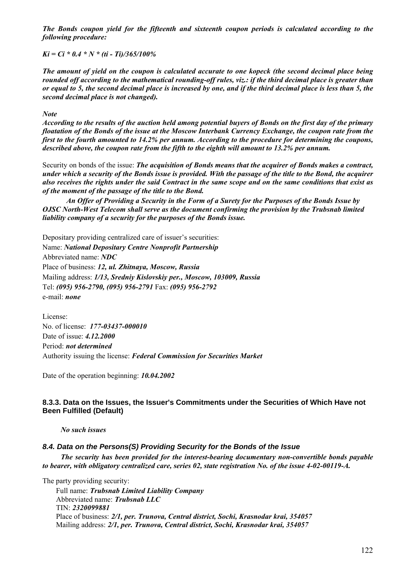*The Bonds coupon yield for the fifteenth and sixteenth coupon periods is calculated according to the following procedure:* 

*Ki = Ci \* 0.4 \* N \* (ti - Ti)/365/100%* 

*The amount of yield on the coupon is calculated accurate to one kopeck (the second decimal place being rounded off according to the mathematical rounding-off rules, viz.: if the third decimal place is greater than or equal to 5, the second decimal place is increased by one, and if the third decimal place is less than 5, the second decimal place is not changed).*

### *Note*

*According to the results of the auction held among potential buyers of Bonds on the first day of the primary floatation of the Bonds of the issue at the Moscow Interbank Currency Exchange, the coupon rate from the first to the fourth amounted to 14.2% per annum. According to the procedure for determining the coupons, described above, the coupon rate from the fifth to the eighth will amount to 13.2% per annum.*

Security on bonds of the issue: *The acquisition of Bonds means that the acquirer of Bonds makes a contract, under which a security of the Bonds issue is provided. With the passage of the title to the Bond, the acquirer also receives the rights under the said Contract in the same scope and on the same conditions that exist as of the moment of the passage of the title to the Bond.* 

*An Offer of Providing a Security in the Form of a Surety for the Purposes of the Bonds Issue by OJSC North-West Telecom shall serve as the document confirming the provision by the Trubsnab limited liability company of a security for the purposes of the Bonds issue.*

Depositary providing centralized care of issuer's securities:

Name: *National Depositary Centre Nonprofit Partnership*  Abbreviated name: *NDC* Place of business: *12, ul. Zhitnaya, Moscow, Russia*  Mailing address: *1/13, Sredniy Kislovskiy per., Moscow, 103009, Russia* Tel: *(095) 956-2790, (095) 956-2791* Fax: *(095) 956-2792* e-mail: *none*

License: No. of license: *177-03437-000010*  Date of issue: *4.12.2000* Period: *not determined* Authority issuing the license: *Federal Commission for Securities Market*

Date of the operation beginning: *10.04.2002* 

# **8.3.3. Data on the Issues, the Issuer's Commitments under the Securities of Which Have not Been Fulfilled (Default)**

*No such issues* 

# *8.4. Data on the Persons(S) Providing Security for the Bonds of the Issue*

*The security has been provided for the interest-bearing documentary non-convertible bonds payable to bearer, with obligatory centralized care, series 02, state registration No. of the issue 4-02-00119-А.* 

The party providing security:

Full name: *Trubsnab Limited Liability Company* Abbreviated name: *Trubsnab LLC* TIN: *2320099881* Place of business: *2/1, per. Trunova, Central district, Sochi, Krasnodar krai, 354057* Mailing address: *2/1, per. Trunova, Central district, Sochi, Krasnodar krai, 354057*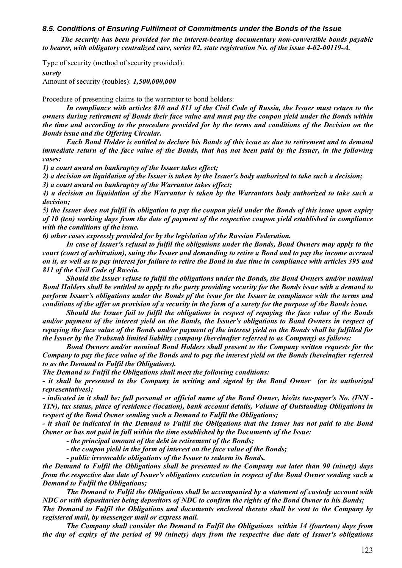# *8.5. Conditions of Ensuring Fulfilment of Commitments under the Bonds of the Issue*

*The security has been provided for the interest-bearing documentary non-convertible bonds payable to bearer, with obligatory centralized care, series 02, state registration No. of the issue 4-02-00119-А.* 

Type of security (method of security provided):

#### *surety*

Amount of security (roubles): *1,500,000,000*

Procedure of presenting claims to the warrantor to bond holders:

*In compliance with articles 810 and 811 of the Civil Code of Russia, the Issuer must return to the owners during retirement of Bonds their face value and must pay the coupon yield under the Bonds within the time and according to the procedure provided for by the terms and conditions of the Decision on the Bonds issue and the Offering Circular.* 

*Each Bond Holder is entitled to declare his Bonds of this issue as due to retirement and to demand immediate return of the face value of the Bonds, that has not been paid by the Issuer, in the following cases:* 

*1) a court award on bankruptcy of the Issuer takes effect;* 

*2) a decision on liquidation of the Issuer is taken by the Issuer's body authorized to take such a decision; 3) a court award on bankruptcy of the Warrantor takes effect;* 

*4) a decision on liquidation of the Warrantor is taken by the Warrantors body authorized to take such a decision;* 

*5) the Issuer does not fulfil its obligation to pay the coupon yield under the Bonds of this issue upon expiry of 10 (ten) working days from the date of payment of the respective coupon yield established in compliance with the conditions of the issue.* 

*6) other cases expressly provided for by the legislation of the Russian Federation.* 

*In case of Issuer's refusal to fulfil the obligations under the Bonds, Bond Owners may apply to the court (court of arbitration), suing the Issuer and demanding to retire a Bond and to pay the income accrued on it, as well as to pay interest for failure to retire the Bond in due time in compliance with articles 395 and 811 of the Civil Code of Russia.* 

*Should the Issuer refuse to fulfil the obligations under the Bonds, the Bond Owners and/or nominal Bond Holders shall be entitled to apply to the party providing security for the Bonds issue with a demand to perform Issuer's obligations under the Bonds pf the issue for the Issuer in compliance with the terms and conditions of the offer on provision of a security in the form of a surety for the purpose of the Bonds issue.* 

*Should the Issuer fail to fulfil the obligations in respect of repaying the face value of the Bonds and/or payment of the interest yield on the Bonds, the Issuer's obligations to Bond Owners in respect of repaying the face value of the Bonds and/or payment of the interest yield on the Bonds shall be fulfilled for the Issuer by the Trubsnab limited liability company (hereinafter referred to as Company) as follows:* 

*Bond Owners and/or nominal Bond Holders shall present to the Company written requests for the Company to pay the face value of the Bonds and to pay the interest yield on the Bonds (hereinafter referred to as the Demand to Fulfil the Obligations).* 

*The Demand to Fulfil the Obligations shall meet the following conditions:* 

*- it shall be presented to the Company in writing and signed by the Bond Owner (or its authorized representatives);* 

*- indicated in it shall be: full personal or official name of the Bond Owner, his/its tax-payer's No. (INN - TIN), tax status, place of residence (location), bank account details, Volume of Outstanding Obligations in respect of the Bond Owner sending such a Demand to Fulfil the Obligations;*

*- it shall be indicated in the Demand to Fulfil the Obligations that the Issuer has not paid to the Bond Owner or has not paid in full within the time established by the Documents of the Issue:* 

 *- the principal amount of the debt in retirement of the Bonds;* 

 *- the coupon yield in the form of interest on the face value of the Bonds;* 

 *- public irrevocable obligations of the Issuer to redeem its Bonds.* 

*the Demand to Fulfil the Obligations shall be presented to the Company not later than 90 (ninety) days from the respective due date of Issuer's obligations execution in respect of the Bond Owner sending such a Demand to Fulfil the Obligations;* 

*The Demand to Fulfil the Obligations shall be accompanied by a statement of custody account with NDC or with depositaries being depositors of NDC to confirm the rights of the Bond Owner to his Bonds; The Demand to Fulfil the Obligations and documents enclosed thereto shall be sent to the Company by* 

*registered mail, by messenger mail or express mail. The Company shall consider the Demand to Fulfil the Obligations within 14 (fourteen) days from the day of expiry of the period of 90 (ninety) days from the respective due date of Issuer's obligations*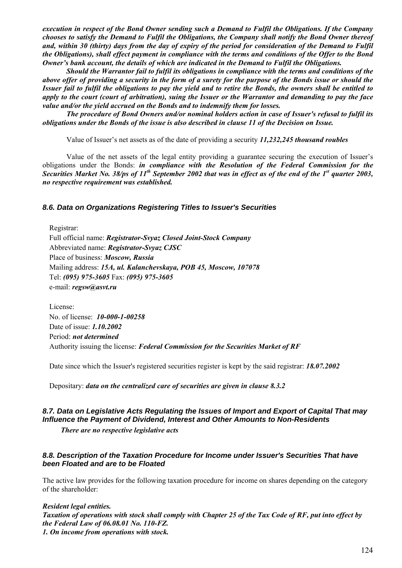*execution in respect of the Bond Owner sending such a Demand to Fulfil the Obligations. If the Company chooses to satisfy the Demand to Fulfil the Obligations, the Company shall notify the Bond Owner thereof and, within 30 (thirty) days from the day of expiry of the period for consideration of the Demand to Fulfil the Obligations), shall effect payment in compliance with the terms and conditions of the Offer to the Bond Owner's bank account, the details of which are indicated in the Demand to Fulfil the Obligations.*

*Should the Warrantor fail to fulfil its obligations in compliance with the terms and conditions of the above offer of providing a security in the form of a surety for the purpose of the Bonds issue or should the Issuer fail to fulfil the obligations to pay the yield and to retire the Bonds, the owners shall be entitled to apply to the court (court of arbitration), suing the Issuer or the Warrantor and demanding to pay the face value and/or the yield accrued on the Bonds and to indemnify them for losses.* 

*The procedure of Bond Owners and/or nominal holders action in case of Issuer's refusal to fulfil its obligations under the Bonds of the issue is also described in clause 11 of the Decision on Issue.* 

Value of Issuer's net assets as of the date of providing a security *11,232,245 thousand roubles*

Value of the net assets of the legal entity providing a guarantee securing the execution of Issuer's obligations under the Bonds: *in compliance with the Resolution of the Federal Commission for the Securities Market No. 38/ps of 11th September 2002 that was in effect as of the end of the 1st quarter 2003, no respective requirement was established.*

# *8.6. Data on Organizations Registering Titles to Issuer's Securities*

Registrar: Full official name: *Registrator-Svyaz Closed Joint-Stock Company* Abbreviated name: *Registrator-Svyaz CJSC* Place of business: *Moscow, Russia* Mailing address: *15A, ul. Kalanchevskaya, POB 45, Moscow, 107078* Tel: *(095) 975-3605* Fax: *(095) 975-3605* e-mail: *regsw@asvt.ru*

License: No. of license: *10-000-1-00258* Date of issue: *1.10.2002* Period: *not determined* Authority issuing the license: *Federal Commission for the Securities Market of RF*

Date since which the Issuer's registered securities register is kept by the said registrar: *18.07.2002*

Depositary: *data on the centralized care of securities are given in clause 8.3.2*

# *8.7. Data on Legislative Acts Regulating the Issues of Import and Export of Capital That may Influence the Payment of Dividend, Interest and Other Amounts to Non-Residents*

*There are no respective legislative acts* 

# *8.8. Description of the Taxation Procedure for Income under Issuer's Securities That have been Floated and are to be Floated*

The active law provides for the following taxation procedure for income on shares depending on the category of the shareholder:

*Resident legal entities.* 

*Taxation of operations with stock shall comply with Chapter 25 of the Tax Code of RF, put into effect by the Federal Law of 06.08.01 No. 110-FZ. 1. On income from operations with stock.*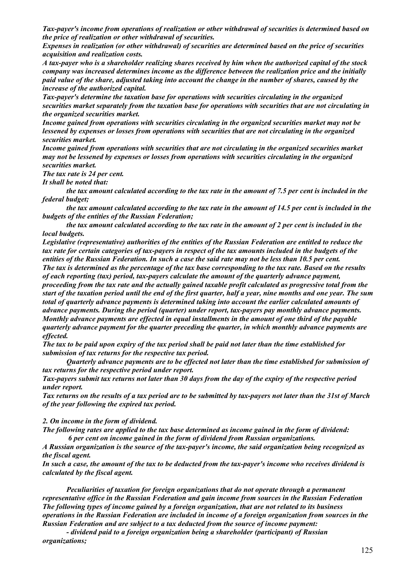*Tax-payer's income from operations of realization or other withdrawal of securities is determined based on the price of realization or other withdrawal of securities.* 

*Expenses in realization (or other withdrawal) of securities are determined based on the price of securities acquisition and realization costs.* 

*A tax-payer who is a shareholder realizing shares received by him when the authorized capital of the stock company was increased determines income as the difference between the realization price and the initially paid value of the share, adjusted taking into account the change in the number of shares, caused by the increase of the authorized capital.* 

*Tax-payer's determine the taxation base for operations with securities circulating in the organized securities market separately from the taxation base for operations with securities that are not circulating in the organized securities market.* 

*Income gained from operations with securities circulating in the organized securities market may not be lessened by expenses or losses from operations with securities that are not circulating in the organized securities market.* 

*Income gained from operations with securities that are not circulating in the organized securities market may not be lessened by expenses or losses from operations with securities circulating in the organized securities market.* 

*The tax rate is 24 per cent.* 

*It shall be noted that:* 

 *the tax amount calculated according to the tax rate in the amount of 7.5 per cent is included in the federal budget;* 

 *the tax amount calculated according to the tax rate in the amount of 14.5 per cent is included in the budgets of the entities of the Russian Federation;* 

 *the tax amount calculated according to the tax rate in the amount of 2 per cent is included in the local budgets.* 

*Legislative (representative) authorities of the entities of the Russian Federation are entitled to reduce the tax rate for certain categories of tax-payers in respect of the tax amounts included in the budgets of the entities of the Russian Federation. In such a case the said rate may not be less than 10.5 per cent. The tax is determined as the percentage of the tax base corresponding to the tax rate. Based on the results of each reporting (tax) period, tax-payers calculate the amount of the quarterly advance payment, proceeding from the tax rate and the actually gained taxable profit calculated as progressive total from the start of the taxation period until the end of the first quarter, half a year, nine months and one year. The sum total of quarterly advance payments is determined taking into account the earlier calculated amounts of advance payments. During the period (quarter) under report, tax-payers pay monthly advance payments. Monthly advance payments are effected in equal installments in the amount of one third of the payable quarterly advance payment for the quarter preceding the quarter, in which monthly advance payments are effected.* 

*The tax to be paid upon expiry of the tax period shall be paid not later than the time established for submission of tax returns for the respective tax period.* 

 *Quarterly advance payments are to be effected not later than the time established for submission of tax returns for the respective period under report.* 

*Tax-payers submit tax returns not later than 30 days from the day of the expiry of the respective period under report.* 

*Tax returns on the results of a tax period are to be submitted by tax-payers not later than the 31st of March of the year following the expired tax period.* 

*2. On income in the form of dividend.* 

*The following rates are applied to the tax base determined as income gained in the form of dividend: 6 per cent on income gained in the form of dividend from Russian organizations.* 

*A Russian organization is the source of the tax-payer's income, the said organization being recognized as the fiscal agent.* 

*In such a case, the amount of the tax to be deducted from the tax-payer's income who receives dividend is calculated by the fiscal agent.* 

 *Peculiarities of taxation for foreign organizations that do not operate through a permanent representative office in the Russian Federation and gain income from sources in the Russian Federation The following types of income gained by a foreign organization, that are not related to its business operations in the Russian Federation are included in income of a foreign organization from sources in the Russian Federation and are subject to a tax deducted from the source of income payment:* 

 *- dividend paid to a foreign organization being a shareholder (participant) of Russian organizations;*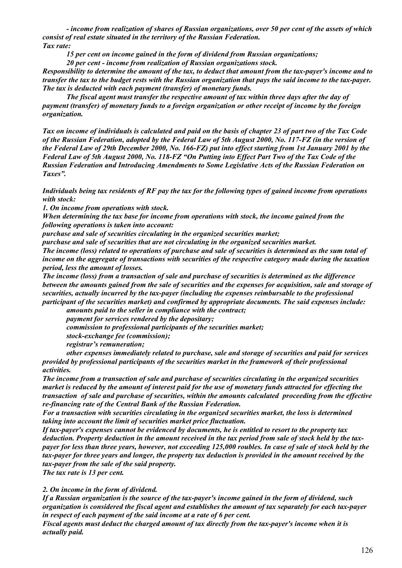*- income from realization of shares of Russian organizations, over 50 per cent of the assets of which consist of real estate situated in the territory of the Russian Federation. Tax rate:* 

 *15 per cent on income gained in the form of dividend from Russian organizations;* 

 *20 per cent - income from realization of Russian organizations stock.* 

*Responsibility to determine the amount of the tax, to deduct that amount from the tax-payer's income and to transfer the tax to the budget rests with the Russian organization that pays the said income to the tax-payer. The tax is deducted with each payment (transfer) of monetary funds.* 

*The fiscal agent must transfer the respective amount of tax within three days after the day of payment (transfer) of monetary funds to a foreign organization or other receipt of income by the foreign organization.* 

*Tax on income of individuals is calculated and paid on the basis of chapter 23 of part two of the Tax Code of the Russian Federation, adopted by the Federal Law of 5th August 2000, No. 117-FZ (in the version of the Federal Law of 29th December 2000, No. 166-FZ) put into effect starting from 1st January 2001 by the Federal Law of 5th August 2000, No. 118-FZ "On Putting into Effect Part Two of the Tax Code of the Russian Federation and Introducing Amendments to Some Legislative Acts of the Russian Federation on Taxes".* 

*Individuals being tax residents of RF pay the tax for the following types of gained income from operations with stock:* 

*1. On income from operations with stock.* 

*When determining the tax base for income from operations with stock, the income gained from the following operations is taken into account:* 

*purchase and sale of securities circulating in the organized securities market;* 

*purchase and sale of securities that are not circulating in the organized securities market.* 

*The income (loss) related to operations of purchase and sale of securities is determined as the sum total of income on the aggregate of transactions with securities of the respective category made during the taxation period, less the amount of losses.* 

*The income (loss) from a transaction of sale and purchase of securities is determined as the difference between the amounts gained from the sale of securities and the expenses for acquisition, sale and storage of securities, actually incurred by the tax-payer (including the expenses reimbursable to the professional participant of the securities market) and confirmed by appropriate documents. The said expenses include:*

 *amounts paid to the seller in compliance with the contract;* 

 *payment for services rendered by the depositary;* 

 *commission to professional participants of the securities market;* 

 *stock-exchange fee (commission);* 

 *registrar's remuneration;* 

 *other expenses immediately related to purchase, sale and storage of securities and paid for services provided by professional participants of the securities market in the framework of their professional activities.* 

*The income from a transaction of sale and purchase of securities circulating in the organized securities market is reduced by the amount of interest paid for the use of monetary funds attracted for effecting the transaction of sale and purchase of securities, within the amounts calculated proceeding from the effective re-financing rate of the Central Bank of the Russian Federation.* 

*For a transaction with securities circulating in the organized securities market, the loss is determined taking into account the limit of securities market price fluctuation.* 

*If tax-payer's expenses cannot be evidenced by documents, he is entitled to resort to the property tax deduction. Property deduction in the amount received in the tax period from sale of stock held by the taxpayer for less than three years, however, not exceeding 125,000 roubles. In case of sale of stock held by the tax-payer for three years and longer, the property tax deduction is provided in the amount received by the tax-payer from the sale of the said property.*

*The tax rate is 13 per cent.* 

### *2. On income in the form of dividend.*

*If a Russian organization is the source of the tax-payer's income gained in the form of dividend, such organization is considered the fiscal agent and establishes the amount of tax separately for each tax-payer in respect of each payment of the said income at a rate of 6 per cent.* 

*Fiscal agents must deduct the charged amount of tax directly from the tax-payer's income when it is actually paid.*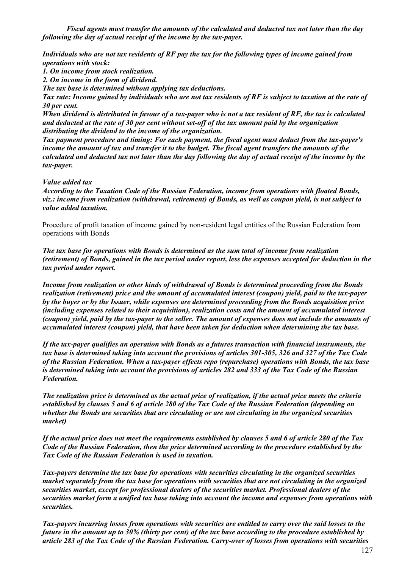*Fiscal agents must transfer the amounts of the calculated and deducted tax not later than the day following the day of actual receipt of the income by the tax-payer.* 

*Individuals who are not tax residents of RF pay the tax for the following types of income gained from operations with stock:* 

*1. On income from stock realization.* 

*2. On income in the form of dividend.* 

*The tax base is determined without applying tax deductions.* 

*Tax rate: Income gained by individuals who are not tax residents of RF is subject to taxation at the rate of 30 per cent.* 

*When dividend is distributed in favour of a tax-payer who is not a tax resident of RF, the tax is calculated and deducted at the rate of 30 per cent without set-off of the tax amount paid by the organization distributing the dividend to the income of the organization.* 

*Tax payment procedure and timing: For each payment, the fiscal agent must deduct from the tax-payer's income the amount of tax and transfer it to the budget. The fiscal agent transfers the amounts of the calculated and deducted tax not later than the day following the day of actual receipt of the income by the tax-payer.* 

*Value added tax* 

*According to the Taxation Code of the Russian Federation, income from operations with floated Bonds, viz.: income from realization (withdrawal, retirement) of Bonds, as well as coupon yield, is not subject to value added taxation.* 

Procedure of profit taxation of income gained by non-resident legal entities of the Russian Federation from operations with Bonds

*The tax base for operations with Bonds is determined as the sum total of income from realization (retirement) of Bonds, gained in the tax period under report, less the expenses accepted for deduction in the tax period under report.* 

*Income from realization or other kinds of withdrawal of Bonds is determined proceeding from the Bonds realization (retirement) price and the amount of accumulated interest (coupon) yield, paid to the tax-payer by the buyer or by the Issuer, while expenses are determined proceeding from the Bonds acquisition price (including expenses related to their acquisition), realization costs and the amount of accumulated interest (coupon) yield, paid by the tax-payer to the seller. The amount of expenses does not include the amounts of accumulated interest (coupon) yield, that have been taken for deduction when determining the tax base.* 

*If the tax-payer qualifies an operation with Bonds as a futures transaction with financial instruments, the tax base is determined taking into account the provisions of articles 301-305, 326 and 327 of the Tax Code of the Russian Federation. When a tax-payer effects repo (repurchase) operations with Bonds, the tax base is determined taking into account the provisions of articles 282 and 333 of the Tax Code of the Russian Federation.* 

*The realization price is determined as the actual price of realization, if the actual price meets the criteria established by clauses 5 and 6 of article 280 of the Tax Code of the Russian Federation (depending on whether the Bonds are securities that are circulating or are not circulating in the organized securities market)* 

*If the actual price does not meet the requirements established by clauses 5 and 6 of article 280 of the Tax Code of the Russian Federation, then the price determined according to the procedure established by the Tax Code of the Russian Federation is used in taxation.* 

*Tax-payers determine the tax base for operations with securities circulating in the organized securities market separately from the tax base for operations with securities that are not circulating in the organized securities market, except for professional dealers of the securities market. Professional dealers of the securities market form a unified tax base taking into account the income and expenses from operations with securities.* 

*Tax-payers incurring losses from operations with securities are entitled to carry over the said losses to the future in the amount up to 30% (thirty per cent) of the tax base according to the procedure established by article 283 of the Tax Code of the Russian Federation. Carry-over of losses from operations with securities*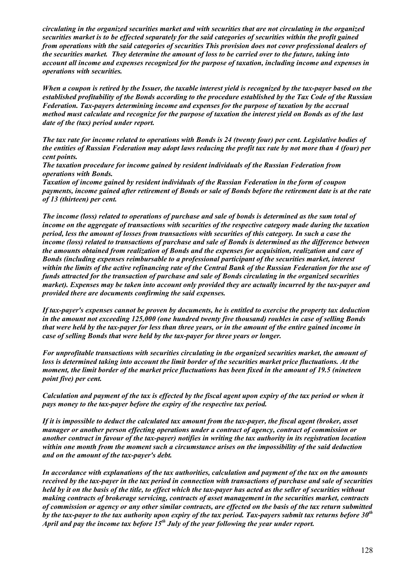*circulating in the organized securities market and with securities that are not circulating in the organized securities market is to be effected separately for the said categories of securities within the profit gained from operations with the said categories of securities This provision does not cover professional dealers of the securities market. They determine the amount of loss to be carried over to the future, taking into account all income and expenses recognized for the purpose of taxation, including income and expenses in operations with securities.* 

*When a coupon is retired by the Issuer, the taxable interest yield is recognized by the tax-payer based on the established profitability of the Bonds according to the procedure established by the Tax Code of the Russian Federation. Tax-payers determining income and expenses for the purpose of taxation by the accrual method must calculate and recognize for the purpose of taxation the interest yield on Bonds as of the last date of the (tax) period under report.* 

*The tax rate for income related to operations with Bonds is 24 (twenty four) per cent. Legislative bodies of the entities of Russian Federation may adopt laws reducing the profit tax rate by not more than 4 (four) per cent points.* 

*The taxation procedure for income gained by resident individuals of the Russian Federation from operations with Bonds.* 

*Taxation of income gained by resident individuals of the Russian Federation in the form of coupon payments, income gained after retirement of Bonds or sale of Bonds before the retirement date is at the rate of 13 (thirteen) per cent.* 

*The income (loss) related to operations of purchase and sale of bonds is determined as the sum total of income on the aggregate of transactions with securities of the respective category made during the taxation period, less the amount of losses from transactions with securities of this category. In such a case the income (loss) related to transactions of purchase and sale of Bonds is determined as the difference between the amounts obtained from realization of Bonds and the expenses for acquisition, realization and care of Bonds (including expenses reimbursable to a professional participant of the securities market, interest within the limits of the active refinancing rate of the Central Bank of the Russian Federation for the use of funds attracted for the transaction of purchase and sale of Bonds circulating in the organized securities market). Expenses may be taken into account only provided they are actually incurred by the tax-payer and provided there are documents confirming the said expenses.* 

*If tax-payer's expenses cannot be proven by documents, he is entitled to exercise the property tax deduction in the amount not exceeding 125,000 (one hundred twenty five thousand) roubles in case of selling Bonds that were held by the tax-payer for less than three years, or in the amount of the entire gained income in case of selling Bonds that were held by the tax-payer for three years or longer.* 

*For unprofitable transactions with securities circulating in the organized securities market, the amount of loss is determined taking into account the limit border of the securities market price fluctuations. At the moment, the limit border of the market price fluctuations has been fixed in the amount of 19.5 (nineteen point five) per cent.* 

*Calculation and payment of the tax is effected by the fiscal agent upon expiry of the tax period or when it pays money to the tax-payer before the expiry of the respective tax period.* 

*If it is impossible to deduct the calculated tax amount from the tax-payer, the fiscal agent (broker, asset manager or another person effecting operations under a contract of agency, contract of commission or another contract in favour of the tax-payer) notifies in writing the tax authority in its registration location within one month from the moment such a circumstance arises on the impossibility of the said deduction and on the amount of the tax-payer's debt.* 

*In accordance with explanations of the tax authorities, calculation and payment of the tax on the amounts received by the tax-payer in the tax period in connection with transactions of purchase and sale of securities held by it on the basis of the title, to effect which the tax-payer has acted as the seller of securities without making contracts of brokerage servicing, contracts of asset management in the securities market, contracts of commission or agency or any other similar contracts, are effected on the basis of the tax return submitted by the tax-payer to the tax authority upon expiry of the tax period. Tax-payers submit tax returns before 30th April and pay the income tax before 15th July of the year following the year under report.*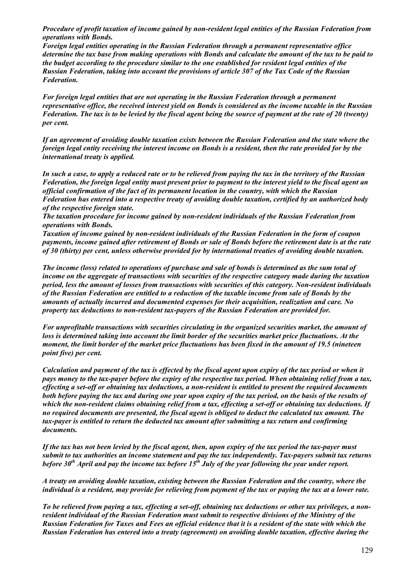*Procedure of profit taxation of income gained by non-resident legal entities of the Russian Federation from operations with Bonds.* 

*Foreign legal entities operating in the Russian Federation through a permanent representative office determine the tax base from making operations with Bonds and calculate the amount of the tax to be paid to the budget according to the procedure similar to the one established for resident legal entities of the Russian Federation, taking into account the provisions of article 307 of the Tax Code of the Russian Federation.* 

*For foreign legal entities that are not operating in the Russian Federation through a permanent representative office, the received interest yield on Bonds is considered as the income taxable in the Russian Federation. The tax is to be levied by the fiscal agent being the source of payment at the rate of 20 (twenty) per cent.* 

*If an agreement of avoiding double taxation exists between the Russian Federation and the state where the foreign legal entity receiving the interest income on Bonds is a resident, then the rate provided for by the international treaty is applied.* 

*In such a case, to apply a reduced rate or to be relieved from paying the tax in the territory of the Russian Federation, the foreign legal entity must present prior to payment to the interest yield to the fiscal agent an official confirmation of the fact of its permanent location in the country, with which the Russian Federation has entered into a respective treaty of avoiding double taxation, certified by an authorized body of the respective foreign state.* 

*The taxation procedure for income gained by non-resident individuals of the Russian Federation from operations with Bonds.* 

*Taxation of income gained by non-resident individuals of the Russian Federation in the form of coupon payments, income gained after retirement of Bonds or sale of Bonds before the retirement date is at the rate of 30 (thirty) per cent, unless otherwise provided for by international treaties of avoiding double taxation.* 

*The income (loss) related to operations of purchase and sale of bonds is determined as the sum total of income on the aggregate of transactions with securities of the respective category made during the taxation period, less the amount of losses from transactions with securities of this category. Non-resident individuals of the Russian Federation are entitled to a reduction of the taxable income from sale of Bonds by the amounts of actually incurred and documented expenses for their acquisition, realization and care. No property tax deductions to non-resident tax-payers of the Russian Federation are provided for.* 

*For unprofitable transactions with securities circulating in the organized securities market, the amount of loss is determined taking into account the limit border of the securities market price fluctuations. At the moment, the limit border of the market price fluctuations has been fixed in the amount of 19.5 (nineteen point five) per cent.* 

*Calculation and payment of the tax is effected by the fiscal agent upon expiry of the tax period or when it pays money to the tax-payer before the expiry of the respective tax period. When obtaining relief from a tax, effecting a set-off or obtaining tax deductions, a non-resident is entitled to present the required documents both before paying the tax and during one year upon expiry of the tax period, on the basis of the results of which the non-resident claims obtaining relief from a tax, effecting a set-off or obtaining tax deductions. If no required documents are presented, the fiscal agent is obliged to deduct the calculated tax amount. The tax-payer is entitled to return the deducted tax amount after submitting a tax return and confirming documents.* 

*If the tax has not been levied by the fiscal agent, then, upon expiry of the tax period the tax-payer must submit to tax authorities an income statement and pay the tax independently. Tax-payers submit tax returns before 30th April and pay the income tax before 15th July of the year following the year under report.*

*A treaty on avoiding double taxation, existing between the Russian Federation and the country, where the individual is a resident, may provide for relieving from payment of the tax or paying the tax at a lower rate.* 

*To be relieved from paying a tax, effecting a set-off, obtaining tax deductions or other tax privileges, a nonresident individual of the Russian Federation must submit to respective divisions of the Ministry of the Russian Federation for Taxes and Fees an official evidence that it is a resident of the state with which the Russian Federation has entered into a treaty (agreement) on avoiding double taxation, effective during the*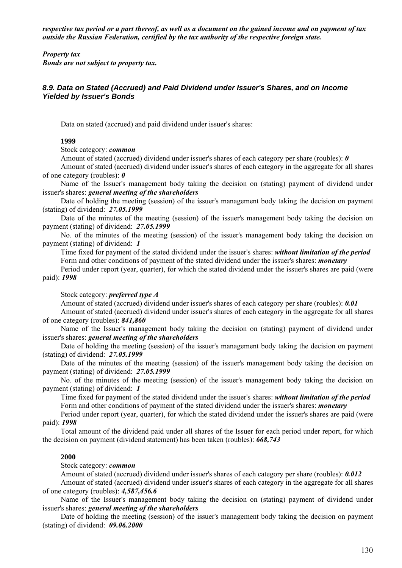*respective tax period or a part thereof, as well as a document on the gained income and on payment of tax outside the Russian Federation, certified by the tax authority of the respective foreign state.* 

*Property tax* 

*Bonds are not subject to property tax.* 

# *8.9. Data on Stated (Accrued) and Paid Dividend under Issuer's Shares, and on Income Yielded by Issuer's Bonds*

Data on stated (accrued) and paid dividend under issuer's shares:

### **1999**

# Stock category: *common*

Amount of stated (accrued) dividend under issuer's shares of each category per share (roubles): *0*

Amount of stated (accrued) dividend under issuer's shares of each category in the aggregate for all shares of one category (roubles): *0*

Name of the Issuer's management body taking the decision on (stating) payment of dividend under issuer's shares: *general meeting of the shareholders*

Date of holding the meeting (session) of the issuer's management body taking the decision on payment (stating) of dividend: *27.05.1999*

Date of the minutes of the meeting (session) of the issuer's management body taking the decision on payment (stating) of dividend: *27.05.1999*

No. of the minutes of the meeting (session) of the issuer's management body taking the decision on payment (stating) of dividend: *1*

Time fixed for payment of the stated dividend under the issuer's shares: *without limitation of the period*  Form and other conditions of payment of the stated dividend under the issuer's shares: *monetary*

Period under report (year, quarter), for which the stated dividend under the issuer's shares are paid (were paid): *1998*

# Stock category: *preferred type A*

Amount of stated (accrued) dividend under issuer's shares of each category per share (roubles): *0.01*

Amount of stated (accrued) dividend under issuer's shares of each category in the aggregate for all shares of one category (roubles): *841,860*

Name of the Issuer's management body taking the decision on (stating) payment of dividend under issuer's shares: *general meeting of the shareholders*

Date of holding the meeting (session) of the issuer's management body taking the decision on payment (stating) of dividend: *27.05.1999*

Date of the minutes of the meeting (session) of the issuer's management body taking the decision on payment (stating) of dividend: *27.05.1999*

No. of the minutes of the meeting (session) of the issuer's management body taking the decision on payment (stating) of dividend: *1*

Time fixed for payment of the stated dividend under the issuer's shares: *without limitation of the period*  Form and other conditions of payment of the stated dividend under the issuer's shares: *monetary*

Period under report (year, quarter), for which the stated dividend under the issuer's shares are paid (were paid): *1998*

Total amount of the dividend paid under all shares of the Issuer for each period under report, for which the decision on payment (dividend statement) has been taken (roubles): *668,743*

# **2000**

Stock category: *common*

Amount of stated (accrued) dividend under issuer's shares of each category per share (roubles): *0.012*

Amount of stated (accrued) dividend under issuer's shares of each category in the aggregate for all shares of one category (roubles): *4,587,456.6*

Name of the Issuer's management body taking the decision on (stating) payment of dividend under issuer's shares: *general meeting of the shareholders*

Date of holding the meeting (session) of the issuer's management body taking the decision on payment (stating) of dividend: *09.06.2000*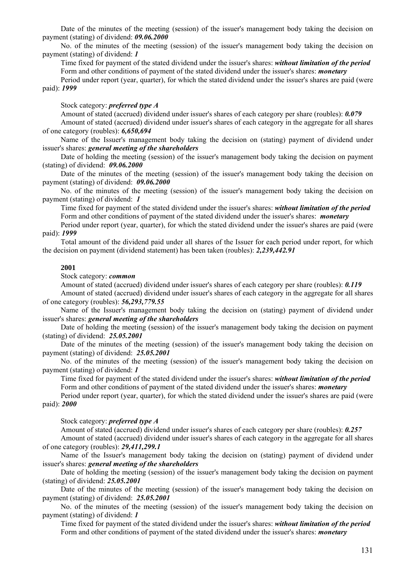Date of the minutes of the meeting (session) of the issuer's management body taking the decision on payment (stating) of dividend: *09.06.2000*

No. of the minutes of the meeting (session) of the issuer's management body taking the decision on payment (stating) of dividend: *1*

Time fixed for payment of the stated dividend under the issuer's shares: *without limitation of the period*  Form and other conditions of payment of the stated dividend under the issuer's shares: *monetary*

Period under report (year, quarter), for which the stated dividend under the issuer's shares are paid (were paid): *1999*

#### Stock category: *preferred type A*

Amount of stated (accrued) dividend under issuer's shares of each category per share (roubles): *0.079*

Amount of stated (accrued) dividend under issuer's shares of each category in the aggregate for all shares of one category (roubles): *6,650,694*

Name of the Issuer's management body taking the decision on (stating) payment of dividend under issuer's shares: *general meeting of the shareholders*

Date of holding the meeting (session) of the issuer's management body taking the decision on payment (stating) of dividend: *09.06.2000*

Date of the minutes of the meeting (session) of the issuer's management body taking the decision on payment (stating) of dividend: *09.06.2000*

No. of the minutes of the meeting (session) of the issuer's management body taking the decision on payment (stating) of dividend: *1*

Time fixed for payment of the stated dividend under the issuer's shares: *without limitation of the period* Form and other conditions of payment of the stated dividend under the issuer's shares: *monetary*

Period under report (year, quarter), for which the stated dividend under the issuer's shares are paid (were paid): *1999*

Total amount of the dividend paid under all shares of the Issuer for each period under report, for which the decision on payment (dividend statement) has been taken (roubles): *2,239,442.91*

#### **2001**

### Stock category: *common*

Amount of stated (accrued) dividend under issuer's shares of each category per share (roubles): *0.119*

Amount of stated (accrued) dividend under issuer's shares of each category in the aggregate for all shares of one category (roubles): *56,293,779.55*

Name of the Issuer's management body taking the decision on (stating) payment of dividend under issuer's shares: *general meeting of the shareholders*

Date of holding the meeting (session) of the issuer's management body taking the decision on payment (stating) of dividend: *25.05.2001*

Date of the minutes of the meeting (session) of the issuer's management body taking the decision on payment (stating) of dividend: *25.05.2001*

No. of the minutes of the meeting (session) of the issuer's management body taking the decision on payment (stating) of dividend: *1*

Time fixed for payment of the stated dividend under the issuer's shares: *without limitation of the period* Form and other conditions of payment of the stated dividend under the issuer's shares: *monetary*

Period under report (year, quarter), for which the stated dividend under the issuer's shares are paid (were paid): *2000*

Stock category: *preferred type A*

Amount of stated (accrued) dividend under issuer's shares of each category per share (roubles): *0.257*

Amount of stated (accrued) dividend under issuer's shares of each category in the aggregate for all shares of one category (roubles): *29,411,299.1*

Name of the Issuer's management body taking the decision on (stating) payment of dividend under issuer's shares: *general meeting of the shareholders*

Date of holding the meeting (session) of the issuer's management body taking the decision on payment (stating) of dividend: *25.05.2001*

Date of the minutes of the meeting (session) of the issuer's management body taking the decision on payment (stating) of dividend: *25.05.2001*

No. of the minutes of the meeting (session) of the issuer's management body taking the decision on payment (stating) of dividend: *1*

Time fixed for payment of the stated dividend under the issuer's shares: *without limitation of the period* Form and other conditions of payment of the stated dividend under the issuer's shares: *monetary*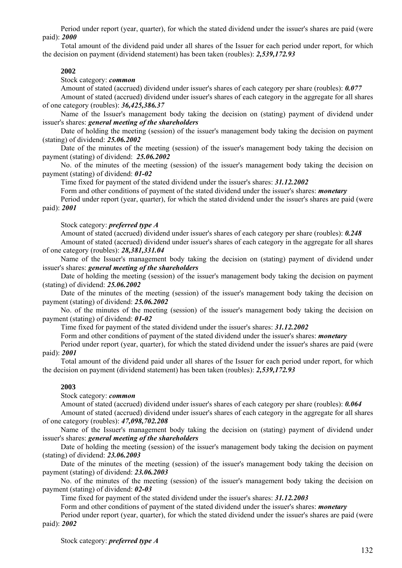Period under report (year, quarter), for which the stated dividend under the issuer's shares are paid (were paid): *2000*

Total amount of the dividend paid under all shares of the Issuer for each period under report, for which the decision on payment (dividend statement) has been taken (roubles): *2,539,172.93*

# **2002**

#### Stock category: *common*

Amount of stated (accrued) dividend under issuer's shares of each category per share (roubles): *0.077*

Amount of stated (accrued) dividend under issuer's shares of each category in the aggregate for all shares of one category (roubles): *36,425,386.37*

Name of the Issuer's management body taking the decision on (stating) payment of dividend under issuer's shares: *general meeting of the shareholders*

Date of holding the meeting (session) of the issuer's management body taking the decision on payment (stating) of dividend: *25.06.2002*

Date of the minutes of the meeting (session) of the issuer's management body taking the decision on payment (stating) of dividend: *25.06.2002*

No. of the minutes of the meeting (session) of the issuer's management body taking the decision on payment (stating) of dividend: *01-02*

Time fixed for payment of the stated dividend under the issuer's shares: *31.12.2002*

Form and other conditions of payment of the stated dividend under the issuer's shares: *monetary*

Period under report (year, quarter), for which the stated dividend under the issuer's shares are paid (were paid): *2001*

#### Stock category: *preferred type A*

Amount of stated (accrued) dividend under issuer's shares of each category per share (roubles): *0.248* Amount of stated (accrued) dividend under issuer's shares of each category in the aggregate for all shares of one category (roubles): *28,381,331.04*

Name of the Issuer's management body taking the decision on (stating) payment of dividend under issuer's shares: *general meeting of the shareholders*

Date of holding the meeting (session) of the issuer's management body taking the decision on payment (stating) of dividend: *25.06.2002*

Date of the minutes of the meeting (session) of the issuer's management body taking the decision on payment (stating) of dividend: *25.06.2002*

No. of the minutes of the meeting (session) of the issuer's management body taking the decision on payment (stating) of dividend: *01-02*

Time fixed for payment of the stated dividend under the issuer's shares: *31.12.2002*

Form and other conditions of payment of the stated dividend under the issuer's shares: *monetary*

Period under report (year, quarter), for which the stated dividend under the issuer's shares are paid (were paid): *2001*

Total amount of the dividend paid under all shares of the Issuer for each period under report, for which the decision on payment (dividend statement) has been taken (roubles): *2,539,172.93*

### **2003**

#### Stock category: *common*

Amount of stated (accrued) dividend under issuer's shares of each category per share (roubles): *0.064*

Amount of stated (accrued) dividend under issuer's shares of each category in the aggregate for all shares of one category (roubles): *47,098,702.208*

Name of the Issuer's management body taking the decision on (stating) payment of dividend under issuer's shares: *general meeting of the shareholders*

Date of holding the meeting (session) of the issuer's management body taking the decision on payment (stating) of dividend: *23.06.2003*

Date of the minutes of the meeting (session) of the issuer's management body taking the decision on payment (stating) of dividend: *23.06.2003*

No. of the minutes of the meeting (session) of the issuer's management body taking the decision on payment (stating) of dividend: *02-03*

Time fixed for payment of the stated dividend under the issuer's shares: *31.12.2003*

Form and other conditions of payment of the stated dividend under the issuer's shares: *monetary*

Period under report (year, quarter), for which the stated dividend under the issuer's shares are paid (were paid): *2002*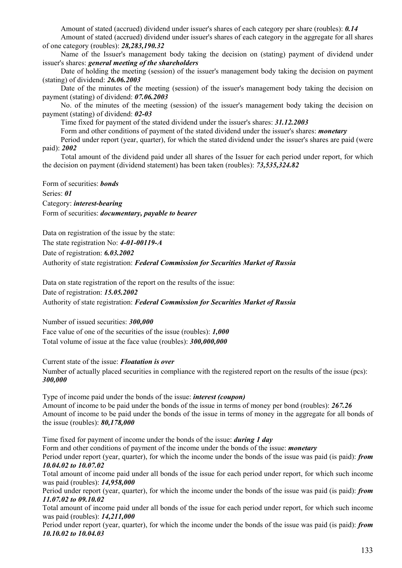Amount of stated (accrued) dividend under issuer's shares of each category per share (roubles): *0.14*

Amount of stated (accrued) dividend under issuer's shares of each category in the aggregate for all shares of one category (roubles): *28,283,190.32*

Name of the Issuer's management body taking the decision on (stating) payment of dividend under issuer's shares: *general meeting of the shareholders*

Date of holding the meeting (session) of the issuer's management body taking the decision on payment (stating) of dividend: *26.06.2003*

Date of the minutes of the meeting (session) of the issuer's management body taking the decision on payment (stating) of dividend: *07.06.2003*

No. of the minutes of the meeting (session) of the issuer's management body taking the decision on payment (stating) of dividend: *02-03*

Time fixed for payment of the stated dividend under the issuer's shares: *31.12.2003*

Form and other conditions of payment of the stated dividend under the issuer's shares: *monetary*

Period under report (year, quarter), for which the stated dividend under the issuer's shares are paid (were paid): *2002*

Total amount of the dividend paid under all shares of the Issuer for each period under report, for which the decision on payment (dividend statement) has been taken (roubles): *73,535,324.82*

Form of securities: *bonds* Series: *01* Category: *interest-bearing* Form of securities: *documentary, payable to bearer*

Data on registration of the issue by the state: The state registration No: *4-01-00119-A* Date of registration: *6.03.2002* Authority of state registration: *Federal Commission for Securities Market of Russia*

Data on state registration of the report on the results of the issue: Date of registration: *15.05.2002* Authority of state registration: *Federal Commission for Securities Market of Russia* 

Number of issued securities: *300,000* Face value of one of the securities of the issue (roubles): *1,000* Total volume of issue at the face value (roubles): *300,000,000*

Current state of the issue: *Floatation is over* Number of actually placed securities in compliance with the registered report on the results of the issue (pcs): *300,000*

Type of income paid under the bonds of the issue: *interest (coupon)* Amount of income to be paid under the bonds of the issue in terms of money per bond (roubles): *267.26* Amount of income to be paid under the bonds of the issue in terms of money in the aggregate for all bonds of the issue (roubles): *80,178,000*

Time fixed for payment of income under the bonds of the issue: *during 1 day*

Form and other conditions of payment of the income under the bonds of the issue: *monetary*

Period under report (year, quarter), for which the income under the bonds of the issue was paid (is paid): *from 10.04.02 to 10.07.02*

Total amount of income paid under all bonds of the issue for each period under report, for which such income was paid (roubles): *14,958,000*

Period under report (year, quarter), for which the income under the bonds of the issue was paid (is paid): *from 11.07.02 to 09.10.02*

Total amount of income paid under all bonds of the issue for each period under report, for which such income was paid (roubles): *14,211,000*

Period under report (year, quarter), for which the income under the bonds of the issue was paid (is paid): *from 10.10.02 to 10.04.03*